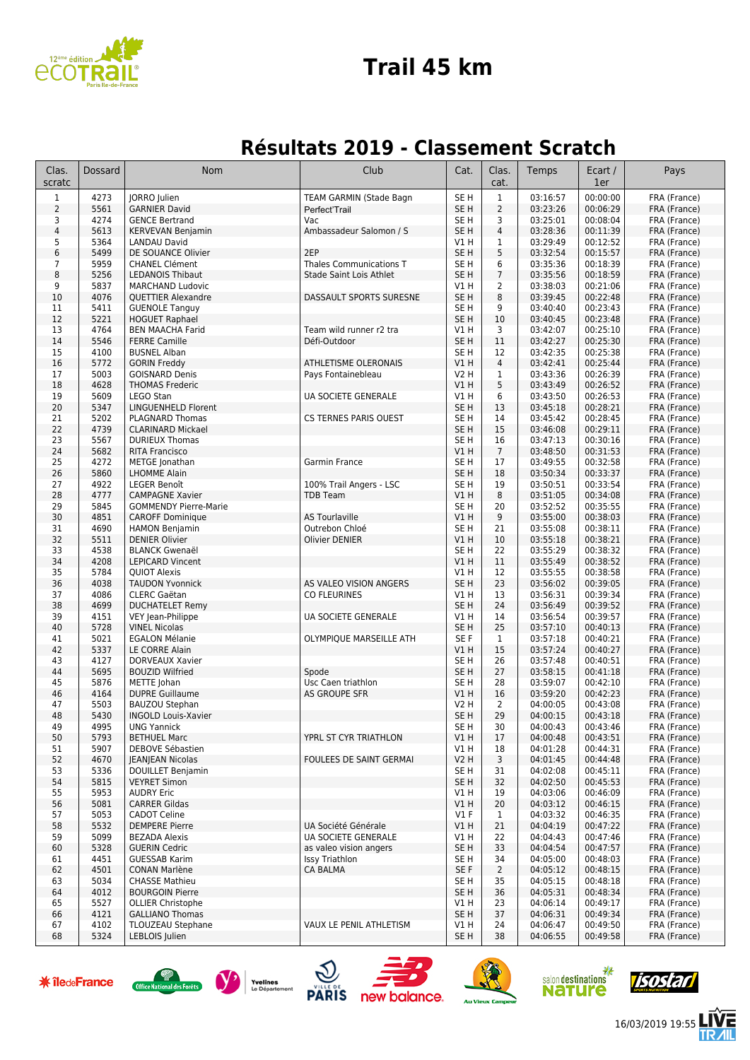

#### **Trail 45 km**

#### **Résultats 2019 - Classement Scratch**

| Clas.<br>scratc | <b>Dossard</b> | <b>Nom</b>                                         | Club                                       | Cat.                               | Clas.<br>cat.                    | Temps                | Ecart /<br>1er       | Pays                         |
|-----------------|----------------|----------------------------------------------------|--------------------------------------------|------------------------------------|----------------------------------|----------------------|----------------------|------------------------------|
| $\mathbf{1}$    | 4273           | JORRO Julien                                       | TEAM GARMIN (Stade Bagn                    | SE <sub>H</sub>                    | $\mathbf{1}$                     | 03:16:57             | 00:00:00             | FRA (France)                 |
| $\overline{2}$  | 5561           | <b>GARNIER David</b>                               | Perfect'Trail                              | SE <sub>H</sub>                    | 2                                | 03:23:26             | 00:06:29             | FRA (France)                 |
| 3<br>$\sqrt{4}$ | 4274<br>5613   | <b>GENCE Bertrand</b><br><b>KERVEVAN Benjamin</b>  | Vac<br>Ambassadeur Salomon / S             | SE <sub>H</sub><br>SE <sub>H</sub> | 3<br>$\overline{4}$              | 03:25:01<br>03:28:36 | 00:08:04<br>00:11:39 | FRA (France)<br>FRA (France) |
| 5               | 5364           | <b>LANDAU David</b>                                |                                            | V1 H                               | 1                                | 03:29:49             | 00:12:52             | FRA (France)                 |
| 6               | 5499           | DE SOUANCE Olivier                                 | 2EP                                        | SE <sub>H</sub>                    | 5                                | 03:32:54             | 00:15:57             | FRA (France)                 |
| $\overline{7}$  | 5959           | <b>CHANEL Clément</b>                              | Thales Communications T                    | SE <sub>H</sub>                    | 6                                | 03:35:36             | 00:18:39             | FRA (France)                 |
| 8<br>9          | 5256<br>5837   | <b>LEDANOIS Thibaut</b><br><b>MARCHAND Ludovic</b> | Stade Saint Lois Athlet                    | SE <sub>H</sub><br>V1 H            | $\overline{7}$<br>$\overline{2}$ | 03:35:56<br>03:38:03 | 00:18:59<br>00:21:06 | FRA (France)<br>FRA (France) |
| 10              | 4076           | <b>OUETTIER Alexandre</b>                          | DASSAULT SPORTS SURESNE                    | SE <sub>H</sub>                    | 8                                | 03:39:45             | 00:22:48             | FRA (France)                 |
| 11              | 5411           | <b>GUENOLE Tanguy</b>                              |                                            | SE H                               | 9                                | 03:40:40             | 00:23:43             | FRA (France)                 |
| 12<br>13        | 5221<br>4764   | <b>HOGUET Raphael</b><br><b>BEN MAACHA Farid</b>   | Team wild runner r2 tra                    | SE <sub>H</sub><br>V1 H            | 10<br>3                          | 03:40:45<br>03:42:07 | 00:23:48<br>00:25:10 | FRA (France)<br>FRA (France) |
| 14              | 5546           | <b>FERRE Camille</b>                               | Défi-Outdoor                               | SE <sub>H</sub>                    | 11                               | 03:42:27             | 00:25:30             | FRA (France)                 |
| 15              | 4100           | <b>BUSNEL Alban</b>                                |                                            | SE H                               | 12                               | 03:42:35             | 00:25:38             | FRA (France)                 |
| 16              | 5772           | <b>GORIN Freddy</b>                                | ATHLETISME OLERONAIS                       | VIH                                | 4                                | 03:42:41             | 00:25:44             | FRA (France)                 |
| 17<br>18        | 5003<br>4628   | <b>GOISNARD Denis</b><br><b>THOMAS Frederic</b>    | Pays Fontainebleau                         | V2 H<br>VIH                        | 1<br>5                           | 03:43:36<br>03:43:49 | 00:26:39<br>00:26:52 | FRA (France)<br>FRA (France) |
| 19              | 5609           | <b>LEGO Stan</b>                                   | UA SOCIETE GENERALE                        | V1H                                | 6                                | 03:43:50             | 00:26:53             | FRA (France)                 |
| 20              | 5347           | <b>LINGUENHELD Florent</b>                         |                                            | SE <sub>H</sub>                    | 13                               | 03:45:18             | 00:28:21             | FRA (France)                 |
| 21              | 5202           | PLAGNARD Thomas                                    | <b>CS TERNES PARIS OUEST</b>               | SE H                               | 14                               | 03:45:42             | 00:28:45             | FRA (France)                 |
| 22<br>23        | 4739<br>5567   | <b>CLARINARD Mickael</b><br><b>DURIEUX Thomas</b>  |                                            | SE H<br>SE H                       | 15<br>16                         | 03:46:08<br>03:47:13 | 00:29:11<br>00:30:16 | FRA (France)<br>FRA (France) |
| 24              | 5682           | <b>RITA Francisco</b>                              |                                            | V1H                                | $\overline{7}$                   | 03:48:50             | 00:31:53             | FRA (France)                 |
| 25              | 4272           | METGE Jonathan                                     | Garmin France                              | SE <sub>H</sub>                    | 17                               | 03:49:55             | 00:32:58             | FRA (France)                 |
| 26              | 5860           | <b>LHOMME Alain</b>                                |                                            | SE <sub>H</sub>                    | 18                               | 03:50:34             | 00:33:37             | FRA (France)                 |
| 27<br>28        | 4922<br>4777   | <b>LEGER Benoît</b><br><b>CAMPAGNE Xavier</b>      | 100% Trail Angers - LSC<br><b>TDB Team</b> | SE <sub>H</sub><br>VIH             | 19<br>8                          | 03:50:51<br>03:51:05 | 00:33:54<br>00:34:08 | FRA (France)<br>FRA (France) |
| 29              | 5845           | <b>GOMMENDY Pierre-Marie</b>                       |                                            | SE <sub>H</sub>                    | 20                               | 03:52:52             | 00:35:55             | FRA (France)                 |
| 30              | 4851           | <b>CAROFF Dominique</b>                            | <b>AS Tourlaville</b>                      | V1H                                | 9                                | 03:55:00             | 00:38:03             | FRA (France)                 |
| 31              | 4690           | <b>HAMON Benjamin</b>                              | Outrebon Chloé                             | SE <sub>H</sub>                    | 21                               | 03:55:08             | 00:38:11             | FRA (France)                 |
| 32<br>33        | 5511<br>4538   | <b>DENIER Olivier</b><br><b>BLANCK Gwenaël</b>     | <b>Olivier DENIER</b>                      | VIH<br>SE H                        | 10<br>22                         | 03:55:18<br>03:55:29 | 00:38:21<br>00:38:32 | FRA (France)<br>FRA (France) |
| 34              | 4208           | <b>LEPICARD Vincent</b>                            |                                            | V1 H                               | 11                               | 03:55:49             | 00:38:52             | FRA (France)                 |
| 35              | 5784           | <b>QUIOT Alexis</b>                                |                                            | VIH                                | 12                               | 03:55:55             | 00:38:58             | FRA (France)                 |
| 36              | 4038           | <b>TAUDON Yvonnick</b>                             | AS VALEO VISION ANGERS                     | SE <sub>H</sub>                    | 23                               | 03:56:02             | 00:39:05             | FRA (France)                 |
| 37<br>38        | 4086<br>4699   | CLERC Gaëtan<br><b>DUCHATELET Remy</b>             | <b>CO FLEURINES</b>                        | V1 H<br>SE <sub>H</sub>            | 13<br>24                         | 03:56:31<br>03:56:49 | 00:39:34<br>00:39:52 | FRA (France)<br>FRA (France) |
| 39              | 4151           | VEY Jean-Philippe                                  | UA SOCIETE GENERALE                        | V1 H                               | 14                               | 03:56:54             | 00:39:57             | FRA (France)                 |
| 40              | 5728           | <b>VINEL Nicolas</b>                               |                                            | SE <sub>H</sub>                    | 25                               | 03:57:10             | 00:40:13             | FRA (France)                 |
| 41<br>42        | 5021<br>5337   | <b>EGALON Mélanie</b><br>LE CORRE Alain            | OLYMPIQUE MARSEILLE ATH                    | SE <sub>F</sub><br>V1H             | $\mathbf{1}$<br>15               | 03:57:18<br>03:57:24 | 00:40:21<br>00:40:27 | FRA (France)<br>FRA (France) |
| 43              | 4127           | DORVEAUX Xavier                                    |                                            | SE <sub>H</sub>                    | 26                               | 03:57:48             | 00:40:51             | FRA (France)                 |
| 44              | 5695           | <b>BOUZID Wilfried</b>                             | Spode                                      | SE <sub>H</sub>                    | 27                               | 03:58:15             | 00:41:18             | FRA (France)                 |
| 45              | 5876           | METTE Johan                                        | Usc Caen triathlon                         | SE <sub>H</sub>                    | 28                               | 03:59:07             | 00:42:10             | FRA (France)                 |
| 46<br>47        | 4164<br>5503   | <b>DUPRE Guillaume</b><br><b>BAUZOU Stephan</b>    | AS GROUPE SFR                              | VIH<br>V2 H                        | 16<br>2                          | 03:59:20<br>04:00:05 | 00:42:23<br>00:43:08 | FRA (France)<br>FRA (France) |
| 48              | 5430           | <b>INGOLD Louis-Xavier</b>                         |                                            | SE <sub>H</sub>                    | 29                               | 04:00:15             | 00:43:18             | FRA (France)                 |
| 49              | 4995           | <b>UNG Yannick</b>                                 |                                            | SE H                               | 30                               | 04:00:43             | 00:43:46             | FRA (France)                 |
| 50              | 5793           | <b>BETHUEL Marc</b>                                | YPRL ST CYR TRIATHLON                      | V1H                                | 17                               | 04:00:48             | 00:43:51             | FRA (France)                 |
| 51<br>52        | 5907<br>4670   | DEBOVE Sébastien<br><b>JEANJEAN Nicolas</b>        | <b>FOULEES DE SAINT GERMAI</b>             | V1 H<br><b>V2 H</b>                | 18<br>3                          | 04:01:28<br>04:01:45 | 00:44:31<br>00:44:48 | FRA (France)<br>FRA (France) |
| 53              | 5336           | DOUILLET Benjamin                                  |                                            | SE <sub>H</sub>                    | 31                               | 04:02:08             | 00:45:11             | FRA (France)                 |
| 54              | 5815           | <b>VEYRET Simon</b>                                |                                            | SE <sub>H</sub>                    | 32                               | 04:02:50             | 00:45:53             | FRA (France)                 |
| 55              | 5953           | <b>AUDRY Eric</b>                                  |                                            | V1 H                               | 19                               | 04:03:06             | 00:46:09             | FRA (France)                 |
| 56<br>57        | 5081<br>5053   | <b>CARRER Gildas</b><br><b>CADOT Celine</b>        |                                            | V1 H<br>$VI$ F                     | 20<br>$\mathbf{1}$               | 04:03:12<br>04:03:32 | 00:46:15<br>00:46:35 | FRA (France)<br>FRA (France) |
| 58              | 5532           | <b>DEMPERE Pierre</b>                              | UA Société Générale                        | V1 H                               | 21                               | 04:04:19             | 00:47:22             | FRA (France)                 |
| 59              | 5099           | <b>BEZADA Alexis</b>                               | UA SOCIETE GENERALE                        | V1 H                               | 22                               | 04:04:43             | 00:47:46             | FRA (France)                 |
| 60              | 5328           | <b>GUERIN Cedric</b>                               | as valeo vision angers                     | SE <sub>H</sub>                    | 33                               | 04:04:54             | 00:47:57             | FRA (France)                 |
| 61<br>62        | 4451<br>4501   | <b>GUESSAB Karim</b><br><b>CONAN Marlène</b>       | <b>Issy Triathlon</b><br><b>CA BALMA</b>   | SE H<br>SE F                       | 34<br>$\overline{2}$             | 04:05:00<br>04:05:12 | 00:48:03<br>00:48:15 | FRA (France)<br>FRA (France) |
| 63              | 5034           | <b>CHASSE Mathieu</b>                              |                                            | SE H                               | 35                               | 04:05:15             | 00:48:18             | FRA (France)                 |
| 64              | 4012           | <b>BOURGOIN Pierre</b>                             |                                            | SE <sub>H</sub>                    | 36                               | 04:05:31             | 00:48:34             | FRA (France)                 |
| 65              | 5527           | <b>OLLIER Christophe</b>                           |                                            | V1 H                               | 23                               | 04:06:14             | 00:49:17             | FRA (France)                 |
| 66<br>67        | 4121<br>4102   | <b>GALLIANO Thomas</b><br><b>TLOUZEAU Stephane</b> | VAUX LE PENIL ATHLETISM                    | SE <sub>H</sub><br>V1 H            | 37<br>24                         | 04:06:31<br>04:06:47 | 00:49:34<br>00:49:50 | FRA (France)<br>FRA (France) |
| 68              | 5324           | LEBLOIS Julien                                     |                                            | SE H                               | 38                               | 04:06:55             | 00:49:58             | FRA (France)                 |













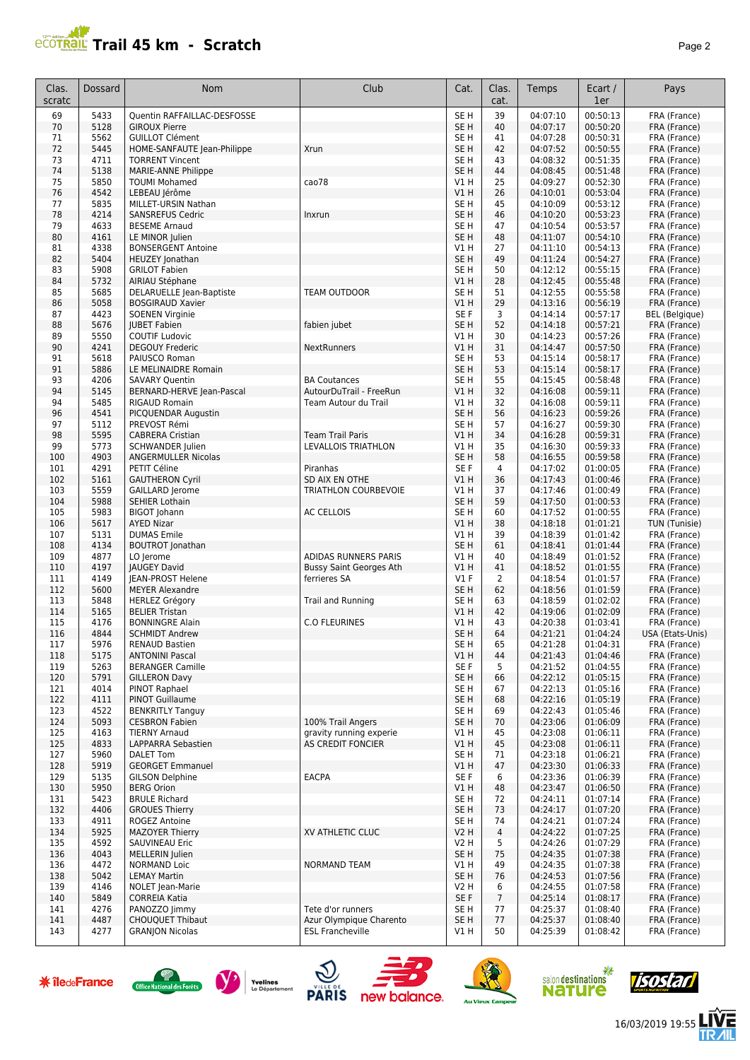# **PCOTRAL Trail 45 km - Scratch**

| Clas.<br>scratc | Dossard      | Nom                                             | Club                           | Cat.                               | Clas.<br>cat.  | Temps                | Ecart /<br>1er       | Pays                         |
|-----------------|--------------|-------------------------------------------------|--------------------------------|------------------------------------|----------------|----------------------|----------------------|------------------------------|
| 69              | 5433         | Quentin RAFFAILLAC-DESFOSSE                     |                                | SE <sub>H</sub>                    | 39             | 04:07:10             | 00:50:13             | FRA (France)                 |
| 70              | 5128         | <b>GIROUX Pierre</b>                            |                                | SE <sub>H</sub>                    | 40             | 04:07:17             | 00:50:20             | FRA (France)                 |
| 71              | 5562         | <b>GUILLOT Clément</b>                          |                                | SE H                               | 41             | 04:07:28             | 00:50:31             | FRA (France)                 |
| 72              | 5445         | HOME-SANFAUTE Jean-Philippe                     | Xrun                           | SE <sub>H</sub>                    | 42             | 04:07:52             | 00:50:55             | FRA (France)                 |
| 73              | 4711         | <b>TORRENT Vincent</b>                          |                                | SE H                               | 43             | 04:08:32             | 00:51:35             | FRA (France)                 |
| 74              | 5138         | <b>MARIE-ANNE Philippe</b>                      |                                | SE <sub>H</sub>                    | 44             | 04:08:45             | 00:51:48             | FRA (France)                 |
| 75              | 5850         | <b>TOUMI Mohamed</b>                            | cao78                          | V1 H                               | 25             | 04:09:27             | 00:52:30             | FRA (France)                 |
| 76              | 4542         | LEBEAU Jérôme                                   |                                | V1H                                | 26             | 04:10:01             | 00:53:04             | FRA (France)                 |
| 77              | 5835         | MILLET-URSIN Nathan                             |                                | SE <sub>H</sub>                    | 45             | 04:10:09             | 00:53:12             | FRA (France)                 |
| 78              | 4214         | <b>SANSREFUS Cedric</b>                         | Inxrun                         | SE <sub>H</sub>                    | 46             | 04:10:20<br>04:10:54 | 00:53:23<br>00:53:57 | FRA (France)<br>FRA (France) |
| 79<br>80        | 4633<br>4161 | <b>BESEME Arnaud</b><br>LE MINOR Julien         |                                | SE <sub>H</sub><br>SE <sub>H</sub> | 47<br>48       | 04:11:07             | 00:54:10             | FRA (France)                 |
| 81              | 4338         | <b>BONSERGENT Antoine</b>                       |                                | V1H                                | 27             | 04:11:10             | 00:54:13             | FRA (France)                 |
| 82              | 5404         | <b>HEUZEY</b> Jonathan                          |                                | SE <sub>H</sub>                    | 49             | 04:11:24             | 00:54:27             | FRA (France)                 |
| 83              | 5908         | <b>GRILOT Fabien</b>                            |                                | SE H                               | 50             | 04:12:12             | 00:55:15             | FRA (France)                 |
| 84              | 5732         | AIRIAU Stéphane                                 |                                | V1 H                               | 28             | 04:12:45             | 00:55:48             | FRA (France)                 |
| 85              | 5685         | DELARUELLE Jean-Baptiste                        | TEAM OUTDOOR                   | SE H                               | 51             | 04:12:55             | 00:55:58             | FRA (France)                 |
| 86              | 5058         | <b>BOSGIRAUD Xavier</b>                         |                                | V1 H                               | 29             | 04:13:16             | 00:56:19             | FRA (France)                 |
| 87              | 4423         | <b>SOENEN Virginie</b>                          |                                | SE F                               | 3              | 04:14:14             | 00:57:17             | <b>BEL</b> (Belgique)        |
| 88              | 5676         | <b>JUBET Fabien</b>                             | fabien jubet                   | SE <sub>H</sub>                    | 52             | 04:14:18             | 00:57:21             | FRA (France)                 |
| 89              | 5550         | <b>COUTIF Ludovic</b>                           |                                | V1 H                               | 30             | 04:14:23             | 00:57:26             | FRA (France)                 |
| 90              | 4241         | <b>DEGOUY Frederic</b>                          | <b>NextRunners</b>             | V1H                                | 31             | 04:14:47             | 00:57:50             | FRA (France)                 |
| 91              | 5618         | PAIUSCO Roman                                   |                                | SE H                               | 53             | 04:15:14             | 00:58:17             | FRA (France)                 |
| 91              | 5886         | LE MELINAIDRE Romain                            |                                | SE <sub>H</sub>                    | 53             | 04:15:14             | 00:58:17             | FRA (France)                 |
| 93              | 4206         | <b>SAVARY Quentin</b>                           | <b>BA Coutances</b>            | SE H                               | 55             | 04:15:45             | 00:58:48             | FRA (France)                 |
| 94              | 5145         | BERNARD-HERVE Jean-Pascal                       | AutourDuTrail - FreeRun        | V1H                                | 32             | 04:16:08             | 00:59:11             | FRA (France)                 |
| 94              | 5485         | <b>RIGAUD Romain</b>                            | Team Autour du Trail           | V1 H                               | 32             | 04:16:08             | 00:59:11             | FRA (France)                 |
| 96              | 4541         | PICQUENDAR Augustin                             |                                | SE <sub>H</sub>                    | 56             | 04:16:23             | 00:59:26             | FRA (France)                 |
| 97              | 5112         | PREVOST Rémi                                    |                                | SE H                               | 57             | 04:16:27             | 00:59:30             | FRA (France)                 |
| 98<br>99        | 5595<br>5773 | <b>CABRERA Cristian</b>                         | <b>Team Trail Paris</b>        | VIH<br>V1 H                        | 34<br>35       | 04:16:28             | 00:59:31<br>00:59:33 | FRA (France)                 |
| 100             | 4903         | <b>SCHWANDER Julien</b><br>ANGERMULLER Nicolas  | LEVALLOIS TRIATHLON            | SE <sub>H</sub>                    | 58             | 04:16:30<br>04:16:55 | 00:59:58             | FRA (France)<br>FRA (France) |
| 101             | 4291         | PETIT Céline                                    | Piranhas                       | SE F                               | $\overline{4}$ | 04:17:02             | 01:00:05             | FRA (France)                 |
| 102             | 5161         | <b>GAUTHERON Cyril</b>                          | SD AIX EN OTHE                 | V1H                                | 36             | 04:17:43             | 01:00:46             | FRA (France)                 |
| 103             | 5559         | <b>GAILLARD Jerome</b>                          | <b>TRIATHLON COURBEVOIE</b>    | V1 H                               | 37             | 04:17:46             | 01:00:49             | FRA (France)                 |
| 104             | 5988         | <b>SEHIER Lothain</b>                           |                                | SE <sub>H</sub>                    | 59             | 04:17:50             | 01:00:53             | FRA (France)                 |
| 105             | 5983         | <b>BIGOT Johann</b>                             | AC CELLOIS                     | SE H                               | 60             | 04:17:52             | 01:00:55             | FRA (France)                 |
| 106             | 5617         | <b>AYED Nizar</b>                               |                                | VIH                                | 38             | 04:18:18             | 01:01:21             | TUN (Tunisie)                |
| 107             | 5131         | <b>DUMAS Emile</b>                              |                                | V1H                                | 39             | 04:18:39             | 01:01:42             | FRA (France)                 |
| 108             | 4134         | <b>BOUTROT</b> Jonathan                         |                                | SE <sub>H</sub>                    | 61             | 04:18:41             | 01:01:44             | FRA (France)                 |
| 109             | 4877         | LO Jerome                                       | ADIDAS RUNNERS PARIS           | V1 H                               | 40             | 04:18:49             | 01:01:52             | FRA (France)                 |
| 110             | 4197         | <b>IAUGEY David</b>                             | <b>Bussy Saint Georges Ath</b> | V1 H                               | 41             | 04:18:52             | 01:01:55             | FRA (France)                 |
| 111             | 4149         | JEAN-PROST Helene                               | ferrieres SA                   | $VI$ F                             | $\overline{2}$ | 04:18:54             | 01:01:57             | FRA (France)                 |
| 112             | 5600         | <b>MEYER Alexandre</b>                          |                                | SE <sub>H</sub>                    | 62             | 04:18:56             | 01:01:59             | FRA (France)                 |
| 113             | 5848         | <b>HERLEZ Grégory</b>                           | Trail and Running              | SE H                               | 63             | 04:18:59             | 01:02:02             | FRA (France)                 |
| 114<br>115      | 5165<br>4176 | <b>BELIER Tristan</b><br><b>BONNINGRE Alain</b> | <b>C.O FLEURINES</b>           | VIH<br>V1 H                        | 42<br>43       | 04:19:06<br>04:20:38 | 01:02:09<br>01:03:41 | FRA (France)<br>FRA (France) |
| 116             | 4844         | <b>SCHMIDT Andrew</b>                           |                                | SE <sub>H</sub>                    | 64             | 04:21:21             | 01:04:24             | USA (Etats-Unis)             |
| 117             | 5976         | <b>RENAUD Bastien</b>                           |                                | SE H                               | 65             | 04:21:28             | 01:04:31             | FRA (France)                 |
| 118             | 5175         | <b>ANTONINI Pascal</b>                          |                                | V1H                                | 44             | 04:21:43             | 01:04:46             | FRA (France)                 |
| 119             | 5263         | <b>BERANGER Camille</b>                         |                                | SE F                               | 5              | 04:21:52             | 01:04:55             | FRA (France)                 |
| 120             | 5791         | <b>GILLERON Davy</b>                            |                                | SE <sub>H</sub>                    | 66             | 04:22:12             | 01:05:15             | FRA (France)                 |
| 121             | 4014         | PINOT Raphael                                   |                                | SE H                               | 67             | 04:22:13             | 01:05:16             | FRA (France)                 |
| 122             | 4111         | <b>PINOT Guillaume</b>                          |                                | SE <sub>H</sub>                    | 68             | 04:22:16             | 01:05:19             | FRA (France)                 |
| 123             | 4522         | <b>BENKRITLY Tanguy</b>                         |                                | SE H                               | 69             | 04:22:43             | 01:05:46             | FRA (France)                 |
| 124             | 5093         | <b>CESBRON Fabien</b>                           | 100% Trail Angers              | SE <sub>H</sub>                    | 70             | 04:23:06             | 01:06:09             | FRA (France)                 |
| 125             | 4163         | <b>TIERNY Arnaud</b>                            | gravity running experie        | V1 H                               | 45             | 04:23:08             | 01:06:11             | FRA (France)                 |
| 125             | 4833         | LAPPARRA Sebastien                              | AS CREDIT FONCIER              | V1H                                | 45             | 04:23:08             | 01:06:11             | FRA (France)                 |
| 127             | 5960         | <b>DALET Tom</b>                                |                                | SE H                               | 71             | 04:23:18             | 01:06:21             | FRA (France)                 |
| 128             | 5919         | <b>GEORGET Emmanuel</b>                         |                                | V1H                                | 47             | 04:23:30             | 01:06:33             | FRA (France)                 |
| 129             | 5135         | <b>GILSON Delphine</b>                          | <b>EACPA</b>                   | SE F                               | 6              | 04:23:36             | 01:06:39             | FRA (France)                 |
| 130<br>131      | 5950<br>5423 | <b>BERG Orion</b><br><b>BRULE Richard</b>       |                                | V1H<br>SE H                        | 48<br>72       | 04:23:47<br>04:24:11 | 01:06:50<br>01:07:14 | FRA (France)<br>FRA (France) |
| 132             | 4406         | <b>GROUES Thierry</b>                           |                                | SE <sub>H</sub>                    | 73             | 04:24:17             | 01:07:20             | FRA (France)                 |
| 133             | 4911         | ROGEZ Antoine                                   |                                | SE H                               | 74             | 04:24:21             | 01:07:24             | FRA (France)                 |
| 134             | 5925         | <b>MAZOYER Thierry</b>                          | XV ATHLETIC CLUC               | V2 H                               | 4              | 04:24:22             | 01:07:25             | FRA (France)                 |
| 135             | 4592         | SAUVINEAU Eric                                  |                                | V <sub>2</sub> H                   | 5              | 04:24:26             | 01:07:29             | FRA (France)                 |
| 136             | 4043         | MELLERIN Julien                                 |                                | SE <sub>H</sub>                    | 75             | 04:24:35             | 01:07:38             | FRA (France)                 |
| 136             | 4472         | <b>NORMAND Loic</b>                             | <b>NORMAND TEAM</b>            | V1 H                               | 49             | 04:24:35             | 01:07:38             | FRA (France)                 |
| 138             | 5042         | <b>LEMAY Martin</b>                             |                                | SE <sub>H</sub>                    | 76             | 04:24:53             | 01:07:56             | FRA (France)                 |
| 139             | 4146         | <b>NOLET</b> Jean-Marie                         |                                | <b>V2 H</b>                        | 6              | 04:24:55             | 01:07:58             | FRA (France)                 |
| 140             | 5849         | <b>CORREIA Katia</b>                            |                                | SE F                               | $\overline{7}$ | 04:25:14             | 01:08:17             | FRA (France)                 |
| 141             | 4276         | PANOZZO Jimmy                                   | Tete d'or runners              | SE H                               | 77             | 04:25:37             | 01:08:40             | FRA (France)                 |
| 141             | 4487         | <b>CHOUQUET Thibaut</b>                         | Azur Olympique Charento        | SE <sub>H</sub>                    | 77             | 04:25:37             | 01:08:40             | FRA (France)                 |
| 143             | 4277         | <b>GRANJON Nicolas</b>                          | <b>ESL Francheville</b>        | V1 H                               | 50             | 04:25:39             | 01:08:42             | FRA (France)                 |

















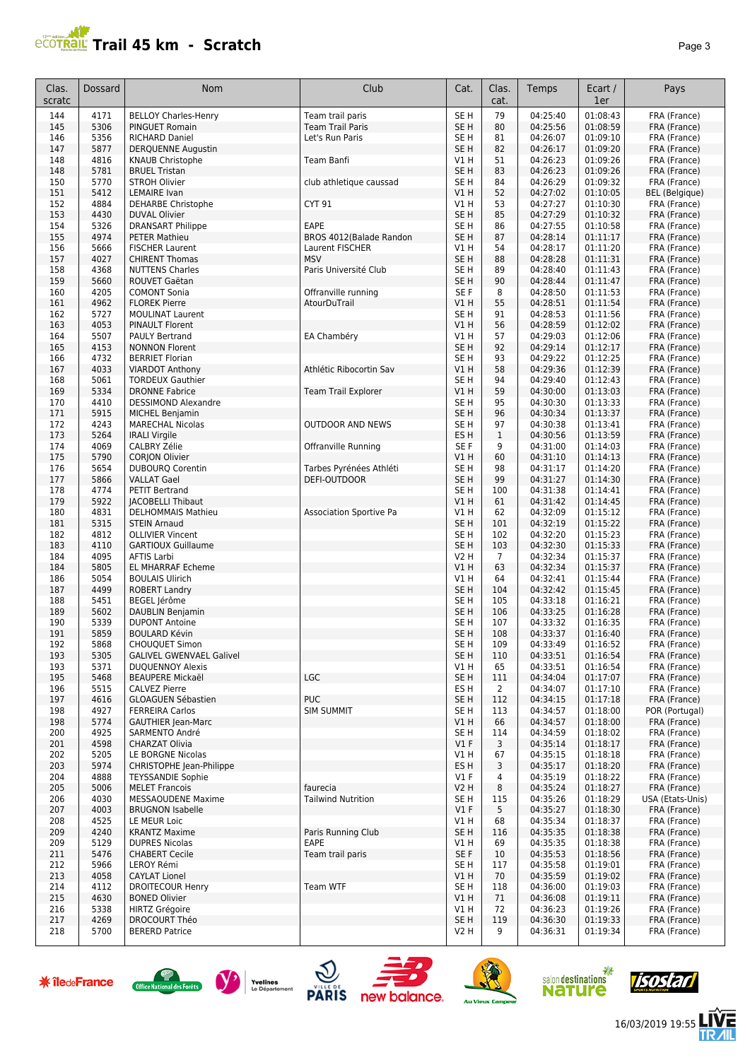# **Trail 45 km - Scratch Page 3 Page 3 Page 3**

| Clas.<br>scratc | Dossard | <b>Nom</b>                      | Club                      | Cat.             | Clas.<br>cat.  | Temps    | Ecart /<br>1er | Pays                  |
|-----------------|---------|---------------------------------|---------------------------|------------------|----------------|----------|----------------|-----------------------|
| 144             | 4171    | <b>BELLOY Charles-Henry</b>     | Team trail paris          | SE <sub>H</sub>  | 79             | 04:25:40 | 01:08:43       | FRA (France)          |
| 145             | 5306    | <b>PINGUET Romain</b>           | Team Trail Paris          | SE <sub>H</sub>  | 80             | 04:25:56 | 01:08:59       | FRA (France)          |
| 146             | 5356    | <b>RICHARD Daniel</b>           | Let's Run Paris           | SE H             | 81             | 04:26:07 | 01:09:10       | FRA (France)          |
| 147             | 5877    | <b>DERQUENNE Augustin</b>       |                           | SE <sub>H</sub>  | 82             | 04:26:17 | 01:09:20       | FRA (France)          |
| 148             | 4816    | <b>KNAUB Christophe</b>         | Team Banfi                | V1 H             | 51             | 04:26:23 | 01:09:26       | FRA (France)          |
| 148             | 5781    | <b>BRUEL Tristan</b>            |                           | SE <sub>H</sub>  | 83             | 04:26:23 | 01:09:26       | FRA (France)          |
| 150             | 5770    | <b>STROH Olivier</b>            | club athletique caussad   | SE <sub>H</sub>  | 84             | 04:26:29 | 01:09:32       | FRA (France)          |
| 151             | 5412    | <b>LEMAIRE</b> Ivan             |                           | VIH              | 52             | 04:27:02 | 01:10:05       | <b>BEL</b> (Belgique) |
| 152             | 4884    | DEHARBE Christophe              | CYT 91                    | V1 H             | 53             | 04:27:27 | 01:10:30       | FRA (France)          |
| 153             | 4430    | <b>DUVAL Olivier</b>            |                           | SE <sub>H</sub>  | 85             | 04:27:29 | 01:10:32       | FRA (France)          |
| 154             | 5326    | DRANSART Philippe               | EAPE                      | SE <sub>H</sub>  | 86             | 04:27:55 | 01:10:58       | FRA (France)          |
| 155             | 4974    | <b>PETER Mathieu</b>            | BROS 4012(Balade Randon   | SE <sub>H</sub>  | 87             | 04:28:14 | 01:11:17       | FRA (France)          |
| 156             | 5666    | <b>FISCHER Laurent</b>          | Laurent FISCHER           | V1H              | 54             | 04:28:17 | 01:11:20       | FRA (France)          |
| 157             | 4027    | <b>CHIRENT Thomas</b>           | <b>MSV</b>                | SE <sub>H</sub>  | 88             | 04:28:28 | 01:11:31       | FRA (France)          |
| 158             | 4368    | <b>NUTTENS Charles</b>          | Paris Université Club     | SE H             | 89             | 04:28:40 | 01:11:43       | FRA (France)          |
| 159             | 5660    | ROUVET Gaëtan                   |                           | SE H             | 90             | 04:28:44 | 01:11:47       | FRA (France)          |
| 160             | 4205    | <b>COMONT Sonia</b>             | Offranville running       | SE F             | 8              | 04:28:50 | 01:11:53       | FRA (France)          |
| 161             | 4962    | <b>FLOREK Pierre</b>            | AtourDuTrail              | VIH              | 55             | 04:28:51 | 01:11:54       | FRA (France)          |
| 162             | 5727    | <b>MOULINAT Laurent</b>         |                           | SE <sub>H</sub>  | 91             | 04:28:53 | 01:11:56       | FRA (France)          |
| 163             | 4053    | PINAULT Florent                 |                           | VIH              | 56             | 04:28:59 | 01:12:02       | FRA (France)          |
| 164             | 5507    | <b>PAULY Bertrand</b>           | EA Chambéry               | V1 H             | 57             | 04:29:03 | 01:12:06       | FRA (France)          |
| 165             | 4153    | <b>NONNON Florent</b>           |                           | SE H             | 92             | 04:29:14 | 01:12:17       | FRA (France)          |
| 166             | 4732    | <b>BERRIET Florian</b>          |                           | SE H             | 93             | 04:29:22 | 01:12:25       | FRA (France)          |
| 167             | 4033    | <b>VIARDOT Anthony</b>          | Athlétic Ribocortin Sav   | VIH              | 58             | 04:29:36 | 01:12:39       | FRA (France)          |
| 168             | 5061    | <b>TORDEUX Gauthier</b>         |                           | SE <sub>H</sub>  | 94             | 04:29:40 | 01:12:43       | FRA (France)          |
| 169             | 5334    | <b>DRONNE Fabrice</b>           | Team Trail Explorer       | VIH              | 59             | 04:30:00 | 01:13:03       | FRA (France)          |
| 170             | 4410    | <b>DESSIMOND Alexandre</b>      |                           | SE H             | 95             | 04:30:30 | 01:13:33       | FRA (France)          |
| 171             | 5915    | <b>MICHEL Benjamin</b>          |                           | SE <sub>H</sub>  | 96             | 04:30:34 | 01:13:37       | FRA (France)          |
| 172             | 4243    | <b>MARECHAL Nicolas</b>         | <b>OUTDOOR AND NEWS</b>   | SE <sub>H</sub>  | 97             | 04:30:38 | 01:13:41       | FRA (France)          |
| 173             | 5264    | <b>IRALI Virgile</b>            |                           | ES <sub>H</sub>  | $\mathbf 1$    | 04:30:56 | 01:13:59       | FRA (France)          |
| 174             | 4069    | <b>CALBRY Zélie</b>             | Offranville Running       | SE F             | 9              | 04:31:00 | 01:14:03       | FRA (France)          |
| 175             | 5790    | <b>CORJON Olivier</b>           |                           | VIH              | 60             | 04:31:10 | 01:14:13       | FRA (France)          |
| 176             | 5654    | <b>DUBOURQ Corentin</b>         | Tarbes Pyrénées Athléti   | SE H             | 98             | 04:31:17 | 01:14:20       | FRA (France)          |
| 177             | 5866    | <b>VALLAT Gael</b>              | DEFI-OUTDOOR              | SE <sub>H</sub>  | 99             | 04:31:27 | 01:14:30       | FRA (France)          |
| 178             | 4774    | <b>PETIT Bertrand</b>           |                           | SE <sub>H</sub>  | 100            | 04:31:38 | 01:14:41       | FRA (France)          |
| 179             | 5922    | <b>JACOBELLI Thibaut</b>        |                           | VIH              | 61             | 04:31:42 | 01:14:45       | FRA (France)          |
| 180             | 4831    | DELHOMMAIS Mathieu              | Association Sportive Pa   | V1 H             | 62             | 04:32:09 | 01:15:12       | FRA (France)          |
| 181             | 5315    | <b>STEIN Arnaud</b>             |                           | SE <sub>H</sub>  | 101            | 04:32:19 | 01:15:22       | FRA (France)          |
| 182             | 4812    | <b>OLLIVIER Vincent</b>         |                           | SE H             | 102            | 04:32:20 | 01:15:23       | FRA (France)          |
| 183             | 4110    | <b>GARTIOUX Guillaume</b>       |                           | SE <sub>H</sub>  | 103            | 04:32:30 | 01:15:33       | FRA (France)          |
| 184             | 4095    | <b>AFTIS Larbi</b>              |                           | V2 H             | $\overline{7}$ | 04:32:34 | 01:15:37       | FRA (France)          |
| 184             | 5805    | <b>EL MHARRAF Echeme</b>        |                           | VIH              | 63             | 04:32:34 | 01:15:37       | FRA (France)          |
| 186             | 5054    | <b>BOULAIS Ulirich</b>          |                           | V1 H             | 64             | 04:32:41 | 01:15:44       | FRA (France)          |
| 187             | 4499    | <b>ROBERT Landry</b>            |                           | SE H             | 104            | 04:32:42 | 01:15:45       | FRA (France)          |
| 188             | 5451    | BEGEL Jérôme                    |                           | SE <sub>H</sub>  | 105            | 04:33:18 | 01:16:21       | FRA (France)          |
| 189             | 5602    | DAUBLIN Benjamin                |                           | SE H             | 106            | 04:33:25 | 01:16:28       | FRA (France)          |
| 190             | 5339    | <b>DUPONT Antoine</b>           |                           | SE H             | 107            | 04:33:32 | 01:16:35       | FRA (France)          |
| 191             | 5859    | <b>BOULARD Kévin</b>            |                           | SE H             | 108            | 04:33:37 | 01:16:40       | FRA (France)          |
| 192             | 5868    | <b>CHOUQUET Simon</b>           |                           | SE <sub>H</sub>  | 109            | 04:33:49 | 01:16:52       | FRA (France)          |
| 193             | 5305    | <b>GALIVEL GWENVAEL Galivel</b> |                           | SE <sub>H</sub>  | 110            | 04:33:51 | 01:16:54       | FRA (France)          |
| 193             | 5371    | <b>DUOUENNOY Alexis</b>         |                           | V1 H             | 65             | 04:33:51 | 01:16:54       | FRA (France)          |
| 195             | 5468    | <b>BEAUPERE Mickaël</b>         | LGC                       | SE <sub>H</sub>  | 111            | 04:34:04 | 01:17:07       | FRA (France)          |
| 196             | 5515    | <b>CALVEZ Pierre</b>            |                           | ES H             | 2              | 04:34:07 | 01:17:10       | FRA (France)          |
| 197             | 4616    | <b>GLOAGUEN Sébastien</b>       | <b>PUC</b>                | SE <sub>H</sub>  | 112            | 04:34:15 | 01:17:18       | FRA (France)          |
| 198             | 4927    | <b>FERREIRA Carlos</b>          | <b>SIM SUMMIT</b>         | SE <sub>H</sub>  | 113            | 04:34:57 | 01:18:00       | POR (Portugal)        |
| 198             | 5774    | <b>GAUTHIER Jean-Marc</b>       |                           | V1 H             | 66             | 04:34:57 | 01:18:00       | FRA (France)          |
| 200             | 4925    | SARMENTO André                  |                           | SE <sub>H</sub>  | 114            | 04:34:59 | 01:18:02       | FRA (France)          |
| 201             | 4598    | <b>CHARZAT Olivia</b>           |                           | V1 F             | 3              | 04:35:14 | 01:18:17       | FRA (France)          |
| 202             | 5205    | LE BORGNE Nicolas               |                           | VIH              | 67             | 04:35:15 | 01:18:18       | FRA (France)          |
| 203             | 5974    | CHRISTOPHE Jean-Philippe        |                           | ES H             | 3              | 04:35:17 | 01:18:20       | FRA (France)          |
| 204             | 4888    | <b>TEYSSANDIE Sophie</b>        |                           | $VI$ F           | 4              | 04:35:19 | 01:18:22       | FRA (France)          |
| 205             | 5006    | <b>MELET Francois</b>           | faurecia                  | <b>V2 H</b>      | 8              | 04:35:24 | 01:18:27       | FRA (France)          |
| 206             | 4030    | <b>MESSAOUDENE Maxime</b>       | <b>Tailwind Nutrition</b> | SE H             | 115            | 04:35:26 | 01:18:29       | USA (Etats-Unis)      |
| 207             | 4003    | <b>BRUGNON Isabelle</b>         |                           | $VI$ F           | 5              | 04:35:27 | 01:18:30       | FRA (France)          |
| 208             | 4525    | LE MEUR Loic                    |                           | V1 H             | 68             | 04:35:34 | 01:18:37       | FRA (France)          |
| 209             | 4240    | <b>KRANTZ Maxime</b>            | Paris Running Club        | SE <sub>H</sub>  | 116            | 04:35:35 | 01:18:38       | FRA (France)          |
| 209             | 5129    | <b>DUPRES Nicolas</b>           | EAPE                      | V1 H             | 69             | 04:35:35 | 01:18:38       | FRA (France)          |
| 211             | 5476    | <b>CHABERT Cecile</b>           | Team trail paris          | SE F             | 10             | 04:35:53 | 01:18:56       | FRA (France)          |
| 212             | 5966    | LEROY Rémi                      |                           | SE H             | 117            | 04:35:58 | 01:19:01       | FRA (France)          |
| 213             | 4058    | <b>CAYLAT Lionel</b>            |                           | V1 H             | 70             | 04:35:59 | 01:19:02       | FRA (France)          |
| 214             | 4112    | <b>DROITECOUR Henry</b>         | Team WTF                  | SE H             | 118            | 04:36:00 | 01:19:03       | FRA (France)          |
| 215             | 4630    | <b>BONED Olivier</b>            |                           | V1H              | 71             | 04:36:08 | 01:19:11       | FRA (France)          |
| 216             | 5338    | <b>HIRTZ Grégoire</b>           |                           | V1 H             | 72             | 04:36:23 | 01:19:26       | FRA (France)          |
| 217             | 4269    | <b>DROCOURT Théo</b>            |                           | SE <sub>H</sub>  | 119            | 04:36:30 | 01:19:33       | FRA (France)          |
| 218             | 5700    | <b>BERERD Patrice</b>           |                           | V <sub>2</sub> H | 9              | 04:36:31 | 01:19:34       | FRA (France)          |

















16/03/2019 19:55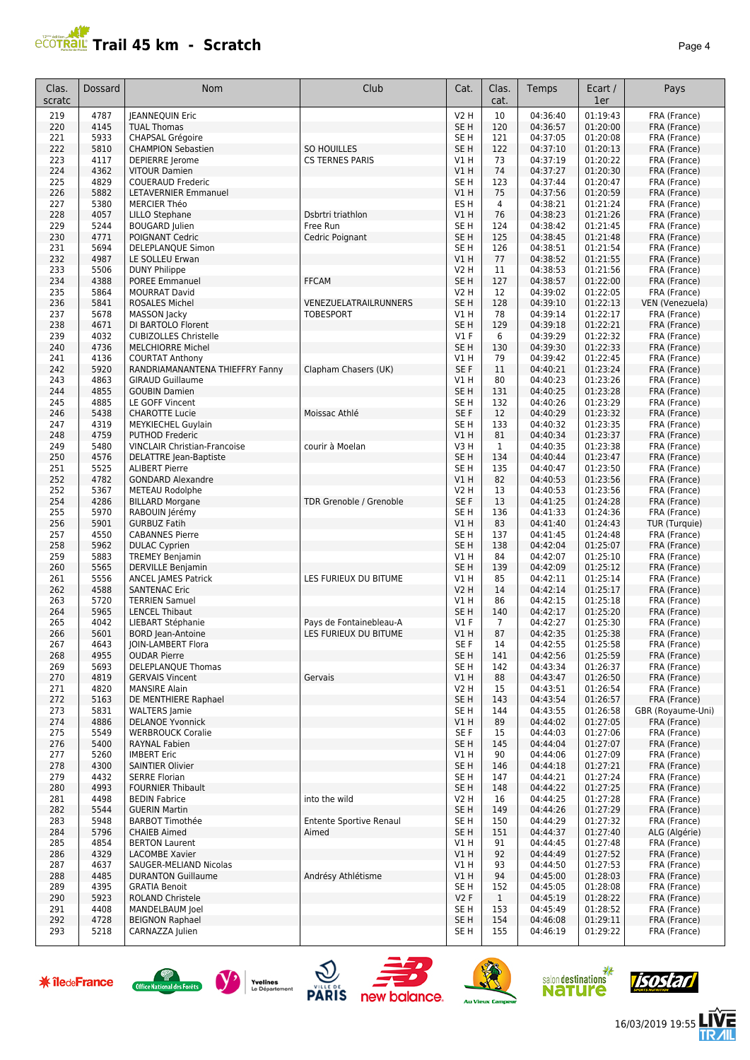# **Trail 45 km - Scratch** *Page 4*

| Clas.<br>scratc | <b>Dossard</b> | <b>Nom</b>                                     | Club                           | Cat.                           | Clas.<br>cat.  | <b>Temps</b>         | Ecart /<br>1er       | Pays                              |
|-----------------|----------------|------------------------------------------------|--------------------------------|--------------------------------|----------------|----------------------|----------------------|-----------------------------------|
| 219             | 4787           | <b>JEANNEQUIN Eric</b>                         |                                | <b>V2 H</b>                    | 10             | 04:36:40             | 01:19:43             | FRA (France)                      |
| 220             | 4145           | <b>TUAL Thomas</b>                             |                                | SE <sub>H</sub>                | 120            | 04:36:57             | 01:20:00             | FRA (France)                      |
| 221             | 5933           | CHAPSAL Grégoire                               |                                | SE H                           | 121            | 04:37:05             | 01:20:08             | FRA (France)                      |
| 222             | 5810           | <b>CHAMPION Sebastien</b>                      | SO HOUILLES                    | SE <sub>H</sub>                | 122            | 04:37:10             | 01:20:13             | FRA (France)                      |
| 223             | 4117           | DEPIERRE Jerome                                | <b>CS TERNES PARIS</b>         | V1 H                           | 73             | 04:37:19             | 01:20:22             | FRA (France)                      |
| 224             | 4362           | <b>VITOUR Damien</b>                           |                                | VIH                            | 74             | 04:37:27             | 01:20:30             | FRA (France)                      |
| 225             | 4829           | <b>COUERAUD Frederic</b>                       |                                | SE H                           | 123            | 04:37:44             | 01:20:47             | FRA (France)                      |
| 226             | 5882           | <b>LETAVERNIER Emmanuel</b>                    |                                | VIH                            | 75             | 04:37:56             | 01:20:59             | FRA (France)                      |
| 227             | 5380           | <b>MERCIER Théo</b>                            |                                | ES <sub>H</sub>                | 4              | 04:38:21             | 01:21:24             | FRA (France)                      |
| 228             | 4057           | <b>LILLO Stephane</b>                          | Dsbrtri triathlon              | V1H                            | 76             | 04:38:23             | 01:21:26             | FRA (France)                      |
| 229             | 5244           | <b>BOUGARD Julien</b>                          | Free Run                       | SE <sub>H</sub>                | 124            | 04:38:42             | 01:21:45             | FRA (France)                      |
| 230             | 4771           | POIGNANT Cedric                                | Cedric Poignant                | SE <sub>H</sub>                | 125            | 04:38:45             | 01:21:48             | FRA (France)                      |
| 231             | 5694           | <b>DELEPLANOUE Simon</b>                       |                                | SE <sub>H</sub>                | 126            | 04:38:51             | 01:21:54             | FRA (France)                      |
| 232             | 4987           | LE SOLLEU Erwan                                |                                | V1H                            | 77             | 04:38:52             | 01:21:55             | FRA (France)                      |
| 233             | 5506           | <b>DUNY Philippe</b>                           |                                | <b>V2 H</b>                    | 11             | 04:38:53             | 01:21:56             | FRA (France)                      |
| 234             | 4388           | <b>POREE Emmanuel</b>                          | <b>FFCAM</b>                   | SE <sub>H</sub>                | 127            | 04:38:57             | 01:22:00             | FRA (France)                      |
| 235             | 5864           | <b>MOURRAT David</b>                           |                                | <b>V2 H</b>                    | 12             | 04:39:02             | 01:22:05             | FRA (France)                      |
| 236             | 5841           | ROSALES Michel                                 | VENEZUELATRAILRUNNERS          | SE <sub>H</sub>                | 128            | 04:39:10             | 01:22:13             | VEN (Venezuela)                   |
| 237             | 5678           | MASSON Jacky                                   | <b>TOBESPORT</b>               | V1 H                           | 78             | 04:39:14             | 01:22:17             | FRA (France)                      |
| 238             | 4671           | DI BARTOLO Florent                             |                                | SE <sub>H</sub>                | 129            | 04:39:18             | 01:22:21             | FRA (France)                      |
| 239             | 4032           | <b>CUBIZOLLES Christelle</b>                   |                                | <b>V1 F</b>                    | 6              | 04:39:29             | 01:22:32             | FRA (France)                      |
| 240             | 4736           | <b>MELCHIORRE Michel</b>                       |                                | SE <sub>H</sub>                | 130            | 04:39:30             | 01:22:33             | FRA (France)                      |
| 241             | 4136           | <b>COURTAT Anthony</b>                         |                                | <b>V1 H</b>                    | 79             | 04:39:42             | 01:22:45             | FRA (France)                      |
| 242             | 5920           | RANDRIAMANANTENA THIEFFRY Fanny                | Clapham Chasers (UK)           | SE F                           | 11             | 04:40:21             | 01:23:24             | FRA (France)                      |
| 243             | 4863           | <b>GIRAUD Guillaume</b>                        |                                | V1H                            | 80             | 04:40:23             | 01:23:26             | FRA (France)                      |
| 244             | 4855           | <b>GOUBIN Damien</b>                           |                                | SE <sub>H</sub>                | 131            | 04:40:25             | 01:23:28             | FRA (France)                      |
| 245             | 4885           | LE GOFF Vincent                                |                                | SE H                           | 132            | 04:40:26             | 01:23:29             | FRA (France)                      |
| 246             | 5438           | <b>CHAROTTE Lucie</b>                          | Moissac Athlé                  | SE F                           | 12             | 04:40:29             | 01:23:32             | FRA (France)                      |
| 247             | 4319           | MEYKIECHEL Guylain                             |                                | SE H                           | 133            | 04:40:32             | 01:23:35             | FRA (France)                      |
| 248             | 4759           | <b>PUTHOD Frederic</b>                         |                                | VIH                            | 81             | 04:40:34             | 01:23:37             | FRA (France)                      |
| 249             | 5480           | <b>VINCLAIR Christian-Francoise</b>            | courir à Moelan                | V3H                            | 1              | 04:40:35             | 01:23:38             | FRA (France)                      |
| 250             | 4576           | DELATTRE Jean-Baptiste                         |                                | SE <sub>H</sub>                | 134            | 04:40:44             | 01:23:47             | FRA (France)                      |
| 251             | 5525           | <b>ALIBERT Pierre</b>                          |                                | SE <sub>H</sub>                | 135            | 04:40:47             | 01:23:50             | FRA (France)                      |
| 252             | 4782           | <b>GONDARD Alexandre</b>                       |                                | V1H                            | 82             | 04:40:53             | 01:23:56             | FRA (France)                      |
| 252             | 5367           | <b>METEAU Rodolphe</b>                         |                                | <b>V2 H</b>                    | 13             | 04:40:53             | 01:23:56             | FRA (France)                      |
| 254             | 4286           | <b>BILLARD Morgane</b>                         | TDR Grenoble / Grenoble        | SE F                           | 13             | 04:41:25             | 01:24:28             | FRA (France)                      |
| 255             | 5970           | RABOUIN Jérémy                                 |                                | SE <sub>H</sub>                | 136            | 04:41:33             | 01:24:36             | FRA (France)                      |
| 256             | 5901           | <b>GURBUZ Fatih</b>                            |                                | V1H                            | 83             | 04:41:40             | 01:24:43             | TUR (Turquie)                     |
| 257             | 4550           | <b>CABANNES Pierre</b>                         |                                | SE <sub>H</sub>                | 137            | 04:41:45             | 01:24:48             | FRA (France)                      |
| 258             | 5962           | <b>DULAC Cyprien</b>                           |                                | SE <sub>H</sub>                | 138            | 04:42:04             | 01:25:07             | FRA (France)                      |
| 259             | 5883           | <b>TREMEY Benjamin</b>                         |                                | V1 H                           | 84             | 04:42:07             | 01:25:10             | FRA (France)                      |
| 260             | 5565           | <b>DERVILLE Benjamin</b>                       |                                | SE <sub>H</sub>                | 139            | 04:42:09             | 01:25:12             | FRA (France)                      |
| 261             | 5556           | <b>ANCEL JAMES Patrick</b>                     | LES FURIEUX DU BITUME          | V1 H                           | 85             | 04:42:11             | 01:25:14             | FRA (France)                      |
| 262             | 4588           | <b>SANTENAC Eric</b>                           |                                | <b>V2 H</b>                    | 14             | 04:42:14             | 01:25:17             | FRA (France)                      |
| 263             | 5720           | <b>TERRIEN Samuel</b>                          |                                | V1 H                           | 86             | 04:42:15             | 01:25:18             | FRA (France)                      |
| 264             | 5965           | <b>LENCEL Thibaut</b>                          |                                | SE <sub>H</sub>                | 140            | 04:42:17             | 01:25:20             | FRA (France)                      |
| 265             | 4042           | LIEBART Stéphanie                              | Pays de Fontainebleau-A        | <b>V1 F</b>                    | $\overline{7}$ | 04:42:27             | 01:25:30             | FRA (France)                      |
| 266             | 5601           | <b>BORD Jean-Antoine</b>                       | LES FURIEUX DU BITUME          | V1H                            | 87             | 04:42:35             | 01:25:38             | FRA (France)                      |
| 267             | 4643           | <b>JOIN-LAMBERT Flora</b>                      |                                | SE F                           | 14             | 04:42:55             | 01:25:58             | FRA (France)                      |
| 268             | 4955           | <b>OUDAR Pierre</b>                            |                                | SE <sub>H</sub>                | 141            | 04:42:56             | 01:25:59             | FRA (France)                      |
| 269             | 5693           | DELEPLANQUE Thomas                             |                                | SE <sub>H</sub>                | 142            | 04:43:34             | 01:26:37             | FRA (France)                      |
| 270             | 4819           | <b>GERVAIS Vincent</b>                         | Gervais                        | V1H                            | 88             | 04:43:47             | 01:26:50             | FRA (France)                      |
| 271             | 4820           | <b>MANSIRE Alain</b>                           |                                | V2 H                           | 15             | 04:43:51             | 01:26:54             | FRA (France)                      |
| 272             | 5163           | DE MENTHIERE Raphael                           |                                | SE H<br>SE H                   | 143<br>144     | 04:43:54             | 01:26:57             | FRA (France)<br>GBR (Royaume-Uni) |
| 273             | 5831           | <b>WALTERS</b> Jamie                           |                                |                                |                | 04:43:55             | 01:26:58             |                                   |
| 274             | 4886           | <b>DELANOE Yvonnick</b>                        |                                | V1H                            | 89             | 04:44:02             | 01:27:05             | FRA (France)                      |
| 275             | 5549           | <b>WERBROUCK Coralie</b>                       |                                | SE F                           | 15             | 04:44:03             | 01:27:06             | FRA (France)                      |
| 276             | 5400           | RAYNAL Fabien                                  |                                | SE <sub>H</sub><br><b>V1 H</b> | 145<br>90      | 04:44:04             | 01:27:07             | FRA (France)                      |
| 277             | 5260           | <b>IMBERT Eric</b>                             |                                | SE <sub>H</sub>                |                | 04:44:06<br>04:44:18 | 01:27:09             | FRA (France)                      |
| 278             | 4300           | <b>SAINTIER Olivier</b>                        |                                | SE <sub>H</sub>                | 146            |                      | 01:27:21<br>01:27:24 | FRA (France)                      |
| 279             | 4432           | <b>SERRE Florian</b>                           |                                |                                | 147            | 04:44:21             |                      | FRA (France)                      |
| 280             | 4993           | <b>FOURNIER Thibault</b>                       | into the wild                  | SE <sub>H</sub>                | 148            | 04:44:22             | 01:27:25<br>01:27:28 | FRA (France)                      |
| 281             | 4498           | <b>BEDIN Fabrice</b>                           |                                | V2 H                           | 16             | 04:44:25             |                      | FRA (France)                      |
| 282             | 5544           | <b>GUERIN Martin</b><br><b>BARBOT Timothée</b> | <b>Entente Sportive Renaul</b> | SE H                           | 149            | 04:44:26<br>04:44:29 | 01:27:29<br>01:27:32 | FRA (France)                      |
| 283             | 5948           |                                                |                                | SE H<br>SE <sub>H</sub>        | 150            |                      |                      | FRA (France)                      |
| 284<br>285      | 5796<br>4854   | <b>CHAIEB Aimed</b><br><b>BERTON Laurent</b>   | Aimed                          | V1 H                           | 151<br>91      | 04:44:37<br>04:44:45 | 01:27:40             | ALG (Algérie)<br>FRA (France)     |
|                 | 4329           | <b>LACOMBE Xavier</b>                          |                                | V1H                            | 92             | 04:44:49             | 01:27:48<br>01:27:52 | FRA (France)                      |
| 286<br>287      | 4637           | SAUGER-MELIAND Nicolas                         |                                | V1 H                           | 93             | 04:44:50             | 01:27:53             | FRA (France)                      |
| 288             | 4485           | <b>DURANTON Guillaume</b>                      | Andrésy Athlétisme             | V1H                            | 94             | 04:45:00             | 01:28:03             | FRA (France)                      |
| 289             | 4395           | <b>GRATIA Benoit</b>                           |                                | SE H                           | 152            | 04:45:05             | 01:28:08             | FRA (France)                      |
| 290             | 5923           | ROLAND Christele                               |                                | V2F                            | $\mathbf{1}$   | 04:45:19             | 01:28:22             | FRA (France)                      |
| 291             | 4408           | MANDELBAUM Joel                                |                                | SE H                           | 153            | 04:45:49             | 01:28:52             | FRA (France)                      |
| 292             | 4728           | <b>BEIGNON Raphael</b>                         |                                | SE <sub>H</sub>                | 154            | 04:46:08             | 01:29:11             | FRA (France)                      |
| 293             | 5218           | CARNAZZA Julien                                |                                | SE H                           | 155            | 04:46:19             | 01:29:22             | FRA (France)                      |
|                 |                |                                                |                                |                                |                |                      |                      |                                   |

















**LIVE<br>TR***A***IL** 16/03/2019 19:55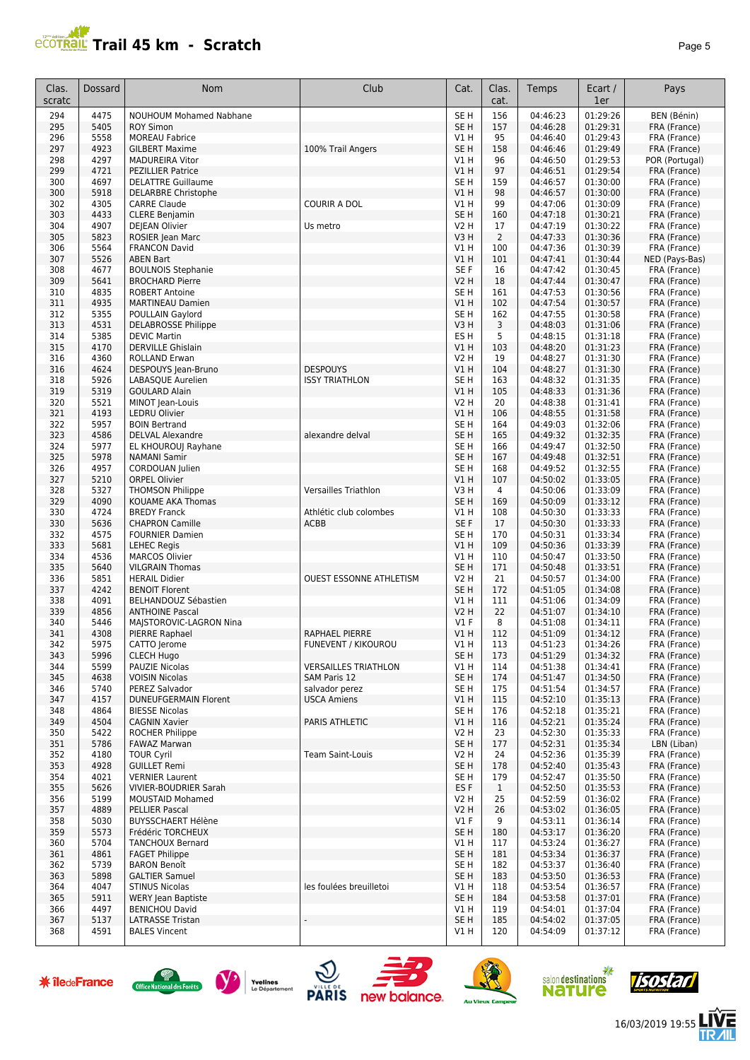# **PCOTRAL Trail 45 km - Scratch**

|--|--|--|

| Clas.<br>scratc | Dossard      | <b>Nom</b>                                          | Club                                        | Cat.                           | Clas.<br>cat.  | Temps                | Ecart /<br>1er       | Pays                           |
|-----------------|--------------|-----------------------------------------------------|---------------------------------------------|--------------------------------|----------------|----------------------|----------------------|--------------------------------|
| 294             | 4475         | <b>NOUHOUM Mohamed Nabhane</b>                      |                                             | SE <sub>H</sub>                | 156            | 04:46:23             | 01:29:26             | BEN (Bénin)                    |
| 295             | 5405         | <b>ROY Simon</b>                                    |                                             | SE <sub>H</sub>                | 157            | 04:46:28             | 01:29:31             | FRA (France)                   |
| 296             | 5558         | <b>MOREAU Fabrice</b>                               |                                             | V1H                            | 95             | 04:46:40             | 01:29:43             | FRA (France)                   |
| 297             | 4923         | <b>GILBERT Maxime</b>                               | 100% Trail Angers                           | SE <sub>H</sub>                | 158            | 04:46:46             | 01:29:49             | FRA (France)                   |
| 298<br>299      | 4297<br>4721 | <b>MADUREIRA Vitor</b><br><b>PEZILLIER Patrice</b>  |                                             | V1 H<br>V1H                    | 96<br>97       | 04:46:50<br>04:46:51 | 01:29:53<br>01:29:54 | POR (Portugal)<br>FRA (France) |
| 300             | 4697         | <b>DELATTRE Guillaume</b>                           |                                             | SE <sub>H</sub>                | 159            | 04:46:57             | 01:30:00             | FRA (France)                   |
| 300             | 5918         | <b>DELARBRE Christophe</b>                          |                                             | V1H                            | 98             | 04:46:57             | 01:30:00             | FRA (France)                   |
| 302             | 4305         | <b>CARRE Claude</b>                                 | <b>COURIR A DOL</b>                         | V1 H                           | 99             | 04:47:06             | 01:30:09             | FRA (France)                   |
| 303             | 4433         | <b>CLERE Benjamin</b>                               |                                             | SE <sub>H</sub>                | 160            | 04:47:18             | 01:30:21             | FRA (France)                   |
| 304             | 4907         | <b>DEJEAN Olivier</b>                               | Us metro                                    | V2 H                           | 17             | 04:47:19             | 01:30:22             | FRA (France)                   |
| 305             | 5823         | ROSIER Jean Marc                                    |                                             | V3H                            | $\overline{2}$ | 04:47:33             | 01:30:36             | FRA (France)                   |
| 306             | 5564         | <b>FRANCON David</b>                                |                                             | V1H                            | 100            | 04:47:36             | 01:30:39             | FRA (France)                   |
| 307             | 5526         | <b>ABEN Bart</b>                                    |                                             | V1H                            | 101            | 04:47:41             | 01:30:44             | NED (Pays-Bas)<br>FRA (France) |
| 308<br>309      | 4677<br>5641 | <b>BOULNOIS Stephanie</b><br><b>BROCHARD Pierre</b> |                                             | SE F<br><b>V2 H</b>            | 16<br>18       | 04:47:42<br>04:47:44 | 01:30:45<br>01:30:47 | FRA (France)                   |
| 310             | 4835         | <b>ROBERT Antoine</b>                               |                                             | SE <sub>H</sub>                | 161            | 04:47:53             | 01:30:56             | FRA (France)                   |
| 311             | 4935         | <b>MARTINEAU Damien</b>                             |                                             | V1H                            | 102            | 04:47:54             | 01:30:57             | FRA (France)                   |
| 312             | 5355         | POULLAIN Gaylord                                    |                                             | SE <sub>H</sub>                | 162            | 04:47:55             | 01:30:58             | FRA (France)                   |
| 313             | 4531         | <b>DELABROSSE Philippe</b>                          |                                             | V3H                            | 3              | 04:48:03             | 01:31:06             | FRA (France)                   |
| 314             | 5385         | <b>DEVIC Martin</b>                                 |                                             | ES <sub>H</sub>                | 5              | 04:48:15             | 01:31:18             | FRA (France)                   |
| 315             | 4170         | <b>DERVILLE Ghislain</b>                            |                                             | V1H                            | 103            | 04:48:20             | 01:31:23             | FRA (France)                   |
| 316             | 4360         | <b>ROLLAND Erwan</b>                                |                                             | V2 H                           | 19             | 04:48:27             | 01:31:30             | FRA (France)                   |
| 316<br>318      | 4624<br>5926 | DESPOUYS Jean-Bruno                                 | <b>DESPOUYS</b><br><b>ISSY TRIATHLON</b>    | V1 H<br>SE <sub>H</sub>        | 104<br>163     | 04:48:27<br>04:48:32 | 01:31:30<br>01:31:35 | FRA (France)                   |
| 319             | 5319         | LABASQUE Aurelien<br><b>GOULARD Alain</b>           |                                             | V1H                            | 105            | 04:48:33             | 01:31:36             | FRA (France)<br>FRA (France)   |
| 320             | 5521         | MINOT Jean-Louis                                    |                                             | <b>V2 H</b>                    | 20             | 04:48:38             | 01:31:41             | FRA (France)                   |
| 321             | 4193         | <b>LEDRU Olivier</b>                                |                                             | V1H                            | 106            | 04:48:55             | 01:31:58             | FRA (France)                   |
| 322             | 5957         | <b>BOIN Bertrand</b>                                |                                             | SE <sub>H</sub>                | 164            | 04:49:03             | 01:32:06             | FRA (France)                   |
| 323             | 4586         | <b>DELVAL Alexandre</b>                             | alexandre delval                            | SE <sub>H</sub>                | 165            | 04:49:32             | 01:32:35             | FRA (France)                   |
| 324             | 5977         | EL KHOUROUJ Rayhane                                 |                                             | SE <sub>H</sub>                | 166            | 04:49:47             | 01:32:50             | FRA (France)                   |
| 325             | 5978         | <b>NAMANI Samir</b>                                 |                                             | SE <sub>H</sub>                | 167            | 04:49:48             | 01:32:51             | FRA (France)                   |
| 326<br>327      | 4957<br>5210 | CORDOUAN Julien<br><b>ORPEL Olivier</b>             |                                             | SE <sub>H</sub>                | 168            | 04:49:52             | 01:32:55<br>01:33:05 | FRA (France)                   |
| 328             | 5327         | <b>THOMSON Philippe</b>                             | <b>Versailles Triathlon</b>                 | VIH<br>V3H                     | 107<br>4       | 04:50:02<br>04:50:06 | 01:33:09             | FRA (France)<br>FRA (France)   |
| 329             | 4090         | KOUAME AKA Thomas                                   |                                             | SE <sub>H</sub>                | 169            | 04:50:09             | 01:33:12             | FRA (France)                   |
| 330             | 4724         | <b>BREDY Franck</b>                                 | Athlétic club colombes                      | V1 H                           | 108            | 04:50:30             | 01:33:33             | FRA (France)                   |
| 330             | 5636         | <b>CHAPRON Camille</b>                              | <b>ACBB</b>                                 | SE F                           | 17             | 04:50:30             | 01:33:33             | FRA (France)                   |
| 332             | 4575         | <b>FOURNIER Damien</b>                              |                                             | SE <sub>H</sub>                | 170            | 04:50:31             | 01:33:34             | FRA (France)                   |
| 333             | 5681         | <b>LEHEC Regis</b>                                  |                                             | V1H                            | 109            | 04:50:36             | 01:33:39             | FRA (France)                   |
| 334             | 4536         | <b>MARCOS Olivier</b>                               |                                             | V1H                            | 110            | 04:50:47             | 01:33:50             | FRA (France)                   |
| 335<br>336      | 5640<br>5851 | <b>VILGRAIN Thomas</b><br><b>HERAIL Didier</b>      | <b>OUEST ESSONNE ATHLETISM</b>              | SE <sub>H</sub><br><b>V2 H</b> | 171<br>21      | 04:50:48<br>04:50:57 | 01:33:51<br>01:34:00 | FRA (France)<br>FRA (France)   |
| 337             | 4242         | <b>BENOIT Florent</b>                               |                                             | SE <sub>H</sub>                | 172            | 04:51:05             | 01:34:08             | FRA (France)                   |
| 338             | 4091         | BELHANDOUZ Sébastien                                |                                             | V1H                            | 111            | 04:51:06             | 01:34:09             | FRA (France)                   |
| 339             | 4856         | <b>ANTHOINE Pascal</b>                              |                                             | <b>V2 H</b>                    | 22             | 04:51:07             | 01:34:10             | FRA (France)                   |
| 340             | 5446         | MAJSTOROVIC-LAGRON Nina                             |                                             | $VI$ F                         | 8              | 04:51:08             | 01:34:11             | FRA (France)                   |
| 341             | 4308         | PIERRE Raphael                                      | RAPHAEL PIERRE                              | VIH                            | 112            | 04:51:09             | 01:34:12             | FRA (France)                   |
| 342             | 5975         | CATTO Jerome                                        | <b>FUNEVENT / KIKOUROU</b>                  | V1 H                           | 113            | 04:51:23             | 01:34:26             | FRA (France)                   |
| 343             | 5996         | <b>CLECH Hugo</b>                                   |                                             | SE <sub>H</sub>                | 173            | 04:51:29             | 01:34:32             | FRA (France)                   |
| 344<br>345      | 5599<br>4638 | PAUZIE Nicolas<br><b>VOISIN Nicolas</b>             | <b>VERSAILLES TRIATHLON</b><br>SAM Paris 12 | V1 H<br>SE <sub>H</sub>        | 114<br>174     | 04:51:38<br>04:51:47 | 01:34:41<br>01:34:50 | FRA (France)<br>FRA (France)   |
| 346             | 5740         | PEREZ Salvador                                      | salvador perez                              | SE H                           | 175            | 04:51:54             | 01:34:57             | FRA (France)                   |
| 347             | 4157         | <b>DUNEUFGERMAIN Florent</b>                        | <b>USCA Amiens</b>                          | V1 H                           | 115            | 04:52:10             | 01:35:13             | FRA (France)                   |
| 348             | 4864         | <b>BIESSE Nicolas</b>                               |                                             | SE <sub>H</sub>                | 176            | 04:52:18             | 01:35:21             | FRA (France)                   |
| 349             | 4504         | <b>CAGNIN Xavier</b>                                | PARIS ATHLETIC                              | V1H                            | 116            | 04:52:21             | 01:35:24             | FRA (France)                   |
| 350             | 5422         | <b>ROCHER Philippe</b>                              |                                             | V2 H                           | 23             | 04:52:30             | 01:35:33             | FRA (France)                   |
| 351             | 5786         | <b>FAWAZ Marwan</b>                                 |                                             | SE <sub>H</sub>                | 177            | 04:52:31             | 01:35:34             | LBN (Liban)                    |
| 352             | 4180         | <b>TOUR Cyril</b>                                   | <b>Team Saint-Louis</b>                     | V2 H                           | 24             | 04:52:36             | 01:35:39             | FRA (France)<br>FRA (France)   |
| 353<br>354      | 4928<br>4021 | <b>GUILLET Remi</b><br><b>VERNIER Laurent</b>       |                                             | SE <sub>H</sub><br>SE H        | 178<br>179     | 04:52:40<br>04:52:47 | 01:35:43<br>01:35:50 | FRA (France)                   |
| 355             | 5626         | <b>VIVIER-BOUDRIER Sarah</b>                        |                                             | ES <sub>F</sub>                | $\mathbf{1}$   | 04:52:50             | 01:35:53             | FRA (France)                   |
| 356             | 5199         | <b>MOUSTAID Mohamed</b>                             |                                             | V2 H                           | 25             | 04:52:59             | 01:36:02             | FRA (France)                   |
| 357             | 4889         | PELLIER Pascal                                      |                                             | <b>V2 H</b>                    | 26             | 04:53:02             | 01:36:05             | FRA (France)                   |
| 358             | 5030         | <b>BUYSSCHAERT Hélène</b>                           |                                             | $VI$ F                         | 9              | 04:53:11             | 01:36:14             | FRA (France)                   |
| 359             | 5573         | Frédéric TORCHEUX                                   |                                             | SE H                           | 180            | 04:53:17             | 01:36:20             | FRA (France)                   |
| 360             | 5704         | <b>TANCHOUX Bernard</b>                             |                                             | V1 H                           | 117            | 04:53:24             | 01:36:27             | FRA (France)                   |
| 361<br>362      | 4861<br>5739 | <b>FAGET Philippe</b><br><b>BARON Benoît</b>        |                                             | SE <sub>H</sub><br>SE H        | 181<br>182     | 04:53:34<br>04:53:37 | 01:36:37<br>01:36:40 | FRA (France)<br>FRA (France)   |
| 363             | 5898         | <b>GALTIER Samuel</b>                               |                                             | SE H                           | 183            | 04:53:50             | 01:36:53             | FRA (France)                   |
| 364             | 4047         | <b>STINUS Nicolas</b>                               | les foulées breuilletoi                     | V1 H                           | 118            | 04:53:54             | 01:36:57             | FRA (France)                   |
| 365             | 5911         | <b>WERY Jean Baptiste</b>                           |                                             | SE H                           | 184            | 04:53:58             | 01:37:01             | FRA (France)                   |
| 366             | 4497         | <b>BENICHOU David</b>                               |                                             | V1 H                           | 119            | 04:54:01             | 01:37:04             | FRA (France)                   |
| 367             | 5137         | <b>LATRASSE Tristan</b>                             |                                             | SE <sub>H</sub>                | 185            | 04:54:02             | 01:37:05             | FRA (France)                   |
| 368             | 4591         | <b>BALES Vincent</b>                                |                                             | V1 H                           | 120            | 04:54:09             | 01:37:12             | FRA (France)                   |















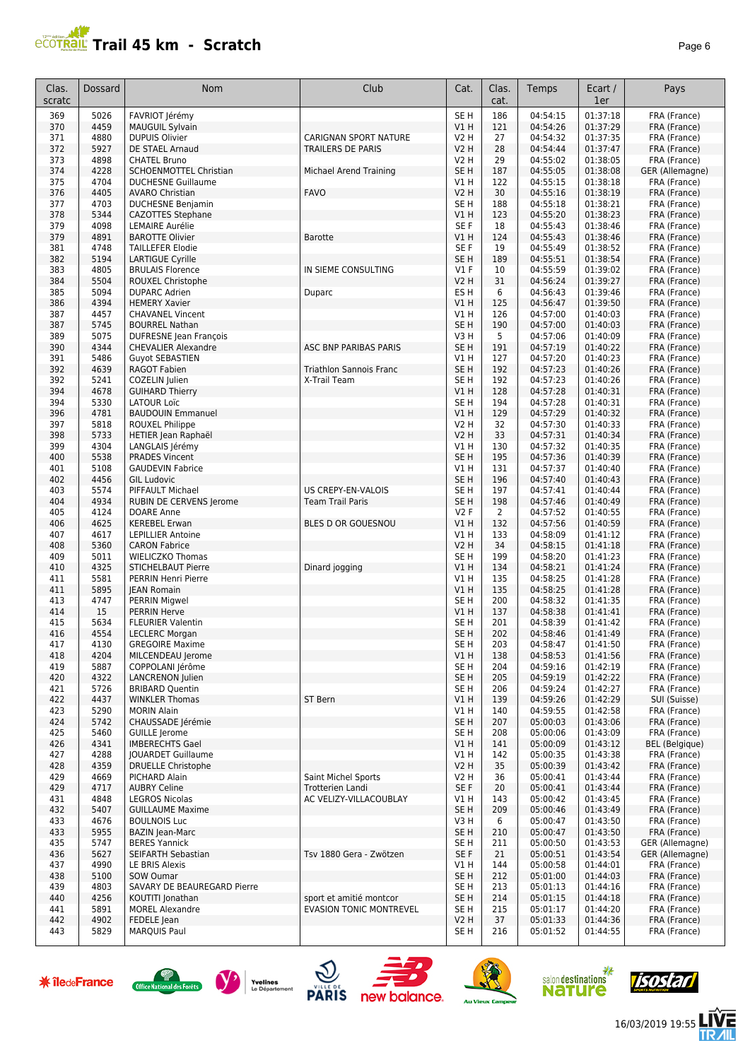# **PROTRAIL Trail 45 km - Scratch**

|--|

| 186<br>5026<br>FAVRIOT Jérémy<br>SE <sub>H</sub><br>04:54:15<br>01:37:18<br>FRA (France)<br>369<br>04:54:26<br>01:37:29<br>4459<br>V1H<br>FRA (France)<br>370<br><b>MAUGUIL Sylvain</b><br>121<br>4880<br><b>DUPUIS Olivier</b><br><b>V2 H</b><br>27<br>04:54:32<br>01:37:35<br>371<br>CARIGNAN SPORT NATURE<br>FRA (France)<br>372<br>5927<br>DE STAEL Arnaud<br><b>TRAILERS DE PARIS</b><br><b>V2 H</b><br>28<br>04:54:44<br>01:37:47<br>FRA (France)<br>4898<br><b>V2 H</b><br>29<br>04:55:02<br>01:38:05<br>373<br><b>CHATEL Bruno</b><br>FRA (France)<br>374<br>4228<br>SCHOENMOTTEL Christian<br>Michael Arend Training<br>SE <sub>H</sub><br>187<br>04:55:05<br>01:38:08<br>GER (Allemagne)<br>4704<br>122<br>01:38:18<br>FRA (France)<br>375<br><b>DUCHESNE Guillaume</b><br>V1 H<br>04:55:15<br>4405<br><b>FAVO</b><br>30<br>376<br><b>AVARO Christian</b><br>V2 H<br>04:55:16<br>01:38:19<br>FRA (France)<br>4703<br>SE <sub>H</sub><br>188<br>04:55:18<br>01:38:21<br>377<br><b>DUCHESNE Benjamin</b><br>FRA (France)<br>378<br>5344<br>V1H<br>123<br>04:55:20<br>01:38:23<br>CAZOTTES Stephane<br>FRA (France)<br>4098<br>SE F<br>18<br>04:55:43<br>01:38:46<br>379<br><b>LEMAIRE Aurélie</b><br>FRA (France)<br>379<br>4891<br><b>BAROTTE Olivier</b><br>124<br>04:55:43<br>01:38:46<br><b>Barotte</b><br>V1 H<br>FRA (France)<br>4748<br><b>TAILLEFER Elodie</b><br>SE F<br>19<br>04:55:49<br>01:38:52<br>FRA (France)<br>381<br>01:38:54<br>5194<br><b>LARTIGUE Cyrille</b><br>SE <sub>H</sub><br>189<br>04:55:51<br>FRA (France)<br>382<br>4805<br>IN SIEME CONSULTING<br>$VI$ F<br>10<br>04:55:59<br>01:39:02<br>383<br><b>BRULAIS Florence</b><br>FRA (France)<br>5504<br>ROUXEL Christophe<br><b>V2 H</b><br>31<br>04:56:24<br>01:39:27<br>FRA (France)<br>384<br>5094<br>6<br>01:39:46<br>385<br><b>DUPARC Adrien</b><br>ES H<br>04:56:43<br>FRA (France)<br>Duparc<br>4394<br>01:39:50<br>386<br><b>HEMERY Xavier</b><br>V1 H<br>125<br>04:56:47<br>FRA (France)<br>4457<br>126<br>387<br><b>CHAVANEL Vincent</b><br>V1 H<br>04:57:00<br>01:40:03<br>FRA (France)<br>5745<br>190<br><b>BOURREL Nathan</b><br>SE H<br>04:57:00<br>01:40:03<br>FRA (France)<br>387<br>389<br>5075<br>5<br>DUFRESNE Jean François<br>V3 H<br>04:57:06<br>01:40:09<br>FRA (France)<br>4344<br>ASC BNP PARIBAS PARIS<br>SE <sub>H</sub><br>191<br>04:57:19<br>01:40:22<br>390<br><b>CHEVALIER Alexandre</b><br>FRA (France)<br>391<br>5486<br>V1H<br>127<br>04:57:20<br>01:40:23<br><b>Guyot SEBASTIEN</b><br>FRA (France)<br>4639<br>SE <sub>H</sub><br>192<br>04:57:23<br>01:40:26<br>392<br><b>RAGOT Fabien</b><br><b>Triathlon Sannois Franc</b><br>FRA (France)<br>01:40:26<br>5241<br>SE <sub>H</sub><br>192<br>04:57:23<br>392<br>COZELIN Julien<br>X-Trail Team<br>FRA (France)<br>4678<br>VIH<br>128<br>04:57:28<br>01:40:31<br>FRA (France)<br>394<br><b>GUIHARD Thierry</b><br>5330<br><b>LATOUR Loïc</b><br>SE <sub>H</sub><br>194<br>04:57:28<br>01:40:31<br>394<br>FRA (France)<br>4781<br><b>BAUDOUIN Emmanuel</b><br>V1H<br>129<br>04:57:29<br>01:40:32<br>FRA (France)<br>396<br>5818<br><b>ROUXEL Philippe</b><br>32<br>04:57:30<br>01:40:33<br>397<br>V2 H<br>FRA (France)<br>5733<br>HETIER Jean Raphaël<br>33<br>04:57:31<br>01:40:34<br>FRA (France)<br>398<br><b>V2 H</b><br>4304<br>130<br>01:40:35<br>399<br>LANGLAIS Jérémy<br>V1 H<br>04:57:32<br>FRA (France)<br>5538<br>SE <sub>H</sub><br>195<br><b>PRADES Vincent</b><br>04:57:36<br>01:40:39<br>FRA (France)<br>400<br>5108<br>V1H<br>01:40:40<br><b>GAUDEVIN Fabrice</b><br>131<br>04:57:37<br>FRA (France)<br>401<br>4456<br>SE <sub>H</sub><br>196<br>04:57:40<br>01:40:43<br>402<br><b>GIL Ludovic</b><br>FRA (France)<br>5574<br>US CREPY-EN-VALOIS<br>SE <sub>H</sub><br>197<br>04:57:41<br>01:40:44<br>403<br>PIFFAULT Michael<br>FRA (France)<br>4934<br><b>Team Trail Paris</b><br>SE <sub>H</sub><br>198<br>04:57:46<br>01:40:49<br>FRA (France)<br>404<br>RUBIN DE CERVENS Jerome<br>4124<br>2<br>04:57:52<br>01:40:55<br>405<br>DOARE Anne<br>V2F<br>FRA (France)<br>4625<br>VIH<br>04:57:56<br>01:40:59<br>406<br><b>KEREBEL Erwan</b><br>BLES D OR GOUESNOU<br>132<br>FRA (France)<br>4617<br>V1H<br>04:58:09<br>01:41:12<br>FRA (France)<br>407<br><b>LEPILLIER Antoine</b><br>133<br>5360<br><b>V2 H</b><br>34<br>04:58:15<br>01:41:18<br>FRA (France)<br>408<br><b>CARON Fabrice</b><br>5011<br>199<br>04:58:20<br>01:41:23<br>409<br><b>WIELICZKO Thomas</b><br>SE H<br>FRA (France)<br>4325<br>04:58:21<br>01:41:24<br>FRA (France)<br>410<br><b>STICHELBAUT Pierre</b><br>Dinard jogging<br>V1 H<br>134<br>411<br>5581<br><b>PERRIN Henri Pierre</b><br>V1 H<br>135<br>04:58:25<br>01:41:28<br>FRA (France)<br>5895<br>V1H<br><b>IEAN Romain</b><br>135<br>04:58:25<br>01:41:28<br>FRA (France)<br>411<br>4747<br>SE <sub>H</sub><br>200<br>413<br><b>PERRIN Migwel</b><br>04:58:32<br>01:41:35<br>FRA (France)<br>15<br>04:58:38<br>01:41:41<br>414<br><b>PERRIN Herve</b><br>V1 H<br>137<br>FRA (France)<br>415<br>5634<br>201<br><b>FLEURIER Valentin</b><br>SE H<br>04:58:39<br>01:41:42<br>FRA (France)<br>4554<br>SE <sub>H</sub><br>202<br>04:58:46<br>416<br><b>LECLERC Morgan</b><br>01:41:49<br>FRA (France)<br><b>GREGOIRE Maxime</b><br>203<br>01:41:50<br>4130<br>04:58:47<br>FRA (France)<br>417<br>5E H<br>01:41:56<br>MILCENDEAU Jerome<br>V1 H<br>04:58:53<br>FRA (France)<br>418<br>4204<br>138<br>5887<br>COPPOLANI Jérôme<br>SE <sub>H</sub><br>04:59:16<br>01:42:19<br>FRA (France)<br>419<br>204<br>SE <sub>H</sub><br>205<br>04:59:19<br>01:42:22<br>FRA (France)<br>420<br>4322<br><b>LANCRENON Julien</b><br>04:59:24<br>01:42:27<br>421<br>5726<br><b>BRIBARD Quentin</b><br>SE H<br>206<br>FRA (France)<br><b>ST Bern</b><br>422<br>4437<br><b>WINKLER Thomas</b><br>V1 H<br>139<br>04:59:26<br>01:42:29<br>SUI (Suisse)<br>5290<br>423<br><b>MORIN Alain</b><br>V1 H<br>140<br>04:59:55<br>01:42:58<br>FRA (France)<br>SE <sub>H</sub><br>424<br>5742<br>CHAUSSADE Jérémie<br>207<br>05:00:03<br>01:43:06<br>FRA (France)<br>5460<br>GUILLE Jerome<br>SE H<br>208<br>05:00:06<br>01:43:09<br>FRA (France)<br>425<br>4341<br>426<br><b>IMBERECHTS Gael</b><br>V1H<br>141<br>05:00:09<br>01:43:12<br><b>BEL</b> (Belgique)<br>4288<br>05:00:35<br>01:43:38<br>427<br><b>JOUARDET Guillaume</b><br>V1 H<br>142<br>FRA (France)<br>4359<br><b>V2 H</b><br>35<br>05:00:39<br>01:43:42<br>428<br><b>DRUELLE Christophe</b><br>FRA (France)<br>4669<br>01:43:44<br>429<br>PICHARD Alain<br>Saint Michel Sports<br>V2 H<br>36<br>05:00:41<br>FRA (France)<br>4717<br><b>Trotterien Landi</b><br>SE F<br>01:43:44<br>429<br><b>AUBRY Celine</b><br>20<br>05:00:41<br>FRA (France)<br>01:43:45<br>4848<br><b>LEGROS Nicolas</b><br>AC VELIZY-VILLACOUBLAY<br>V1 H<br>143<br>05:00:42<br>FRA (France)<br>431<br>5407<br>SE <sub>H</sub><br>209<br>01:43:49<br>432<br><b>GUILLAUME Maxime</b><br>05:00:46<br>FRA (France)<br>6<br>433<br>4676<br><b>BOULNOIS Luc</b><br>V3 H<br>05:00:47<br>01:43:50<br>FRA (France)<br>05:00:47<br>433<br>5955<br><b>BAZIN Jean-Marc</b><br>SE H<br>210<br>01:43:50<br>FRA (France)<br>435<br>5747<br><b>BERES Yannick</b><br>SE H<br>211<br>05:00:50<br>01:43:53<br>GER (Allemagne)<br>5627<br>SEIFARTH Sebastian<br>Tsv 1880 Gera - Zwötzen<br>SE F<br>21<br>05:00:51<br>01:43:54<br>GER (Allemagne)<br>436<br>4990<br>LE BRIS Alexis<br>V1 H<br>144<br>05:00:58<br>01:44:01<br>FRA (France)<br>437<br>01:44:03<br>438<br>5100<br>SOW Oumar<br>SE H<br>212<br>05:01:00<br>FRA (France)<br>4803<br>439<br>SAVARY DE BEAUREGARD Pierre<br>SE H<br>213<br>05:01:13<br>01:44:16<br>FRA (France)<br>4256<br>sport et amitié montcor<br>SE <sub>H</sub><br>01:44:18<br>440<br>KOUTITI Jonathan<br>214<br>05:01:15<br>FRA (France)<br>5891<br><b>EVASION TONIC MONTREVEL</b><br>441<br><b>MOREL Alexandre</b><br>SE H<br>215<br>05:01:17<br>01:44:20<br>FRA (France)<br>4902<br>FEDELE Jean<br>37<br>05:01:33<br>01:44:36<br>FRA (France)<br>442<br>V2 H<br>443<br>5829<br><b>MARQUIS Paul</b><br>SE H<br>216<br>05:01:52<br>01:44:55<br>器<br>salon destinations<br>Jisostar<br><b>米 îledeFrance</b><br>Yvelines | Clas.<br>scratc | Dossard | Nom                                                 | Club         | Cat. | Clas.<br>cat. | Temps | Ecart /<br>1er | Pays         |
|------------------------------------------------------------------------------------------------------------------------------------------------------------------------------------------------------------------------------------------------------------------------------------------------------------------------------------------------------------------------------------------------------------------------------------------------------------------------------------------------------------------------------------------------------------------------------------------------------------------------------------------------------------------------------------------------------------------------------------------------------------------------------------------------------------------------------------------------------------------------------------------------------------------------------------------------------------------------------------------------------------------------------------------------------------------------------------------------------------------------------------------------------------------------------------------------------------------------------------------------------------------------------------------------------------------------------------------------------------------------------------------------------------------------------------------------------------------------------------------------------------------------------------------------------------------------------------------------------------------------------------------------------------------------------------------------------------------------------------------------------------------------------------------------------------------------------------------------------------------------------------------------------------------------------------------------------------------------------------------------------------------------------------------------------------------------------------------------------------------------------------------------------------------------------------------------------------------------------------------------------------------------------------------------------------------------------------------------------------------------------------------------------------------------------------------------------------------------------------------------------------------------------------------------------------------------------------------------------------------------------------------------------------------------------------------------------------------------------------------------------------------------------------------------------------------------------------------------------------------------------------------------------------------------------------------------------------------------------------------------------------------------------------------------------------------------------------------------------------------------------------------------------------------------------------------------------------------------------------------------------------------------------------------------------------------------------------------------------------------------------------------------------------------------------------------------------------------------------------------------------------------------------------------------------------------------------------------------------------------------------------------------------------------------------------------------------------------------------------------------------------------------------------------------------------------------------------------------------------------------------------------------------------------------------------------------------------------------------------------------------------------------------------------------------------------------------------------------------------------------------------------------------------------------------------------------------------------------------------------------------------------------------------------------------------------------------------------------------------------------------------------------------------------------------------------------------------------------------------------------------------------------------------------------------------------------------------------------------------------------------------------------------------------------------------------------------------------------------------------------------------------------------------------------------------------------------------------------------------------------------------------------------------------------------------------------------------------------------------------------------------------------------------------------------------------------------------------------------------------------------------------------------------------------------------------------------------------------------------------------------------------------------------------------------------------------------------------------------------------------------------------------------------------------------------------------------------------------------------------------------------------------------------------------------------------------------------------------------------------------------------------------------------------------------------------------------------------------------------------------------------------------------------------------------------------------------------------------------------------------------------------------------------------------------------------------------------------------------------------------------------------------------------------------------------------------------------------------------------------------------------------------------------------------------------------------------------------------------------------------------------------------------------------------------------------------------------------------------------------------------------------------------------------------------------------------------------------------------------------------------------------------------------------------------------------------------------------------------------------------------------------------------------------------------------------------------------------------------------------------------------------------------------------------------------------------------------------------------------------------------------------------------------------------------------------------------------------------------------------------------------------------------------------------------------------------------------------------------------------------------------------------------------------------------------------------------------------------------------------------------------------------------------------------------------------------------------------------------------------------------------------------------------------------------------------------------------------------------------------------------------------------------------------------------------------------------------------------------------------------------------------------------------------------------------------------------------------------------------------------------------------------------------------------------------------------------------------------------------------------------------------------------------------------------------------------------------------------------------------------------------------------------------------------------------------------------------------------------------------------------------------------------------------|-----------------|---------|-----------------------------------------------------|--------------|------|---------------|-------|----------------|--------------|
|                                                                                                                                                                                                                                                                                                                                                                                                                                                                                                                                                                                                                                                                                                                                                                                                                                                                                                                                                                                                                                                                                                                                                                                                                                                                                                                                                                                                                                                                                                                                                                                                                                                                                                                                                                                                                                                                                                                                                                                                                                                                                                                                                                                                                                                                                                                                                                                                                                                                                                                                                                                                                                                                                                                                                                                                                                                                                                                                                                                                                                                                                                                                                                                                                                                                                                                                                                                                                                                                                                                                                                                                                                                                                                                                                                                                                                                                                                                                                                                                                                                                                                                                                                                                                                                                                                                                                                                                                                                                                                                                                                                                                                                                                                                                                                                                                                                                                                                                                                                                                                                                                                                                                                                                                                                                                                                                                                                                                                                                                                                                                                                                                                                                                                                                                                                                                                                                                                                                                                                                                                                                                                                                                                                                                                                                                                                                                                                                                                                                                                                                                                                                                                                                                                                                                                                                                                                                                                                                                                                                                                                                                                                                                                                                                                                                                                                                                                                                                                                                                                                                                                                                                                                                                                                                                                                                                                                                                                                                                                                                                                                                                                                                                                  |                 |         |                                                     |              |      |               |       |                |              |
|                                                                                                                                                                                                                                                                                                                                                                                                                                                                                                                                                                                                                                                                                                                                                                                                                                                                                                                                                                                                                                                                                                                                                                                                                                                                                                                                                                                                                                                                                                                                                                                                                                                                                                                                                                                                                                                                                                                                                                                                                                                                                                                                                                                                                                                                                                                                                                                                                                                                                                                                                                                                                                                                                                                                                                                                                                                                                                                                                                                                                                                                                                                                                                                                                                                                                                                                                                                                                                                                                                                                                                                                                                                                                                                                                                                                                                                                                                                                                                                                                                                                                                                                                                                                                                                                                                                                                                                                                                                                                                                                                                                                                                                                                                                                                                                                                                                                                                                                                                                                                                                                                                                                                                                                                                                                                                                                                                                                                                                                                                                                                                                                                                                                                                                                                                                                                                                                                                                                                                                                                                                                                                                                                                                                                                                                                                                                                                                                                                                                                                                                                                                                                                                                                                                                                                                                                                                                                                                                                                                                                                                                                                                                                                                                                                                                                                                                                                                                                                                                                                                                                                                                                                                                                                                                                                                                                                                                                                                                                                                                                                                                                                                                                                  |                 |         |                                                     |              |      |               |       |                |              |
|                                                                                                                                                                                                                                                                                                                                                                                                                                                                                                                                                                                                                                                                                                                                                                                                                                                                                                                                                                                                                                                                                                                                                                                                                                                                                                                                                                                                                                                                                                                                                                                                                                                                                                                                                                                                                                                                                                                                                                                                                                                                                                                                                                                                                                                                                                                                                                                                                                                                                                                                                                                                                                                                                                                                                                                                                                                                                                                                                                                                                                                                                                                                                                                                                                                                                                                                                                                                                                                                                                                                                                                                                                                                                                                                                                                                                                                                                                                                                                                                                                                                                                                                                                                                                                                                                                                                                                                                                                                                                                                                                                                                                                                                                                                                                                                                                                                                                                                                                                                                                                                                                                                                                                                                                                                                                                                                                                                                                                                                                                                                                                                                                                                                                                                                                                                                                                                                                                                                                                                                                                                                                                                                                                                                                                                                                                                                                                                                                                                                                                                                                                                                                                                                                                                                                                                                                                                                                                                                                                                                                                                                                                                                                                                                                                                                                                                                                                                                                                                                                                                                                                                                                                                                                                                                                                                                                                                                                                                                                                                                                                                                                                                                                                  |                 |         |                                                     |              |      |               |       |                |              |
|                                                                                                                                                                                                                                                                                                                                                                                                                                                                                                                                                                                                                                                                                                                                                                                                                                                                                                                                                                                                                                                                                                                                                                                                                                                                                                                                                                                                                                                                                                                                                                                                                                                                                                                                                                                                                                                                                                                                                                                                                                                                                                                                                                                                                                                                                                                                                                                                                                                                                                                                                                                                                                                                                                                                                                                                                                                                                                                                                                                                                                                                                                                                                                                                                                                                                                                                                                                                                                                                                                                                                                                                                                                                                                                                                                                                                                                                                                                                                                                                                                                                                                                                                                                                                                                                                                                                                                                                                                                                                                                                                                                                                                                                                                                                                                                                                                                                                                                                                                                                                                                                                                                                                                                                                                                                                                                                                                                                                                                                                                                                                                                                                                                                                                                                                                                                                                                                                                                                                                                                                                                                                                                                                                                                                                                                                                                                                                                                                                                                                                                                                                                                                                                                                                                                                                                                                                                                                                                                                                                                                                                                                                                                                                                                                                                                                                                                                                                                                                                                                                                                                                                                                                                                                                                                                                                                                                                                                                                                                                                                                                                                                                                                                                  |                 |         |                                                     |              |      |               |       |                |              |
|                                                                                                                                                                                                                                                                                                                                                                                                                                                                                                                                                                                                                                                                                                                                                                                                                                                                                                                                                                                                                                                                                                                                                                                                                                                                                                                                                                                                                                                                                                                                                                                                                                                                                                                                                                                                                                                                                                                                                                                                                                                                                                                                                                                                                                                                                                                                                                                                                                                                                                                                                                                                                                                                                                                                                                                                                                                                                                                                                                                                                                                                                                                                                                                                                                                                                                                                                                                                                                                                                                                                                                                                                                                                                                                                                                                                                                                                                                                                                                                                                                                                                                                                                                                                                                                                                                                                                                                                                                                                                                                                                                                                                                                                                                                                                                                                                                                                                                                                                                                                                                                                                                                                                                                                                                                                                                                                                                                                                                                                                                                                                                                                                                                                                                                                                                                                                                                                                                                                                                                                                                                                                                                                                                                                                                                                                                                                                                                                                                                                                                                                                                                                                                                                                                                                                                                                                                                                                                                                                                                                                                                                                                                                                                                                                                                                                                                                                                                                                                                                                                                                                                                                                                                                                                                                                                                                                                                                                                                                                                                                                                                                                                                                                                  |                 |         |                                                     |              |      |               |       |                |              |
|                                                                                                                                                                                                                                                                                                                                                                                                                                                                                                                                                                                                                                                                                                                                                                                                                                                                                                                                                                                                                                                                                                                                                                                                                                                                                                                                                                                                                                                                                                                                                                                                                                                                                                                                                                                                                                                                                                                                                                                                                                                                                                                                                                                                                                                                                                                                                                                                                                                                                                                                                                                                                                                                                                                                                                                                                                                                                                                                                                                                                                                                                                                                                                                                                                                                                                                                                                                                                                                                                                                                                                                                                                                                                                                                                                                                                                                                                                                                                                                                                                                                                                                                                                                                                                                                                                                                                                                                                                                                                                                                                                                                                                                                                                                                                                                                                                                                                                                                                                                                                                                                                                                                                                                                                                                                                                                                                                                                                                                                                                                                                                                                                                                                                                                                                                                                                                                                                                                                                                                                                                                                                                                                                                                                                                                                                                                                                                                                                                                                                                                                                                                                                                                                                                                                                                                                                                                                                                                                                                                                                                                                                                                                                                                                                                                                                                                                                                                                                                                                                                                                                                                                                                                                                                                                                                                                                                                                                                                                                                                                                                                                                                                                                                  |                 |         |                                                     |              |      |               |       |                |              |
|                                                                                                                                                                                                                                                                                                                                                                                                                                                                                                                                                                                                                                                                                                                                                                                                                                                                                                                                                                                                                                                                                                                                                                                                                                                                                                                                                                                                                                                                                                                                                                                                                                                                                                                                                                                                                                                                                                                                                                                                                                                                                                                                                                                                                                                                                                                                                                                                                                                                                                                                                                                                                                                                                                                                                                                                                                                                                                                                                                                                                                                                                                                                                                                                                                                                                                                                                                                                                                                                                                                                                                                                                                                                                                                                                                                                                                                                                                                                                                                                                                                                                                                                                                                                                                                                                                                                                                                                                                                                                                                                                                                                                                                                                                                                                                                                                                                                                                                                                                                                                                                                                                                                                                                                                                                                                                                                                                                                                                                                                                                                                                                                                                                                                                                                                                                                                                                                                                                                                                                                                                                                                                                                                                                                                                                                                                                                                                                                                                                                                                                                                                                                                                                                                                                                                                                                                                                                                                                                                                                                                                                                                                                                                                                                                                                                                                                                                                                                                                                                                                                                                                                                                                                                                                                                                                                                                                                                                                                                                                                                                                                                                                                                                                  |                 |         |                                                     |              |      |               |       |                |              |
|                                                                                                                                                                                                                                                                                                                                                                                                                                                                                                                                                                                                                                                                                                                                                                                                                                                                                                                                                                                                                                                                                                                                                                                                                                                                                                                                                                                                                                                                                                                                                                                                                                                                                                                                                                                                                                                                                                                                                                                                                                                                                                                                                                                                                                                                                                                                                                                                                                                                                                                                                                                                                                                                                                                                                                                                                                                                                                                                                                                                                                                                                                                                                                                                                                                                                                                                                                                                                                                                                                                                                                                                                                                                                                                                                                                                                                                                                                                                                                                                                                                                                                                                                                                                                                                                                                                                                                                                                                                                                                                                                                                                                                                                                                                                                                                                                                                                                                                                                                                                                                                                                                                                                                                                                                                                                                                                                                                                                                                                                                                                                                                                                                                                                                                                                                                                                                                                                                                                                                                                                                                                                                                                                                                                                                                                                                                                                                                                                                                                                                                                                                                                                                                                                                                                                                                                                                                                                                                                                                                                                                                                                                                                                                                                                                                                                                                                                                                                                                                                                                                                                                                                                                                                                                                                                                                                                                                                                                                                                                                                                                                                                                                                                                  |                 |         |                                                     |              |      |               |       |                |              |
|                                                                                                                                                                                                                                                                                                                                                                                                                                                                                                                                                                                                                                                                                                                                                                                                                                                                                                                                                                                                                                                                                                                                                                                                                                                                                                                                                                                                                                                                                                                                                                                                                                                                                                                                                                                                                                                                                                                                                                                                                                                                                                                                                                                                                                                                                                                                                                                                                                                                                                                                                                                                                                                                                                                                                                                                                                                                                                                                                                                                                                                                                                                                                                                                                                                                                                                                                                                                                                                                                                                                                                                                                                                                                                                                                                                                                                                                                                                                                                                                                                                                                                                                                                                                                                                                                                                                                                                                                                                                                                                                                                                                                                                                                                                                                                                                                                                                                                                                                                                                                                                                                                                                                                                                                                                                                                                                                                                                                                                                                                                                                                                                                                                                                                                                                                                                                                                                                                                                                                                                                                                                                                                                                                                                                                                                                                                                                                                                                                                                                                                                                                                                                                                                                                                                                                                                                                                                                                                                                                                                                                                                                                                                                                                                                                                                                                                                                                                                                                                                                                                                                                                                                                                                                                                                                                                                                                                                                                                                                                                                                                                                                                                                                                  |                 |         |                                                     |              |      |               |       |                |              |
|                                                                                                                                                                                                                                                                                                                                                                                                                                                                                                                                                                                                                                                                                                                                                                                                                                                                                                                                                                                                                                                                                                                                                                                                                                                                                                                                                                                                                                                                                                                                                                                                                                                                                                                                                                                                                                                                                                                                                                                                                                                                                                                                                                                                                                                                                                                                                                                                                                                                                                                                                                                                                                                                                                                                                                                                                                                                                                                                                                                                                                                                                                                                                                                                                                                                                                                                                                                                                                                                                                                                                                                                                                                                                                                                                                                                                                                                                                                                                                                                                                                                                                                                                                                                                                                                                                                                                                                                                                                                                                                                                                                                                                                                                                                                                                                                                                                                                                                                                                                                                                                                                                                                                                                                                                                                                                                                                                                                                                                                                                                                                                                                                                                                                                                                                                                                                                                                                                                                                                                                                                                                                                                                                                                                                                                                                                                                                                                                                                                                                                                                                                                                                                                                                                                                                                                                                                                                                                                                                                                                                                                                                                                                                                                                                                                                                                                                                                                                                                                                                                                                                                                                                                                                                                                                                                                                                                                                                                                                                                                                                                                                                                                                                                  |                 |         |                                                     |              |      |               |       |                |              |
|                                                                                                                                                                                                                                                                                                                                                                                                                                                                                                                                                                                                                                                                                                                                                                                                                                                                                                                                                                                                                                                                                                                                                                                                                                                                                                                                                                                                                                                                                                                                                                                                                                                                                                                                                                                                                                                                                                                                                                                                                                                                                                                                                                                                                                                                                                                                                                                                                                                                                                                                                                                                                                                                                                                                                                                                                                                                                                                                                                                                                                                                                                                                                                                                                                                                                                                                                                                                                                                                                                                                                                                                                                                                                                                                                                                                                                                                                                                                                                                                                                                                                                                                                                                                                                                                                                                                                                                                                                                                                                                                                                                                                                                                                                                                                                                                                                                                                                                                                                                                                                                                                                                                                                                                                                                                                                                                                                                                                                                                                                                                                                                                                                                                                                                                                                                                                                                                                                                                                                                                                                                                                                                                                                                                                                                                                                                                                                                                                                                                                                                                                                                                                                                                                                                                                                                                                                                                                                                                                                                                                                                                                                                                                                                                                                                                                                                                                                                                                                                                                                                                                                                                                                                                                                                                                                                                                                                                                                                                                                                                                                                                                                                                                                  |                 |         |                                                     |              |      |               |       |                |              |
|                                                                                                                                                                                                                                                                                                                                                                                                                                                                                                                                                                                                                                                                                                                                                                                                                                                                                                                                                                                                                                                                                                                                                                                                                                                                                                                                                                                                                                                                                                                                                                                                                                                                                                                                                                                                                                                                                                                                                                                                                                                                                                                                                                                                                                                                                                                                                                                                                                                                                                                                                                                                                                                                                                                                                                                                                                                                                                                                                                                                                                                                                                                                                                                                                                                                                                                                                                                                                                                                                                                                                                                                                                                                                                                                                                                                                                                                                                                                                                                                                                                                                                                                                                                                                                                                                                                                                                                                                                                                                                                                                                                                                                                                                                                                                                                                                                                                                                                                                                                                                                                                                                                                                                                                                                                                                                                                                                                                                                                                                                                                                                                                                                                                                                                                                                                                                                                                                                                                                                                                                                                                                                                                                                                                                                                                                                                                                                                                                                                                                                                                                                                                                                                                                                                                                                                                                                                                                                                                                                                                                                                                                                                                                                                                                                                                                                                                                                                                                                                                                                                                                                                                                                                                                                                                                                                                                                                                                                                                                                                                                                                                                                                                                                  |                 |         |                                                     |              |      |               |       |                |              |
|                                                                                                                                                                                                                                                                                                                                                                                                                                                                                                                                                                                                                                                                                                                                                                                                                                                                                                                                                                                                                                                                                                                                                                                                                                                                                                                                                                                                                                                                                                                                                                                                                                                                                                                                                                                                                                                                                                                                                                                                                                                                                                                                                                                                                                                                                                                                                                                                                                                                                                                                                                                                                                                                                                                                                                                                                                                                                                                                                                                                                                                                                                                                                                                                                                                                                                                                                                                                                                                                                                                                                                                                                                                                                                                                                                                                                                                                                                                                                                                                                                                                                                                                                                                                                                                                                                                                                                                                                                                                                                                                                                                                                                                                                                                                                                                                                                                                                                                                                                                                                                                                                                                                                                                                                                                                                                                                                                                                                                                                                                                                                                                                                                                                                                                                                                                                                                                                                                                                                                                                                                                                                                                                                                                                                                                                                                                                                                                                                                                                                                                                                                                                                                                                                                                                                                                                                                                                                                                                                                                                                                                                                                                                                                                                                                                                                                                                                                                                                                                                                                                                                                                                                                                                                                                                                                                                                                                                                                                                                                                                                                                                                                                                                                  |                 |         |                                                     |              |      |               |       |                |              |
|                                                                                                                                                                                                                                                                                                                                                                                                                                                                                                                                                                                                                                                                                                                                                                                                                                                                                                                                                                                                                                                                                                                                                                                                                                                                                                                                                                                                                                                                                                                                                                                                                                                                                                                                                                                                                                                                                                                                                                                                                                                                                                                                                                                                                                                                                                                                                                                                                                                                                                                                                                                                                                                                                                                                                                                                                                                                                                                                                                                                                                                                                                                                                                                                                                                                                                                                                                                                                                                                                                                                                                                                                                                                                                                                                                                                                                                                                                                                                                                                                                                                                                                                                                                                                                                                                                                                                                                                                                                                                                                                                                                                                                                                                                                                                                                                                                                                                                                                                                                                                                                                                                                                                                                                                                                                                                                                                                                                                                                                                                                                                                                                                                                                                                                                                                                                                                                                                                                                                                                                                                                                                                                                                                                                                                                                                                                                                                                                                                                                                                                                                                                                                                                                                                                                                                                                                                                                                                                                                                                                                                                                                                                                                                                                                                                                                                                                                                                                                                                                                                                                                                                                                                                                                                                                                                                                                                                                                                                                                                                                                                                                                                                                                                  |                 |         |                                                     |              |      |               |       |                |              |
|                                                                                                                                                                                                                                                                                                                                                                                                                                                                                                                                                                                                                                                                                                                                                                                                                                                                                                                                                                                                                                                                                                                                                                                                                                                                                                                                                                                                                                                                                                                                                                                                                                                                                                                                                                                                                                                                                                                                                                                                                                                                                                                                                                                                                                                                                                                                                                                                                                                                                                                                                                                                                                                                                                                                                                                                                                                                                                                                                                                                                                                                                                                                                                                                                                                                                                                                                                                                                                                                                                                                                                                                                                                                                                                                                                                                                                                                                                                                                                                                                                                                                                                                                                                                                                                                                                                                                                                                                                                                                                                                                                                                                                                                                                                                                                                                                                                                                                                                                                                                                                                                                                                                                                                                                                                                                                                                                                                                                                                                                                                                                                                                                                                                                                                                                                                                                                                                                                                                                                                                                                                                                                                                                                                                                                                                                                                                                                                                                                                                                                                                                                                                                                                                                                                                                                                                                                                                                                                                                                                                                                                                                                                                                                                                                                                                                                                                                                                                                                                                                                                                                                                                                                                                                                                                                                                                                                                                                                                                                                                                                                                                                                                                                                  |                 |         |                                                     |              |      |               |       |                |              |
|                                                                                                                                                                                                                                                                                                                                                                                                                                                                                                                                                                                                                                                                                                                                                                                                                                                                                                                                                                                                                                                                                                                                                                                                                                                                                                                                                                                                                                                                                                                                                                                                                                                                                                                                                                                                                                                                                                                                                                                                                                                                                                                                                                                                                                                                                                                                                                                                                                                                                                                                                                                                                                                                                                                                                                                                                                                                                                                                                                                                                                                                                                                                                                                                                                                                                                                                                                                                                                                                                                                                                                                                                                                                                                                                                                                                                                                                                                                                                                                                                                                                                                                                                                                                                                                                                                                                                                                                                                                                                                                                                                                                                                                                                                                                                                                                                                                                                                                                                                                                                                                                                                                                                                                                                                                                                                                                                                                                                                                                                                                                                                                                                                                                                                                                                                                                                                                                                                                                                                                                                                                                                                                                                                                                                                                                                                                                                                                                                                                                                                                                                                                                                                                                                                                                                                                                                                                                                                                                                                                                                                                                                                                                                                                                                                                                                                                                                                                                                                                                                                                                                                                                                                                                                                                                                                                                                                                                                                                                                                                                                                                                                                                                                                  |                 |         |                                                     |              |      |               |       |                |              |
|                                                                                                                                                                                                                                                                                                                                                                                                                                                                                                                                                                                                                                                                                                                                                                                                                                                                                                                                                                                                                                                                                                                                                                                                                                                                                                                                                                                                                                                                                                                                                                                                                                                                                                                                                                                                                                                                                                                                                                                                                                                                                                                                                                                                                                                                                                                                                                                                                                                                                                                                                                                                                                                                                                                                                                                                                                                                                                                                                                                                                                                                                                                                                                                                                                                                                                                                                                                                                                                                                                                                                                                                                                                                                                                                                                                                                                                                                                                                                                                                                                                                                                                                                                                                                                                                                                                                                                                                                                                                                                                                                                                                                                                                                                                                                                                                                                                                                                                                                                                                                                                                                                                                                                                                                                                                                                                                                                                                                                                                                                                                                                                                                                                                                                                                                                                                                                                                                                                                                                                                                                                                                                                                                                                                                                                                                                                                                                                                                                                                                                                                                                                                                                                                                                                                                                                                                                                                                                                                                                                                                                                                                                                                                                                                                                                                                                                                                                                                                                                                                                                                                                                                                                                                                                                                                                                                                                                                                                                                                                                                                                                                                                                                                                  |                 |         |                                                     |              |      |               |       |                |              |
|                                                                                                                                                                                                                                                                                                                                                                                                                                                                                                                                                                                                                                                                                                                                                                                                                                                                                                                                                                                                                                                                                                                                                                                                                                                                                                                                                                                                                                                                                                                                                                                                                                                                                                                                                                                                                                                                                                                                                                                                                                                                                                                                                                                                                                                                                                                                                                                                                                                                                                                                                                                                                                                                                                                                                                                                                                                                                                                                                                                                                                                                                                                                                                                                                                                                                                                                                                                                                                                                                                                                                                                                                                                                                                                                                                                                                                                                                                                                                                                                                                                                                                                                                                                                                                                                                                                                                                                                                                                                                                                                                                                                                                                                                                                                                                                                                                                                                                                                                                                                                                                                                                                                                                                                                                                                                                                                                                                                                                                                                                                                                                                                                                                                                                                                                                                                                                                                                                                                                                                                                                                                                                                                                                                                                                                                                                                                                                                                                                                                                                                                                                                                                                                                                                                                                                                                                                                                                                                                                                                                                                                                                                                                                                                                                                                                                                                                                                                                                                                                                                                                                                                                                                                                                                                                                                                                                                                                                                                                                                                                                                                                                                                                                                  |                 |         |                                                     |              |      |               |       |                |              |
|                                                                                                                                                                                                                                                                                                                                                                                                                                                                                                                                                                                                                                                                                                                                                                                                                                                                                                                                                                                                                                                                                                                                                                                                                                                                                                                                                                                                                                                                                                                                                                                                                                                                                                                                                                                                                                                                                                                                                                                                                                                                                                                                                                                                                                                                                                                                                                                                                                                                                                                                                                                                                                                                                                                                                                                                                                                                                                                                                                                                                                                                                                                                                                                                                                                                                                                                                                                                                                                                                                                                                                                                                                                                                                                                                                                                                                                                                                                                                                                                                                                                                                                                                                                                                                                                                                                                                                                                                                                                                                                                                                                                                                                                                                                                                                                                                                                                                                                                                                                                                                                                                                                                                                                                                                                                                                                                                                                                                                                                                                                                                                                                                                                                                                                                                                                                                                                                                                                                                                                                                                                                                                                                                                                                                                                                                                                                                                                                                                                                                                                                                                                                                                                                                                                                                                                                                                                                                                                                                                                                                                                                                                                                                                                                                                                                                                                                                                                                                                                                                                                                                                                                                                                                                                                                                                                                                                                                                                                                                                                                                                                                                                                                                                  |                 |         |                                                     |              |      |               |       |                |              |
|                                                                                                                                                                                                                                                                                                                                                                                                                                                                                                                                                                                                                                                                                                                                                                                                                                                                                                                                                                                                                                                                                                                                                                                                                                                                                                                                                                                                                                                                                                                                                                                                                                                                                                                                                                                                                                                                                                                                                                                                                                                                                                                                                                                                                                                                                                                                                                                                                                                                                                                                                                                                                                                                                                                                                                                                                                                                                                                                                                                                                                                                                                                                                                                                                                                                                                                                                                                                                                                                                                                                                                                                                                                                                                                                                                                                                                                                                                                                                                                                                                                                                                                                                                                                                                                                                                                                                                                                                                                                                                                                                                                                                                                                                                                                                                                                                                                                                                                                                                                                                                                                                                                                                                                                                                                                                                                                                                                                                                                                                                                                                                                                                                                                                                                                                                                                                                                                                                                                                                                                                                                                                                                                                                                                                                                                                                                                                                                                                                                                                                                                                                                                                                                                                                                                                                                                                                                                                                                                                                                                                                                                                                                                                                                                                                                                                                                                                                                                                                                                                                                                                                                                                                                                                                                                                                                                                                                                                                                                                                                                                                                                                                                                                                  |                 |         |                                                     |              |      |               |       |                |              |
|                                                                                                                                                                                                                                                                                                                                                                                                                                                                                                                                                                                                                                                                                                                                                                                                                                                                                                                                                                                                                                                                                                                                                                                                                                                                                                                                                                                                                                                                                                                                                                                                                                                                                                                                                                                                                                                                                                                                                                                                                                                                                                                                                                                                                                                                                                                                                                                                                                                                                                                                                                                                                                                                                                                                                                                                                                                                                                                                                                                                                                                                                                                                                                                                                                                                                                                                                                                                                                                                                                                                                                                                                                                                                                                                                                                                                                                                                                                                                                                                                                                                                                                                                                                                                                                                                                                                                                                                                                                                                                                                                                                                                                                                                                                                                                                                                                                                                                                                                                                                                                                                                                                                                                                                                                                                                                                                                                                                                                                                                                                                                                                                                                                                                                                                                                                                                                                                                                                                                                                                                                                                                                                                                                                                                                                                                                                                                                                                                                                                                                                                                                                                                                                                                                                                                                                                                                                                                                                                                                                                                                                                                                                                                                                                                                                                                                                                                                                                                                                                                                                                                                                                                                                                                                                                                                                                                                                                                                                                                                                                                                                                                                                                                                  |                 |         |                                                     |              |      |               |       |                |              |
|                                                                                                                                                                                                                                                                                                                                                                                                                                                                                                                                                                                                                                                                                                                                                                                                                                                                                                                                                                                                                                                                                                                                                                                                                                                                                                                                                                                                                                                                                                                                                                                                                                                                                                                                                                                                                                                                                                                                                                                                                                                                                                                                                                                                                                                                                                                                                                                                                                                                                                                                                                                                                                                                                                                                                                                                                                                                                                                                                                                                                                                                                                                                                                                                                                                                                                                                                                                                                                                                                                                                                                                                                                                                                                                                                                                                                                                                                                                                                                                                                                                                                                                                                                                                                                                                                                                                                                                                                                                                                                                                                                                                                                                                                                                                                                                                                                                                                                                                                                                                                                                                                                                                                                                                                                                                                                                                                                                                                                                                                                                                                                                                                                                                                                                                                                                                                                                                                                                                                                                                                                                                                                                                                                                                                                                                                                                                                                                                                                                                                                                                                                                                                                                                                                                                                                                                                                                                                                                                                                                                                                                                                                                                                                                                                                                                                                                                                                                                                                                                                                                                                                                                                                                                                                                                                                                                                                                                                                                                                                                                                                                                                                                                                                  |                 |         |                                                     |              |      |               |       |                |              |
|                                                                                                                                                                                                                                                                                                                                                                                                                                                                                                                                                                                                                                                                                                                                                                                                                                                                                                                                                                                                                                                                                                                                                                                                                                                                                                                                                                                                                                                                                                                                                                                                                                                                                                                                                                                                                                                                                                                                                                                                                                                                                                                                                                                                                                                                                                                                                                                                                                                                                                                                                                                                                                                                                                                                                                                                                                                                                                                                                                                                                                                                                                                                                                                                                                                                                                                                                                                                                                                                                                                                                                                                                                                                                                                                                                                                                                                                                                                                                                                                                                                                                                                                                                                                                                                                                                                                                                                                                                                                                                                                                                                                                                                                                                                                                                                                                                                                                                                                                                                                                                                                                                                                                                                                                                                                                                                                                                                                                                                                                                                                                                                                                                                                                                                                                                                                                                                                                                                                                                                                                                                                                                                                                                                                                                                                                                                                                                                                                                                                                                                                                                                                                                                                                                                                                                                                                                                                                                                                                                                                                                                                                                                                                                                                                                                                                                                                                                                                                                                                                                                                                                                                                                                                                                                                                                                                                                                                                                                                                                                                                                                                                                                                                                  |                 |         |                                                     |              |      |               |       |                |              |
|                                                                                                                                                                                                                                                                                                                                                                                                                                                                                                                                                                                                                                                                                                                                                                                                                                                                                                                                                                                                                                                                                                                                                                                                                                                                                                                                                                                                                                                                                                                                                                                                                                                                                                                                                                                                                                                                                                                                                                                                                                                                                                                                                                                                                                                                                                                                                                                                                                                                                                                                                                                                                                                                                                                                                                                                                                                                                                                                                                                                                                                                                                                                                                                                                                                                                                                                                                                                                                                                                                                                                                                                                                                                                                                                                                                                                                                                                                                                                                                                                                                                                                                                                                                                                                                                                                                                                                                                                                                                                                                                                                                                                                                                                                                                                                                                                                                                                                                                                                                                                                                                                                                                                                                                                                                                                                                                                                                                                                                                                                                                                                                                                                                                                                                                                                                                                                                                                                                                                                                                                                                                                                                                                                                                                                                                                                                                                                                                                                                                                                                                                                                                                                                                                                                                                                                                                                                                                                                                                                                                                                                                                                                                                                                                                                                                                                                                                                                                                                                                                                                                                                                                                                                                                                                                                                                                                                                                                                                                                                                                                                                                                                                                                                  |                 |         |                                                     |              |      |               |       |                |              |
|                                                                                                                                                                                                                                                                                                                                                                                                                                                                                                                                                                                                                                                                                                                                                                                                                                                                                                                                                                                                                                                                                                                                                                                                                                                                                                                                                                                                                                                                                                                                                                                                                                                                                                                                                                                                                                                                                                                                                                                                                                                                                                                                                                                                                                                                                                                                                                                                                                                                                                                                                                                                                                                                                                                                                                                                                                                                                                                                                                                                                                                                                                                                                                                                                                                                                                                                                                                                                                                                                                                                                                                                                                                                                                                                                                                                                                                                                                                                                                                                                                                                                                                                                                                                                                                                                                                                                                                                                                                                                                                                                                                                                                                                                                                                                                                                                                                                                                                                                                                                                                                                                                                                                                                                                                                                                                                                                                                                                                                                                                                                                                                                                                                                                                                                                                                                                                                                                                                                                                                                                                                                                                                                                                                                                                                                                                                                                                                                                                                                                                                                                                                                                                                                                                                                                                                                                                                                                                                                                                                                                                                                                                                                                                                                                                                                                                                                                                                                                                                                                                                                                                                                                                                                                                                                                                                                                                                                                                                                                                                                                                                                                                                                                                  |                 |         |                                                     |              |      |               |       |                |              |
|                                                                                                                                                                                                                                                                                                                                                                                                                                                                                                                                                                                                                                                                                                                                                                                                                                                                                                                                                                                                                                                                                                                                                                                                                                                                                                                                                                                                                                                                                                                                                                                                                                                                                                                                                                                                                                                                                                                                                                                                                                                                                                                                                                                                                                                                                                                                                                                                                                                                                                                                                                                                                                                                                                                                                                                                                                                                                                                                                                                                                                                                                                                                                                                                                                                                                                                                                                                                                                                                                                                                                                                                                                                                                                                                                                                                                                                                                                                                                                                                                                                                                                                                                                                                                                                                                                                                                                                                                                                                                                                                                                                                                                                                                                                                                                                                                                                                                                                                                                                                                                                                                                                                                                                                                                                                                                                                                                                                                                                                                                                                                                                                                                                                                                                                                                                                                                                                                                                                                                                                                                                                                                                                                                                                                                                                                                                                                                                                                                                                                                                                                                                                                                                                                                                                                                                                                                                                                                                                                                                                                                                                                                                                                                                                                                                                                                                                                                                                                                                                                                                                                                                                                                                                                                                                                                                                                                                                                                                                                                                                                                                                                                                                                                  |                 |         |                                                     |              |      |               |       |                |              |
|                                                                                                                                                                                                                                                                                                                                                                                                                                                                                                                                                                                                                                                                                                                                                                                                                                                                                                                                                                                                                                                                                                                                                                                                                                                                                                                                                                                                                                                                                                                                                                                                                                                                                                                                                                                                                                                                                                                                                                                                                                                                                                                                                                                                                                                                                                                                                                                                                                                                                                                                                                                                                                                                                                                                                                                                                                                                                                                                                                                                                                                                                                                                                                                                                                                                                                                                                                                                                                                                                                                                                                                                                                                                                                                                                                                                                                                                                                                                                                                                                                                                                                                                                                                                                                                                                                                                                                                                                                                                                                                                                                                                                                                                                                                                                                                                                                                                                                                                                                                                                                                                                                                                                                                                                                                                                                                                                                                                                                                                                                                                                                                                                                                                                                                                                                                                                                                                                                                                                                                                                                                                                                                                                                                                                                                                                                                                                                                                                                                                                                                                                                                                                                                                                                                                                                                                                                                                                                                                                                                                                                                                                                                                                                                                                                                                                                                                                                                                                                                                                                                                                                                                                                                                                                                                                                                                                                                                                                                                                                                                                                                                                                                                                                  |                 |         |                                                     |              |      |               |       |                |              |
|                                                                                                                                                                                                                                                                                                                                                                                                                                                                                                                                                                                                                                                                                                                                                                                                                                                                                                                                                                                                                                                                                                                                                                                                                                                                                                                                                                                                                                                                                                                                                                                                                                                                                                                                                                                                                                                                                                                                                                                                                                                                                                                                                                                                                                                                                                                                                                                                                                                                                                                                                                                                                                                                                                                                                                                                                                                                                                                                                                                                                                                                                                                                                                                                                                                                                                                                                                                                                                                                                                                                                                                                                                                                                                                                                                                                                                                                                                                                                                                                                                                                                                                                                                                                                                                                                                                                                                                                                                                                                                                                                                                                                                                                                                                                                                                                                                                                                                                                                                                                                                                                                                                                                                                                                                                                                                                                                                                                                                                                                                                                                                                                                                                                                                                                                                                                                                                                                                                                                                                                                                                                                                                                                                                                                                                                                                                                                                                                                                                                                                                                                                                                                                                                                                                                                                                                                                                                                                                                                                                                                                                                                                                                                                                                                                                                                                                                                                                                                                                                                                                                                                                                                                                                                                                                                                                                                                                                                                                                                                                                                                                                                                                                                                  |                 |         |                                                     |              |      |               |       |                |              |
|                                                                                                                                                                                                                                                                                                                                                                                                                                                                                                                                                                                                                                                                                                                                                                                                                                                                                                                                                                                                                                                                                                                                                                                                                                                                                                                                                                                                                                                                                                                                                                                                                                                                                                                                                                                                                                                                                                                                                                                                                                                                                                                                                                                                                                                                                                                                                                                                                                                                                                                                                                                                                                                                                                                                                                                                                                                                                                                                                                                                                                                                                                                                                                                                                                                                                                                                                                                                                                                                                                                                                                                                                                                                                                                                                                                                                                                                                                                                                                                                                                                                                                                                                                                                                                                                                                                                                                                                                                                                                                                                                                                                                                                                                                                                                                                                                                                                                                                                                                                                                                                                                                                                                                                                                                                                                                                                                                                                                                                                                                                                                                                                                                                                                                                                                                                                                                                                                                                                                                                                                                                                                                                                                                                                                                                                                                                                                                                                                                                                                                                                                                                                                                                                                                                                                                                                                                                                                                                                                                                                                                                                                                                                                                                                                                                                                                                                                                                                                                                                                                                                                                                                                                                                                                                                                                                                                                                                                                                                                                                                                                                                                                                                                                  |                 |         |                                                     |              |      |               |       |                |              |
|                                                                                                                                                                                                                                                                                                                                                                                                                                                                                                                                                                                                                                                                                                                                                                                                                                                                                                                                                                                                                                                                                                                                                                                                                                                                                                                                                                                                                                                                                                                                                                                                                                                                                                                                                                                                                                                                                                                                                                                                                                                                                                                                                                                                                                                                                                                                                                                                                                                                                                                                                                                                                                                                                                                                                                                                                                                                                                                                                                                                                                                                                                                                                                                                                                                                                                                                                                                                                                                                                                                                                                                                                                                                                                                                                                                                                                                                                                                                                                                                                                                                                                                                                                                                                                                                                                                                                                                                                                                                                                                                                                                                                                                                                                                                                                                                                                                                                                                                                                                                                                                                                                                                                                                                                                                                                                                                                                                                                                                                                                                                                                                                                                                                                                                                                                                                                                                                                                                                                                                                                                                                                                                                                                                                                                                                                                                                                                                                                                                                                                                                                                                                                                                                                                                                                                                                                                                                                                                                                                                                                                                                                                                                                                                                                                                                                                                                                                                                                                                                                                                                                                                                                                                                                                                                                                                                                                                                                                                                                                                                                                                                                                                                                                  |                 |         |                                                     |              |      |               |       |                |              |
|                                                                                                                                                                                                                                                                                                                                                                                                                                                                                                                                                                                                                                                                                                                                                                                                                                                                                                                                                                                                                                                                                                                                                                                                                                                                                                                                                                                                                                                                                                                                                                                                                                                                                                                                                                                                                                                                                                                                                                                                                                                                                                                                                                                                                                                                                                                                                                                                                                                                                                                                                                                                                                                                                                                                                                                                                                                                                                                                                                                                                                                                                                                                                                                                                                                                                                                                                                                                                                                                                                                                                                                                                                                                                                                                                                                                                                                                                                                                                                                                                                                                                                                                                                                                                                                                                                                                                                                                                                                                                                                                                                                                                                                                                                                                                                                                                                                                                                                                                                                                                                                                                                                                                                                                                                                                                                                                                                                                                                                                                                                                                                                                                                                                                                                                                                                                                                                                                                                                                                                                                                                                                                                                                                                                                                                                                                                                                                                                                                                                                                                                                                                                                                                                                                                                                                                                                                                                                                                                                                                                                                                                                                                                                                                                                                                                                                                                                                                                                                                                                                                                                                                                                                                                                                                                                                                                                                                                                                                                                                                                                                                                                                                                                                  |                 |         |                                                     |              |      |               |       |                |              |
|                                                                                                                                                                                                                                                                                                                                                                                                                                                                                                                                                                                                                                                                                                                                                                                                                                                                                                                                                                                                                                                                                                                                                                                                                                                                                                                                                                                                                                                                                                                                                                                                                                                                                                                                                                                                                                                                                                                                                                                                                                                                                                                                                                                                                                                                                                                                                                                                                                                                                                                                                                                                                                                                                                                                                                                                                                                                                                                                                                                                                                                                                                                                                                                                                                                                                                                                                                                                                                                                                                                                                                                                                                                                                                                                                                                                                                                                                                                                                                                                                                                                                                                                                                                                                                                                                                                                                                                                                                                                                                                                                                                                                                                                                                                                                                                                                                                                                                                                                                                                                                                                                                                                                                                                                                                                                                                                                                                                                                                                                                                                                                                                                                                                                                                                                                                                                                                                                                                                                                                                                                                                                                                                                                                                                                                                                                                                                                                                                                                                                                                                                                                                                                                                                                                                                                                                                                                                                                                                                                                                                                                                                                                                                                                                                                                                                                                                                                                                                                                                                                                                                                                                                                                                                                                                                                                                                                                                                                                                                                                                                                                                                                                                                                  |                 |         |                                                     |              |      |               |       |                |              |
|                                                                                                                                                                                                                                                                                                                                                                                                                                                                                                                                                                                                                                                                                                                                                                                                                                                                                                                                                                                                                                                                                                                                                                                                                                                                                                                                                                                                                                                                                                                                                                                                                                                                                                                                                                                                                                                                                                                                                                                                                                                                                                                                                                                                                                                                                                                                                                                                                                                                                                                                                                                                                                                                                                                                                                                                                                                                                                                                                                                                                                                                                                                                                                                                                                                                                                                                                                                                                                                                                                                                                                                                                                                                                                                                                                                                                                                                                                                                                                                                                                                                                                                                                                                                                                                                                                                                                                                                                                                                                                                                                                                                                                                                                                                                                                                                                                                                                                                                                                                                                                                                                                                                                                                                                                                                                                                                                                                                                                                                                                                                                                                                                                                                                                                                                                                                                                                                                                                                                                                                                                                                                                                                                                                                                                                                                                                                                                                                                                                                                                                                                                                                                                                                                                                                                                                                                                                                                                                                                                                                                                                                                                                                                                                                                                                                                                                                                                                                                                                                                                                                                                                                                                                                                                                                                                                                                                                                                                                                                                                                                                                                                                                                                                  |                 |         |                                                     |              |      |               |       |                |              |
|                                                                                                                                                                                                                                                                                                                                                                                                                                                                                                                                                                                                                                                                                                                                                                                                                                                                                                                                                                                                                                                                                                                                                                                                                                                                                                                                                                                                                                                                                                                                                                                                                                                                                                                                                                                                                                                                                                                                                                                                                                                                                                                                                                                                                                                                                                                                                                                                                                                                                                                                                                                                                                                                                                                                                                                                                                                                                                                                                                                                                                                                                                                                                                                                                                                                                                                                                                                                                                                                                                                                                                                                                                                                                                                                                                                                                                                                                                                                                                                                                                                                                                                                                                                                                                                                                                                                                                                                                                                                                                                                                                                                                                                                                                                                                                                                                                                                                                                                                                                                                                                                                                                                                                                                                                                                                                                                                                                                                                                                                                                                                                                                                                                                                                                                                                                                                                                                                                                                                                                                                                                                                                                                                                                                                                                                                                                                                                                                                                                                                                                                                                                                                                                                                                                                                                                                                                                                                                                                                                                                                                                                                                                                                                                                                                                                                                                                                                                                                                                                                                                                                                                                                                                                                                                                                                                                                                                                                                                                                                                                                                                                                                                                                                  |                 |         |                                                     |              |      |               |       |                |              |
|                                                                                                                                                                                                                                                                                                                                                                                                                                                                                                                                                                                                                                                                                                                                                                                                                                                                                                                                                                                                                                                                                                                                                                                                                                                                                                                                                                                                                                                                                                                                                                                                                                                                                                                                                                                                                                                                                                                                                                                                                                                                                                                                                                                                                                                                                                                                                                                                                                                                                                                                                                                                                                                                                                                                                                                                                                                                                                                                                                                                                                                                                                                                                                                                                                                                                                                                                                                                                                                                                                                                                                                                                                                                                                                                                                                                                                                                                                                                                                                                                                                                                                                                                                                                                                                                                                                                                                                                                                                                                                                                                                                                                                                                                                                                                                                                                                                                                                                                                                                                                                                                                                                                                                                                                                                                                                                                                                                                                                                                                                                                                                                                                                                                                                                                                                                                                                                                                                                                                                                                                                                                                                                                                                                                                                                                                                                                                                                                                                                                                                                                                                                                                                                                                                                                                                                                                                                                                                                                                                                                                                                                                                                                                                                                                                                                                                                                                                                                                                                                                                                                                                                                                                                                                                                                                                                                                                                                                                                                                                                                                                                                                                                                                                  |                 |         |                                                     |              |      |               |       |                |              |
|                                                                                                                                                                                                                                                                                                                                                                                                                                                                                                                                                                                                                                                                                                                                                                                                                                                                                                                                                                                                                                                                                                                                                                                                                                                                                                                                                                                                                                                                                                                                                                                                                                                                                                                                                                                                                                                                                                                                                                                                                                                                                                                                                                                                                                                                                                                                                                                                                                                                                                                                                                                                                                                                                                                                                                                                                                                                                                                                                                                                                                                                                                                                                                                                                                                                                                                                                                                                                                                                                                                                                                                                                                                                                                                                                                                                                                                                                                                                                                                                                                                                                                                                                                                                                                                                                                                                                                                                                                                                                                                                                                                                                                                                                                                                                                                                                                                                                                                                                                                                                                                                                                                                                                                                                                                                                                                                                                                                                                                                                                                                                                                                                                                                                                                                                                                                                                                                                                                                                                                                                                                                                                                                                                                                                                                                                                                                                                                                                                                                                                                                                                                                                                                                                                                                                                                                                                                                                                                                                                                                                                                                                                                                                                                                                                                                                                                                                                                                                                                                                                                                                                                                                                                                                                                                                                                                                                                                                                                                                                                                                                                                                                                                                                  |                 |         |                                                     |              |      |               |       |                |              |
|                                                                                                                                                                                                                                                                                                                                                                                                                                                                                                                                                                                                                                                                                                                                                                                                                                                                                                                                                                                                                                                                                                                                                                                                                                                                                                                                                                                                                                                                                                                                                                                                                                                                                                                                                                                                                                                                                                                                                                                                                                                                                                                                                                                                                                                                                                                                                                                                                                                                                                                                                                                                                                                                                                                                                                                                                                                                                                                                                                                                                                                                                                                                                                                                                                                                                                                                                                                                                                                                                                                                                                                                                                                                                                                                                                                                                                                                                                                                                                                                                                                                                                                                                                                                                                                                                                                                                                                                                                                                                                                                                                                                                                                                                                                                                                                                                                                                                                                                                                                                                                                                                                                                                                                                                                                                                                                                                                                                                                                                                                                                                                                                                                                                                                                                                                                                                                                                                                                                                                                                                                                                                                                                                                                                                                                                                                                                                                                                                                                                                                                                                                                                                                                                                                                                                                                                                                                                                                                                                                                                                                                                                                                                                                                                                                                                                                                                                                                                                                                                                                                                                                                                                                                                                                                                                                                                                                                                                                                                                                                                                                                                                                                                                                  |                 |         |                                                     |              |      |               |       |                |              |
|                                                                                                                                                                                                                                                                                                                                                                                                                                                                                                                                                                                                                                                                                                                                                                                                                                                                                                                                                                                                                                                                                                                                                                                                                                                                                                                                                                                                                                                                                                                                                                                                                                                                                                                                                                                                                                                                                                                                                                                                                                                                                                                                                                                                                                                                                                                                                                                                                                                                                                                                                                                                                                                                                                                                                                                                                                                                                                                                                                                                                                                                                                                                                                                                                                                                                                                                                                                                                                                                                                                                                                                                                                                                                                                                                                                                                                                                                                                                                                                                                                                                                                                                                                                                                                                                                                                                                                                                                                                                                                                                                                                                                                                                                                                                                                                                                                                                                                                                                                                                                                                                                                                                                                                                                                                                                                                                                                                                                                                                                                                                                                                                                                                                                                                                                                                                                                                                                                                                                                                                                                                                                                                                                                                                                                                                                                                                                                                                                                                                                                                                                                                                                                                                                                                                                                                                                                                                                                                                                                                                                                                                                                                                                                                                                                                                                                                                                                                                                                                                                                                                                                                                                                                                                                                                                                                                                                                                                                                                                                                                                                                                                                                                                                  |                 |         |                                                     |              |      |               |       |                |              |
|                                                                                                                                                                                                                                                                                                                                                                                                                                                                                                                                                                                                                                                                                                                                                                                                                                                                                                                                                                                                                                                                                                                                                                                                                                                                                                                                                                                                                                                                                                                                                                                                                                                                                                                                                                                                                                                                                                                                                                                                                                                                                                                                                                                                                                                                                                                                                                                                                                                                                                                                                                                                                                                                                                                                                                                                                                                                                                                                                                                                                                                                                                                                                                                                                                                                                                                                                                                                                                                                                                                                                                                                                                                                                                                                                                                                                                                                                                                                                                                                                                                                                                                                                                                                                                                                                                                                                                                                                                                                                                                                                                                                                                                                                                                                                                                                                                                                                                                                                                                                                                                                                                                                                                                                                                                                                                                                                                                                                                                                                                                                                                                                                                                                                                                                                                                                                                                                                                                                                                                                                                                                                                                                                                                                                                                                                                                                                                                                                                                                                                                                                                                                                                                                                                                                                                                                                                                                                                                                                                                                                                                                                                                                                                                                                                                                                                                                                                                                                                                                                                                                                                                                                                                                                                                                                                                                                                                                                                                                                                                                                                                                                                                                                                  |                 |         |                                                     |              |      |               |       |                |              |
|                                                                                                                                                                                                                                                                                                                                                                                                                                                                                                                                                                                                                                                                                                                                                                                                                                                                                                                                                                                                                                                                                                                                                                                                                                                                                                                                                                                                                                                                                                                                                                                                                                                                                                                                                                                                                                                                                                                                                                                                                                                                                                                                                                                                                                                                                                                                                                                                                                                                                                                                                                                                                                                                                                                                                                                                                                                                                                                                                                                                                                                                                                                                                                                                                                                                                                                                                                                                                                                                                                                                                                                                                                                                                                                                                                                                                                                                                                                                                                                                                                                                                                                                                                                                                                                                                                                                                                                                                                                                                                                                                                                                                                                                                                                                                                                                                                                                                                                                                                                                                                                                                                                                                                                                                                                                                                                                                                                                                                                                                                                                                                                                                                                                                                                                                                                                                                                                                                                                                                                                                                                                                                                                                                                                                                                                                                                                                                                                                                                                                                                                                                                                                                                                                                                                                                                                                                                                                                                                                                                                                                                                                                                                                                                                                                                                                                                                                                                                                                                                                                                                                                                                                                                                                                                                                                                                                                                                                                                                                                                                                                                                                                                                                                  |                 |         |                                                     |              |      |               |       |                |              |
|                                                                                                                                                                                                                                                                                                                                                                                                                                                                                                                                                                                                                                                                                                                                                                                                                                                                                                                                                                                                                                                                                                                                                                                                                                                                                                                                                                                                                                                                                                                                                                                                                                                                                                                                                                                                                                                                                                                                                                                                                                                                                                                                                                                                                                                                                                                                                                                                                                                                                                                                                                                                                                                                                                                                                                                                                                                                                                                                                                                                                                                                                                                                                                                                                                                                                                                                                                                                                                                                                                                                                                                                                                                                                                                                                                                                                                                                                                                                                                                                                                                                                                                                                                                                                                                                                                                                                                                                                                                                                                                                                                                                                                                                                                                                                                                                                                                                                                                                                                                                                                                                                                                                                                                                                                                                                                                                                                                                                                                                                                                                                                                                                                                                                                                                                                                                                                                                                                                                                                                                                                                                                                                                                                                                                                                                                                                                                                                                                                                                                                                                                                                                                                                                                                                                                                                                                                                                                                                                                                                                                                                                                                                                                                                                                                                                                                                                                                                                                                                                                                                                                                                                                                                                                                                                                                                                                                                                                                                                                                                                                                                                                                                                                                  |                 |         |                                                     |              |      |               |       |                |              |
|                                                                                                                                                                                                                                                                                                                                                                                                                                                                                                                                                                                                                                                                                                                                                                                                                                                                                                                                                                                                                                                                                                                                                                                                                                                                                                                                                                                                                                                                                                                                                                                                                                                                                                                                                                                                                                                                                                                                                                                                                                                                                                                                                                                                                                                                                                                                                                                                                                                                                                                                                                                                                                                                                                                                                                                                                                                                                                                                                                                                                                                                                                                                                                                                                                                                                                                                                                                                                                                                                                                                                                                                                                                                                                                                                                                                                                                                                                                                                                                                                                                                                                                                                                                                                                                                                                                                                                                                                                                                                                                                                                                                                                                                                                                                                                                                                                                                                                                                                                                                                                                                                                                                                                                                                                                                                                                                                                                                                                                                                                                                                                                                                                                                                                                                                                                                                                                                                                                                                                                                                                                                                                                                                                                                                                                                                                                                                                                                                                                                                                                                                                                                                                                                                                                                                                                                                                                                                                                                                                                                                                                                                                                                                                                                                                                                                                                                                                                                                                                                                                                                                                                                                                                                                                                                                                                                                                                                                                                                                                                                                                                                                                                                                                  |                 |         |                                                     |              |      |               |       |                |              |
|                                                                                                                                                                                                                                                                                                                                                                                                                                                                                                                                                                                                                                                                                                                                                                                                                                                                                                                                                                                                                                                                                                                                                                                                                                                                                                                                                                                                                                                                                                                                                                                                                                                                                                                                                                                                                                                                                                                                                                                                                                                                                                                                                                                                                                                                                                                                                                                                                                                                                                                                                                                                                                                                                                                                                                                                                                                                                                                                                                                                                                                                                                                                                                                                                                                                                                                                                                                                                                                                                                                                                                                                                                                                                                                                                                                                                                                                                                                                                                                                                                                                                                                                                                                                                                                                                                                                                                                                                                                                                                                                                                                                                                                                                                                                                                                                                                                                                                                                                                                                                                                                                                                                                                                                                                                                                                                                                                                                                                                                                                                                                                                                                                                                                                                                                                                                                                                                                                                                                                                                                                                                                                                                                                                                                                                                                                                                                                                                                                                                                                                                                                                                                                                                                                                                                                                                                                                                                                                                                                                                                                                                                                                                                                                                                                                                                                                                                                                                                                                                                                                                                                                                                                                                                                                                                                                                                                                                                                                                                                                                                                                                                                                                                                  |                 |         |                                                     |              |      |               |       |                |              |
|                                                                                                                                                                                                                                                                                                                                                                                                                                                                                                                                                                                                                                                                                                                                                                                                                                                                                                                                                                                                                                                                                                                                                                                                                                                                                                                                                                                                                                                                                                                                                                                                                                                                                                                                                                                                                                                                                                                                                                                                                                                                                                                                                                                                                                                                                                                                                                                                                                                                                                                                                                                                                                                                                                                                                                                                                                                                                                                                                                                                                                                                                                                                                                                                                                                                                                                                                                                                                                                                                                                                                                                                                                                                                                                                                                                                                                                                                                                                                                                                                                                                                                                                                                                                                                                                                                                                                                                                                                                                                                                                                                                                                                                                                                                                                                                                                                                                                                                                                                                                                                                                                                                                                                                                                                                                                                                                                                                                                                                                                                                                                                                                                                                                                                                                                                                                                                                                                                                                                                                                                                                                                                                                                                                                                                                                                                                                                                                                                                                                                                                                                                                                                                                                                                                                                                                                                                                                                                                                                                                                                                                                                                                                                                                                                                                                                                                                                                                                                                                                                                                                                                                                                                                                                                                                                                                                                                                                                                                                                                                                                                                                                                                                                                  |                 |         |                                                     |              |      |               |       |                |              |
|                                                                                                                                                                                                                                                                                                                                                                                                                                                                                                                                                                                                                                                                                                                                                                                                                                                                                                                                                                                                                                                                                                                                                                                                                                                                                                                                                                                                                                                                                                                                                                                                                                                                                                                                                                                                                                                                                                                                                                                                                                                                                                                                                                                                                                                                                                                                                                                                                                                                                                                                                                                                                                                                                                                                                                                                                                                                                                                                                                                                                                                                                                                                                                                                                                                                                                                                                                                                                                                                                                                                                                                                                                                                                                                                                                                                                                                                                                                                                                                                                                                                                                                                                                                                                                                                                                                                                                                                                                                                                                                                                                                                                                                                                                                                                                                                                                                                                                                                                                                                                                                                                                                                                                                                                                                                                                                                                                                                                                                                                                                                                                                                                                                                                                                                                                                                                                                                                                                                                                                                                                                                                                                                                                                                                                                                                                                                                                                                                                                                                                                                                                                                                                                                                                                                                                                                                                                                                                                                                                                                                                                                                                                                                                                                                                                                                                                                                                                                                                                                                                                                                                                                                                                                                                                                                                                                                                                                                                                                                                                                                                                                                                                                                                  |                 |         |                                                     |              |      |               |       |                |              |
|                                                                                                                                                                                                                                                                                                                                                                                                                                                                                                                                                                                                                                                                                                                                                                                                                                                                                                                                                                                                                                                                                                                                                                                                                                                                                                                                                                                                                                                                                                                                                                                                                                                                                                                                                                                                                                                                                                                                                                                                                                                                                                                                                                                                                                                                                                                                                                                                                                                                                                                                                                                                                                                                                                                                                                                                                                                                                                                                                                                                                                                                                                                                                                                                                                                                                                                                                                                                                                                                                                                                                                                                                                                                                                                                                                                                                                                                                                                                                                                                                                                                                                                                                                                                                                                                                                                                                                                                                                                                                                                                                                                                                                                                                                                                                                                                                                                                                                                                                                                                                                                                                                                                                                                                                                                                                                                                                                                                                                                                                                                                                                                                                                                                                                                                                                                                                                                                                                                                                                                                                                                                                                                                                                                                                                                                                                                                                                                                                                                                                                                                                                                                                                                                                                                                                                                                                                                                                                                                                                                                                                                                                                                                                                                                                                                                                                                                                                                                                                                                                                                                                                                                                                                                                                                                                                                                                                                                                                                                                                                                                                                                                                                                                                  |                 |         |                                                     |              |      |               |       |                |              |
|                                                                                                                                                                                                                                                                                                                                                                                                                                                                                                                                                                                                                                                                                                                                                                                                                                                                                                                                                                                                                                                                                                                                                                                                                                                                                                                                                                                                                                                                                                                                                                                                                                                                                                                                                                                                                                                                                                                                                                                                                                                                                                                                                                                                                                                                                                                                                                                                                                                                                                                                                                                                                                                                                                                                                                                                                                                                                                                                                                                                                                                                                                                                                                                                                                                                                                                                                                                                                                                                                                                                                                                                                                                                                                                                                                                                                                                                                                                                                                                                                                                                                                                                                                                                                                                                                                                                                                                                                                                                                                                                                                                                                                                                                                                                                                                                                                                                                                                                                                                                                                                                                                                                                                                                                                                                                                                                                                                                                                                                                                                                                                                                                                                                                                                                                                                                                                                                                                                                                                                                                                                                                                                                                                                                                                                                                                                                                                                                                                                                                                                                                                                                                                                                                                                                                                                                                                                                                                                                                                                                                                                                                                                                                                                                                                                                                                                                                                                                                                                                                                                                                                                                                                                                                                                                                                                                                                                                                                                                                                                                                                                                                                                                                                  |                 |         |                                                     |              |      |               |       |                |              |
|                                                                                                                                                                                                                                                                                                                                                                                                                                                                                                                                                                                                                                                                                                                                                                                                                                                                                                                                                                                                                                                                                                                                                                                                                                                                                                                                                                                                                                                                                                                                                                                                                                                                                                                                                                                                                                                                                                                                                                                                                                                                                                                                                                                                                                                                                                                                                                                                                                                                                                                                                                                                                                                                                                                                                                                                                                                                                                                                                                                                                                                                                                                                                                                                                                                                                                                                                                                                                                                                                                                                                                                                                                                                                                                                                                                                                                                                                                                                                                                                                                                                                                                                                                                                                                                                                                                                                                                                                                                                                                                                                                                                                                                                                                                                                                                                                                                                                                                                                                                                                                                                                                                                                                                                                                                                                                                                                                                                                                                                                                                                                                                                                                                                                                                                                                                                                                                                                                                                                                                                                                                                                                                                                                                                                                                                                                                                                                                                                                                                                                                                                                                                                                                                                                                                                                                                                                                                                                                                                                                                                                                                                                                                                                                                                                                                                                                                                                                                                                                                                                                                                                                                                                                                                                                                                                                                                                                                                                                                                                                                                                                                                                                                                                  |                 |         |                                                     |              |      |               |       |                |              |
|                                                                                                                                                                                                                                                                                                                                                                                                                                                                                                                                                                                                                                                                                                                                                                                                                                                                                                                                                                                                                                                                                                                                                                                                                                                                                                                                                                                                                                                                                                                                                                                                                                                                                                                                                                                                                                                                                                                                                                                                                                                                                                                                                                                                                                                                                                                                                                                                                                                                                                                                                                                                                                                                                                                                                                                                                                                                                                                                                                                                                                                                                                                                                                                                                                                                                                                                                                                                                                                                                                                                                                                                                                                                                                                                                                                                                                                                                                                                                                                                                                                                                                                                                                                                                                                                                                                                                                                                                                                                                                                                                                                                                                                                                                                                                                                                                                                                                                                                                                                                                                                                                                                                                                                                                                                                                                                                                                                                                                                                                                                                                                                                                                                                                                                                                                                                                                                                                                                                                                                                                                                                                                                                                                                                                                                                                                                                                                                                                                                                                                                                                                                                                                                                                                                                                                                                                                                                                                                                                                                                                                                                                                                                                                                                                                                                                                                                                                                                                                                                                                                                                                                                                                                                                                                                                                                                                                                                                                                                                                                                                                                                                                                                                                  |                 |         |                                                     |              |      |               |       |                |              |
|                                                                                                                                                                                                                                                                                                                                                                                                                                                                                                                                                                                                                                                                                                                                                                                                                                                                                                                                                                                                                                                                                                                                                                                                                                                                                                                                                                                                                                                                                                                                                                                                                                                                                                                                                                                                                                                                                                                                                                                                                                                                                                                                                                                                                                                                                                                                                                                                                                                                                                                                                                                                                                                                                                                                                                                                                                                                                                                                                                                                                                                                                                                                                                                                                                                                                                                                                                                                                                                                                                                                                                                                                                                                                                                                                                                                                                                                                                                                                                                                                                                                                                                                                                                                                                                                                                                                                                                                                                                                                                                                                                                                                                                                                                                                                                                                                                                                                                                                                                                                                                                                                                                                                                                                                                                                                                                                                                                                                                                                                                                                                                                                                                                                                                                                                                                                                                                                                                                                                                                                                                                                                                                                                                                                                                                                                                                                                                                                                                                                                                                                                                                                                                                                                                                                                                                                                                                                                                                                                                                                                                                                                                                                                                                                                                                                                                                                                                                                                                                                                                                                                                                                                                                                                                                                                                                                                                                                                                                                                                                                                                                                                                                                                                  |                 |         |                                                     |              |      |               |       |                |              |
|                                                                                                                                                                                                                                                                                                                                                                                                                                                                                                                                                                                                                                                                                                                                                                                                                                                                                                                                                                                                                                                                                                                                                                                                                                                                                                                                                                                                                                                                                                                                                                                                                                                                                                                                                                                                                                                                                                                                                                                                                                                                                                                                                                                                                                                                                                                                                                                                                                                                                                                                                                                                                                                                                                                                                                                                                                                                                                                                                                                                                                                                                                                                                                                                                                                                                                                                                                                                                                                                                                                                                                                                                                                                                                                                                                                                                                                                                                                                                                                                                                                                                                                                                                                                                                                                                                                                                                                                                                                                                                                                                                                                                                                                                                                                                                                                                                                                                                                                                                                                                                                                                                                                                                                                                                                                                                                                                                                                                                                                                                                                                                                                                                                                                                                                                                                                                                                                                                                                                                                                                                                                                                                                                                                                                                                                                                                                                                                                                                                                                                                                                                                                                                                                                                                                                                                                                                                                                                                                                                                                                                                                                                                                                                                                                                                                                                                                                                                                                                                                                                                                                                                                                                                                                                                                                                                                                                                                                                                                                                                                                                                                                                                                                                  |                 |         |                                                     |              |      |               |       |                |              |
|                                                                                                                                                                                                                                                                                                                                                                                                                                                                                                                                                                                                                                                                                                                                                                                                                                                                                                                                                                                                                                                                                                                                                                                                                                                                                                                                                                                                                                                                                                                                                                                                                                                                                                                                                                                                                                                                                                                                                                                                                                                                                                                                                                                                                                                                                                                                                                                                                                                                                                                                                                                                                                                                                                                                                                                                                                                                                                                                                                                                                                                                                                                                                                                                                                                                                                                                                                                                                                                                                                                                                                                                                                                                                                                                                                                                                                                                                                                                                                                                                                                                                                                                                                                                                                                                                                                                                                                                                                                                                                                                                                                                                                                                                                                                                                                                                                                                                                                                                                                                                                                                                                                                                                                                                                                                                                                                                                                                                                                                                                                                                                                                                                                                                                                                                                                                                                                                                                                                                                                                                                                                                                                                                                                                                                                                                                                                                                                                                                                                                                                                                                                                                                                                                                                                                                                                                                                                                                                                                                                                                                                                                                                                                                                                                                                                                                                                                                                                                                                                                                                                                                                                                                                                                                                                                                                                                                                                                                                                                                                                                                                                                                                                                                  |                 |         |                                                     |              |      |               |       |                |              |
|                                                                                                                                                                                                                                                                                                                                                                                                                                                                                                                                                                                                                                                                                                                                                                                                                                                                                                                                                                                                                                                                                                                                                                                                                                                                                                                                                                                                                                                                                                                                                                                                                                                                                                                                                                                                                                                                                                                                                                                                                                                                                                                                                                                                                                                                                                                                                                                                                                                                                                                                                                                                                                                                                                                                                                                                                                                                                                                                                                                                                                                                                                                                                                                                                                                                                                                                                                                                                                                                                                                                                                                                                                                                                                                                                                                                                                                                                                                                                                                                                                                                                                                                                                                                                                                                                                                                                                                                                                                                                                                                                                                                                                                                                                                                                                                                                                                                                                                                                                                                                                                                                                                                                                                                                                                                                                                                                                                                                                                                                                                                                                                                                                                                                                                                                                                                                                                                                                                                                                                                                                                                                                                                                                                                                                                                                                                                                                                                                                                                                                                                                                                                                                                                                                                                                                                                                                                                                                                                                                                                                                                                                                                                                                                                                                                                                                                                                                                                                                                                                                                                                                                                                                                                                                                                                                                                                                                                                                                                                                                                                                                                                                                                                                  |                 |         |                                                     |              |      |               |       |                |              |
|                                                                                                                                                                                                                                                                                                                                                                                                                                                                                                                                                                                                                                                                                                                                                                                                                                                                                                                                                                                                                                                                                                                                                                                                                                                                                                                                                                                                                                                                                                                                                                                                                                                                                                                                                                                                                                                                                                                                                                                                                                                                                                                                                                                                                                                                                                                                                                                                                                                                                                                                                                                                                                                                                                                                                                                                                                                                                                                                                                                                                                                                                                                                                                                                                                                                                                                                                                                                                                                                                                                                                                                                                                                                                                                                                                                                                                                                                                                                                                                                                                                                                                                                                                                                                                                                                                                                                                                                                                                                                                                                                                                                                                                                                                                                                                                                                                                                                                                                                                                                                                                                                                                                                                                                                                                                                                                                                                                                                                                                                                                                                                                                                                                                                                                                                                                                                                                                                                                                                                                                                                                                                                                                                                                                                                                                                                                                                                                                                                                                                                                                                                                                                                                                                                                                                                                                                                                                                                                                                                                                                                                                                                                                                                                                                                                                                                                                                                                                                                                                                                                                                                                                                                                                                                                                                                                                                                                                                                                                                                                                                                                                                                                                                                  |                 |         |                                                     |              |      |               |       |                |              |
|                                                                                                                                                                                                                                                                                                                                                                                                                                                                                                                                                                                                                                                                                                                                                                                                                                                                                                                                                                                                                                                                                                                                                                                                                                                                                                                                                                                                                                                                                                                                                                                                                                                                                                                                                                                                                                                                                                                                                                                                                                                                                                                                                                                                                                                                                                                                                                                                                                                                                                                                                                                                                                                                                                                                                                                                                                                                                                                                                                                                                                                                                                                                                                                                                                                                                                                                                                                                                                                                                                                                                                                                                                                                                                                                                                                                                                                                                                                                                                                                                                                                                                                                                                                                                                                                                                                                                                                                                                                                                                                                                                                                                                                                                                                                                                                                                                                                                                                                                                                                                                                                                                                                                                                                                                                                                                                                                                                                                                                                                                                                                                                                                                                                                                                                                                                                                                                                                                                                                                                                                                                                                                                                                                                                                                                                                                                                                                                                                                                                                                                                                                                                                                                                                                                                                                                                                                                                                                                                                                                                                                                                                                                                                                                                                                                                                                                                                                                                                                                                                                                                                                                                                                                                                                                                                                                                                                                                                                                                                                                                                                                                                                                                                                  |                 |         |                                                     |              |      |               |       |                |              |
|                                                                                                                                                                                                                                                                                                                                                                                                                                                                                                                                                                                                                                                                                                                                                                                                                                                                                                                                                                                                                                                                                                                                                                                                                                                                                                                                                                                                                                                                                                                                                                                                                                                                                                                                                                                                                                                                                                                                                                                                                                                                                                                                                                                                                                                                                                                                                                                                                                                                                                                                                                                                                                                                                                                                                                                                                                                                                                                                                                                                                                                                                                                                                                                                                                                                                                                                                                                                                                                                                                                                                                                                                                                                                                                                                                                                                                                                                                                                                                                                                                                                                                                                                                                                                                                                                                                                                                                                                                                                                                                                                                                                                                                                                                                                                                                                                                                                                                                                                                                                                                                                                                                                                                                                                                                                                                                                                                                                                                                                                                                                                                                                                                                                                                                                                                                                                                                                                                                                                                                                                                                                                                                                                                                                                                                                                                                                                                                                                                                                                                                                                                                                                                                                                                                                                                                                                                                                                                                                                                                                                                                                                                                                                                                                                                                                                                                                                                                                                                                                                                                                                                                                                                                                                                                                                                                                                                                                                                                                                                                                                                                                                                                                                                  |                 |         |                                                     |              |      |               |       |                |              |
|                                                                                                                                                                                                                                                                                                                                                                                                                                                                                                                                                                                                                                                                                                                                                                                                                                                                                                                                                                                                                                                                                                                                                                                                                                                                                                                                                                                                                                                                                                                                                                                                                                                                                                                                                                                                                                                                                                                                                                                                                                                                                                                                                                                                                                                                                                                                                                                                                                                                                                                                                                                                                                                                                                                                                                                                                                                                                                                                                                                                                                                                                                                                                                                                                                                                                                                                                                                                                                                                                                                                                                                                                                                                                                                                                                                                                                                                                                                                                                                                                                                                                                                                                                                                                                                                                                                                                                                                                                                                                                                                                                                                                                                                                                                                                                                                                                                                                                                                                                                                                                                                                                                                                                                                                                                                                                                                                                                                                                                                                                                                                                                                                                                                                                                                                                                                                                                                                                                                                                                                                                                                                                                                                                                                                                                                                                                                                                                                                                                                                                                                                                                                                                                                                                                                                                                                                                                                                                                                                                                                                                                                                                                                                                                                                                                                                                                                                                                                                                                                                                                                                                                                                                                                                                                                                                                                                                                                                                                                                                                                                                                                                                                                                                  |                 |         |                                                     |              |      |               |       |                |              |
|                                                                                                                                                                                                                                                                                                                                                                                                                                                                                                                                                                                                                                                                                                                                                                                                                                                                                                                                                                                                                                                                                                                                                                                                                                                                                                                                                                                                                                                                                                                                                                                                                                                                                                                                                                                                                                                                                                                                                                                                                                                                                                                                                                                                                                                                                                                                                                                                                                                                                                                                                                                                                                                                                                                                                                                                                                                                                                                                                                                                                                                                                                                                                                                                                                                                                                                                                                                                                                                                                                                                                                                                                                                                                                                                                                                                                                                                                                                                                                                                                                                                                                                                                                                                                                                                                                                                                                                                                                                                                                                                                                                                                                                                                                                                                                                                                                                                                                                                                                                                                                                                                                                                                                                                                                                                                                                                                                                                                                                                                                                                                                                                                                                                                                                                                                                                                                                                                                                                                                                                                                                                                                                                                                                                                                                                                                                                                                                                                                                                                                                                                                                                                                                                                                                                                                                                                                                                                                                                                                                                                                                                                                                                                                                                                                                                                                                                                                                                                                                                                                                                                                                                                                                                                                                                                                                                                                                                                                                                                                                                                                                                                                                                                                  |                 |         |                                                     |              |      |               |       |                |              |
|                                                                                                                                                                                                                                                                                                                                                                                                                                                                                                                                                                                                                                                                                                                                                                                                                                                                                                                                                                                                                                                                                                                                                                                                                                                                                                                                                                                                                                                                                                                                                                                                                                                                                                                                                                                                                                                                                                                                                                                                                                                                                                                                                                                                                                                                                                                                                                                                                                                                                                                                                                                                                                                                                                                                                                                                                                                                                                                                                                                                                                                                                                                                                                                                                                                                                                                                                                                                                                                                                                                                                                                                                                                                                                                                                                                                                                                                                                                                                                                                                                                                                                                                                                                                                                                                                                                                                                                                                                                                                                                                                                                                                                                                                                                                                                                                                                                                                                                                                                                                                                                                                                                                                                                                                                                                                                                                                                                                                                                                                                                                                                                                                                                                                                                                                                                                                                                                                                                                                                                                                                                                                                                                                                                                                                                                                                                                                                                                                                                                                                                                                                                                                                                                                                                                                                                                                                                                                                                                                                                                                                                                                                                                                                                                                                                                                                                                                                                                                                                                                                                                                                                                                                                                                                                                                                                                                                                                                                                                                                                                                                                                                                                                                                  |                 |         |                                                     |              |      |               |       |                |              |
|                                                                                                                                                                                                                                                                                                                                                                                                                                                                                                                                                                                                                                                                                                                                                                                                                                                                                                                                                                                                                                                                                                                                                                                                                                                                                                                                                                                                                                                                                                                                                                                                                                                                                                                                                                                                                                                                                                                                                                                                                                                                                                                                                                                                                                                                                                                                                                                                                                                                                                                                                                                                                                                                                                                                                                                                                                                                                                                                                                                                                                                                                                                                                                                                                                                                                                                                                                                                                                                                                                                                                                                                                                                                                                                                                                                                                                                                                                                                                                                                                                                                                                                                                                                                                                                                                                                                                                                                                                                                                                                                                                                                                                                                                                                                                                                                                                                                                                                                                                                                                                                                                                                                                                                                                                                                                                                                                                                                                                                                                                                                                                                                                                                                                                                                                                                                                                                                                                                                                                                                                                                                                                                                                                                                                                                                                                                                                                                                                                                                                                                                                                                                                                                                                                                                                                                                                                                                                                                                                                                                                                                                                                                                                                                                                                                                                                                                                                                                                                                                                                                                                                                                                                                                                                                                                                                                                                                                                                                                                                                                                                                                                                                                                                  |                 |         |                                                     |              |      |               |       |                |              |
|                                                                                                                                                                                                                                                                                                                                                                                                                                                                                                                                                                                                                                                                                                                                                                                                                                                                                                                                                                                                                                                                                                                                                                                                                                                                                                                                                                                                                                                                                                                                                                                                                                                                                                                                                                                                                                                                                                                                                                                                                                                                                                                                                                                                                                                                                                                                                                                                                                                                                                                                                                                                                                                                                                                                                                                                                                                                                                                                                                                                                                                                                                                                                                                                                                                                                                                                                                                                                                                                                                                                                                                                                                                                                                                                                                                                                                                                                                                                                                                                                                                                                                                                                                                                                                                                                                                                                                                                                                                                                                                                                                                                                                                                                                                                                                                                                                                                                                                                                                                                                                                                                                                                                                                                                                                                                                                                                                                                                                                                                                                                                                                                                                                                                                                                                                                                                                                                                                                                                                                                                                                                                                                                                                                                                                                                                                                                                                                                                                                                                                                                                                                                                                                                                                                                                                                                                                                                                                                                                                                                                                                                                                                                                                                                                                                                                                                                                                                                                                                                                                                                                                                                                                                                                                                                                                                                                                                                                                                                                                                                                                                                                                                                                                  |                 |         |                                                     |              |      |               |       |                |              |
|                                                                                                                                                                                                                                                                                                                                                                                                                                                                                                                                                                                                                                                                                                                                                                                                                                                                                                                                                                                                                                                                                                                                                                                                                                                                                                                                                                                                                                                                                                                                                                                                                                                                                                                                                                                                                                                                                                                                                                                                                                                                                                                                                                                                                                                                                                                                                                                                                                                                                                                                                                                                                                                                                                                                                                                                                                                                                                                                                                                                                                                                                                                                                                                                                                                                                                                                                                                                                                                                                                                                                                                                                                                                                                                                                                                                                                                                                                                                                                                                                                                                                                                                                                                                                                                                                                                                                                                                                                                                                                                                                                                                                                                                                                                                                                                                                                                                                                                                                                                                                                                                                                                                                                                                                                                                                                                                                                                                                                                                                                                                                                                                                                                                                                                                                                                                                                                                                                                                                                                                                                                                                                                                                                                                                                                                                                                                                                                                                                                                                                                                                                                                                                                                                                                                                                                                                                                                                                                                                                                                                                                                                                                                                                                                                                                                                                                                                                                                                                                                                                                                                                                                                                                                                                                                                                                                                                                                                                                                                                                                                                                                                                                                                                  |                 |         |                                                     |              |      |               |       |                |              |
|                                                                                                                                                                                                                                                                                                                                                                                                                                                                                                                                                                                                                                                                                                                                                                                                                                                                                                                                                                                                                                                                                                                                                                                                                                                                                                                                                                                                                                                                                                                                                                                                                                                                                                                                                                                                                                                                                                                                                                                                                                                                                                                                                                                                                                                                                                                                                                                                                                                                                                                                                                                                                                                                                                                                                                                                                                                                                                                                                                                                                                                                                                                                                                                                                                                                                                                                                                                                                                                                                                                                                                                                                                                                                                                                                                                                                                                                                                                                                                                                                                                                                                                                                                                                                                                                                                                                                                                                                                                                                                                                                                                                                                                                                                                                                                                                                                                                                                                                                                                                                                                                                                                                                                                                                                                                                                                                                                                                                                                                                                                                                                                                                                                                                                                                                                                                                                                                                                                                                                                                                                                                                                                                                                                                                                                                                                                                                                                                                                                                                                                                                                                                                                                                                                                                                                                                                                                                                                                                                                                                                                                                                                                                                                                                                                                                                                                                                                                                                                                                                                                                                                                                                                                                                                                                                                                                                                                                                                                                                                                                                                                                                                                                                                  |                 |         |                                                     |              |      |               |       |                |              |
|                                                                                                                                                                                                                                                                                                                                                                                                                                                                                                                                                                                                                                                                                                                                                                                                                                                                                                                                                                                                                                                                                                                                                                                                                                                                                                                                                                                                                                                                                                                                                                                                                                                                                                                                                                                                                                                                                                                                                                                                                                                                                                                                                                                                                                                                                                                                                                                                                                                                                                                                                                                                                                                                                                                                                                                                                                                                                                                                                                                                                                                                                                                                                                                                                                                                                                                                                                                                                                                                                                                                                                                                                                                                                                                                                                                                                                                                                                                                                                                                                                                                                                                                                                                                                                                                                                                                                                                                                                                                                                                                                                                                                                                                                                                                                                                                                                                                                                                                                                                                                                                                                                                                                                                                                                                                                                                                                                                                                                                                                                                                                                                                                                                                                                                                                                                                                                                                                                                                                                                                                                                                                                                                                                                                                                                                                                                                                                                                                                                                                                                                                                                                                                                                                                                                                                                                                                                                                                                                                                                                                                                                                                                                                                                                                                                                                                                                                                                                                                                                                                                                                                                                                                                                                                                                                                                                                                                                                                                                                                                                                                                                                                                                                                  |                 |         |                                                     |              |      |               |       |                |              |
|                                                                                                                                                                                                                                                                                                                                                                                                                                                                                                                                                                                                                                                                                                                                                                                                                                                                                                                                                                                                                                                                                                                                                                                                                                                                                                                                                                                                                                                                                                                                                                                                                                                                                                                                                                                                                                                                                                                                                                                                                                                                                                                                                                                                                                                                                                                                                                                                                                                                                                                                                                                                                                                                                                                                                                                                                                                                                                                                                                                                                                                                                                                                                                                                                                                                                                                                                                                                                                                                                                                                                                                                                                                                                                                                                                                                                                                                                                                                                                                                                                                                                                                                                                                                                                                                                                                                                                                                                                                                                                                                                                                                                                                                                                                                                                                                                                                                                                                                                                                                                                                                                                                                                                                                                                                                                                                                                                                                                                                                                                                                                                                                                                                                                                                                                                                                                                                                                                                                                                                                                                                                                                                                                                                                                                                                                                                                                                                                                                                                                                                                                                                                                                                                                                                                                                                                                                                                                                                                                                                                                                                                                                                                                                                                                                                                                                                                                                                                                                                                                                                                                                                                                                                                                                                                                                                                                                                                                                                                                                                                                                                                                                                                                                  |                 |         |                                                     |              |      |               |       |                |              |
|                                                                                                                                                                                                                                                                                                                                                                                                                                                                                                                                                                                                                                                                                                                                                                                                                                                                                                                                                                                                                                                                                                                                                                                                                                                                                                                                                                                                                                                                                                                                                                                                                                                                                                                                                                                                                                                                                                                                                                                                                                                                                                                                                                                                                                                                                                                                                                                                                                                                                                                                                                                                                                                                                                                                                                                                                                                                                                                                                                                                                                                                                                                                                                                                                                                                                                                                                                                                                                                                                                                                                                                                                                                                                                                                                                                                                                                                                                                                                                                                                                                                                                                                                                                                                                                                                                                                                                                                                                                                                                                                                                                                                                                                                                                                                                                                                                                                                                                                                                                                                                                                                                                                                                                                                                                                                                                                                                                                                                                                                                                                                                                                                                                                                                                                                                                                                                                                                                                                                                                                                                                                                                                                                                                                                                                                                                                                                                                                                                                                                                                                                                                                                                                                                                                                                                                                                                                                                                                                                                                                                                                                                                                                                                                                                                                                                                                                                                                                                                                                                                                                                                                                                                                                                                                                                                                                                                                                                                                                                                                                                                                                                                                                                                  |                 |         |                                                     |              |      |               |       |                |              |
|                                                                                                                                                                                                                                                                                                                                                                                                                                                                                                                                                                                                                                                                                                                                                                                                                                                                                                                                                                                                                                                                                                                                                                                                                                                                                                                                                                                                                                                                                                                                                                                                                                                                                                                                                                                                                                                                                                                                                                                                                                                                                                                                                                                                                                                                                                                                                                                                                                                                                                                                                                                                                                                                                                                                                                                                                                                                                                                                                                                                                                                                                                                                                                                                                                                                                                                                                                                                                                                                                                                                                                                                                                                                                                                                                                                                                                                                                                                                                                                                                                                                                                                                                                                                                                                                                                                                                                                                                                                                                                                                                                                                                                                                                                                                                                                                                                                                                                                                                                                                                                                                                                                                                                                                                                                                                                                                                                                                                                                                                                                                                                                                                                                                                                                                                                                                                                                                                                                                                                                                                                                                                                                                                                                                                                                                                                                                                                                                                                                                                                                                                                                                                                                                                                                                                                                                                                                                                                                                                                                                                                                                                                                                                                                                                                                                                                                                                                                                                                                                                                                                                                                                                                                                                                                                                                                                                                                                                                                                                                                                                                                                                                                                                                  |                 |         |                                                     |              |      |               |       |                |              |
|                                                                                                                                                                                                                                                                                                                                                                                                                                                                                                                                                                                                                                                                                                                                                                                                                                                                                                                                                                                                                                                                                                                                                                                                                                                                                                                                                                                                                                                                                                                                                                                                                                                                                                                                                                                                                                                                                                                                                                                                                                                                                                                                                                                                                                                                                                                                                                                                                                                                                                                                                                                                                                                                                                                                                                                                                                                                                                                                                                                                                                                                                                                                                                                                                                                                                                                                                                                                                                                                                                                                                                                                                                                                                                                                                                                                                                                                                                                                                                                                                                                                                                                                                                                                                                                                                                                                                                                                                                                                                                                                                                                                                                                                                                                                                                                                                                                                                                                                                                                                                                                                                                                                                                                                                                                                                                                                                                                                                                                                                                                                                                                                                                                                                                                                                                                                                                                                                                                                                                                                                                                                                                                                                                                                                                                                                                                                                                                                                                                                                                                                                                                                                                                                                                                                                                                                                                                                                                                                                                                                                                                                                                                                                                                                                                                                                                                                                                                                                                                                                                                                                                                                                                                                                                                                                                                                                                                                                                                                                                                                                                                                                                                                                                  |                 |         |                                                     |              |      |               |       |                |              |
|                                                                                                                                                                                                                                                                                                                                                                                                                                                                                                                                                                                                                                                                                                                                                                                                                                                                                                                                                                                                                                                                                                                                                                                                                                                                                                                                                                                                                                                                                                                                                                                                                                                                                                                                                                                                                                                                                                                                                                                                                                                                                                                                                                                                                                                                                                                                                                                                                                                                                                                                                                                                                                                                                                                                                                                                                                                                                                                                                                                                                                                                                                                                                                                                                                                                                                                                                                                                                                                                                                                                                                                                                                                                                                                                                                                                                                                                                                                                                                                                                                                                                                                                                                                                                                                                                                                                                                                                                                                                                                                                                                                                                                                                                                                                                                                                                                                                                                                                                                                                                                                                                                                                                                                                                                                                                                                                                                                                                                                                                                                                                                                                                                                                                                                                                                                                                                                                                                                                                                                                                                                                                                                                                                                                                                                                                                                                                                                                                                                                                                                                                                                                                                                                                                                                                                                                                                                                                                                                                                                                                                                                                                                                                                                                                                                                                                                                                                                                                                                                                                                                                                                                                                                                                                                                                                                                                                                                                                                                                                                                                                                                                                                                                                  |                 |         |                                                     |              |      |               |       |                |              |
|                                                                                                                                                                                                                                                                                                                                                                                                                                                                                                                                                                                                                                                                                                                                                                                                                                                                                                                                                                                                                                                                                                                                                                                                                                                                                                                                                                                                                                                                                                                                                                                                                                                                                                                                                                                                                                                                                                                                                                                                                                                                                                                                                                                                                                                                                                                                                                                                                                                                                                                                                                                                                                                                                                                                                                                                                                                                                                                                                                                                                                                                                                                                                                                                                                                                                                                                                                                                                                                                                                                                                                                                                                                                                                                                                                                                                                                                                                                                                                                                                                                                                                                                                                                                                                                                                                                                                                                                                                                                                                                                                                                                                                                                                                                                                                                                                                                                                                                                                                                                                                                                                                                                                                                                                                                                                                                                                                                                                                                                                                                                                                                                                                                                                                                                                                                                                                                                                                                                                                                                                                                                                                                                                                                                                                                                                                                                                                                                                                                                                                                                                                                                                                                                                                                                                                                                                                                                                                                                                                                                                                                                                                                                                                                                                                                                                                                                                                                                                                                                                                                                                                                                                                                                                                                                                                                                                                                                                                                                                                                                                                                                                                                                                                  |                 |         |                                                     |              |      |               |       |                |              |
|                                                                                                                                                                                                                                                                                                                                                                                                                                                                                                                                                                                                                                                                                                                                                                                                                                                                                                                                                                                                                                                                                                                                                                                                                                                                                                                                                                                                                                                                                                                                                                                                                                                                                                                                                                                                                                                                                                                                                                                                                                                                                                                                                                                                                                                                                                                                                                                                                                                                                                                                                                                                                                                                                                                                                                                                                                                                                                                                                                                                                                                                                                                                                                                                                                                                                                                                                                                                                                                                                                                                                                                                                                                                                                                                                                                                                                                                                                                                                                                                                                                                                                                                                                                                                                                                                                                                                                                                                                                                                                                                                                                                                                                                                                                                                                                                                                                                                                                                                                                                                                                                                                                                                                                                                                                                                                                                                                                                                                                                                                                                                                                                                                                                                                                                                                                                                                                                                                                                                                                                                                                                                                                                                                                                                                                                                                                                                                                                                                                                                                                                                                                                                                                                                                                                                                                                                                                                                                                                                                                                                                                                                                                                                                                                                                                                                                                                                                                                                                                                                                                                                                                                                                                                                                                                                                                                                                                                                                                                                                                                                                                                                                                                                                  |                 |         |                                                     |              |      |               |       |                |              |
|                                                                                                                                                                                                                                                                                                                                                                                                                                                                                                                                                                                                                                                                                                                                                                                                                                                                                                                                                                                                                                                                                                                                                                                                                                                                                                                                                                                                                                                                                                                                                                                                                                                                                                                                                                                                                                                                                                                                                                                                                                                                                                                                                                                                                                                                                                                                                                                                                                                                                                                                                                                                                                                                                                                                                                                                                                                                                                                                                                                                                                                                                                                                                                                                                                                                                                                                                                                                                                                                                                                                                                                                                                                                                                                                                                                                                                                                                                                                                                                                                                                                                                                                                                                                                                                                                                                                                                                                                                                                                                                                                                                                                                                                                                                                                                                                                                                                                                                                                                                                                                                                                                                                                                                                                                                                                                                                                                                                                                                                                                                                                                                                                                                                                                                                                                                                                                                                                                                                                                                                                                                                                                                                                                                                                                                                                                                                                                                                                                                                                                                                                                                                                                                                                                                                                                                                                                                                                                                                                                                                                                                                                                                                                                                                                                                                                                                                                                                                                                                                                                                                                                                                                                                                                                                                                                                                                                                                                                                                                                                                                                                                                                                                                                  |                 |         |                                                     |              |      |               |       |                |              |
|                                                                                                                                                                                                                                                                                                                                                                                                                                                                                                                                                                                                                                                                                                                                                                                                                                                                                                                                                                                                                                                                                                                                                                                                                                                                                                                                                                                                                                                                                                                                                                                                                                                                                                                                                                                                                                                                                                                                                                                                                                                                                                                                                                                                                                                                                                                                                                                                                                                                                                                                                                                                                                                                                                                                                                                                                                                                                                                                                                                                                                                                                                                                                                                                                                                                                                                                                                                                                                                                                                                                                                                                                                                                                                                                                                                                                                                                                                                                                                                                                                                                                                                                                                                                                                                                                                                                                                                                                                                                                                                                                                                                                                                                                                                                                                                                                                                                                                                                                                                                                                                                                                                                                                                                                                                                                                                                                                                                                                                                                                                                                                                                                                                                                                                                                                                                                                                                                                                                                                                                                                                                                                                                                                                                                                                                                                                                                                                                                                                                                                                                                                                                                                                                                                                                                                                                                                                                                                                                                                                                                                                                                                                                                                                                                                                                                                                                                                                                                                                                                                                                                                                                                                                                                                                                                                                                                                                                                                                                                                                                                                                                                                                                                                  |                 |         |                                                     |              |      |               |       |                |              |
|                                                                                                                                                                                                                                                                                                                                                                                                                                                                                                                                                                                                                                                                                                                                                                                                                                                                                                                                                                                                                                                                                                                                                                                                                                                                                                                                                                                                                                                                                                                                                                                                                                                                                                                                                                                                                                                                                                                                                                                                                                                                                                                                                                                                                                                                                                                                                                                                                                                                                                                                                                                                                                                                                                                                                                                                                                                                                                                                                                                                                                                                                                                                                                                                                                                                                                                                                                                                                                                                                                                                                                                                                                                                                                                                                                                                                                                                                                                                                                                                                                                                                                                                                                                                                                                                                                                                                                                                                                                                                                                                                                                                                                                                                                                                                                                                                                                                                                                                                                                                                                                                                                                                                                                                                                                                                                                                                                                                                                                                                                                                                                                                                                                                                                                                                                                                                                                                                                                                                                                                                                                                                                                                                                                                                                                                                                                                                                                                                                                                                                                                                                                                                                                                                                                                                                                                                                                                                                                                                                                                                                                                                                                                                                                                                                                                                                                                                                                                                                                                                                                                                                                                                                                                                                                                                                                                                                                                                                                                                                                                                                                                                                                                                                  |                 |         |                                                     |              |      |               |       |                |              |
|                                                                                                                                                                                                                                                                                                                                                                                                                                                                                                                                                                                                                                                                                                                                                                                                                                                                                                                                                                                                                                                                                                                                                                                                                                                                                                                                                                                                                                                                                                                                                                                                                                                                                                                                                                                                                                                                                                                                                                                                                                                                                                                                                                                                                                                                                                                                                                                                                                                                                                                                                                                                                                                                                                                                                                                                                                                                                                                                                                                                                                                                                                                                                                                                                                                                                                                                                                                                                                                                                                                                                                                                                                                                                                                                                                                                                                                                                                                                                                                                                                                                                                                                                                                                                                                                                                                                                                                                                                                                                                                                                                                                                                                                                                                                                                                                                                                                                                                                                                                                                                                                                                                                                                                                                                                                                                                                                                                                                                                                                                                                                                                                                                                                                                                                                                                                                                                                                                                                                                                                                                                                                                                                                                                                                                                                                                                                                                                                                                                                                                                                                                                                                                                                                                                                                                                                                                                                                                                                                                                                                                                                                                                                                                                                                                                                                                                                                                                                                                                                                                                                                                                                                                                                                                                                                                                                                                                                                                                                                                                                                                                                                                                                                                  |                 |         |                                                     |              |      |               |       |                |              |
|                                                                                                                                                                                                                                                                                                                                                                                                                                                                                                                                                                                                                                                                                                                                                                                                                                                                                                                                                                                                                                                                                                                                                                                                                                                                                                                                                                                                                                                                                                                                                                                                                                                                                                                                                                                                                                                                                                                                                                                                                                                                                                                                                                                                                                                                                                                                                                                                                                                                                                                                                                                                                                                                                                                                                                                                                                                                                                                                                                                                                                                                                                                                                                                                                                                                                                                                                                                                                                                                                                                                                                                                                                                                                                                                                                                                                                                                                                                                                                                                                                                                                                                                                                                                                                                                                                                                                                                                                                                                                                                                                                                                                                                                                                                                                                                                                                                                                                                                                                                                                                                                                                                                                                                                                                                                                                                                                                                                                                                                                                                                                                                                                                                                                                                                                                                                                                                                                                                                                                                                                                                                                                                                                                                                                                                                                                                                                                                                                                                                                                                                                                                                                                                                                                                                                                                                                                                                                                                                                                                                                                                                                                                                                                                                                                                                                                                                                                                                                                                                                                                                                                                                                                                                                                                                                                                                                                                                                                                                                                                                                                                                                                                                                                  |                 |         |                                                     |              |      |               |       |                | FRA (France) |
| nature<br>new balance.<br><b>Au Vieux Campeur</b>                                                                                                                                                                                                                                                                                                                                                                                                                                                                                                                                                                                                                                                                                                                                                                                                                                                                                                                                                                                                                                                                                                                                                                                                                                                                                                                                                                                                                                                                                                                                                                                                                                                                                                                                                                                                                                                                                                                                                                                                                                                                                                                                                                                                                                                                                                                                                                                                                                                                                                                                                                                                                                                                                                                                                                                                                                                                                                                                                                                                                                                                                                                                                                                                                                                                                                                                                                                                                                                                                                                                                                                                                                                                                                                                                                                                                                                                                                                                                                                                                                                                                                                                                                                                                                                                                                                                                                                                                                                                                                                                                                                                                                                                                                                                                                                                                                                                                                                                                                                                                                                                                                                                                                                                                                                                                                                                                                                                                                                                                                                                                                                                                                                                                                                                                                                                                                                                                                                                                                                                                                                                                                                                                                                                                                                                                                                                                                                                                                                                                                                                                                                                                                                                                                                                                                                                                                                                                                                                                                                                                                                                                                                                                                                                                                                                                                                                                                                                                                                                                                                                                                                                                                                                                                                                                                                                                                                                                                                                                                                                                                                                                                                |                 |         | <b>Office National des Forêts</b><br>Le Département | <b>PARIS</b> |      |               |       |                |              |

















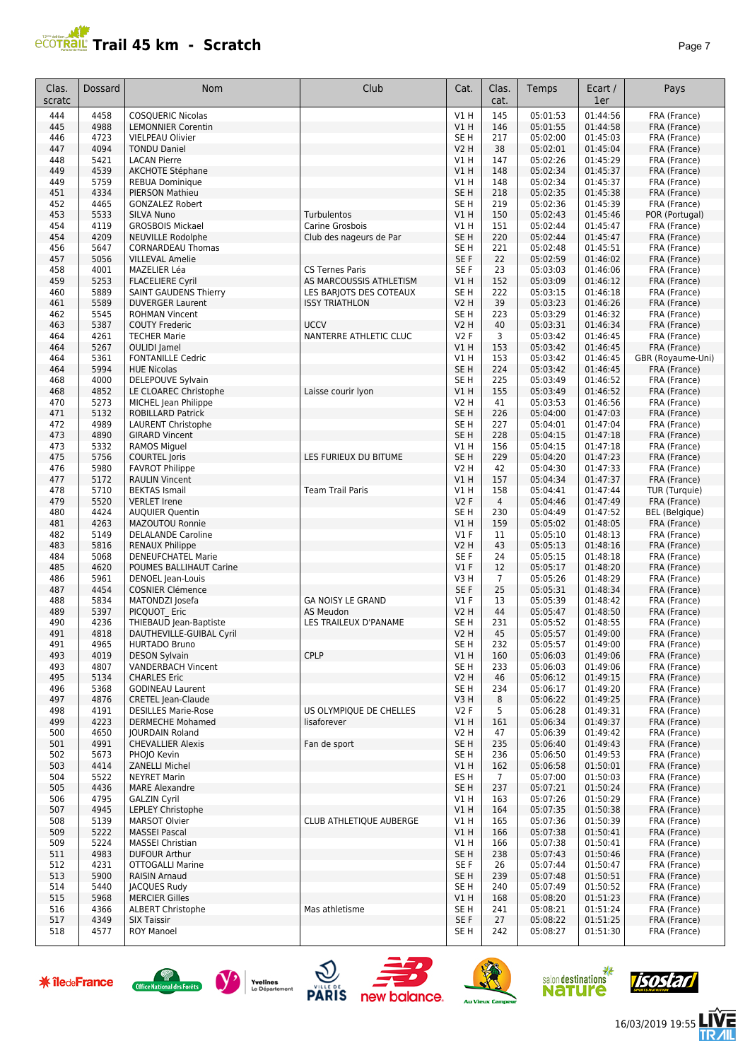# **Trail 45 km - Scratch** *Page 7 Page 7*

| Clas.<br>scratc | Dossard      | <b>Nom</b>                                         | Club                                  | Cat.                    | Clas.<br>cat.  | <b>Temps</b>         | Ecart /<br>1er       | Pays                          |
|-----------------|--------------|----------------------------------------------------|---------------------------------------|-------------------------|----------------|----------------------|----------------------|-------------------------------|
| 444             | 4458         | <b>COSQUERIC Nicolas</b>                           |                                       | V1H                     | 145            | 05:01:53             | 01:44:56             | FRA (France)                  |
| 445             | 4988         | <b>LEMONNIER Corentin</b>                          |                                       | <b>V1 H</b>             | 146            | 05:01:55             | 01:44:58             | FRA (France)                  |
| 446             | 4723         | <b>VIELPEAU Olivier</b>                            |                                       | SE <sub>H</sub>         | 217            | 05:02:00             | 01:45:03             | FRA (France)                  |
| 447             | 4094         | <b>TONDU Daniel</b>                                |                                       | <b>V2 H</b>             | 38             | 05:02:01             | 01:45:04             | FRA (France)                  |
| 448             | 5421         | <b>LACAN Pierre</b>                                |                                       | V1 H                    | 147            | 05:02:26             | 01:45:29             | FRA (France)                  |
| 449             | 4539         | <b>AKCHOTE Stéphane</b>                            |                                       | V1 H                    | 148            | 05:02:34             | 01:45:37             | FRA (France)                  |
| 449<br>451      | 5759<br>4334 | <b>REBUA Dominique</b><br>PIERSON Mathieu          |                                       | V1 H<br>SE H            | 148<br>218     | 05:02:34<br>05:02:35 | 01:45:37<br>01:45:38 | FRA (France)<br>FRA (France)  |
| 452             | 4465         | <b>GONZALEZ Robert</b>                             |                                       | SE H                    | 219            | 05:02:36             | 01:45:39             | FRA (France)                  |
| 453             | 5533         | <b>SILVA Nuno</b>                                  | Turbulentos                           | V1H                     | 150            | 05:02:43             | 01:45:46             | POR (Portugal)                |
| 454             | 4119         | <b>GROSBOIS Mickael</b>                            | Carine Grosbois                       | V1 H                    | 151            | 05:02:44             | 01:45:47             | FRA (France)                  |
| 454             | 4209         | <b>NEUVILLE Rodolphe</b>                           | Club des nageurs de Par               | SE <sub>H</sub>         | 220            | 05:02:44             | 01:45:47             | FRA (France)                  |
| 456             | 5647         | <b>CORNARDEAU Thomas</b>                           |                                       | SE <sub>H</sub>         | 221            | 05:02:48             | 01:45:51             | FRA (France)                  |
| 457             | 5056         | <b>VILLEVAL Amelie</b>                             |                                       | SE F                    | 22             | 05:02:59             | 01:46:02             | FRA (France)                  |
| 458             | 4001         | MAZELIER Léa                                       | <b>CS Ternes Paris</b>                | SE F                    | 23             | 05:03:03             | 01:46:06             | FRA (France)                  |
| 459             | 5253         | <b>FLACELIERE Cyril</b>                            | AS MARCOUSSIS ATHLETISM               | V1H                     | 152            | 05:03:09             | 01:46:12             | FRA (France)                  |
| 460             | 5889         | <b>SAINT GAUDENS Thierry</b>                       | LES BARJOTS DES COTEAUX               | SE <sub>H</sub>         | 222            | 05:03:15             | 01:46:18             | FRA (France)                  |
| 461             | 5589         | <b>DUVERGER Laurent</b>                            | <b>ISSY TRIATHLON</b>                 | V2 H                    | 39             | 05:03:23             | 01:46:26             | FRA (France)                  |
| 462<br>463      | 5545<br>5387 | <b>ROHMAN Vincent</b>                              | <b>UCCV</b>                           | SE H<br><b>V2 H</b>     | 223<br>40      | 05:03:29             | 01:46:32             | FRA (France)                  |
| 464             | 4261         | <b>COUTY Frederic</b><br><b>TECHER Marie</b>       | NANTERRE ATHLETIC CLUC                | V2F                     | 3              | 05:03:31<br>05:03:42 | 01:46:34<br>01:46:45 | FRA (France)<br>FRA (France)  |
| 464             | 5267         | <b>OULIDI</b> Jamel                                |                                       | <b>V1 H</b>             | 153            | 05:03:42             | 01:46:45             | FRA (France)                  |
| 464             | 5361         | <b>FONTANILLE Cedric</b>                           |                                       | V1H                     | 153            | 05:03:42             | 01:46:45             | GBR (Royaume-Uni)             |
| 464             | 5994         | <b>HUE Nicolas</b>                                 |                                       | SE <sub>H</sub>         | 224            | 05:03:42             | 01:46:45             | FRA (France)                  |
| 468             | 4000         | DELEPOUVE Sylvain                                  |                                       | SE <sub>H</sub>         | 225            | 05:03:49             | 01:46:52             | FRA (France)                  |
| 468             | 4852         | LE CLOAREC Christophe                              | Laisse courir lyon                    | V1H                     | 155            | 05:03:49             | 01:46:52             | FRA (France)                  |
| 470             | 5273         | MICHEL Jean Philippe                               |                                       | <b>V2 H</b>             | 41             | 05:03:53             | 01:46:56             | FRA (France)                  |
| 471             | 5132         | <b>ROBILLARD Patrick</b>                           |                                       | SE <sub>H</sub>         | 226            | 05:04:00             | 01:47:03             | FRA (France)                  |
| 472             | 4989         | <b>LAURENT Christophe</b>                          |                                       | SE H                    | 227            | 05:04:01             | 01:47:04             | FRA (France)                  |
| 473             | 4890         | <b>GIRARD Vincent</b>                              |                                       | SE <sub>H</sub>         | 228            | 05:04:15             | 01:47:18             | FRA (France)                  |
| 473             | 5332         | <b>RAMOS Miguel</b>                                |                                       | V1 H                    | 156            | 05:04:15             | 01:47:18             | FRA (France)                  |
| 475             | 5756         | <b>COURTEL Joris</b>                               | LES FURIEUX DU BITUME                 | SE H                    | 229            | 05:04:20             | 01:47:23             | FRA (France)                  |
| 476<br>477      | 5980<br>5172 | <b>FAVROT Philippe</b><br><b>RAULIN Vincent</b>    |                                       | V2 H<br>V1H             | 42<br>157      | 05:04:30<br>05:04:34 | 01:47:33<br>01:47:37 | FRA (France)                  |
| 478             | 5710         | <b>BEKTAS Ismail</b>                               | <b>Team Trail Paris</b>               | V1 H                    | 158            | 05:04:41             | 01:47:44             | FRA (France)<br>TUR (Turquie) |
| 479             | 5520         | <b>VERLET Irene</b>                                |                                       | V2F                     | $\overline{4}$ | 05:04:46             | 01:47:49             | FRA (France)                  |
| 480             | 4424         | <b>AUQUIER Quentin</b>                             |                                       | SE H                    | 230            | 05:04:49             | 01:47:52             | <b>BEL</b> (Belgique)         |
| 481             | 4263         | MAZOUTOU Ronnie                                    |                                       | V1H                     | 159            | 05:05:02             | 01:48:05             | FRA (France)                  |
| 482             | 5149         | <b>DELALANDE Caroline</b>                          |                                       | $VI$ F                  | 11             | 05:05:10             | 01:48:13             | FRA (France)                  |
| 483             | 5816         | <b>RENAUX Philippe</b>                             |                                       | <b>V2 H</b>             | 43             | 05:05:13             | 01:48:16             | FRA (France)                  |
| 484             | 5068         | <b>DENEUFCHATEL Marie</b>                          |                                       | SE F                    | 24             | 05:05:15             | 01:48:18             | FRA (France)                  |
| 485             | 4620         | POUMES BALLIHAUT Carine                            |                                       | $VI$ F                  | 12             | 05:05:17             | 01:48:20             | FRA (France)                  |
| 486             | 5961         | DENOEL Jean-Louis                                  |                                       | V3 H                    | $\overline{7}$ | 05:05:26             | 01:48:29             | FRA (France)                  |
| 487             | 4454         | <b>COSNIER Clémence</b>                            |                                       | SE F                    | 25             | 05:05:31             | 01:48:34             | FRA (France)                  |
| 488<br>489      | 5834<br>5397 | MATONDZI Josefa<br>PICQUOT Eric                    | <b>GA NOISY LE GRAND</b><br>AS Meudon | $VI$ F<br>V2 H          | 13<br>44       | 05:05:39<br>05:05:47 | 01:48:42<br>01:48:50 | FRA (France)<br>FRA (France)  |
| 490             | 4236         | THIEBAUD Jean-Baptiste                             | LES TRAILEUX D'PANAME                 | SE H                    | 231            | 05:05:52             | 01:48:55             | FRA (France)                  |
| 491             | 4818         | DAUTHEVILLE-GUIBAL Cyril                           |                                       | V2H                     | 45             | 05:05:57             | 01:49:00             | FRA (France)                  |
| 491             | 4965         | <b>HURTADO Bruno</b>                               |                                       | SE H                    | 232            | 05:05:57             | 01:49:00             | FRA (France)                  |
| 493             | 4019         | <b>DESON Sylvain</b>                               | <b>CPLP</b>                           | V1H                     | 160            | 05:06:03             | 01:49:06             | FRA (France)                  |
| 493             | 4807         | <b>VANDERBACH Vincent</b>                          |                                       | SE H                    | 233            | 05:06:03             | 01:49:06             | FRA (France)                  |
| 495             | 5134         | <b>CHARLES Eric</b>                                |                                       | V2 H                    | 46             | 05:06:12             | 01:49:15             | FRA (France)                  |
| 496             | 5368         | <b>GODINEAU Laurent</b>                            |                                       | SE H                    | 234            | 05:06:17             | 01:49:20             | FRA (France)                  |
| 497             | 4876         | <b>CRETEL Jean-Claude</b>                          |                                       | V3H                     | 8              | 05:06:22             | 01:49:25             | FRA (France)                  |
| 498             | 4191         | <b>DESILLES Marie-Rose</b>                         | US OLYMPIQUE DE CHELLES               | V2F                     | 5              | 05:06:28             | 01:49:31             | FRA (France)                  |
| 499             | 4223         | <b>DERMECHE Mohamed</b>                            | lisaforever                           | V1 H                    | 161            | 05:06:34             | 01:49:37             | FRA (France)                  |
| 500             | 4650<br>4991 | <b>IOURDAIN Roland</b><br><b>CHEVALLIER Alexis</b> |                                       | V2 H                    | 47             | 05:06:39             | 01:49:42<br>01:49:43 | FRA (France)                  |
| 501<br>502      | 5673         | PHOJO Kevin                                        | Fan de sport                          | SE <sub>H</sub><br>SE H | 235<br>236     | 05:06:40<br>05:06:50 | 01:49:53             | FRA (France)<br>FRA (France)  |
| 503             | 4414         | <b>ZANELLI Michel</b>                              |                                       | VIH                     | 162            | 05:06:58             | 01:50:01             | FRA (France)                  |
| 504             | 5522         | <b>NEYRET Marin</b>                                |                                       | ES H                    | 7              | 05:07:00             | 01:50:03             | FRA (France)                  |
| 505             | 4436         | <b>MARE Alexandre</b>                              |                                       | SE <sub>H</sub>         | 237            | 05:07:21             | 01:50:24             | FRA (France)                  |
| 506             | 4795         | <b>GALZIN Cyril</b>                                |                                       | V1 H                    | 163            | 05:07:26             | 01:50:29             | FRA (France)                  |
| 507             | 4945         | LEPLEY Christophe                                  |                                       | V1H                     | 164            | 05:07:35             | 01:50:38             | FRA (France)                  |
| 508             | 5139         | <b>MARSOT Olvier</b>                               | CLUB ATHLETIQUE AUBERGE               | V1 H                    | 165            | 05:07:36             | 01:50:39             | FRA (France)                  |
| 509             | 5222         | <b>MASSEI Pascal</b>                               |                                       | V1H                     | 166            | 05:07:38             | 01:50:41             | FRA (France)                  |
| 509             | 5224         | <b>MASSEI Christian</b>                            |                                       | V1 H                    | 166            | 05:07:38             | 01:50:41             | FRA (France)                  |
| 511             | 4983         | <b>DUFOUR Arthur</b>                               |                                       | SE <sub>H</sub>         | 238            | 05:07:43             | 01:50:46             | FRA (France)                  |
| 512             | 4231         | <b>OTTOGALLI Marine</b>                            |                                       | SE F                    | 26             | 05:07:44             | 01:50:47             | FRA (France)                  |
| 513             | 5900         | <b>RAISIN Arnaud</b>                               |                                       | SE <sub>H</sub>         | 239            | 05:07:48             | 01:50:51             | FRA (France)                  |
| 514             | 5440<br>5968 | <b>JACQUES Rudy</b><br><b>MERCIER Gilles</b>       |                                       | SE H                    | 240            | 05:07:49<br>05:08:20 | 01:50:52<br>01:51:23 | FRA (France)                  |
| 515<br>516      | 4366         | <b>ALBERT Christophe</b>                           | Mas athletisme                        | V1H<br>SE H             | 168<br>241     | 05:08:21             | 01:51:24             | FRA (France)<br>FRA (France)  |
| 517             | 4349         | <b>SIX Taissir</b>                                 |                                       | SE F                    | 27             | 05:08:22             | 01:51:25             | FRA (France)                  |
| 518             | 4577         | <b>ROY Manoel</b>                                  |                                       | SE H                    | 242            | 05:08:27             | 01:51:30             | FRA (France)                  |















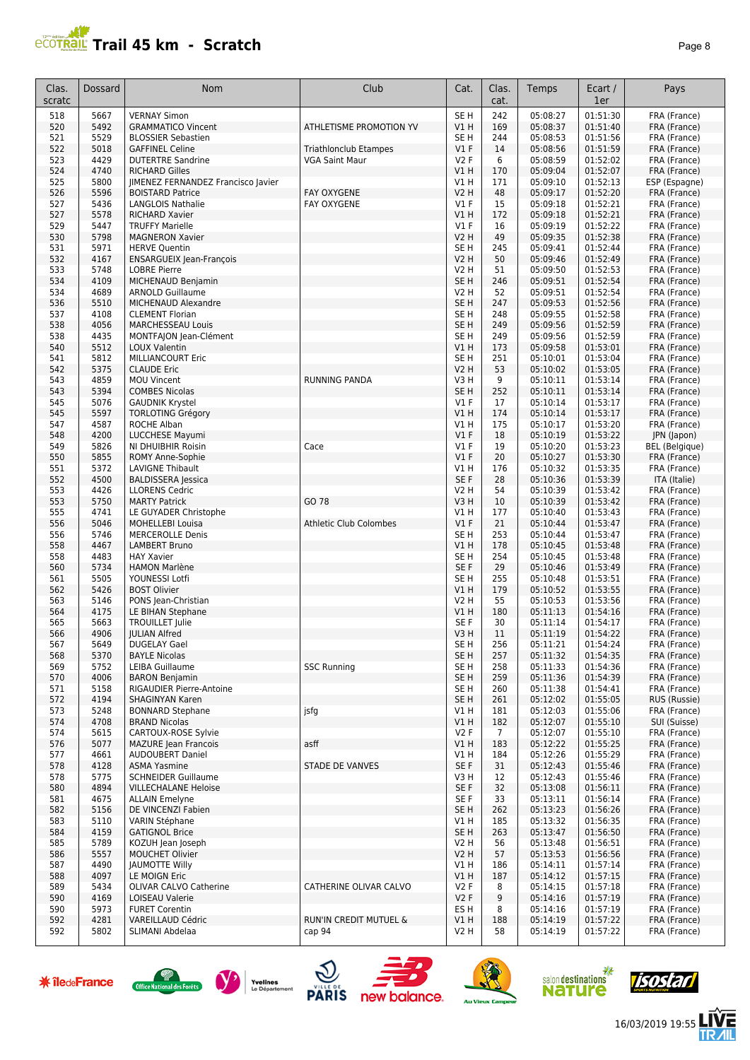# **PCOTRAIL Trail 45 km - Scratch**

Clas. Dossard

| TIAII 43 KIII<br>scratch                  |                              |                 |               |              |                | Page 8        |
|-------------------------------------------|------------------------------|-----------------|---------------|--------------|----------------|---------------|
| <b>Nom</b>                                | Club                         | Cat.            | Clas.<br>cat. | <b>Temps</b> | Ecart /<br>1er | Pays          |
| <b>VERNAY Simon</b>                       |                              | SE <sub>H</sub> | 242           | 05:08:27     | 01:51:30       | FRA (France)  |
| <b>GRAMMATICO Vincent</b>                 | ATHLETISME PROMOTION YV      | VIH             | 169           | 05:08:37     | 01:51:40       | FRA (France)  |
| <b>BLOSSIER Sebastien</b>                 |                              | SE <sub>H</sub> | 244           | 05:08:53     | 01:51:56       | FRA (France)  |
| <b>GAFFINEL Celine</b>                    | <b>Triathlonclub Etampes</b> | $VI$ F          | 14            | 05:08:56     | 01:51:59       | FRA (France)  |
| <b>DUTERTRE Sandrine</b>                  | <b>VGA Saint Maur</b>        | <b>V2F</b>      | 6             | 05:08:59     | 01:52:02       | FRA (France)  |
| <b>RICHARD Gilles</b>                     |                              | VIH             | 170           | 05:09:04     | 01:52:07       | FRA (France)  |
| <b>IIMENEZ FERNANDEZ Francisco Javier</b> |                              | <b>V1 H</b>     | 171           | 05:09:10     | 01:52:13       | ESP (Espagne) |
| <b>BOISTARD Patrice</b>                   | <b>FAY OXYGENE</b>           | <b>V2 H</b>     | 48            | 05:09:17     | 01:52:20       | FRA (France)  |
| LANGLOIS Nathalie                         | <b>FAY OXYGENE</b>           | $VI$ F          | 15            | 05:09:18     | 01:52:21       | FRA (France)  |
| <b>RICHARD Xavier</b>                     |                              | V1H             | 172           | 05:09:18     | 01:52:21       | FRA (France)  |
| <b>TRUFFY Marielle</b>                    |                              | $VI$ F          | 16            | 05:09:19     | 01:52:22       | FRA (France)  |
| <b>MAGNERON Xavier</b>                    |                              | <b>V2 H</b>     | 49            | 05:09:35     | 01:52:38       | FRA (France)  |
| <b>HERVE Quentin</b>                      |                              | SE <sub>H</sub> | 245           | 05:09:41     | 01:52:44       | FRA (France)  |
| <b>ENSARGUEIX Jean-François</b>           |                              | <b>V2 H</b>     | 50            | 05:09:46     | 01:52:49       | FRA (France)  |
|                                           |                              |                 |               |              |                |               |

| scratc               |              |                                                          |                               |                 | cat.                    |                              | 1er                  |                       |
|----------------------|--------------|----------------------------------------------------------|-------------------------------|-----------------|-------------------------|------------------------------|----------------------|-----------------------|
| 518                  | 5667         | <b>VERNAY Simon</b>                                      |                               | SE <sub>H</sub> | 242                     | 05:08:27                     | 01:51:30             | FRA (France)          |
| 520                  | 5492         | <b>GRAMMATICO Vincent</b>                                | ATHLETISME PROMOTION YV       | VIH             | 169                     | 05:08:37                     | 01:51:40             | FRA (France)          |
| 521                  | 5529         | <b>BLOSSIER Sebastien</b>                                |                               | SE <sub>H</sub> | 244                     | 05:08:53                     | 01:51:56             | FRA (France)          |
| 522                  | 5018         | <b>GAFFINEL Celine</b>                                   | <b>Triathlonclub Etampes</b>  | V1F             | 14                      | 05:08:56                     | 01:51:59             | FRA (France)          |
| 523                  |              | <b>DUTERTRE Sandrine</b>                                 | <b>VGA Saint Maur</b>         | <b>V2F</b>      | 6                       | 05:08:59                     | 01:52:02             | FRA (France)          |
|                      | 4429<br>4740 | <b>RICHARD Gilles</b>                                    |                               | V1H             | 170                     | 05:09:04                     |                      |                       |
| 524                  |              |                                                          |                               |                 |                         |                              | 01:52:07             | FRA (France)          |
| 525                  | 5800         | JIMENEZ FERNANDEZ Francisco Javier                       |                               | V1 H            | 171                     | 05:09:10                     | 01:52:13             | ESP (Espagne)         |
| 526                  | 5596         | <b>BOISTARD Patrice</b>                                  | <b>FAY OXYGENE</b>            | <b>V2 H</b>     | 48                      | 05:09:17                     | 01:52:20             | FRA (France)          |
| 527                  | 5436         | <b>LANGLOIS Nathalie</b>                                 | <b>FAY OXYGENE</b>            | $VI$ F          | 15                      | 05:09:18                     | 01:52:21             | FRA (France)          |
| 527                  | 5578         | <b>RICHARD Xavier</b>                                    |                               | V1H             | 172                     | 05:09:18                     | 01:52:21             | FRA (France)          |
| 529                  | 5447         | <b>TRUFFY Marielle</b>                                   |                               | $VI$ F          | 16                      | 05:09:19                     | 01:52:22             | FRA (France)          |
| 530                  | 5798         | <b>MAGNERON Xavier</b>                                   |                               | <b>V2 H</b>     | 49                      | 05:09:35                     | 01:52:38             | FRA (France)          |
| 531                  | 5971         | <b>HERVE Quentin</b>                                     |                               | SE <sub>H</sub> | 245                     | 05:09:41                     | 01:52:44             | FRA (France)          |
| 532                  | 4167         | <b>ENSARGUEIX Jean-François</b>                          |                               | <b>V2 H</b>     | 50                      | 05:09:46                     | 01:52:49             | FRA (France)          |
| 533                  | 5748         | <b>LOBRE Pierre</b>                                      |                               | <b>V2 H</b>     | 51                      | 05:09:50                     | 01:52:53             | FRA (France)          |
| 534                  | 4109         | MICHENAUD Benjamin                                       |                               | SE <sub>H</sub> | 246                     | 05:09:51                     | 01:52:54             | FRA (France)          |
| 534                  | 4689         | <b>ARNOLD Guillaume</b>                                  |                               | V2 H            | 52                      | 05:09:51                     | 01:52:54             | FRA (France)          |
| 536                  | 5510         | MICHENAUD Alexandre                                      |                               | SE <sub>H</sub> | 247                     | 05:09:53                     | 01:52:56             | FRA (France)          |
|                      |              |                                                          |                               |                 |                         |                              |                      |                       |
| 537                  | 4108         | <b>CLEMENT Florian</b>                                   |                               | SE <sub>H</sub> | 248                     | 05:09:55                     | 01:52:58             | FRA (France)          |
| 538                  | 4056         | <b>MARCHESSEAU Louis</b>                                 |                               | SE <sub>H</sub> | 249                     | 05:09:56                     | 01:52:59             | FRA (France)          |
| 538                  | 4435         | MONTFAJON Jean-Clément                                   |                               | SE <sub>H</sub> | 249                     | 05:09:56                     | 01:52:59             | FRA (France)          |
| 540                  | 5512         | <b>LOUX Valentin</b>                                     |                               | V1H             | 173                     | 05:09:58                     | 01:53:01             | FRA (France)          |
| 541                  | 5812         | <b>MILLIANCOURT Eric</b>                                 |                               | SE <sub>H</sub> | 251                     | 05:10:01                     | 01:53:04             | FRA (France)          |
| 542                  | 5375         | <b>CLAUDE Eric</b>                                       |                               | <b>V2 H</b>     | 53                      | 05:10:02                     | 01:53:05             | FRA (France)          |
| 543                  | 4859         | <b>MOU Vincent</b>                                       | <b>RUNNING PANDA</b>          | V3H             | 9                       | 05:10:11                     | 01:53:14             | FRA (France)          |
| 543                  | 5394         | <b>COMBES Nicolas</b>                                    |                               | SE <sub>H</sub> | 252                     | 05:10:11                     | 01:53:14             | FRA (France)          |
| 545                  | 5076         | <b>GAUDNIK Krystel</b>                                   |                               | $VI$ F          | 17                      | 05:10:14                     | 01:53:17             | FRA (France)          |
| 545                  | 5597         | <b>TORLOTING Grégory</b>                                 |                               | V1H             | 174                     | 05:10:14                     | 01:53:17             | FRA (France)          |
| 547                  | 4587         | <b>ROCHE Alban</b>                                       |                               | V1 H            | 175                     | 05:10:17                     | 01:53:20             | FRA (France)          |
| 548                  | 4200         | <b>LUCCHESE Mayumi</b>                                   |                               | V1F             | 18                      | 05:10:19                     | 01:53:22             |                       |
|                      |              |                                                          |                               |                 |                         |                              |                      | JPN (Japon)           |
| 549                  | 5826         | NI DHUIBHIR Roisin                                       | Cace                          | <b>V1 F</b>     | 19                      | 05:10:20                     | 01:53:23             | <b>BEL</b> (Belgique) |
| 550                  | 5855         | <b>ROMY Anne-Sophie</b>                                  |                               | $VI$ F          | 20                      | 05:10:27                     | 01:53:30             | FRA (France)          |
| 551                  | 5372         | <b>LAVIGNE Thibault</b>                                  |                               | V1 H            | 176                     | 05:10:32                     | 01:53:35             | FRA (France)          |
| 552                  | 4500         | <b>BALDISSERA Jessica</b>                                |                               | SE F            | 28                      | 05:10:36                     | 01:53:39             | ITA (Italie)          |
| 553                  | 4426         | <b>LLORENS Cedric</b>                                    |                               | V2 H            | 54                      | 05:10:39                     | 01:53:42             | FRA (France)          |
| 553                  | 5750         | <b>MARTY Patrick</b>                                     | GO 78                         | V3H             | 10                      | 05:10:39                     | 01:53:42             | FRA (France)          |
| 555                  | 4741         | LE GUYADER Christophe                                    |                               | V1 H            | 177                     | 05:10:40                     | 01:53:43             | FRA (France)          |
| 556                  | 5046         | <b>MOHELLEBI Louisa</b>                                  | <b>Athletic Club Colombes</b> | $VI$ F          | 21                      | 05:10:44                     | 01:53:47             | FRA (France)          |
| 556                  | 5746         | <b>MERCEROLLE Denis</b>                                  |                               | SE <sub>H</sub> | 253                     | 05:10:44                     | 01:53:47             | FRA (France)          |
| 558                  | 4467         | <b>LAMBERT Bruno</b>                                     |                               | V1H             | 178                     | 05:10:45                     | 01:53:48             | FRA (France)          |
| 558                  | 4483         | <b>HAY Xavier</b>                                        |                               | SE <sub>H</sub> | 254                     | 05:10:45                     | 01:53:48             | FRA (France)          |
|                      |              |                                                          |                               |                 |                         |                              |                      |                       |
| 560                  | 5734         | <b>HAMON Marlène</b>                                     |                               | SE F            | 29                      | 05:10:46                     | 01:53:49             | FRA (France)          |
| 561                  | 5505         | YOUNESSI Lotfi                                           |                               | SE <sub>H</sub> | 255                     | 05:10:48                     | 01:53:51             | FRA (France)          |
| 562                  | 5426         | <b>BOST Olivier</b>                                      |                               | V1H             | 179                     | 05:10:52                     | 01:53:55             | FRA (France)          |
| 563                  | 5146         | PONS Jean-Christian                                      |                               | V2 H            | 55                      | 05:10:53                     | 01:53:56             | FRA (France)          |
| 564                  | 4175         | LE BIHAN Stephane                                        |                               | V1H             | 180                     | 05:11:13                     | 01:54:16             | FRA (France)          |
| 565                  | 5663         | <b>TROUILLET Julie</b>                                   |                               | SE F            | 30                      | 05:11:14                     | 01:54:17             | FRA (France)          |
| 566                  | 4906         | <b>JULIAN Alfred</b>                                     |                               | V3H             | 11                      | 05:11:19                     | 01:54:22             | FRA (France)          |
| 567                  | 5649         | <b>DUGELAY Gael</b>                                      |                               | SE <sub>H</sub> | 256                     | 05:11:21                     | 01:54:24             | FRA (France)          |
| 568                  | 5370         | <b>BAYLE Nicolas</b>                                     |                               | SE <sub>H</sub> | 257                     | 05:11:32                     | 01:54:35             | FRA (France)          |
| 569                  | 5752         | LEIBA Guillaume                                          | <b>SSC Running</b>            | SE <sub>H</sub> | 258                     | 05:11:33                     | 01:54:36             | FRA (France)          |
| 570                  | 4006         | <b>BARON Benjamin</b>                                    |                               | SE <sub>H</sub> | 259                     | 05:11:36                     | 01:54:39             | FRA (France)          |
| 571                  | 5158         | RIGAUDIER Pierre-Antoine                                 |                               | SE <sub>H</sub> | 260                     | 05:11:38                     | 01:54:41             | FRA (France)          |
| 572                  | 4194         | SHAGINYAN Karen                                          |                               | SE <sub>H</sub> | 261                     | 05:12:02                     | 01:55:05             | RUS (Russie)          |
|                      |              |                                                          |                               |                 |                         |                              |                      |                       |
| 573                  | 5248         | <b>BONNARD Stephane</b>                                  | jsfg                          | V1 H            | 181                     | 05:12:03                     | 01:55:06<br>01:55:10 | FRA (France)          |
| 574                  | 4708         | <b>BRAND Nicolas</b>                                     |                               | V1 H            | 182                     | 05:12:07                     |                      | SUI (Suisse)          |
| 574                  | 5615         | CARTOUX-ROSE Sylvie                                      |                               | <b>V2F</b>      | $\overline{7}$          | 05:12:07                     | 01:55:10             | FRA (France)          |
| 576                  | 5077         | <b>MAZURE Jean Francois</b>                              | asff                          | V1H             | 183                     | 05:12:22                     | 01:55:25             | FRA (France)          |
| 577                  | 4661         | <b>AUDOUBERT Daniel</b>                                  |                               | V1 H            | 184                     | 05:12:26                     | 01:55:29             | FRA (France)          |
| 578                  | 4128         | <b>ASMA Yasmine</b>                                      | <b>STADE DE VANVES</b>        | SE F            | 31                      | 05:12:43                     | 01:55:46             | FRA (France)          |
| 578                  | 5775         | <b>SCHNEIDER Guillaume</b>                               |                               | V3H             | 12                      | 05:12:43                     | 01:55:46             | FRA (France)          |
| 580                  | 4894         | <b>VILLECHALANE Heloise</b>                              |                               | SE F            | 32                      | 05:13:08                     | 01:56:11             | FRA (France)          |
| 581                  | 4675         | <b>ALLAIN Emelyne</b>                                    |                               | SE F            | 33                      | 05:13:11                     | 01:56:14             | FRA (France)          |
| 582                  | 5156         | DE VINCENZI Fabien                                       |                               | SE <sub>H</sub> | 262                     | 05:13:23                     | 01:56:26             | FRA (France)          |
| 583                  | 5110         | VARIN Stéphane                                           |                               | V1 H            | 185                     | 05:13:32                     | 01:56:35             | FRA (France)          |
| 584                  | 4159         | <b>GATIGNOL Brice</b>                                    |                               | SE H            | 263                     | 05:13:47                     | 01:56:50             | FRA (France)          |
| 585                  | 5789         | KOZUH Jean Joseph                                        |                               | V2 H            | 56                      | 05:13:48                     | 01:56:51             | FRA (France)          |
| 586                  | 5557         | <b>MOUCHET Olivier</b>                                   |                               | V2 H            | 57                      | 05:13:53                     | 01:56:56             | FRA (France)          |
| 587                  | 4490         | <b>JAUMOTTE Willy</b>                                    |                               | V1 H            | 186                     | 05:14:11                     | 01:57:14             | FRA (France)          |
| 588                  | 4097         |                                                          |                               |                 |                         |                              | 01:57:15             |                       |
|                      |              | LE MOIGN Eric                                            |                               | V1 H            | 187                     | 05:14:12                     |                      | FRA (France)          |
| 589                  | 5434         | OLIVAR CALVO Catherine                                   | CATHERINE OLIVAR CALVO        | <b>V2F</b>      | 8                       | 05:14:15                     | 01:57:18             | FRA (France)          |
| 590                  | 4169         | LOISEAU Valerie                                          |                               | V2F             | 9                       | 05:14:16                     | 01:57:19             | FRA (France)          |
| 590                  | 5973         | <b>FURET Corentin</b>                                    |                               | ES <sub>H</sub> | 8                       | 05:14:16                     | 01:57:19             | FRA (France)          |
| 592                  | 4281         | VAREILLAUD Cédric                                        | RUN'IN CREDIT MUTUEL &        | VIH             | 188                     | 05:14:19                     | 01:57:22             | FRA (France)          |
| 592                  | 5802         | SLIMANI Abdelaa                                          | cap 94                        | V2 H            | 58                      | 05:14:19                     | 01:57:22             | FRA (France)          |
| <b>*</b> îledeFrance |              | Yvelines<br>Office National des Forêts<br>Le Département | <b>PARIS</b><br>new balance.  |                 |                         | salon destinations<br>nature | 崇                    |                       |
|                      |              |                                                          |                               |                 | <b>Au Vieux Campeur</b> |                              |                      |                       |















左外

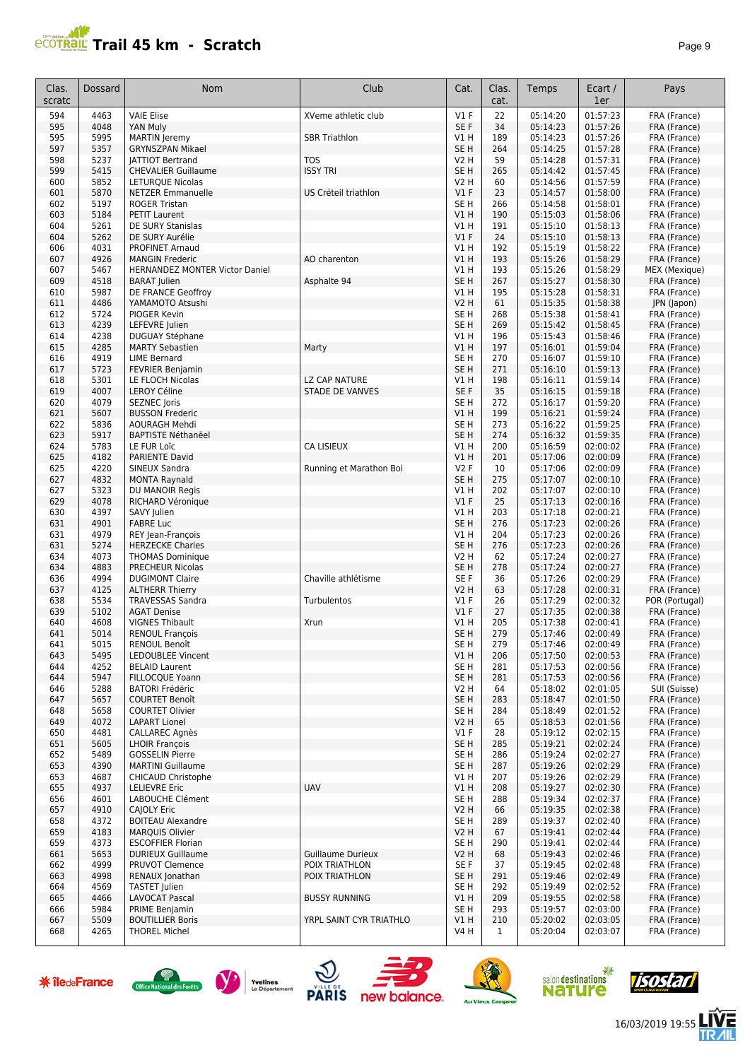#### **AP Trail 45 km - Scratch Page 9 Page 9 Page 9 Page 9 Page 9 Page 9 Page 9 Page 9 Page 9 Page 9 Page 9**

|                | r aye ə                      |
|----------------|------------------------------|
| art /<br>er    | Pays                         |
| 57:23<br>57:26 | FRA (France)<br>FRA (France) |
| 57.26          | <b>FRA</b> (France)          |

| Clas.<br>scratc | Dossard      | Nom                                                   | Club                                       | Cat.                    | Clas.<br>cat. | Temps                | Ecart /<br>1er       | Pays                           |
|-----------------|--------------|-------------------------------------------------------|--------------------------------------------|-------------------------|---------------|----------------------|----------------------|--------------------------------|
| 594             | 4463         | <b>VAIE Elise</b>                                     | XVeme athletic club                        | V1F                     | 22            | 05:14:20             | 01:57:23             | FRA (France)                   |
| 595             | 4048         | YAN Muly                                              |                                            | SE F                    | 34            | 05:14:23             | 01:57:26             | FRA (France)                   |
| 595             | 5995         | <b>MARTIN</b> Jeremy                                  | <b>SBR Triathlon</b>                       | V1H                     | 189           | 05:14:23             | 01:57:26             | FRA (France)                   |
| 597<br>598      | 5357<br>5237 | <b>GRYNSZPAN Mikael</b>                               | <b>TOS</b>                                 | SE <sub>H</sub><br>V2 H | 264<br>59     | 05:14:25<br>05:14:28 | 01:57:28<br>01:57:31 | FRA (France)                   |
| 599             | 5415         | <b>JATTIOT Bertrand</b><br><b>CHEVALIER Guillaume</b> | <b>ISSY TRI</b>                            | SE <sub>H</sub>         | 265           | 05:14:42             | 01:57:45             | FRA (France)<br>FRA (France)   |
| 600             | 5852         | <b>LETURQUE Nicolas</b>                               |                                            | V2 H                    | 60            | 05:14:56             | 01:57:59             | FRA (France)                   |
| 601             | 5870         | <b>NETZER Emmanuelle</b>                              | US Créteil triathlon                       | $VI$ F                  | 23            | 05:14:57             | 01:58:00             | FRA (France)                   |
| 602             | 5197         | <b>ROGER Tristan</b>                                  |                                            | SE <sub>H</sub>         | 266           | 05:14:58             | 01:58:01             | FRA (France)                   |
| 603             | 5184         | <b>PETIT Laurent</b>                                  |                                            | VIH                     | 190           | 05:15:03             | 01:58:06             | FRA (France)                   |
| 604             | 5261         | DE SURY Stanislas                                     |                                            | V1 H                    | 191           | 05:15:10             | 01:58:13             | FRA (France)                   |
| 604             | 5262         | DE SURY Aurélie                                       |                                            | $VI$ F                  | 24            | 05:15:10             | 01:58:13             | FRA (France)                   |
| 606<br>607      | 4031<br>4926 | <b>PROFINET Arnaud</b><br><b>MANGIN Frederic</b>      |                                            | V1 H<br>V1H             | 192<br>193    | 05:15:19<br>05:15:26 | 01:58:22<br>01:58:29 | FRA (France)                   |
| 607             | 5467         | HERNANDEZ MONTER Victor Daniel                        | AO charenton                               | V1 H                    | 193           | 05:15:26             | 01:58:29             | FRA (France)<br>MEX (Mexique)  |
| 609             | 4518         | <b>BARAT Julien</b>                                   | Asphalte 94                                | SE <sub>H</sub>         | 267           | 05:15:27             | 01:58:30             | FRA (France)                   |
| 610             | 5987         | DE FRANCE Geoffroy                                    |                                            | V1 H                    | 195           | 05:15:28             | 01:58:31             | FRA (France)                   |
| 611             | 4486         | YAMAMOTO Atsushi                                      |                                            | V2 H                    | 61            | 05:15:35             | 01:58:38             | JPN (Japon)                    |
| 612             | 5724         | PIOGER Kevin                                          |                                            | SE H                    | 268           | 05:15:38             | 01:58:41             | FRA (France)                   |
| 613             | 4239         | LEFEVRE Julien                                        |                                            | SE <sub>H</sub>         | 269           | 05:15:42             | 01:58:45             | FRA (France)                   |
| 614             | 4238<br>4285 | DUGUAY Stéphane<br><b>MARTY Sebastien</b>             |                                            | V1 H<br>VIH             | 196           | 05:15:43<br>05:16:01 | 01:58:46<br>01:59:04 | FRA (France)                   |
| 615<br>616      | 4919         | <b>LIME Bernard</b>                                   | Marty                                      | SE <sub>H</sub>         | 197<br>270    | 05:16:07             | 01:59:10             | FRA (France)<br>FRA (France)   |
| 617             | 5723         | <b>FEVRIER Benjamin</b>                               |                                            | SE <sub>H</sub>         | 271           | 05:16:10             | 01:59:13             | FRA (France)                   |
| 618             | 5301         | LE FLOCH Nicolas                                      | LZ CAP NATURE                              | V1 H                    | 198           | 05:16:11             | 01:59:14             | FRA (France)                   |
| 619             | 4007         | <b>LEROY Céline</b>                                   | <b>STADE DE VANVES</b>                     | SE F                    | 35            | 05:16:15             | 01:59:18             | FRA (France)                   |
| 620             | 4079         | SEZNEC Joris                                          |                                            | SE <sub>H</sub>         | 272           | 05:16:17             | 01:59:20             | FRA (France)                   |
| 621             | 5607         | <b>BUSSON Frederic</b>                                |                                            | VIH                     | 199           | 05:16:21             | 01:59:24             | FRA (France)                   |
| 622             | 5836         | <b>AOURAGH Mehdi</b>                                  |                                            | SE <sub>H</sub>         | 273           | 05:16:22             | 01:59:25             | FRA (France)                   |
| 623<br>624      | 5917<br>5783 | <b>BAPTISTE Néthanëel</b><br>LE FUR Loïc              | <b>CA LISIEUX</b>                          | SE <sub>H</sub><br>V1 H | 274<br>200    | 05:16:32<br>05:16:59 | 01:59:35<br>02:00:02 | FRA (France)<br>FRA (France)   |
| 625             | 4182         | PARIENTE David                                        |                                            | V1 H                    | 201           | 05:17:06             | 02:00:09             | FRA (France)                   |
| 625             | 4220         | SINEUX Sandra                                         | Running et Marathon Boi                    | <b>V2F</b>              | 10            | 05:17:06             | 02:00:09             | FRA (France)                   |
| 627             | 4832         | <b>MONTA Raynald</b>                                  |                                            | SE <sub>H</sub>         | 275           | 05:17:07             | 02:00:10             | FRA (France)                   |
| 627             | 5323         | DU MANOIR Regis                                       |                                            | V1 H                    | 202           | 05:17:07             | 02:00:10             | FRA (France)                   |
| 629             | 4078         | RICHARD Véronique                                     |                                            | $VI$ F                  | 25            | 05:17:13             | 02:00:16             | FRA (France)                   |
| 630             | 4397         | SAVY Julien                                           |                                            | V1 H                    | 203           | 05:17:18             | 02:00:21             | FRA (France)                   |
| 631<br>631      | 4901<br>4979 | <b>FABRE Luc</b><br>REY Jean-François                 |                                            | SE <sub>H</sub><br>V1 H | 276<br>204    | 05:17:23<br>05:17:23 | 02:00:26<br>02:00:26 | FRA (France)<br>FRA (France)   |
| 631             | 5274         | <b>HERZECKE Charles</b>                               |                                            | SE <sub>H</sub>         | 276           | 05:17:23             | 02:00:26             | FRA (France)                   |
| 634             | 4073         | <b>THOMAS Dominique</b>                               |                                            | V2 H                    | 62            | 05:17:24             | 02:00:27             | FRA (France)                   |
| 634             | 4883         | <b>PRECHEUR Nicolas</b>                               |                                            | SE <sub>H</sub>         | 278           | 05:17:24             | 02:00:27             | FRA (France)                   |
| 636             | 4994         | <b>DUGIMONT Claire</b>                                | Chaville athlétisme                        | SE F                    | 36            | 05:17:26             | 02:00:29             | FRA (France)                   |
| 637             | 4125         | <b>ALTHERR Thierry</b>                                |                                            | V2 H                    | 63            | 05:17:28             | 02:00:31             | FRA (France)                   |
| 638             | 5534<br>5102 | <b>TRAVESSAS Sandra</b>                               | Turbulentos                                | $VI$ F<br>$VI$ F        | 26<br>27      | 05:17:29<br>05:17:35 | 02:00:32<br>02:00:38 | POR (Portugal)<br>FRA (France) |
| 639<br>640      | 4608         | <b>AGAT Denise</b><br><b>VIGNES Thibault</b>          | Xrun                                       | V1 H                    | 205           | 05:17:38             | 02:00:41             | FRA (France)                   |
| 641             | 5014         | <b>RENOUL François</b>                                |                                            | SE <sub>H</sub>         | 279           | 05:17:46             | 02:00:49             | FRA (France)                   |
| 64 L            | 5015         | RENOUL Benoît                                         |                                            | SE H                    | 279           | 05:17:46             | 02:00:49             | FRA (France)                   |
| 643             | 5495         | LEDOUBLEE Vincent                                     |                                            | V1 H                    | 206           | 05:17:50             | 02:00:53             | FRA (France)                   |
| 644             | 4252         | <b>BELAID Laurent</b>                                 |                                            | SE <sub>H</sub>         | 281           | 05:17:53             | 02:00:56             | FRA (France)                   |
| 644             | 5947         | FILLOCQUE Yoann                                       |                                            | SE <sub>H</sub>         | 281           | 05:17:53<br>05:18:02 | 02:00:56             | FRA (France)                   |
| 646<br>647      | 5288<br>5657 | <b>BATORI Frédéric</b><br><b>COURTET Benoît</b>       |                                            | V2 H<br>SE <sub>H</sub> | 64<br>283     | 05:18:47             | 02:01:05<br>02:01:50 | SUI (Suisse)<br>FRA (France)   |
| 648             | 5658         | <b>COURTET Olivier</b>                                |                                            | SE H                    | 284           | 05:18:49             | 02:01:52             | FRA (France)                   |
| 649             | 4072         | <b>LAPART Lionel</b>                                  |                                            | V2 H                    | 65            | 05:18:53             | 02:01:56             | FRA (France)                   |
| 650             | 4481         | CALLAREC Agnès                                        |                                            | $VI$ F                  | 28            | 05:19:12             | 02:02:15             | FRA (France)                   |
| 651             | 5605         | <b>LHOIR François</b>                                 |                                            | SE H                    | 285           | 05:19:21             | 02:02:24             | FRA (France)                   |
| 652             | 5489         | <b>GOSSELIN Pierre</b>                                |                                            | SE <sub>H</sub>         | 286           | 05:19:24             | 02:02:27             | FRA (France)                   |
| 653<br>653      | 4390<br>4687 | <b>MARTINI Guillaume</b><br>CHICAUD Christophe        |                                            | SE <sub>H</sub><br>V1 H | 287<br>207    | 05:19:26<br>05:19:26 | 02:02:29<br>02:02:29 | FRA (France)<br>FRA (France)   |
| 655             | 4937         | <b>LELIEVRE Eric</b>                                  | <b>UAV</b>                                 | V1 H                    | 208           | 05:19:27             | 02:02:30             | FRA (France)                   |
| 656             | 4601         | LABOUCHE Clément                                      |                                            | SE <sub>H</sub>         | 288           | 05:19:34             | 02:02:37             | FRA (France)                   |
| 657             | 4910         | CAJOLY Eric                                           |                                            | V2 H                    | 66            | 05:19:35             | 02:02:38             | FRA (France)                   |
| 658             | 4372         | <b>BOITEAU Alexandre</b>                              |                                            | SE <sub>H</sub>         | 289           | 05:19:37             | 02:02:40             | FRA (France)                   |
| 659             | 4183         | <b>MARQUIS Olivier</b>                                |                                            | V2 H                    | 67            | 05:19:41             | 02:02:44             | FRA (France)                   |
| 659             | 4373         | <b>ESCOFFIER Florian</b>                              |                                            | SE H                    | 290           | 05:19:41             | 02:02:44             | FRA (France)                   |
| 661             | 5653<br>4999 | <b>DURIEUX Guillaume</b><br>PRUVOT Clemence           | <b>Guillaume Durieux</b><br>POIX TRIATHLON | V2 H<br>SE F            | 68<br>37      | 05:19:43             | 02:02:46<br>02:02:48 | FRA (France)                   |
| 662<br>663      | 4998         | RENAUX Jonathan                                       | POIX TRIATHLON                             | SE H                    | 291           | 05:19:45<br>05:19:46 | 02:02:49             | FRA (France)<br>FRA (France)   |
| 664             | 4569         | <b>TASTET Julien</b>                                  |                                            | SE H                    | 292           | 05:19:49             | 02:02:52             | FRA (France)                   |
| 665             | 4466         | <b>LAVOCAT Pascal</b>                                 | <b>BUSSY RUNNING</b>                       | V1 H                    | 209           | 05:19:55             | 02:02:58             | FRA (France)                   |
| 666             | 5984         | PRIME Benjamin                                        |                                            | SE H                    | 293           | 05:19:57             | 02:03:00             | FRA (France)                   |
| 667             | 5509         | <b>BOUTILLIER Boris</b>                               | YRPL SAINT CYR TRIATHLO                    | VIH                     | 210           | 05:20:02             | 02:03:05             | FRA (France)                   |
| 668             | 4265         | <b>THOREL Michel</b>                                  |                                            | V4 H                    | 1             | 05:20:04             | 02:03:07             | FRA (France)                   |
|                 |              |                                                       |                                            |                         |               |                      |                      |                                |















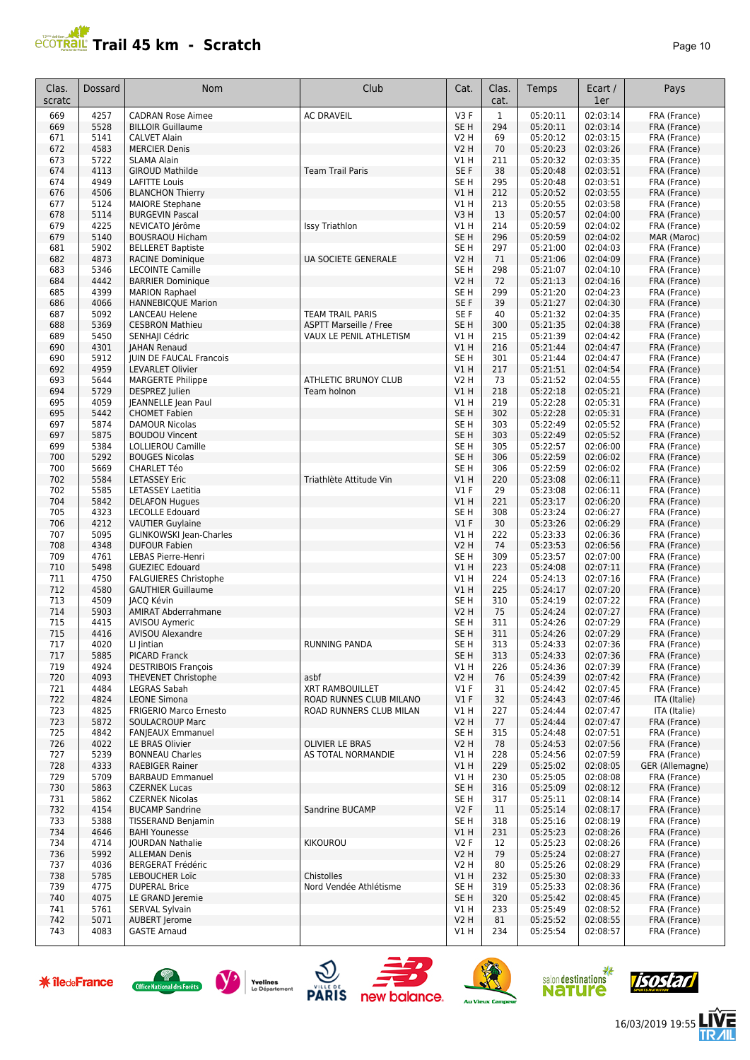# **PRAIL Trail 45 km - Scratch**

| age |  |  |
|-----|--|--|
|-----|--|--|

| Clas.<br>scratc | Dossard      | <b>Nom</b>                                                | Club                          | Cat.                               | Clas.<br>cat. | Temps                | Ecart /<br>1er       | Pays                         |
|-----------------|--------------|-----------------------------------------------------------|-------------------------------|------------------------------------|---------------|----------------------|----------------------|------------------------------|
| 669             | 4257         | <b>CADRAN Rose Aimee</b>                                  | <b>AC DRAVEIL</b>             | V3F                                | $\mathbf{1}$  | 05:20:11             | 02:03:14             | FRA (France)                 |
| 669             | 5528         | <b>BILLOIR Guillaume</b>                                  |                               | SE <sub>H</sub>                    | 294           | 05:20:11             | 02:03:14             | FRA (France)                 |
| 671             | 5141         | <b>CALVET Alain</b>                                       |                               | V2 H                               | 69            | 05:20:12             | 02:03:15             | FRA (France)                 |
| 672<br>673      | 4583<br>5722 | <b>MERCIER Denis</b><br><b>SLAMA Alain</b>                |                               | V2 H<br>V1 H                       | 70<br>211     | 05:20:23<br>05:20:32 | 02:03:26<br>02:03:35 | FRA (France)<br>FRA (France) |
| 674             | 4113         | <b>GIROUD Mathilde</b>                                    | <b>Team Trail Paris</b>       | SE F                               | 38            | 05:20:48             | 02:03:51             | FRA (France)                 |
| 674             | 4949         | <b>LAFITTE Louis</b>                                      |                               | SE <sub>H</sub>                    | 295           | 05:20:48             | 02:03:51             | FRA (France)                 |
| 676             | 4506         | <b>BLANCHON Thierry</b>                                   |                               | V1H                                | 212           | 05:20:52             | 02:03:55             | FRA (France)                 |
| 677             | 5124         | <b>MAIORE Stephane</b>                                    |                               | V1H                                | 213           | 05:20:55             | 02:03:58             | FRA (France)                 |
| 678<br>679      | 5114<br>4225 | <b>BURGEVIN Pascal</b><br>NEVICATO Jérôme                 | Issy Triathlon                | V3H<br>V1H                         | 13<br>214     | 05:20:57<br>05:20:59 | 02:04:00<br>02:04:02 | FRA (France)<br>FRA (France) |
| 679             | 5140         | <b>BOUSRAOU Hicham</b>                                    |                               | SE <sub>H</sub>                    | 296           | 05:20:59             | 02:04:02             | MAR (Maroc)                  |
| 681             | 5902         | <b>BELLERET Baptiste</b>                                  |                               | SE <sub>H</sub>                    | 297           | 05:21:00             | 02:04:03             | FRA (France)                 |
| 682             | 4873         | <b>RACINE Dominique</b>                                   | <b>UA SOCIETE GENERALE</b>    | V2 H                               | 71            | 05:21:06             | 02:04:09             | FRA (France)                 |
| 683             | 5346         | <b>LECOINTE Camille</b>                                   |                               | SE H                               | 298           | 05:21:07             | 02:04:10             | FRA (France)                 |
| 684             | 4442<br>4399 | <b>BARRIER Dominique</b>                                  |                               | V2 H<br>SE <sub>H</sub>            | 72<br>299     | 05:21:13<br>05:21:20 | 02:04:16<br>02:04:23 | FRA (France)                 |
| 685<br>686      | 4066         | <b>MARION Raphael</b><br><b>HANNEBICQUE Marion</b>        |                               | SE F                               | 39            | 05:21:27             | 02:04:30             | FRA (France)<br>FRA (France) |
| 687             | 5092         | <b>LANCEAU Helene</b>                                     | <b>TEAM TRAIL PARIS</b>       | SE <sub>F</sub>                    | 40            | 05:21:32             | 02:04:35             | FRA (France)                 |
| 688             | 5369         | <b>CESBRON Mathieu</b>                                    | <b>ASPTT Marseille / Free</b> | SE <sub>H</sub>                    | 300           | 05:21:35             | 02:04:38             | FRA (France)                 |
| 689             | 5450         | SENHAJI Cédric                                            | VAUX LE PENIL ATHLETISM       | V1H                                | 215           | 05:21:39             | 02:04:42             | FRA (France)                 |
| 690             | 4301         | <b>JAHAN Renaud</b>                                       |                               | V1H                                | 216           | 05:21:44             | 02:04:47             | FRA (France)                 |
| 690<br>692      | 5912<br>4959 | JUIN DE FAUCAL Francois<br><b>LEVARLET Olivier</b>        |                               | SE <sub>H</sub><br>V1H             | 301<br>217    | 05:21:44<br>05:21:51 | 02:04:47<br>02:04:54 | FRA (France)<br>FRA (France) |
| 693             | 5644         | <b>MARGERTE Philippe</b>                                  | ATHLETIC BRUNOY CLUB          | <b>V2 H</b>                        | 73            | 05:21:52             | 02:04:55             | FRA (France)                 |
| 694             | 5729         | DESPREZ Julien                                            | Team holnon                   | V1H                                | 218           | 05:22:18             | 02:05:21             | FRA (France)                 |
| 695             | 4059         | <b>JEANNELLE Jean Paul</b>                                |                               | V1 H                               | 219           | 05:22:28             | 02:05:31             | FRA (France)                 |
| 695             | 5442         | <b>CHOMET Fabien</b>                                      |                               | SE <sub>H</sub>                    | 302           | 05:22:28             | 02:05:31             | FRA (France)                 |
| 697             | 5874         | <b>DAMOUR Nicolas</b>                                     |                               | SE <sub>H</sub>                    | 303           | 05:22:49             | 02:05:52             | FRA (France)                 |
| 697<br>699      | 5875<br>5384 | <b>BOUDOU Vincent</b><br>LOLLIEROU Camille                |                               | SE <sub>H</sub><br>SE <sub>H</sub> | 303<br>305    | 05:22:49<br>05:22:57 | 02:05:52<br>02:06:00 | FRA (France)<br>FRA (France) |
| 700             | 5292         | <b>BOUGES Nicolas</b>                                     |                               | SE <sub>H</sub>                    | 306           | 05:22:59             | 02:06:02             | FRA (France)                 |
| 700             | 5669         | <b>CHARLET Téo</b>                                        |                               | SE <sub>H</sub>                    | 306           | 05:22:59             | 02:06:02             | FRA (France)                 |
| 702             | 5584         | <b>LETASSEY Eric</b>                                      | Triathlète Attitude Vin       | V1 H                               | 220           | 05:23:08             | 02:06:11             | FRA (France)                 |
| 702             | 5585         | <b>LETASSEY Laetitia</b>                                  |                               | $VI$ F                             | 29            | 05:23:08             | 02:06:11             | FRA (France)                 |
| 704             | 5842         | <b>DELAFON Hugues</b>                                     |                               | V1H                                | 221           | 05:23:17             | 02:06:20             | FRA (France)                 |
| 705<br>706      | 4323<br>4212 | <b>LECOLLE Edouard</b><br><b>VAUTIER Guylaine</b>         |                               | SE <sub>H</sub><br>V1F             | 308<br>30     | 05:23:24<br>05:23:26 | 02:06:27<br>02:06:29 | FRA (France)<br>FRA (France) |
| 707             | 5095         | <b>GLINKOWSKI Jean-Charles</b>                            |                               | V1H                                | 222           | 05:23:33             | 02:06:36             | FRA (France)                 |
| 708             | 4348         | <b>DUFOUR Fabien</b>                                      |                               | V2 H                               | 74            | 05:23:53             | 02:06:56             | FRA (France)                 |
| 709             | 4761         | LEBAS Pierre-Henri                                        |                               | SE H                               | 309           | 05:23:57             | 02:07:00             | FRA (France)                 |
| 710             | 5498         | <b>GUEZIEC Edouard</b>                                    |                               | V1H                                | 223           | 05:24:08             | 02:07:11             | FRA (France)                 |
| 711<br>712      | 4750<br>4580 | <b>FALGUIERES Christophe</b><br><b>GAUTHIER Guillaume</b> |                               | V1H<br><b>V1 H</b>                 | 224<br>225    | 05:24:13<br>05:24:17 | 02:07:16<br>02:07:20 | FRA (France)<br>FRA (France) |
| 713             | 4509         | <b>JACO Kévin</b>                                         |                               | SE <sub>H</sub>                    | 310           | 05:24:19             | 02:07:22             | FRA (France)                 |
| 714             | 5903         | <b>AMIRAT Abderrahmane</b>                                |                               | V2 H                               | 75            | 05:24:24             | 02:07:27             | FRA (France)                 |
| 715             | 4415         | <b>AVISOU Aymeric</b>                                     |                               | SE <sub>H</sub>                    | 311           | 05:24:26             | 02:07:29             | FRA (France)                 |
| 715             | 4416         | <b>AVISOU Alexandre</b>                                   |                               | SE <sub>H</sub>                    | 311           | 05:24:26             | 02:07:29             | FRA (France)                 |
| 717<br>717      | 4020<br>5885 | LI Jintian<br><b>PICARD Franck</b>                        | <b>RUNNING PANDA</b>          | SE <sub>H</sub><br>SE <sub>H</sub> | 313<br>313    | 05:24:33<br>05:24:33 | 02:07:36<br>02:07:36 | FRA (France)<br>FRA (France) |
| 719             | 4924         | <b>DESTRIBOIS François</b>                                |                               | V1 H                               | 226           | 05:24:36             | 02:07:39             | FRA (France)                 |
| 720             | 4093         | <b>THEVENET Christophe</b>                                | asbf                          | <b>V2 H</b>                        | 76            | 05:24:39             | 02:07:42             | FRA (France)                 |
| 721             | 4484         | LEGRAS Sabah                                              | <b>XRT RAMBOUILLET</b>        | V1 F                               | 31            | 05:24:42             | 02:07:45             | FRA (France)                 |
| 722             | 4824         | <b>LEONE Simona</b>                                       | ROAD RUNNES CLUB MILANO       | $VI$ F                             | 32            | 05:24:43             | 02:07:46             | ITA (Italie)                 |
| 723             | 4825<br>5872 | <b>FRIGERIO Marco Ernesto</b>                             | ROAD RUNNERS CLUB MILAN       | V1 H                               | 227           | 05:24:44<br>05:24:44 | 02:07:47<br>02:07:47 | ITA (Italie)                 |
| 723<br>725      | 4842         | <b>SOULACROUP Marc</b><br><b>FANJEAUX Emmanuel</b>        |                               | <b>V2 H</b><br>SE <sub>H</sub>     | 77<br>315     | 05:24:48             | 02:07:51             | FRA (France)<br>FRA (France) |
| 726             | 4022         | LE BRAS Olivier                                           | <b>OLIVIER LE BRAS</b>        | <b>V2 H</b>                        | 78            | 05:24:53             | 02:07:56             | FRA (France)                 |
| 727             | 5239         | <b>BONNEAU Charles</b>                                    | AS TOTAL NORMANDIE            | V1 H                               | 228           | 05:24:56             | 02:07:59             | FRA (France)                 |
| 728             | 4333         | <b>RAEBIGER Rainer</b>                                    |                               | V1 H                               | 229           | 05:25:02             | 02:08:05             | GER (Allemagne)              |
| 729             | 5709         | <b>BARBAUD Emmanuel</b>                                   |                               | V1 H                               | 230           | 05:25:05             | 02:08:08             | FRA (France)                 |
| 730<br>731      | 5863<br>5862 | <b>CZERNEK Lucas</b><br><b>CZERNEK Nicolas</b>            |                               | SE <sub>H</sub><br>SE H            | 316<br>317    | 05:25:09<br>05:25:11 | 02:08:12<br>02:08:14 | FRA (France)<br>FRA (France) |
| 732             | 4154         | <b>BUCAMP Sandrine</b>                                    | Sandrine BUCAMP               | V2F                                | 11            | 05:25:14             | 02:08:17             | FRA (France)                 |
| 733             | 5388         | TISSERAND Benjamin                                        |                               | SE H                               | 318           | 05:25:16             | 02:08:19             | FRA (France)                 |
| 734             | 4646         | <b>BAHI Younesse</b>                                      |                               | V1H                                | 231           | 05:25:23             | 02:08:26             | FRA (France)                 |
| 734             | 4714         | <b>JOURDAN Nathalie</b>                                   | KIKOUROU                      | V2F                                | 12            | 05:25:23             | 02:08:26             | FRA (France)                 |
| 736             | 5992         | <b>ALLEMAN Denis</b>                                      |                               | <b>V2 H</b>                        | 79            | 05:25:24<br>05:25:26 | 02:08:27<br>02:08:29 | FRA (France)                 |
| 737<br>738      | 4036<br>5785 | <b>BERGERAT Frédéric</b><br>LEBOUCHER Loïc                | Chistolles                    | <b>V2 H</b><br>V1H                 | 80<br>232     | 05:25:30             | 02:08:33             | FRA (France)<br>FRA (France) |
| 739             | 4775         | <b>DUPERAL Brice</b>                                      | Nord Vendée Athlétisme        | SE H                               | 319           | 05:25:33             | 02:08:36             | FRA (France)                 |
| 740             | 4075         | LE GRAND Jeremie                                          |                               | SE H                               | 320           | 05:25:42             | 02:08:45             | FRA (France)                 |
| 741             | 5761         | SERVAL Sylvain                                            |                               | V1 H                               | 233           | 05:25:49             | 02:08:52             | FRA (France)                 |
| 742             | 5071         | <b>AUBERT Jerome</b>                                      |                               | <b>V2 H</b>                        | 81            | 05:25:52             | 02:08:55             | FRA (France)                 |
| 743             | 4083         | <b>GASTE Arnaud</b>                                       |                               | V1 H                               | 234           | 05:25:54             | 02:08:57             | FRA (France)                 |

















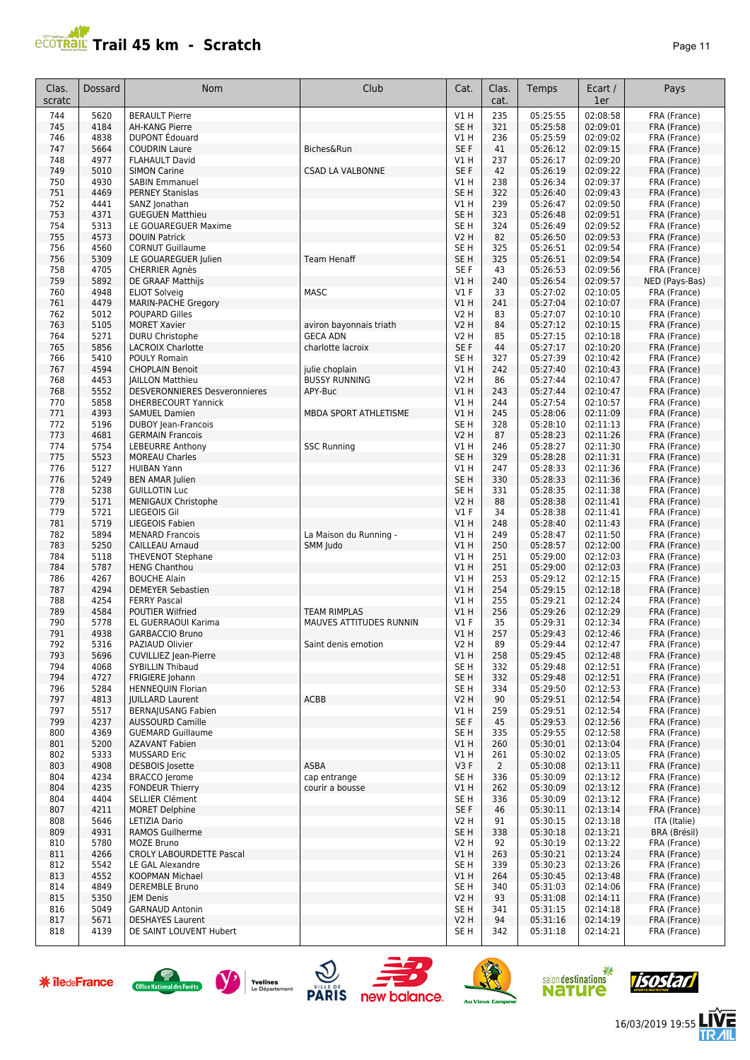# **Trail 45 km - Scratch Page 11 Page 11 Page 11 Page 11**

| Clas.<br>scratc | Dossard      | Nom                                                                | Club                    | Cat.                               | Clas.<br>cat.  | Temps                | Ecart /<br>1er       | Pays                         |
|-----------------|--------------|--------------------------------------------------------------------|-------------------------|------------------------------------|----------------|----------------------|----------------------|------------------------------|
| 744             | 5620         | <b>BERAULT Pierre</b>                                              |                         | V1H                                | 235            | 05:25:55             | 02:08:58             | FRA (France)                 |
| 745             | 4184         | <b>AH-KANG Pierre</b>                                              |                         | SE <sub>H</sub>                    | 321            | 05:25:58             | 02:09:01             | FRA (France)                 |
| 746             | 4838         | <b>DUPONT</b> Édouard                                              |                         | V1 H                               | 236            | 05:25:59             | 02:09:02             | FRA (France)                 |
| 747<br>748      | 5664<br>4977 | <b>COUDRIN Laure</b><br><b>FLAHAULT David</b>                      | Biches&Run              | SE F<br>V1 H                       | 41<br>237      | 05:26:12<br>05:26:17 | 02:09:15<br>02:09:20 | FRA (France)<br>FRA (France) |
| 749             | 5010         | <b>SIMON Carine</b>                                                | <b>CSAD LA VALBONNE</b> | SE F                               | 42             | 05:26:19             | 02:09:22             | FRA (France)                 |
| 750             | 4930         | <b>SABIN Emmanuel</b>                                              |                         | V1 H                               | 238            | 05:26:34             | 02:09:37             | FRA (France)                 |
| 751             | 4469         | <b>PERNEY Stanislas</b>                                            |                         | SE <sub>H</sub>                    | 322            | 05:26:40             | 02:09:43             | FRA (France)                 |
| 752             | 4441         | SANZ Jonathan                                                      |                         | V1 H                               | 239            | 05:26:47             | 02:09:50             | FRA (France)                 |
| 753             | 4371         | <b>GUEGUEN Matthieu</b>                                            |                         | SE <sub>H</sub>                    | 323            | 05:26:48             | 02:09:51             | FRA (France)                 |
| 754<br>755      | 5313<br>4573 | LE GOUAREGUER Maxime<br><b>DOUIN Patrick</b>                       |                         | SE <sub>H</sub><br>V2 H            | 324<br>82      | 05:26:49<br>05:26:50 | 02:09:52<br>02:09:53 | FRA (France)<br>FRA (France) |
| 756             | 4560         | <b>CORNUT Guillaume</b>                                            |                         | SE <sub>H</sub>                    | 325            | 05:26:51             | 02:09:54             | FRA (France)                 |
| 756             | 5309         | LE GOUAREGUER Julien                                               | <b>Team Henaff</b>      | SE <sub>H</sub>                    | 325            | 05:26:51             | 02:09:54             | FRA (France)                 |
| 758             | 4705         | CHERRIER Agnès                                                     |                         | SE F                               | 43             | 05:26:53             | 02:09:56             | FRA (France)                 |
| 759             | 5892         | DE GRAAF Matthijs                                                  |                         | VIH                                | 240            | 05:26:54             | 02:09:57             | NED (Pays-Bas)               |
| 760             | 4948         | <b>ELIOT Solveig</b>                                               | MASC                    | $VI$ F                             | 33             | 05:27:02             | 02:10:05             | FRA (France)                 |
| 761             | 4479         | <b>MARIN-PACHE Gregory</b>                                         |                         | VIH                                | 241            | 05:27:04             | 02:10:07             | FRA (France)                 |
| 762<br>763      | 5012<br>5105 | POUPARD Gilles<br><b>MORET Xavier</b>                              | aviron bayonnais triath | V2 H<br><b>V2 H</b>                | 83<br>84       | 05:27:07<br>05:27:12 | 02:10:10<br>02:10:15 | FRA (France)<br>FRA (France) |
| 764             | 5271         | <b>DURU Christophe</b>                                             | <b>GECA ADN</b>         | V2 H                               | 85             | 05:27:15             | 02:10:18             | FRA (France)                 |
| 765             | 5856         | <b>LACROIX Charlotte</b>                                           | charlotte lacroix       | SE <sub>F</sub>                    | 44             | 05:27:17             | 02:10:20             | FRA (France)                 |
| 766             | 5410         | <b>POULY Romain</b>                                                |                         | SE <sub>H</sub>                    | 327            | 05:27:39             | 02:10:42             | FRA (France)                 |
| 767             | 4594         | <b>CHOPLAIN Benoit</b>                                             | julie choplain          | V1 H                               | 242            | 05:27:40             | 02:10:43             | FRA (France)                 |
| 768             | 4453         | <b>JAILLON Matthieu</b>                                            | <b>BUSSY RUNNING</b>    | V2 H                               | 86             | 05:27:44             | 02:10:47             | FRA (France)                 |
| 768<br>770      | 5552<br>5858 | <b>DESVERONNIERES Desveronnieres</b><br><b>DHERBECOURT Yannick</b> | APY-Buc                 | V1H<br>V1 H                        | 243<br>244     | 05:27:44<br>05:27:54 | 02:10:47<br>02:10:57 | FRA (France)<br>FRA (France) |
| 771             | 4393         | <b>SAMUEL Damien</b>                                               | MBDA SPORT ATHLETISME   | V1H                                | 245            | 05:28:06             | 02:11:09             | FRA (France)                 |
| 772             | 5196         | <b>DUBOY Jean-Francois</b>                                         |                         | SE <sub>H</sub>                    | 328            | 05:28:10             | 02:11:13             | FRA (France)                 |
| 773             | 4681         | <b>GERMAIN Francois</b>                                            |                         | <b>V2 H</b>                        | 87             | 05:28:23             | 02:11:26             | FRA (France)                 |
| 774             | 5754         | <b>LEBEURRE Anthony</b>                                            | <b>SSC Running</b>      | V1 H                               | 246            | 05:28:27             | 02:11:30             | FRA (France)                 |
| 775             | 5523         | <b>MOREAU Charles</b>                                              |                         | SE <sub>H</sub>                    | 329            | 05:28:28             | 02:11:31             | FRA (France)                 |
| 776             | 5127         | <b>HUIBAN Yann</b>                                                 |                         | VIH                                | 247            | 05:28:33             | 02:11:36             | FRA (France)                 |
| 776<br>778      | 5249<br>5238 | <b>BEN AMAR Julien</b><br><b>GUILLOTIN Luc</b>                     |                         | SE <sub>H</sub><br>SE <sub>H</sub> | 330<br>331     | 05:28:33<br>05:28:35 | 02:11:36<br>02:11:38 | FRA (France)<br>FRA (France) |
| 779             | 5171         | <b>MENIGAUX Christophe</b>                                         |                         | V2 H                               | 88             | 05:28:38             | 02:11:41             | FRA (France)                 |
| 779             | 5721         | LIEGEOIS Gil                                                       |                         | $VI$ F                             | 34             | 05:28:38             | 02:11:41             | FRA (France)                 |
| 781             | 5719         | <b>LIEGEOIS Fabien</b>                                             |                         | VIH                                | 248            | 05:28:40             | 02:11:43             | FRA (France)                 |
| 782             | 5894         | <b>MENARD Francois</b>                                             | La Maison du Running -  | V1 H                               | 249            | 05:28:47             | 02:11:50             | FRA (France)                 |
| 783             | 5250         | CAILLEAU Arnaud                                                    | SMM Judo                | V1H                                | 250            | 05:28:57             | 02:12:00             | FRA (France)                 |
| 784             | 5118<br>5787 | <b>THEVENOT Stephane</b>                                           |                         | V1 H                               | 251            | 05:29:00             | 02:12:03<br>02:12:03 | FRA (France)                 |
| 784<br>786      | 4267         | <b>HENG Chanthou</b><br><b>BOUCHE Alain</b>                        |                         | V1H<br>V1 H                        | 251<br>253     | 05:29:00<br>05:29:12 | 02:12:15             | FRA (France)<br>FRA (France) |
| 787             | 4294         | <b>DEMEYER Sebastien</b>                                           |                         | V1H                                | 254            | 05:29:15             | 02:12:18             | FRA (France)                 |
| 788             | 4254         | <b>FERRY Pascal</b>                                                |                         | V1 H                               | 255            | 05:29:21             | 02:12:24             | FRA (France)                 |
| 789             | 4584         | POUTIER Wilfried                                                   | <b>TEAM RIMPLAS</b>     | V1 H                               | 256            | 05:29:26             | 02:12:29             | FRA (France)                 |
| 790             | 5778         | EL GUERRAOUI Karima                                                | MAUVES ATTITUDES RUNNIN | $VI$ F                             | 35             | 05:29:31             | 02:12:34             | FRA (France)                 |
| 791             | 4938         | <b>GARBACCIO Bruno</b>                                             |                         | V1 H                               | 257            | 05:29:43             | 02:12:46             | FRA (France)                 |
| 792<br>793      | 5316<br>5696 | PAZIAUD Olivier<br>CUVILLIEZ Jean-Pierre                           | Saint denis emotion     | V2 H<br>V1 H                       | 89<br>258      | 05:29:44<br>05:29:45 | 02:12:47<br>02:12:48 | FRA (France)<br>FRA (France) |
| 794             | 4068         | <b>SYBILLIN Thibaud</b>                                            |                         | SE <sub>H</sub>                    | 332            | 05:29:48             | 02:12:51             | FRA (France)                 |
| 794             | 4727         | FRIGIERE Johann                                                    |                         | SE H                               | 332            | 05:29:48             | 02:12:51             | FRA (France)                 |
| 796             | 5284         | <b>HENNEQUIN Florian</b>                                           |                         | SE H                               | 334            | 05:29:50             | 02:12:53             | FRA (France)                 |
| 797             | 4813         | <b>JUILLARD Laurent</b>                                            | ACBB                    | V2 H                               | 90             | 05:29:51             | 02:12:54             | FRA (France)                 |
| 797             | 5517         | <b>BERNAJUSANG Fabien</b>                                          |                         | V1 H                               | 259            | 05:29:51             | 02:12:54             | FRA (France)                 |
| 799             | 4237         | <b>AUSSOURD Camille</b>                                            |                         | SE F                               | 45             | 05:29:53             | 02:12:56             | FRA (France)                 |
| 800<br>801      | 4369<br>5200 | <b>GUEMARD Guillaume</b><br><b>AZAVANT Fabien</b>                  |                         | SE <sub>H</sub><br>V1 H            | 335<br>260     | 05:29:55<br>05:30:01 | 02:12:58<br>02:13:04 | FRA (France)<br>FRA (France) |
| 802             | 5333         | <b>MUSSARD Eric</b>                                                |                         | V1 H                               | 261            | 05:30:02             | 02:13:05             | FRA (France)                 |
| 803             | 4908         | DESBOIS Josette                                                    | ASBA                    | V3F                                | $\overline{2}$ | 05:30:08             | 02:13:11             | FRA (France)                 |
| 804             | 4234         | <b>BRACCO</b> Jerome                                               | cap entrange            | SE H                               | 336            | 05:30:09             | 02:13:12             | FRA (France)                 |
| 804             | 4235         | <b>FONDEUR Thierry</b>                                             | courir a bousse         | V1 H                               | 262            | 05:30:09             | 02:13:12             | FRA (France)                 |
| 804             | 4404         | SELLIER Clément                                                    |                         | SE H                               | 336            | 05:30:09             | 02:13:12             | FRA (France)                 |
| 807             | 4211         | <b>MORET Delphine</b>                                              |                         | SE F                               | 46             | 05:30:11             | 02:13:14             | FRA (France)                 |
| 808<br>809      | 5646<br>4931 | LETIZIA Dario<br><b>RAMOS Guilherme</b>                            |                         | V2 H<br>SE H                       | 91<br>338      | 05:30:15<br>05:30:18 | 02:13:18<br>02:13:21 | ITA (Italie)<br>BRA (Brésil) |
| 810             | 5780         | MOZE Bruno                                                         |                         | V2 H                               | 92             | 05:30:19             | 02:13:22             | FRA (France)                 |
| 811             | 4266         | <b>CROLY LABOURDETTE Pascal</b>                                    |                         | V1 H                               | 263            | 05:30:21             | 02:13:24             | FRA (France)                 |
| 812             | 5542         | LE GAL Alexandre                                                   |                         | SE H                               | 339            | 05:30:23             | 02:13:26             | FRA (France)                 |
| 813             | 4552         | KOOPMAN Michael                                                    |                         | V1 H                               | 264            | 05:30:45             | 02:13:48             | FRA (France)                 |
| 814             | 4849         | <b>DEREMBLE Bruno</b>                                              |                         | SE H                               | 340            | 05:31:03             | 02:14:06             | FRA (France)                 |
| 815             | 5350         | JEM Denis                                                          |                         | V2 H                               | 93             | 05:31:08             | 02:14:11             | FRA (France)                 |
| 816<br>817      | 5049<br>5671 | <b>GARNAUD Antonin</b><br><b>DESHAYES Laurent</b>                  |                         | SE H<br>V2 H                       | 341<br>94      | 05:31:15<br>05:31:16 | 02:14:18<br>02:14:19 | FRA (France)<br>FRA (France) |
| 818             | 4139         | DE SAINT LOUVENT Hubert                                            |                         | SE H                               | 342            | 05:31:18             | 02:14:21             | FRA (France)                 |
|                 |              |                                                                    |                         |                                    |                |                      |                      |                              |















信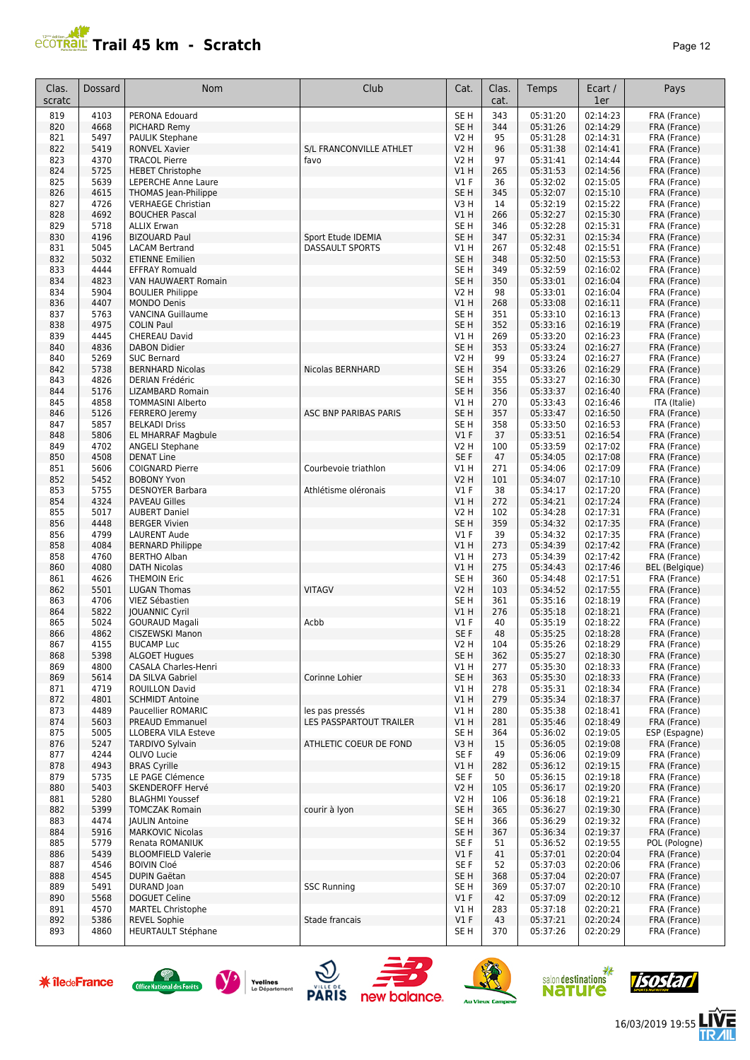# **Trail 45 km - Scratch Page 12 Page 12 Page 12 Page 12**

| Clas.<br>scratc | <b>Dossard</b> | Nom                                                 | Club                    | Cat.                       | Clas.<br>cat. | Temps                | Ecart /<br>1er       | Pays                         |
|-----------------|----------------|-----------------------------------------------------|-------------------------|----------------------------|---------------|----------------------|----------------------|------------------------------|
| 819             | 4103           | PERONA Edouard                                      |                         | SE <sub>H</sub>            | 343           | 05:31:20             | 02:14:23             | FRA (France)                 |
| 820             | 4668           | PICHARD Remy                                        |                         | SE <sub>H</sub>            | 344           | 05:31:26             | 02:14:29             | FRA (France)                 |
| 821             | 5497           | <b>PAULIK Stephane</b>                              |                         | <b>V2 H</b>                | 95            | 05:31:28             | 02:14:31             | FRA (France)                 |
| 822             | 5419           | <b>RONVEL Xavier</b>                                | S/L FRANCONVILLE ATHLET | <b>V2 H</b>                | 96            | 05:31:38             | 02:14:41             | FRA (France)                 |
| 823             | 4370           | <b>TRACOL Pierre</b>                                | favo                    | V2 H                       | 97            | 05:31:41             | 02:14:44             | FRA (France)                 |
| 824             | 5725           | <b>HEBET Christophe</b>                             |                         | V1H                        | 265           | 05:31:53             | 02:14:56             | FRA (France)                 |
| 825<br>826      | 5639<br>4615   | LEPERCHE Anne Laure                                 |                         | $VI$ F<br>SE <sub>H</sub>  | 36<br>345     | 05:32:02<br>05:32:07 | 02:15:05<br>02:15:10 | FRA (France)                 |
| 827             | 4726           | THOMAS Jean-Philippe<br><b>VERHAEGE Christian</b>   |                         | V3H                        | 14            | 05:32:19             | 02:15:22             | FRA (France)<br>FRA (France) |
| 828             | 4692           | <b>BOUCHER Pascal</b>                               |                         | V1 H                       | 266           | 05:32:27             | 02:15:30             | FRA (France)                 |
| 829             | 5718           | <b>ALLIX Erwan</b>                                  |                         | SE H                       | 346           | 05:32:28             | 02:15:31             | FRA (France)                 |
| 830             | 4196           | <b>BIZOUARD Paul</b>                                | Sport Etude IDEMIA      | SE <sub>H</sub>            | 347           | 05:32:31             | 02:15:34             | FRA (France)                 |
| 831             | 5045           | <b>LACAM Bertrand</b>                               | <b>DASSAULT SPORTS</b>  | V1H                        | 267           | 05:32:48             | 02:15:51             | FRA (France)                 |
| 832             | 5032           | <b>ETIENNE Emilien</b>                              |                         | SE <sub>H</sub>            | 348           | 05:32:50             | 02:15:53             | FRA (France)                 |
| 833             | 4444           | <b>EFFRAY Romuald</b>                               |                         | SE <sub>H</sub>            | 349           | 05:32:59             | 02:16:02             | FRA (France)                 |
| 834             | 4823           | VAN HAUWAERT Romain                                 |                         | SE <sub>H</sub>            | 350           | 05:33:01             | 02:16:04             | FRA (France)                 |
| 834             | 5904           | <b>BOULIER Philippe</b>                             |                         | <b>V2 H</b>                | 98            | 05:33:01             | 02:16:04             | FRA (France)                 |
| 836             | 4407           | <b>MONDO Denis</b>                                  |                         | VIH                        | 268           | 05:33:08             | 02:16:11             | FRA (France)                 |
| 837             | 5763           | <b>VANCINA Guillaume</b>                            |                         | SE <sub>H</sub>            | 351           | 05:33:10             | 02:16:13             | FRA (France)                 |
| 838             | 4975<br>4445   | <b>COLIN Paul</b>                                   |                         | SE <sub>H</sub>            | 352<br>269    | 05:33:16<br>05:33:20 | 02:16:19             | FRA (France)                 |
| 839<br>840      | 4836           | CHEREAU David<br><b>DABON Didier</b>                |                         | V1 H<br>SE <sub>H</sub>    | 353           | 05:33:24             | 02:16:23<br>02:16:27 | FRA (France)<br>FRA (France) |
| 840             | 5269           | <b>SUC Bernard</b>                                  |                         | V2 H                       | 99            | 05:33:24             | 02:16:27             | FRA (France)                 |
| 842             | 5738           | <b>BERNHARD Nicolas</b>                             | Nicolas BERNHARD        | SE <sub>H</sub>            | 354           | 05:33:26             | 02:16:29             | FRA (France)                 |
| 843             | 4826           | <b>DERIAN Frédéric</b>                              |                         | SE <sub>H</sub>            | 355           | 05:33:27             | 02:16:30             | FRA (France)                 |
| 844             | 5176           | <b>LIZAMBARD Romain</b>                             |                         | SE <sub>H</sub>            | 356           | 05:33:37             | 02:16:40             | FRA (France)                 |
| 845             | 4858           | <b>TOMMASINI Alberto</b>                            |                         | V1H                        | 270           | 05:33:43             | 02:16:46             | ITA (Italie)                 |
| 846             | 5126           | FERRERO Jeremy                                      | ASC BNP PARIBAS PARIS   | SE <sub>H</sub>            | 357           | 05:33:47             | 02:16:50             | FRA (France)                 |
| 847             | 5857           | <b>BELKADI Driss</b>                                |                         | SE <sub>H</sub>            | 358           | 05:33:50             | 02:16:53             | FRA (France)                 |
| 848             | 5806           | <b>EL MHARRAF Magbule</b>                           |                         | $VI$ F                     | 37            | 05:33:51             | 02:16:54             | FRA (France)                 |
| 849             | 4702           | <b>ANGELI Stephane</b>                              |                         | <b>V2 H</b>                | 100           | 05:33:59             | 02:17:02             | FRA (France)                 |
| 850             | 4508           | <b>DENAT Line</b>                                   |                         | SE F                       | 47            | 05:34:05             | 02:17:08             | FRA (France)                 |
| 851             | 5606           | <b>COIGNARD Pierre</b>                              | Courbevoie triathlon    | VIH                        | 271           | 05:34:06             | 02:17:09             | FRA (France)                 |
| 852             | 5452           | <b>BOBONY Yvon</b>                                  |                         | V2 H                       | 101           | 05:34:07             | 02:17:10             | FRA (France)                 |
| 853<br>854      | 5755<br>4324   | <b>DESNOYER Barbara</b>                             | Athlétisme oléronais    | $VI$ F                     | 38<br>272     | 05:34:17<br>05:34:21 | 02:17:20<br>02:17:24 | FRA (France)                 |
| 855             | 5017           | <b>PAVEAU Gilles</b><br><b>AUBERT Daniel</b>        |                         | <b>V1 H</b><br><b>V2 H</b> | 102           | 05:34:28             | 02:17:31             | FRA (France)<br>FRA (France) |
| 856             | 4448           | <b>BERGER Vivien</b>                                |                         | SE <sub>H</sub>            | 359           | 05:34:32             | 02:17:35             | FRA (France)                 |
| 856             | 4799           | <b>LAURENT Aude</b>                                 |                         | $VI$ F                     | 39            | 05:34:32             | 02:17:35             | FRA (France)                 |
| 858             | 4084           | <b>BERNARD Philippe</b>                             |                         | V1H                        | 273           | 05:34:39             | 02:17:42             | FRA (France)                 |
| 858             | 4760           | <b>BERTHO Alban</b>                                 |                         | V1H                        | 273           | 05:34:39             | 02:17:42             | FRA (France)                 |
| 860             | 4080           | <b>DATH Nicolas</b>                                 |                         | V1H                        | 275           | 05:34:43             | 02:17:46             | <b>BEL</b> (Belgique)        |
| 861             | 4626           | <b>THEMOIN Eric</b>                                 |                         | SE <sub>H</sub>            | 360           | 05:34:48             | 02:17:51             | FRA (France)                 |
| 862             | 5501           | <b>LUGAN Thomas</b>                                 | <b>VITAGV</b>           | V2 H                       | 103           | 05:34:52             | 02:17:55             | FRA (France)                 |
| 863             | 4706           | VIEZ Sébastien                                      |                         | SE <sub>H</sub>            | 361           | 05:35:16             | 02:18:19             | FRA (France)                 |
| 864             | 5822           | <b>JOUANNIC Cyril</b>                               |                         | V1 H                       | 276           | 05:35:18             | 02:18:21             | FRA (France)                 |
| 865             | 5024           | <b>GOURAUD Magali</b>                               | Acbb                    | V1 F                       | 40            | 05:35:19             | 02:18:22             | FRA (France)                 |
| 866             | 4862           | CISZEWSKI Manon                                     |                         | SE F                       | 48            | 05:35:25             | 02:18:28             | FRA (France)                 |
| 867             | 4155           | <b>BUCAMP Luc</b>                                   |                         | V2 H<br>SE <sub>H</sub>    | 104           | 05:35:26             | 02:18:29             | FRA (France)                 |
| 868<br>869      | 5398<br>4800   | <b>ALGOET Hugues</b><br><b>CASALA Charles-Henri</b> |                         | V1H                        | 362<br>277    | 05:35:27<br>05:35:30 | 02:18:30<br>02:18:33 | FRA (France)<br>FRA (France) |
| 869             | 5614           | DA SILVA Gabriel                                    | Corinne Lohier          | SE <sub>H</sub>            | 363           | 05:35:30             | 02:18:33             | FRA (France)                 |
| 871             | 4719           | <b>ROUILLON David</b>                               |                         | V1 H                       | 278           | 05:35:31             | 02:18:34             | FRA (France)                 |
| 872             | 4801           | <b>SCHMIDT Antoine</b>                              |                         | V1 H                       | 279           | 05:35:34             | 02:18:37             | FRA (France)                 |
| 873             | 4489           | Paucellier ROMARIC                                  | les pas pressés         | V1 H                       | 280           | 05:35:38             | 02:18:41             | FRA (France)                 |
| 874             | 5603           | PREAUD Emmanuel                                     | LES PASSPARTOUT TRAILER | V1H                        | 281           | 05:35:46             | 02:18:49             | FRA (France)                 |
| 875             | 5005           | <b>LLOBERA VILA Esteve</b>                          |                         | SE H                       | 364           | 05:36:02             | 02:19:05             | ESP (Espagne)                |
| 876             | 5247           | <b>TARDIVO Sylvain</b>                              | ATHLETIC COEUR DE FOND  | V3H                        | 15            | 05:36:05             | 02:19:08             | FRA (France)                 |
| 877             | 4244           | OLIVO Lucie                                         |                         | SE F                       | 49            | 05:36:06             | 02:19:09             | FRA (France)                 |
| 878             | 4943           | <b>BRAS Cyrille</b>                                 |                         | V1 H                       | 282           | 05:36:12             | 02:19:15             | FRA (France)                 |
| 879             | 5735           | LE PAGE Clémence                                    |                         | SE F                       | 50            | 05:36:15             | 02:19:18             | FRA (France)                 |
| 880             | 5403           | SKENDEROFF Hervé                                    |                         | V2 H                       | 105           | 05:36:17             | 02:19:20             | FRA (France)                 |
| 881             | 5280           | <b>BLAGHMI Youssef</b>                              |                         | <b>V2 H</b>                | 106           | 05:36:18             | 02:19:21             | FRA (France)                 |
| 882<br>883      | 5399<br>4474   | <b>TOMCZAK Romain</b><br><b>JAULIN Antoine</b>      | courir à Iyon           | SE <sub>H</sub>            | 365<br>366    | 05:36:27             | 02:19:30<br>02:19:32 | FRA (France)<br>FRA (France) |
| 884             | 5916           | <b>MARKOVIC Nicolas</b>                             |                         | SE H<br>SE <sub>H</sub>    | 367           | 05:36:29<br>05:36:34 | 02:19:37             | FRA (France)                 |
| 885             | 5779           | Renata ROMANIUK                                     |                         | SE F                       | 51            | 05:36:52             | 02:19:55             | POL (Pologne)                |
| 886             | 5439           | <b>BLOOMFIELD Valerie</b>                           |                         | V1F                        | 41            | 05:37:01             | 02:20:04             | FRA (France)                 |
| 887             | 4546           | <b>BOIVIN Cloé</b>                                  |                         | SE F                       | 52            | 05:37:03             | 02:20:06             | FRA (France)                 |
| 888             | 4545           | DUPIN Gaëtan                                        |                         | SE H                       | 368           | 05:37:04             | 02:20:07             | FRA (France)                 |
| 889             | 5491           | DURAND Joan                                         | <b>SSC Running</b>      | SE H                       | 369           | 05:37:07             | 02:20:10             | FRA (France)                 |
| 890             | 5568           | DOGUET Celine                                       |                         | $VI$ F                     | 42            | 05:37:09             | 02:20:12             | FRA (France)                 |
| 891             | 4570           | <b>MARTEL Christophe</b>                            |                         | V1 H                       | 283           | 05:37:18             | 02:20:21             | FRA (France)                 |
| 892             | 5386           | <b>REVEL Sophie</b>                                 | Stade francais          | V1F                        | 43            | 05:37:21             | 02:20:24             | FRA (France)                 |
| 893             | 4860           | <b>HEURTAULT Stéphane</b>                           |                         | SE H                       | 370           | 05:37:26             | 02:20:29             | FRA (France)                 |

















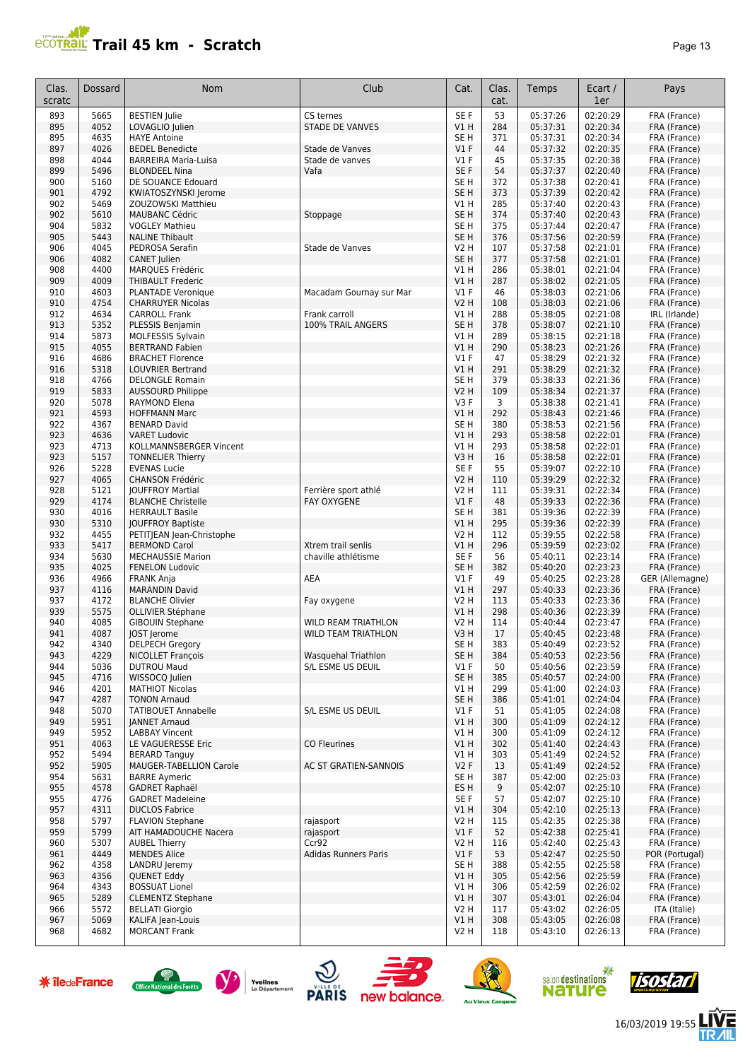# **PROTRAIL Trail 45 km - Scratch**

| ane |  |  |
|-----|--|--|
|-----|--|--|

| Clas.<br>scratc | Dossard      | <b>Nom</b>                                          | Club                        | Cat.                               | Clas.<br>cat. | Temps                | Ecart /<br>1er       | Pays                         |
|-----------------|--------------|-----------------------------------------------------|-----------------------------|------------------------------------|---------------|----------------------|----------------------|------------------------------|
| 893             | 5665         | <b>BESTIEN Julie</b>                                | CS ternes                   | SE F                               | 53            | 05:37:26             | 02:20:29             | FRA (France)                 |
| 895             | 4052         | LOVAGLIO Julien                                     | <b>STADE DE VANVES</b>      | V1H                                | 284           | 05:37:31             | 02:20:34             | FRA (France)                 |
| 895             | 4635         | <b>HAYE Antoine</b>                                 |                             | SE <sub>H</sub>                    | 371           | 05:37:31             | 02:20:34             | FRA (France)                 |
| 897             | 4026<br>4044 | <b>BEDEL Benedicte</b>                              | Stade de Vanves             | $VI$ F                             | 44            | 05:37:32             | 02:20:35<br>02:20:38 | FRA (France)                 |
| 898<br>899      | 5496         | <b>BARREIRA Maria-Luisa</b><br><b>BLONDEEL Nina</b> | Stade de vanves<br>Vafa     | V1F<br>SE <sub>F</sub>             | 45<br>54      | 05:37:35<br>05:37:37 | 02:20:40             | FRA (France)<br>FRA (France) |
| 900             | 5160         | DE SOUANCE Edouard                                  |                             | SE <sub>H</sub>                    | 372           | 05:37:38             | 02:20:41             | FRA (France)                 |
| 901             | 4792         | KWIATOSZYNSKI Jerome                                |                             | SE <sub>H</sub>                    | 373           | 05:37:39             | 02:20:42             | FRA (France)                 |
| 902             | 5469         | ZOUZOWSKI Matthieu                                  |                             | V1 H                               | 285           | 05:37:40             | 02:20:43             | FRA (France)                 |
| 902             | 5610         | <b>MAUBANC Cédric</b>                               | Stoppage                    | SE <sub>H</sub>                    | 374           | 05:37:40             | 02:20:43             | FRA (France)                 |
| 904             | 5832         | <b>VOGLEY Mathieu</b>                               |                             | SE H                               | 375           | 05:37:44             | 02:20:47             | FRA (France)                 |
| 905             | 5443         | <b>NALINE Thibault</b>                              |                             | SE <sub>H</sub>                    | 376           | 05:37:56             | 02:20:59             | FRA (France)                 |
| 906             | 4045         | PEDROSA Serafin                                     | Stade de Vanves             | <b>V2 H</b>                        | 107           | 05:37:58             | 02:21:01             | FRA (France)                 |
| 906<br>908      | 4082<br>4400 | <b>CANET Julien</b><br>MARQUES Frédéric             |                             | SE <sub>H</sub><br>VIH             | 377<br>286    | 05:37:58<br>05:38:01 | 02:21:01<br>02:21:04 | FRA (France)<br>FRA (France) |
| 909             | 4009         | <b>THIBAULT Frederic</b>                            |                             | <b>V1 H</b>                        | 287           | 05:38:02             | 02:21:05             | FRA (France)                 |
| 910             | 4603         | PLANTADE Veronique                                  | Macadam Gournay sur Mar     | V1F                                | 46            | 05:38:03             | 02:21:06             | FRA (France)                 |
| 910             | 4754         | <b>CHARRUYER Nicolas</b>                            |                             | <b>V2 H</b>                        | 108           | 05:38:03             | 02:21:06             | FRA (France)                 |
| 912             | 4634         | <b>CARROLL Frank</b>                                | Frank carroll               | V1H                                | 288           | 05:38:05             | 02:21:08             | IRL (Irlande)                |
| 913             | 5352         | PLESSIS Benjamin                                    | 100% TRAIL ANGERS           | SE <sub>H</sub>                    | 378           | 05:38:07             | 02:21:10             | FRA (France)                 |
| 914             | 5873         | MOLFESSIS Sylvain                                   |                             | V1 H                               | 289           | 05:38:15             | 02:21:18             | FRA (France)                 |
| 915             | 4055         | <b>BERTRAND Fabien</b>                              |                             | V1H                                | 290           | 05:38:23             | 02:21:26             | FRA (France)                 |
| 916<br>916      | 4686<br>5318 | <b>BRACHET Florence</b><br><b>LOUVRIER Bertrand</b> |                             | $VI$ F<br>VIH                      | 47<br>291     | 05:38:29<br>05:38:29 | 02:21:32<br>02:21:32 | FRA (France)<br>FRA (France) |
| 918             | 4766         | <b>DELONGLE Romain</b>                              |                             | SE <sub>H</sub>                    | 379           | 05:38:33             | 02:21:36             | FRA (France)                 |
| 919             | 5833         | <b>AUSSOURD Philippe</b>                            |                             | <b>V2 H</b>                        | 109           | 05:38:34             | 02:21:37             | FRA (France)                 |
| 920             | 5078         | <b>RAYMOND Elena</b>                                |                             | V3F                                | 3             | 05:38:38             | 02:21:41             | FRA (France)                 |
| 921             | 4593         | <b>HOFFMANN Marc</b>                                |                             | V1H                                | 292           | 05:38:43             | 02:21:46             | FRA (France)                 |
| 922             | 4367         | <b>BENARD David</b>                                 |                             | SE <sub>H</sub>                    | 380           | 05:38:53             | 02:21:56             | FRA (France)                 |
| 923             | 4636         | <b>VARET Ludovic</b>                                |                             | V1H                                | 293           | 05:38:58             | 02:22:01             | FRA (France)                 |
| 923             | 4713         | KOLLMANNSBERGER Vincent                             |                             | V1 H                               | 293           | 05:38:58             | 02:22:01             | FRA (France)                 |
| 923<br>926      | 5157<br>5228 | <b>TONNELIER Thierry</b><br><b>EVENAS Lucie</b>     |                             | V3H<br>SE F                        | 16<br>55      | 05:38:58             | 02:22:01<br>02:22:10 | FRA (France)                 |
| 927             | 4065         | <b>CHANSON Frédéric</b>                             |                             | <b>V2 H</b>                        | 110           | 05:39:07<br>05:39:29 | 02:22:32             | FRA (France)<br>FRA (France) |
| 928             | 5121         | <b>JOUFFROY Martial</b>                             | Ferrière sport athlé        | V2 H                               | 111           | 05:39:31             | 02:22:34             | FRA (France)                 |
| 929             | 4174         | <b>BLANCHE Christelle</b>                           | <b>FAY OXYGENE</b>          | $VI$ F                             | 48            | 05:39:33             | 02:22:36             | FRA (France)                 |
| 930             | 4016         | <b>HERRAULT Basile</b>                              |                             | SE <sub>H</sub>                    | 381           | 05:39:36             | 02:22:39             | FRA (France)                 |
| 930             | 5310         | <b>JOUFFROY Baptiste</b>                            |                             | V1H                                | 295           | 05:39:36             | 02:22:39             | FRA (France)                 |
| 932             | 4455         | PETITJEAN Jean-Christophe                           |                             | <b>V2 H</b>                        | 112           | 05:39:55             | 02:22:58             | FRA (France)                 |
| 933             | 5417<br>5630 | <b>BERMOND Carol</b>                                | Xtrem trail senlis          | V1H                                | 296<br>56     | 05:39:59<br>05:40:11 | 02:23:02<br>02:23:14 | FRA (France)                 |
| 934<br>935      | 4025         | <b>MECHAUSSIE Marion</b><br><b>FENELON Ludovic</b>  | chaville athlétisme         | SE <sub>F</sub><br>SE <sub>H</sub> | 382           | 05:40:20             | 02:23:23             | FRA (France)<br>FRA (France) |
| 936             | 4966         | <b>FRANK Anja</b>                                   | AEA                         | $VI$ F                             | 49            | 05:40:25             | 02:23:28             | GER (Allemagne)              |
| 937             | 4116         | <b>MARANDIN David</b>                               |                             | VIH                                | 297           | 05:40:33             | 02:23:36             | FRA (France)                 |
| 937             | 4172         | <b>BLANCHE Olivier</b>                              | Fay oxygene                 | <b>V2 H</b>                        | 113           | 05:40:33             | 02:23:36             | FRA (France)                 |
| 939             | 5575         | OLLIVIER Stéphane                                   |                             | VIH                                | 298           | 05:40:36             | 02:23:39             | FRA (France)                 |
| 940             | 4085         | <b>GIBOUIN Stephane</b>                             | <b>WILD REAM TRIATHLON</b>  | V2 H                               | 114           | 05:40:44             | 02:23:47             | FRA (France)                 |
| 941             | 4087         | <b>JOST Jerome</b>                                  | <b>WILD TEAM TRIATHLON</b>  | V3H                                | 17            | 05:40:45             | 02:23:48             | FRA (France)                 |
| 942<br>943      | 4340<br>4229 | <b>DELPECH Gregory</b><br><b>NICOLLET François</b>  | Wasquehal Triathlon         | SE H<br>SE <sub>H</sub>            | 383<br>384    | 05:40:49<br>05:40:53 | 02:23:52<br>02:23:56 | FRA (France)<br>FRA (France) |
| 944             | 5036         | <b>DUTROU Maud</b>                                  | S/L ESME US DEUIL           | $VI$ F                             | 50            | 05:40:56             | 02:23:59             | FRA (France)                 |
| 945             | 4716         | WISSOCQ Julien                                      |                             | SE <sub>H</sub>                    | 385           | 05:40:57             | 02:24:00             | FRA (France)                 |
| 946             | 4201         | <b>MATHIOT Nicolas</b>                              |                             | V1 H                               | 299           | 05:41:00             | 02:24:03             | FRA (France)                 |
| 947             | 4287         | <b>TONON Arnaud</b>                                 |                             | SE <sub>H</sub>                    | 386           | 05:41:01             | 02:24:04             | FRA (France)                 |
| 948             | 5070         | <b>TATIBOUET Annabelle</b>                          | S/L ESME US DEUIL           | $VI$ F                             | 51            | 05:41:05             | 02:24:08             | FRA (France)                 |
| 949<br>949      | 5951<br>5952 | <b>JANNET Arnaud</b><br><b>LABBAY Vincent</b>       |                             | V1H<br>V1 H                        | 300<br>300    | 05:41:09<br>05:41:09 | 02:24:12<br>02:24:12 | FRA (France)<br>FRA (France) |
| 951             | 4063         | LE VAGUERESSE Eric                                  | <b>CO Fleurines</b>         | V1H                                | 302           | 05:41:40             | 02:24:43             | FRA (France)                 |
| 952             | 5494         | <b>BERARD Tanguy</b>                                |                             | V1 H                               | 303           | 05:41:49             | 02:24:52             | FRA (France)                 |
| 952             | 5905         | MAUGER-TABELLION Carole                             | AC ST GRATIEN-SANNOIS       | V2F                                | 13            | 05:41:49             | 02:24:52             | FRA (France)                 |
| 954             | 5631         | <b>BARRE Aymeric</b>                                |                             | SE <sub>H</sub>                    | 387           | 05:42:00             | 02:25:03             | FRA (France)                 |
| 955             | 4578         | <b>GADRET Raphaël</b>                               |                             | ES H                               | 9             | 05:42:07             | 02:25:10             | FRA (France)                 |
| 955             | 4776         | <b>GADRET Madeleine</b>                             |                             | SE F                               | 57            | 05:42:07             | 02:25:10             | FRA (France)                 |
| 957             | 4311         | <b>DUCLOS Fabrice</b>                               |                             | V1 H                               | 304           | 05:42:10             | 02:25:13             | FRA (France)                 |
| 958<br>959      | 5797<br>5799 | <b>FLAVION Stephane</b><br>AIT HAMADOUCHE Nacera    | rajasport<br>rajasport      | <b>V2 H</b><br>$VI$ F              | 115<br>52     | 05:42:35<br>05:42:38 | 02:25:38<br>02:25:41 | FRA (France)<br>FRA (France) |
| 960             | 5307         | <b>AUBEL Thierry</b>                                | Ccr92                       | V2 H                               | 116           | 05:42:40             | 02:25:43             | FRA (France)                 |
| 961             | 4449         | <b>MENDES Alice</b>                                 | <b>Adidas Runners Paris</b> | V1F                                | 53            | 05:42:47             | 02:25:50             | POR (Portugal)               |
| 962             | 4358         | LANDRU Jeremy                                       |                             | SE <sub>H</sub>                    | 388           | 05:42:55             | 02:25:58             | FRA (France)                 |
| 963             | 4356         | <b>QUENET Eddy</b>                                  |                             | VIH                                | 305           | 05:42:56             | 02:25:59             | FRA (France)                 |
| 964             | 4343         | <b>BOSSUAT Lionel</b>                               |                             | V1 H                               | 306           | 05:42:59             | 02:26:02             | FRA (France)                 |
| 965             | 5289         | <b>CLEMENTZ Stephane</b>                            |                             | VIH                                | 307           | 05:43:01             | 02:26:04             | FRA (France)                 |
| 966<br>967      | 5572<br>5069 | <b>BELLATI Giorgio</b><br>KALIFA Jean-Louis         |                             | V2 H<br>VIH                        | 117<br>308    | 05:43:02<br>05:43:05 | 02:26:05<br>02:26:08 | ITA (Italie)<br>FRA (France) |
| 968             | 4682         | <b>MORCANT Frank</b>                                |                             | V2 H                               | 118           | 05:43:10             | 02:26:13             | FRA (France)                 |
|                 |              |                                                     |                             |                                    |               |                      |                      |                              |













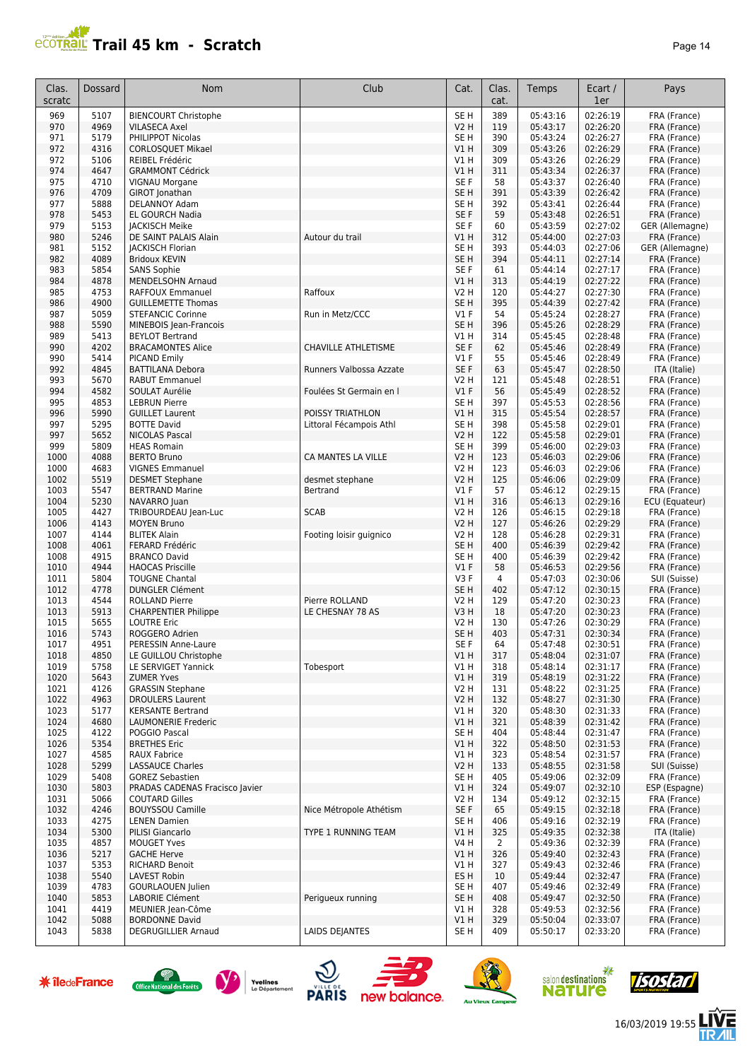# **Trail 45 km - Scratch Page 14** Page 14

| Clas.<br>scratc | Dossard      | Nom                                              | Club                               | Cat.                      | Clas.<br>cat.         | Temps                | Ecart /<br>1er       | Pays                         |
|-----------------|--------------|--------------------------------------------------|------------------------------------|---------------------------|-----------------------|----------------------|----------------------|------------------------------|
| 969             | 5107         | <b>BIENCOURT Christophe</b>                      |                                    | SE <sub>H</sub>           | 389                   | 05:43:16             | 02:26:19             | FRA (France)                 |
| 970             | 4969         | <b>VILASECA Axel</b>                             |                                    | V2 H                      | 119                   | 05:43:17             | 02:26:20             | FRA (France)                 |
| 971             | 5179         | PHILIPPOT Nicolas                                |                                    | SE H                      | 390                   | 05:43:24             | 02:26:27             | FRA (France)                 |
| 972             | 4316         | <b>CORLOSOUET Mikael</b>                         |                                    | V1H                       | 309                   | 05:43:26             | 02:26:29             | FRA (France)                 |
| 972<br>974      | 5106<br>4647 | REIBEL Frédéric                                  |                                    | V1H                       | 309<br>311            | 05:43:26<br>05:43:34 | 02:26:29<br>02:26:37 | FRA (France)                 |
| 975             | 4710         | <b>GRAMMONT Cédrick</b><br>VIGNAU Morgane        |                                    | <b>V1 H</b><br>SE F       | 58                    | 05:43:37             | 02:26:40             | FRA (France)<br>FRA (France) |
| 976             | 4709         | GIROT Jonathan                                   |                                    | SE <sub>H</sub>           | 391                   | 05:43:39             | 02:26:42             | FRA (France)                 |
| 977             | 5888         | DELANNOY Adam                                    |                                    | SE H                      | 392                   | 05:43:41             | 02:26:44             | FRA (France)                 |
| 978             | 5453         | <b>EL GOURCH Nadia</b>                           |                                    | SE <sub>F</sub>           | 59                    | 05:43:48             | 02:26:51             | FRA (France)                 |
| 979             | 5153         | <b>JACKISCH Meike</b>                            |                                    | SE F                      | 60                    | 05:43:59             | 02:27:02             | GER (Allemagne)              |
| 980             | 5246         | DE SAINT PALAIS Alain                            | Autour du trail                    | V1 H                      | 312                   | 05:44:00             | 02:27:03             | FRA (France)                 |
| 981             | 5152         | <b>JACKISCH Florian</b>                          |                                    | SE <sub>H</sub>           | 393                   | 05:44:03             | 02:27:06             | GER (Allemagne)              |
| 982             | 4089         | <b>Bridoux KEVIN</b>                             |                                    | SE <sub>H</sub>           | 394                   | 05:44:11             | 02:27:14             | FRA (France)                 |
| 983             | 5854         | <b>SANS Sophie</b>                               |                                    | SE F                      | 61                    | 05:44:14             | 02:27:17             | FRA (France)                 |
| 984             | 4878         | <b>MENDELSOHN Arnaud</b>                         |                                    | V1 H                      | 313                   | 05:44:19             | 02:27:22             | FRA (France)                 |
| 985             | 4753         | RAFFOUX Emmanuel                                 | Raffoux                            | <b>V2 H</b>               | 120                   | 05:44:27             | 02:27:30             | FRA (France)                 |
| 986             | 4900         | <b>GUILLEMETTE Thomas</b>                        |                                    | SE <sub>H</sub>           | 395                   | 05:44:39             | 02:27:42             | FRA (France)                 |
| 987<br>988      | 5059<br>5590 | <b>STEFANCIC Corinne</b>                         | Run in Metz/CCC                    | $VI$ F<br>SE <sub>H</sub> | 54<br>396             | 05:45:24<br>05:45:26 | 02:28:27<br>02:28:29 | FRA (France)<br>FRA (France) |
| 989             | 5413         | MINEBOIS Jean-Francois<br><b>BEYLOT Bertrand</b> |                                    | V1 H                      | 314                   | 05:45:45             | 02:28:48             | FRA (France)                 |
| 990             | 4202         | <b>BRACAMONTES Alice</b>                         | <b>CHAVILLE ATHLETISME</b>         | SE <sub>F</sub>           | 62                    | 05:45:46             | 02:28:49             | FRA (France)                 |
| 990             | 5414         | <b>PICAND Emily</b>                              |                                    | $VI$ F                    | 55                    | 05:45:46             | 02:28:49             | FRA (France)                 |
| 992             | 4845         | <b>BATTILANA Debora</b>                          | Runners Valbossa Azzate            | SE F                      | 63                    | 05:45:47             | 02:28:50             | ITA (Italie)                 |
| 993             | 5670         | <b>RABUT Emmanuel</b>                            |                                    | <b>V2 H</b>               | 121                   | 05:45:48             | 02:28:51             | FRA (France)                 |
| 994             | 4582         | SOULAT Aurélie                                   | Foulées St Germain en l            | V1F                       | 56                    | 05:45:49             | 02:28:52             | FRA (France)                 |
| 995             | 4853         | <b>LEBRUN Pierre</b>                             |                                    | SE <sub>H</sub>           | 397                   | 05:45:53             | 02:28:56             | FRA (France)                 |
| 996             | 5990         | <b>GUILLET Laurent</b>                           | <b>POISSY TRIATHLON</b>            | V1H                       | 315                   | 05:45:54             | 02:28:57             | FRA (France)                 |
| 997             | 5295         | <b>BOTTE David</b>                               | Littoral Fécampois Athl            | SE <sub>H</sub>           | 398                   | 05:45:58             | 02:29:01             | FRA (France)                 |
| 997             | 5652         | <b>NICOLAS Pascal</b>                            |                                    | <b>V2 H</b>               | 122                   | 05:45:58             | 02:29:01             | FRA (France)                 |
| 999             | 5809         | <b>HEAS Romain</b>                               |                                    | SE H                      | 399                   | 05:46:00             | 02:29:03             | FRA (France)                 |
| 1000            | 4088         | <b>BERTO Bruno</b>                               | CA MANTES LA VILLE                 | <b>V2 H</b>               | 123                   | 05:46:03             | 02:29:06             | FRA (France)                 |
| 1000            | 4683         | <b>VIGNES Emmanuel</b>                           |                                    | V2 H                      | 123                   | 05:46:03             | 02:29:06             | FRA (France)                 |
| 1002<br>1003    | 5519<br>5547 | <b>DESMET Stephane</b><br><b>BERTRAND Marine</b> | desmet stephane<br><b>Bertrand</b> | <b>V2 H</b><br>$VI$ F     | 125<br>57             | 05:46:06<br>05:46:12 | 02:29:09<br>02:29:15 | FRA (France)<br>FRA (France) |
| 1004            | 5230         | NAVARRO Juan                                     |                                    | V1H                       | 316                   | 05:46:13             | 02:29:16             | ECU (Equateur)               |
| 1005            | 4427         | TRIBOURDEAU Jean-Luc                             | <b>SCAB</b>                        | <b>V2 H</b>               | 126                   | 05:46:15             | 02:29:18             | FRA (France)                 |
| 1006            | 4143         | <b>MOYEN Bruno</b>                               |                                    | <b>V2 H</b>               | 127                   | 05:46:26             | 02:29:29             | FRA (France)                 |
| 1007            | 4144         | <b>BLITEK Alain</b>                              | Footing loisir guignico            | <b>V2 H</b>               | 128                   | 05:46:28             | 02:29:31             | FRA (France)                 |
| 1008            | 4061         | FERARD Frédéric                                  |                                    | SE <sub>H</sub>           | 400                   | 05:46:39             | 02:29:42             | FRA (France)                 |
| 1008            | 4915         | <b>BRANCO David</b>                              |                                    | SE <sub>H</sub>           | 400                   | 05:46:39             | 02:29:42             | FRA (France)                 |
| 1010            | 4944         | <b>HAOCAS Priscille</b>                          |                                    | V1F                       | 58                    | 05:46:53             | 02:29:56             | FRA (France)                 |
| 1011            | 5804         | <b>TOUGNE Chantal</b>                            |                                    | V3F                       | 4                     | 05:47:03             | 02:30:06             | SUI (Suisse)                 |
| 1012            | 4778         | <b>DUNGLER Clément</b>                           |                                    | SE <sub>H</sub>           | 402                   | 05:47:12             | 02:30:15             | FRA (France)                 |
| 1013            | 4544         | <b>ROLLAND Pierre</b>                            | Pierre ROLLAND                     | <b>V2 H</b>               | 129                   | 05:47:20             | 02:30:23             | FRA (France)                 |
| 1013            | 5913         | <b>CHARPENTIER Philippe</b>                      | LE CHESNAY 78 AS                   | V3 H                      | 18                    | 05:47:20             | 02:30:23             | FRA (France)                 |
| 1015            | 5655         | <b>LOUTRE Eric</b>                               |                                    | V2 H                      | 130                   | 05:47:26             | 02:30:29             | FRA (France)                 |
| 1016            | 5743         | ROGGERO Adrien                                   |                                    | SE <sub>H</sub>           | 403                   | 05:47:31             | 02:30:34             | FRA (France)                 |
| 1017            | 4951         | PERESSIN Anne-Laure                              |                                    | SE F                      | 64                    | 05:47:48             | 02:30:51             | FRA (France)<br>FRA (France) |
| 1018<br>1019    | 4850<br>5758 | LE GUILLOU Christophe<br>LE SERVIGET Yannick     | Tobesport                          | V1H<br>V1 H               | 317<br>318            | 05:48:04<br>05:48:14 | 02:31:07<br>02:31:17 | FRA (France)                 |
| 1020            | 5643         | <b>ZUMER Yves</b>                                |                                    | V1H                       | 319                   | 05:48:19             | 02:31:22             | FRA (France)                 |
| 1021            | 4126         | <b>GRASSIN Stephane</b>                          |                                    | V2 H                      | 131                   | 05:48:22             | 02:31:25             | FRA (France)                 |
| 1022            | 4963         | <b>DROULERS Laurent</b>                          |                                    | <b>V2 H</b>               | 132                   | 05:48:27             | 02:31:30             | FRA (France)                 |
| 1023            | 5177         | <b>KERSANTE Bertrand</b>                         |                                    | V1H                       | 320                   | 05:48:30             | 02:31:33             | FRA (France)                 |
| 1024            | 4680         | LAUMONERIE Frederic                              |                                    | V1H                       | 321                   | 05:48:39             | 02:31:42             | FRA (France)                 |
| 1025            | 4122         | POGGIO Pascal                                    |                                    | SE H                      | 404                   | 05:48:44             | 02:31:47             | FRA (France)                 |
| 1026            | 5354         | <b>BRETHES Eric</b>                              |                                    | V1 H                      | 322                   | 05:48:50             | 02:31:53             | FRA (France)                 |
| 1027            | 4585         | RAUX Fabrice                                     |                                    | V1 H                      | 323                   | 05:48:54             | 02:31:57             | FRA (France)                 |
| 1028            | 5299         | <b>LASSAUCE Charles</b>                          |                                    | <b>V2 H</b>               | 133                   | 05:48:55             | 02:31:58             | SUI (Suisse)                 |
| 1029            | 5408         | <b>GOREZ Sebastien</b>                           |                                    | SE H                      | 405                   | 05:49:06             | 02:32:09             | FRA (France)                 |
| 1030            | 5803         | PRADAS CADENAS Fracisco Javier                   |                                    | V1H                       | 324                   | 05:49:07             | 02:32:10             | ESP (Espagne)                |
| 1031            | 5066         | <b>COUTARD Gilles</b>                            |                                    | V2 H                      | 134                   | 05:49:12             | 02:32:15             | FRA (France)                 |
| 1032            | 4246         | <b>BOUYSSOU Camille</b>                          | Nice Métropole Athétism            | SE F                      | 65                    | 05:49:15             | 02:32:18             | FRA (France)                 |
| 1033            | 4275         | <b>LENEN Damien</b>                              |                                    | SE H                      | 406                   | 05:49:16             | 02:32:19             | FRA (France)                 |
| 1034<br>1035    | 5300<br>4857 | PILISI Giancarlo<br><b>MOUGET Yves</b>           | TYPE 1 RUNNING TEAM                | V1 H<br>V4 H              | 325<br>$\overline{2}$ | 05:49:35<br>05:49:36 | 02:32:38<br>02:32:39 | ITA (Italie)<br>FRA (France) |
| 1036            | 5217         | <b>GACHE Herve</b>                               |                                    | V1H                       | 326                   | 05:49:40             | 02:32:43             | FRA (France)                 |
| 1037            | 5353         | <b>RICHARD Benoit</b>                            |                                    | V1 H                      | 327                   | 05:49:43             | 02:32:46             | FRA (France)                 |
| 1038            | 5540         | <b>LAVEST Robin</b>                              |                                    | ES H                      | 10                    | 05:49:44             | 02:32:47             | FRA (France)                 |
| 1039            | 4783         | GOURLAOUEN Julien                                |                                    | SE H                      | 407                   | 05:49:46             | 02:32:49             | FRA (France)                 |
| 1040            | 5853         | LABORIE Clément                                  | Perigueux running                  | SE H                      | 408                   | 05:49:47             | 02:32:50             | FRA (France)                 |
| 1041            | 4419         | MEUNIER Jean-Côme                                |                                    | V1 H                      | 328                   | 05:49:53             | 02:32:56             | FRA (France)                 |
| 1042            | 5088         | <b>BORDONNE David</b>                            |                                    | V1H                       | 329                   | 05:50:04             | 02:33:07             | FRA (France)                 |
| 1043            | 5838         | DEGRUGILLIER Arnaud                              | LAIDS DEJANTES                     | SE H                      | 409                   | 05:50:17             | 02:33:20             | FRA (France)                 |















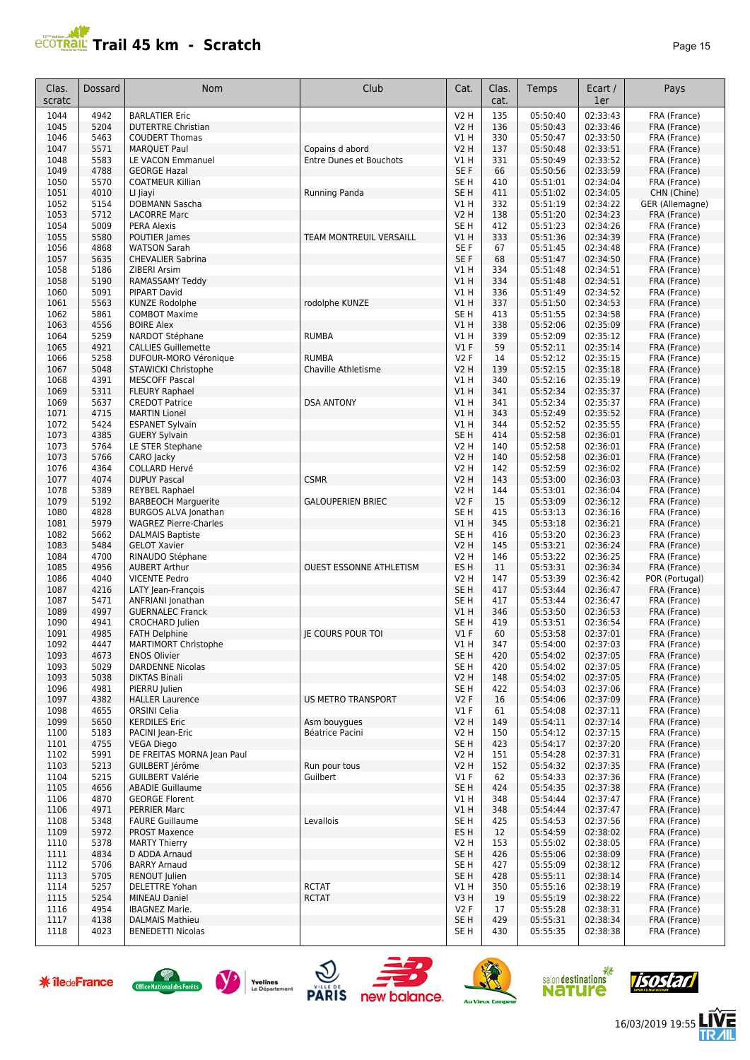# **PCOTRAL Trail 45 km - Scratch**

| 'ane | , |  |
|------|---|--|
|------|---|--|

| Clas.<br>scratc | Dossard      | Nom                                                  | Club                           | Cat.                           | Clas.<br>cat. | Temps                | Ecart /<br>1er       | Pays                         |
|-----------------|--------------|------------------------------------------------------|--------------------------------|--------------------------------|---------------|----------------------|----------------------|------------------------------|
| 1044            | 4942         | <b>BARLATIER Eric</b>                                |                                | V2 H                           | 135           | 05:50:40             | 02:33:43             | FRA (France)                 |
| 1045            | 5204         | <b>DUTERTRE Christian</b>                            |                                | <b>V2 H</b>                    | 136           | 05:50:43             | 02:33:46             | FRA (France)                 |
| 1046<br>1047    | 5463<br>5571 | <b>COUDERT Thomas</b><br><b>MARQUET Paul</b>         | Copains d abord                | V1 H<br><b>V2 H</b>            | 330<br>137    | 05:50:47<br>05:50:48 | 02:33:50<br>02:33:51 | FRA (France)<br>FRA (France) |
| 1048            | 5583         | <b>LE VACON Emmanuel</b>                             | <b>Entre Dunes et Bouchots</b> | V1 H                           | 331           | 05:50:49             | 02:33:52             | FRA (France)                 |
| 1049            | 4788         | <b>GEORGE Hazal</b>                                  |                                | SE F                           | 66            | 05:50:56             | 02:33:59             | FRA (France)                 |
| 1050            | 5570         | <b>COATMEUR Killian</b>                              |                                | SE <sub>H</sub>                | 410           | 05:51:01             | 02:34:04             | FRA (France)                 |
| 1051            | 4010         | LI Jiayi                                             | Running Panda                  | SE <sub>H</sub>                | 411           | 05:51:02             | 02:34:05             | CHN (Chine)                  |
| 1052            | 5154         | DOBMANN Sascha                                       |                                | V1H                            | 332           | 05:51:19             | 02:34:22             | GER (Allemagne)              |
| 1053<br>1054    | 5712<br>5009 | <b>LACORRE Marc</b><br><b>PERA Alexis</b>            |                                | <b>V2 H</b><br>SE <sub>H</sub> | 138<br>412    | 05:51:20<br>05:51:23 | 02:34:23<br>02:34:26 | FRA (France)                 |
| 1055            | 5580         | POUTIER James                                        | <b>TEAM MONTREUIL VERSAILL</b> | V1 H                           | 333           | 05:51:36             | 02:34:39             | FRA (France)<br>FRA (France) |
| 1056            | 4868         | <b>WATSON Sarah</b>                                  |                                | SE <sub>F</sub>                | 67            | 05:51:45             | 02:34:48             | FRA (France)                 |
| 1057            | 5635         | <b>CHEVALIER Sabrina</b>                             |                                | SE F                           | 68            | 05:51:47             | 02:34:50             | FRA (France)                 |
| 1058            | 5186         | ZIBERI Arsim                                         |                                | V1 H                           | 334           | 05:51:48             | 02:34:51             | FRA (France)                 |
| 1058            | 5190         | RAMASSAMY Teddy                                      |                                | V1H                            | 334           | 05:51:48             | 02:34:51             | FRA (France)                 |
| 1060            | 5091<br>5563 | <b>PIPART David</b>                                  |                                | V1H                            | 336           | 05:51:49             | 02:34:52             | FRA (France)                 |
| 1061<br>1062    | 5861         | <b>KUNZE Rodolphe</b><br><b>COMBOT Maxime</b>        | rodolphe KUNZE                 | V1H<br>SE <sub>H</sub>         | 337<br>413    | 05:51:50<br>05:51:55 | 02:34:53<br>02:34:58 | FRA (France)<br>FRA (France) |
| 1063            | 4556         | <b>BOIRE Alex</b>                                    |                                | V1 H                           | 338           | 05:52:06             | 02:35:09             | FRA (France)                 |
| 1064            | 5259         | NARDOT Stéphane                                      | <b>RUMBA</b>                   | V1H                            | 339           | 05:52:09             | 02:35:12             | FRA (France)                 |
| 1065            | 4921         | <b>CALLIES Guillemette</b>                           |                                | V1F                            | 59            | 05:52:11             | 02:35:14             | FRA (France)                 |
| 1066            | 5258         | DUFOUR-MORO Véronique                                | <b>RUMBA</b>                   | V2F                            | 14            | 05:52:12             | 02:35:15             | FRA (France)                 |
| 1067            | 5048         | <b>STAWICKI Christophe</b>                           | Chaville Athletisme            | V2 H                           | 139           | 05:52:15             | 02:35:18             | FRA (France)                 |
| 1068            | 4391         | <b>MESCOFF Pascal</b>                                |                                | V1 H                           | 340           | 05:52:16             | 02:35:19             | FRA (France)                 |
| 1069            | 5311         | <b>FLEURY Raphael</b>                                |                                | VIH                            | 341           | 05:52:34             | 02:35:37             | FRA (France)                 |
| 1069            | 5637         | <b>CREDOT Patrice</b><br><b>MARTIN Lionel</b>        | <b>DSA ANTONY</b>              | V1 H                           | 341           | 05:52:34             | 02:35:37             | FRA (France)                 |
| 1071<br>1072    | 4715<br>5424 | <b>ESPANET Sylvain</b>                               |                                | VIH<br>V1 H                    | 343<br>344    | 05:52:49<br>05:52:52 | 02:35:52<br>02:35:55 | FRA (France)<br>FRA (France) |
| 1073            | 4385         | <b>GUERY Sylvain</b>                                 |                                | SE <sub>H</sub>                | 414           | 05:52:58             | 02:36:01             | FRA (France)                 |
| 1073            | 5764         | LE STER Stephane                                     |                                | V2 H                           | 140           | 05:52:58             | 02:36:01             | FRA (France)                 |
| 1073            | 5766         | CARO Jacky                                           |                                | <b>V2 H</b>                    | 140           | 05:52:58             | 02:36:01             | FRA (France)                 |
| 1076            | 4364         | <b>COLLARD Hervé</b>                                 |                                | V2 H                           | 142           | 05:52:59             | 02:36:02             | FRA (France)                 |
| 1077            | 4074         | <b>DUPUY Pascal</b>                                  | <b>CSMR</b>                    | <b>V2 H</b>                    | 143           | 05:53:00             | 02:36:03             | FRA (France)                 |
| 1078            | 5389         | <b>REYBEL Raphael</b>                                |                                | <b>V2 H</b>                    | 144           | 05:53:01             | 02:36:04             | FRA (France)                 |
| 1079            | 5192<br>4828 | <b>BARBEOCH Marguerite</b>                           | <b>GALOUPERIEN BRIEC</b>       | V2F                            | 15            | 05:53:09             | 02:36:12<br>02:36:16 | FRA (France)                 |
| 1080<br>1081    | 5979         | BURGOS ALVA Jonathan<br><b>WAGREZ Pierre-Charles</b> |                                | SE H<br>V1H                    | 415<br>345    | 05:53:13<br>05:53:18 | 02:36:21             | FRA (France)<br>FRA (France) |
| 1082            | 5662         | <b>DALMAIS Baptiste</b>                              |                                | SE <sub>H</sub>                | 416           | 05:53:20             | 02:36:23             | FRA (France)                 |
| 1083            | 5484         | <b>GELOT Xavier</b>                                  |                                | <b>V2 H</b>                    | 145           | 05:53:21             | 02:36:24             | FRA (France)                 |
| 1084            | 4700         | RINAUDO Stéphane                                     |                                | <b>V2 H</b>                    | 146           | 05:53:22             | 02:36:25             | FRA (France)                 |
| 1085            | 4956         | <b>AUBERT Arthur</b>                                 | <b>OUEST ESSONNE ATHLETISM</b> | ES <sub>H</sub>                | 11            | 05:53:31             | 02:36:34             | FRA (France)                 |
| 1086            | 4040         | <b>VICENTE Pedro</b>                                 |                                | V2 H                           | 147           | 05:53:39             | 02:36:42             | POR (Portugal)               |
| 1087            | 4216         | LATY Jean-François                                   |                                | SE <sub>H</sub>                | 417           | 05:53:44             | 02:36:47             | FRA (France)                 |
| 1087<br>1089    | 5471<br>4997 | ANFRIANI Jonathan<br><b>GUERNALEC Franck</b>         |                                | SE <sub>H</sub><br>V1 H        | 417<br>346    | 05:53:44<br>05:53:50 | 02:36:47<br>02:36:53 | FRA (France)<br>FRA (France) |
| 1090            | 4941         | <b>CROCHARD Julien</b>                               |                                | SE H                           | 419           | 05:53:51             | 02:36:54             | FRA (France)                 |
| 1091            | 4985         | <b>FATH Delphine</b>                                 | <b>IE COURS POUR TOI</b>       | $VI$ F                         | 60            | 05:53:58             | 02:37:01             | FRA (France)                 |
| 1092            | 4447         | <b>MARTIMORT Christophe</b>                          |                                | V1 H                           | 347           | 05:54:00             | 02:37:03             | FRA (France)                 |
| 1093            | 4673         | <b>ENOS Olivier</b>                                  |                                | SE <sub>H</sub>                | 420           | 05:54:02             | 02:37:05             | FRA (France)                 |
| 1093            | 5029         | <b>DARDENNE Nicolas</b>                              |                                | SE H                           | 420           | 05:54:02             | 02:37:05             | FRA (France)                 |
| 1093            | 5038         | <b>DIKTAS Binali</b>                                 |                                | V2 H                           | 148           | 05:54:02             | 02:37:05             | FRA (France)                 |
| 1096<br>1097    | 4981<br>4382 | PIERRU Julien<br><b>HALLER Laurence</b>              | <b>US METRO TRANSPORT</b>      | SE H<br>V2F                    | 422<br>16     | 05:54:03<br>05:54:06 | 02:37:06<br>02:37:09 | FRA (France)<br>FRA (France) |
| 1098            | 4655         | <b>ORSINI Celia</b>                                  |                                | $VI$ F                         | 61            | 05:54:08             | 02:37:11             | FRA (France)                 |
| 1099            | 5650         | <b>KERDILES Eric</b>                                 | Asm bouyques                   | <b>V2 H</b>                    | 149           | 05:54:11             | 02:37:14             | FRA (France)                 |
| 1100            | 5183         | <b>PACINI lean-Eric</b>                              | Béatrice Pacini                | <b>V2 H</b>                    | 150           | 05:54:12             | 02:37:15             | FRA (France)                 |
| 1101            | 4755         | <b>VEGA Diego</b>                                    |                                | SE <sub>H</sub>                | 423           | 05:54:17             | 02:37:20             | FRA (France)                 |
| 1102            | 5991         | DE FREITAS MORNA Jean Paul                           |                                | V2 H                           | 151           | 05:54:28             | 02:37:31             | FRA (France)                 |
| 1103            | 5213         | GUILBERT lérôme                                      | Run pour tous                  | <b>V2 H</b>                    | 152           | 05:54:32             | 02:37:35             | FRA (France)                 |
| 1104            | 5215         | <b>GUILBERT Valérie</b>                              | Guilbert                       | $VI$ F                         | 62            | 05:54:33             | 02:37:36             | FRA (France)                 |
| 1105<br>1106    | 4656<br>4870 | <b>ABADIE Guillaume</b><br><b>GEORGE Florent</b>     |                                | SE <sub>H</sub><br>V1H         | 424<br>348    | 05:54:35<br>05:54:44 | 02:37:38<br>02:37:47 | FRA (France)<br>FRA (France) |
| 1106            | 4971         | <b>PERRIER Marc</b>                                  |                                | V1H                            | 348           | 05:54:44             | 02:37:47             | FRA (France)                 |
| 1108            | 5348         | <b>FAURE Guillaume</b>                               | Levallois                      | SE <sub>H</sub>                | 425           | 05:54:53             | 02:37:56             | FRA (France)                 |
| 1109            | 5972         | <b>PROST Maxence</b>                                 |                                | ES H                           | 12            | 05:54:59             | 02:38:02             | FRA (France)                 |
| 1110            | 5378         | <b>MARTY Thierry</b>                                 |                                | V2 H                           | 153           | 05:55:02             | 02:38:05             | FRA (France)                 |
| 1111            | 4834         | D ADDA Arnaud                                        |                                | SE <sub>H</sub>                | 426           | 05:55:06             | 02:38:09             | FRA (France)                 |
| 1112            | 5706         | <b>BARRY Arnaud</b>                                  |                                | SE H                           | 427           | 05:55:09             | 02:38:12             | FRA (France)                 |
| 1113            | 5705         | RENOUT Julien<br><b>DELETTRE Yohan</b>               | <b>RCTAT</b>                   | SE H                           | 428           | 05:55:11             | 02:38:14<br>02:38:19 | FRA (France)                 |
| 1114<br>1115    | 5257<br>5254 | <b>MINEAU Daniel</b>                                 | <b>RCTAT</b>                   | V1 H<br>V3H                    | 350<br>19     | 05:55:16<br>05:55:19 | 02:38:22             | FRA (France)<br>FRA (France) |
| 1116            | 4954         | IBAGNEZ Marie.                                       |                                | V2F                            | 17            | 05:55:28             | 02:38:31             | FRA (France)                 |
| 1117            | 4138         | <b>DALMAIS Mathieu</b>                               |                                | SE <sub>H</sub>                | 429           | 05:55:31             | 02:38:34             | FRA (France)                 |
| 1118            | 4023         | <b>BENEDETTI Nicolas</b>                             |                                | SE H                           | 430           | 05:55:35             | 02:38:38             | FRA (France)                 |

















人<br>儿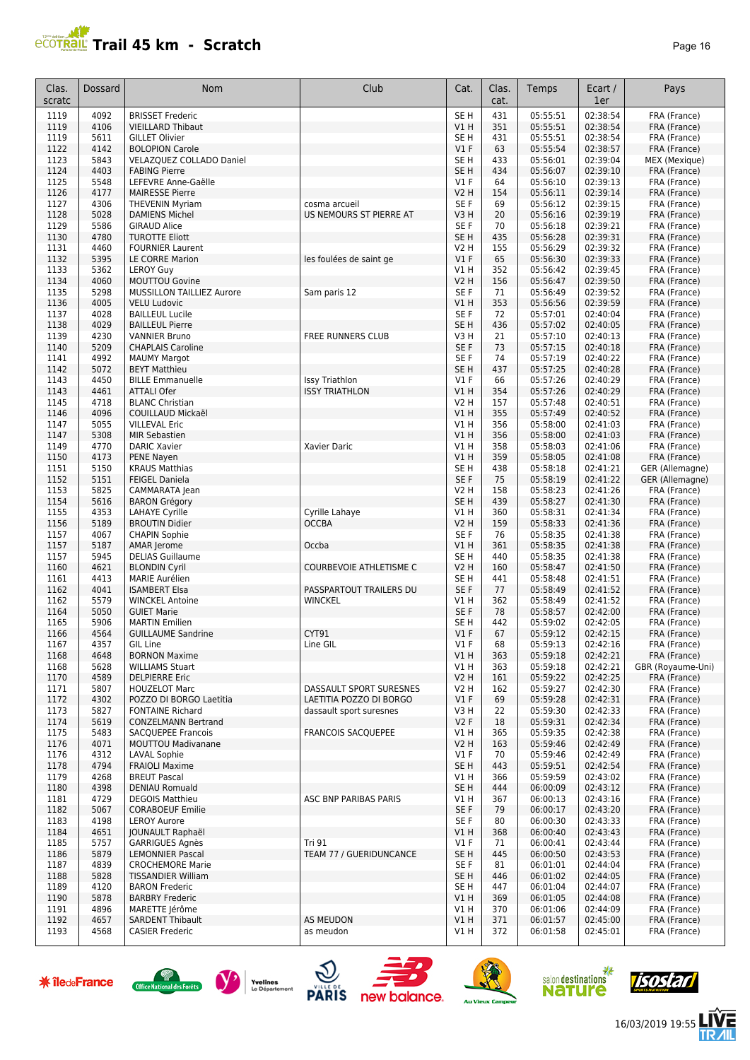# **Trail 45 km - Scratch Page 16** Page 16

| Clas.<br>scratc | Dossard      | Nom                                                   | Club                           | Cat.                           | Clas.<br>cat. | Temps                | Ecart /<br>1er       | Pays                         |
|-----------------|--------------|-------------------------------------------------------|--------------------------------|--------------------------------|---------------|----------------------|----------------------|------------------------------|
| 1119            | 4092         | <b>BRISSET Frederic</b>                               |                                | SE H                           | 431           | 05:55:51             | 02:38:54             | FRA (France)                 |
| 1119            | 4106         | <b>VIEILLARD Thibaut</b>                              |                                | V1 H                           | 351           | 05:55:51             | 02:38:54             | FRA (France)                 |
| 1119            | 5611         | <b>GILLET Olivier</b>                                 |                                | SE H                           | 431           | 05:55:51             | 02:38:54             | FRA (France)                 |
| 1122            | 4142         | <b>BOLOPION Carole</b>                                |                                | V1F                            | 63            | 05:55:54             | 02:38:57             | FRA (France)                 |
| 1123            | 5843         | VELAZQUEZ COLLADO Daniel                              |                                | SE <sub>H</sub>                | 433           | 05:56:01             | 02:39:04             | MEX (Mexique)                |
| 1124            | 4403         | <b>FABING Pierre</b>                                  |                                | SE <sub>H</sub>                | 434           | 05:56:07             | 02:39:10             | FRA (France)                 |
| 1125            | 5548         | LEFEVRE Anne-Gaëlle                                   |                                | $VI$ F                         | 64            | 05:56:10             | 02:39:13             | FRA (France)                 |
| 1126<br>1127    | 4177<br>4306 | <b>MAIRESSE Pierre</b><br><b>THEVENIN Myriam</b>      | cosma arcueil                  | <b>V2 H</b><br>SE <sub>F</sub> | 154<br>69     | 05:56:11<br>05:56:12 | 02:39:14<br>02:39:15 | FRA (France)<br>FRA (France) |
| 1128            | 5028         | <b>DAMIENS Michel</b>                                 | US NEMOURS ST PIERRE AT        | V3H                            | 20            | 05:56:16             | 02:39:19             | FRA (France)                 |
| 1129            | 5586         | <b>GIRAUD Alice</b>                                   |                                | SE <sub>F</sub>                | 70            | 05:56:18             | 02:39:21             | FRA (France)                 |
| 1130            | 4780         | <b>TUROTTE Eliott</b>                                 |                                | SE <sub>H</sub>                | 435           | 05:56:28             | 02:39:31             | FRA (France)                 |
| 1131            | 4460         | <b>FOURNIER Laurent</b>                               |                                | <b>V2 H</b>                    | 155           | 05:56:29             | 02:39:32             | FRA (France)                 |
| 1132            | 5395         | LE CORRE Marion                                       | les foulées de saint ge        | $VI$ F                         | 65            | 05:56:30             | 02:39:33             | FRA (France)                 |
| 1133            | 5362         | <b>LEROY Guy</b>                                      |                                | V1H                            | 352           | 05:56:42             | 02:39:45             | FRA (France)                 |
| 1134            | 4060         | <b>MOUTTOU Govine</b>                                 |                                | <b>V2 H</b>                    | 156           | 05:56:47             | 02:39:50             | FRA (France)                 |
| 1135            | 5298         | <b>MUSSILLON TAILLIEZ Aurore</b>                      | Sam paris 12                   | SE <sub>F</sub>                | 71            | 05:56:49             | 02:39:52             | FRA (France)                 |
| 1136<br>1137    | 4005<br>4028 | <b>VELU Ludovic</b><br><b>BAILLEUL Lucile</b>         |                                | VIH<br>SE <sub>F</sub>         | 353<br>72     | 05:56:56<br>05:57:01 | 02:39:59<br>02:40:04 | FRA (France)<br>FRA (France) |
| 1138            | 4029         | <b>BAILLEUL Pierre</b>                                |                                | SE <sub>H</sub>                | 436           | 05:57:02             | 02:40:05             | FRA (France)                 |
| 1139            | 4230         | <b>VANNIER Bruno</b>                                  | <b>FREE RUNNERS CLUB</b>       | V3H                            | 21            | 05:57:10             | 02:40:13             | FRA (France)                 |
| 1140            | 5209         | <b>CHAPLAIS Caroline</b>                              |                                | SE F                           | 73            | 05:57:15             | 02:40:18             | FRA (France)                 |
| 1141            | 4992         | <b>MAUMY Margot</b>                                   |                                | SE F                           | 74            | 05:57:19             | 02:40:22             | FRA (France)                 |
| 1142            | 5072         | <b>BEYT Matthieu</b>                                  |                                | SE <sub>H</sub>                | 437           | 05:57:25             | 02:40:28             | FRA (France)                 |
| 1143            | 4450         | <b>BILLE Emmanuelle</b>                               | <b>Issy Triathlon</b>          | $VI$ F                         | 66            | 05:57:26             | 02:40:29             | FRA (France)                 |
| 1143            | 4461         | <b>ATTALI Ofer</b>                                    | <b>ISSY TRIATHLON</b>          | V1 H                           | 354           | 05:57:26             | 02:40:29             | FRA (France)                 |
| 1145            | 4718         | <b>BLANC Christian</b>                                |                                | V2 H                           | 157           | 05:57:48             | 02:40:51             | FRA (France)                 |
| 1146<br>1147    | 4096<br>5055 | COUILLAUD Mickaël<br><b>VILLEVAL Eric</b>             |                                | VIH<br>V1H                     | 355<br>356    | 05:57:49<br>05:58:00 | 02:40:52<br>02:41:03 | FRA (France)<br>FRA (France) |
| 1147            | 5308         | <b>MIR Sebastien</b>                                  |                                | <b>V1 H</b>                    | 356           | 05:58:00             | 02:41:03             | FRA (France)                 |
| 1149            | 4770         | <b>DARIC Xavier</b>                                   | Xavier Daric                   | VIH                            | 358           | 05:58:03             | 02:41:06             | FRA (France)                 |
| 1150            | 4173         | PENE Nayen                                            |                                | VIH                            | 359           | 05:58:05             | 02:41:08             | FRA (France)                 |
| 1151            | 5150         | <b>KRAUS Matthias</b>                                 |                                | SE <sub>H</sub>                | 438           | 05:58:18             | 02:41:21             | GER (Allemagne)              |
| 1152            | 5151         | <b>FEIGEL Daniela</b>                                 |                                | SE F                           | 75            | 05:58:19             | 02:41:22             | GER (Allemagne)              |
| 1153            | 5825         | CAMMARATA Jean                                        |                                | V2 H                           | 158           | 05:58:23             | 02:41:26             | FRA (France)                 |
| 1154            | 5616         | <b>BARON Grégory</b>                                  |                                | SE <sub>H</sub>                | 439           | 05:58:27             | 02:41:30             | FRA (France)                 |
| 1155            | 4353         | <b>LAHAYE Cyrille</b>                                 | Cyrille Lahaye                 | V1 H                           | 360           | 05:58:31             | 02:41:34             | FRA (France)                 |
| 1156<br>1157    | 5189<br>4067 | <b>BROUTIN Didier</b><br><b>CHAPIN Sophie</b>         | <b>OCCBA</b>                   | <b>V2 H</b><br>SE F            | 159<br>76     | 05:58:33<br>05:58:35 | 02:41:36<br>02:41:38 | FRA (France)<br>FRA (France) |
| 1157            | 5187         | AMAR Jerome                                           | Occba                          | V1 H                           | 361           | 05:58:35             | 02:41:38             | FRA (France)                 |
| 1157            | 5945         | <b>DELIAS Guillaume</b>                               |                                | SE <sub>H</sub>                | 440           | 05:58:35             | 02:41:38             | FRA (France)                 |
| 1160            | 4621         | <b>BLONDIN Cyril</b>                                  | <b>COURBEVOIE ATHLETISME C</b> | <b>V2 H</b>                    | 160           | 05:58:47             | 02:41:50             | FRA (France)                 |
| 1161            | 4413         | <b>MARIE Aurélien</b>                                 |                                | SE <sub>H</sub>                | 441           | 05:58:48             | 02:41:51             | FRA (France)                 |
| 1162            | 4041         | <b>ISAMBERT Elsa</b>                                  | PASSPARTOUT TRAILERS DU        | SE F                           | 77            | 05:58:49             | 02:41:52             | FRA (France)                 |
| 1162            | 5579         | <b>WINCKEL Antoine</b>                                | <b>WINCKEL</b>                 | V1 H                           | 362           | 05:58:49             | 02:41:52             | FRA (France)                 |
| 1164            | 5050<br>5906 | <b>GUIET Marie</b>                                    |                                | SE F<br>SE <sub>H</sub>        | 78            | 05:58:57<br>05:59:02 | 02:42:00             | FRA (France)                 |
| 1165<br>1166    | 4564         | <b>MARTIN Emilien</b><br><b>GUILLAUME Sandrine</b>    | CYT91                          | $VI$ F                         | 442<br>67     | 05:59:12             | 02:42:05<br>02:42:15 | FRA (France)<br>FRA (France) |
| 1167            | 4357         | <b>GIL Line</b>                                       | Line GIL                       | $VI$ F                         | 68            | 05:59:13             | 02:42:16             | FRA (France)                 |
| 1168            | 4648         | <b>BORNON Maxime</b>                                  |                                | V1 H                           | 363           | 05:59:18             | 02:42:21             | FRA (France)                 |
| 1168            | 5628         | <b>WILLIAMS Stuart</b>                                |                                | V1H                            | 363           | 05:59:18             | 02:42:21             | GBR (Royaume-Uni)            |
| 1170            | 4589         | <b>DELPIERRE Eric</b>                                 |                                | V2 H                           | 161           | 05:59:22             | 02:42:25             | FRA (France)                 |
| 1171            | 5807         | <b>HOUZELOT Marc</b>                                  | DASSAULT SPORT SURESNES        | V2 H                           | 162           | 05:59:27             | 02:42:30             | FRA (France)                 |
| 1172            | 4302         | POZZO DI BORGO Laetitia                               | LAETITIA POZZO DI BORGO        | $VI$ F                         | 69            | 05:59:28             | 02:42:31             | FRA (France)                 |
| 1173            | 5827<br>5619 | <b>FONTAINE Richard</b><br><b>CONZELMANN Bertrand</b> | dassault sport suresnes        | V3 H<br>V2F                    | 22            | 05:59:30             | 02:42:33             | FRA (France)                 |
| 1174<br>1175    | 5483         | <b>SACQUEPEE Francois</b>                             | <b>FRANCOIS SACQUEPEE</b>      | V1 H                           | 18<br>365     | 05:59:31<br>05:59:35 | 02:42:34<br>02:42:38 | FRA (France)<br>FRA (France) |
| 1176            | 4071         | <b>MOUTTOU Madivanane</b>                             |                                | <b>V2 H</b>                    | 163           | 05:59:46             | 02:42:49             | FRA (France)                 |
| 1176            | 4312         | LAVAL Sophie                                          |                                | V1F                            | 70            | 05:59:46             | 02:42:49             | FRA (France)                 |
| 1178            | 4794         | <b>FRAIOLI Maxime</b>                                 |                                | SE <sub>H</sub>                | 443           | 05:59:51             | 02:42:54             | FRA (France)                 |
| 1179            | 4268         | <b>BREUT Pascal</b>                                   |                                | V1 H                           | 366           | 05:59:59             | 02:43:02             | FRA (France)                 |
| 1180            | 4398         | <b>DENIAU Romuald</b>                                 |                                | SE <sub>H</sub>                | 444           | 06:00:09             | 02:43:12             | FRA (France)                 |
| 1181            | 4729         | <b>DEGOIS Matthieu</b>                                | ASC BNP PARIBAS PARIS          | V1 H                           | 367           | 06:00:13             | 02:43:16             | FRA (France)                 |
| 1182            | 5067         | <b>CORABOEUF Emilie</b>                               |                                | SE F                           | 79            | 06:00:17             | 02:43:20             | FRA (France)                 |
| 1183<br>1184    | 4198<br>4651 | <b>LEROY Aurore</b>                                   |                                | SE F<br>V1H                    | 80<br>368     | 06:00:30<br>06:00:40 | 02:43:33<br>02:43:43 | FRA (France)<br>FRA (France) |
| 1185            | 5757         | JOUNAULT Raphaël<br>GARRIGUES Agnès                   | <b>Tri 91</b>                  | $VI$ F                         | 71            | 06:00:41             | 02:43:44             | FRA (France)                 |
| 1186            | 5879         | <b>LEMONNIER Pascal</b>                               | TEAM 77 / GUERIDUNCANCE        | SE <sub>H</sub>                | 445           | 06:00:50             | 02:43:53             | FRA (France)                 |
| 1187            | 4839         | <b>CROCHEMORE Marie</b>                               |                                | SE F                           | 81            | 06:01:01             | 02:44:04             | FRA (France)                 |
| 1188            | 5828         | <b>TISSANDIER William</b>                             |                                | SE H                           | 446           | 06:01:02             | 02:44:05             | FRA (France)                 |
| 1189            | 4120         | <b>BARON Frederic</b>                                 |                                | SE H                           | 447           | 06:01:04             | 02:44:07             | FRA (France)                 |
| 1190            | 5878         | <b>BARBRY Frederic</b>                                |                                | V1 H                           | 369           | 06:01:05             | 02:44:08             | FRA (France)                 |
| 1191            | 4896         | MARETTE Jérôme                                        |                                | V1 H                           | 370           | 06:01:06             | 02:44:09             | FRA (France)                 |
| 1192<br>1193    | 4657<br>4568 | <b>SARDENT Thibault</b><br><b>CASIER Frederic</b>     | <b>AS MEUDON</b><br>as meudon  | VIH                            | 371<br>372    | 06:01:57<br>06:01:58 | 02:45:00<br>02:45:01 | FRA (France)<br>FRA (France) |
|                 |              |                                                       |                                | V1 H                           |               |                      |                      |                              |

















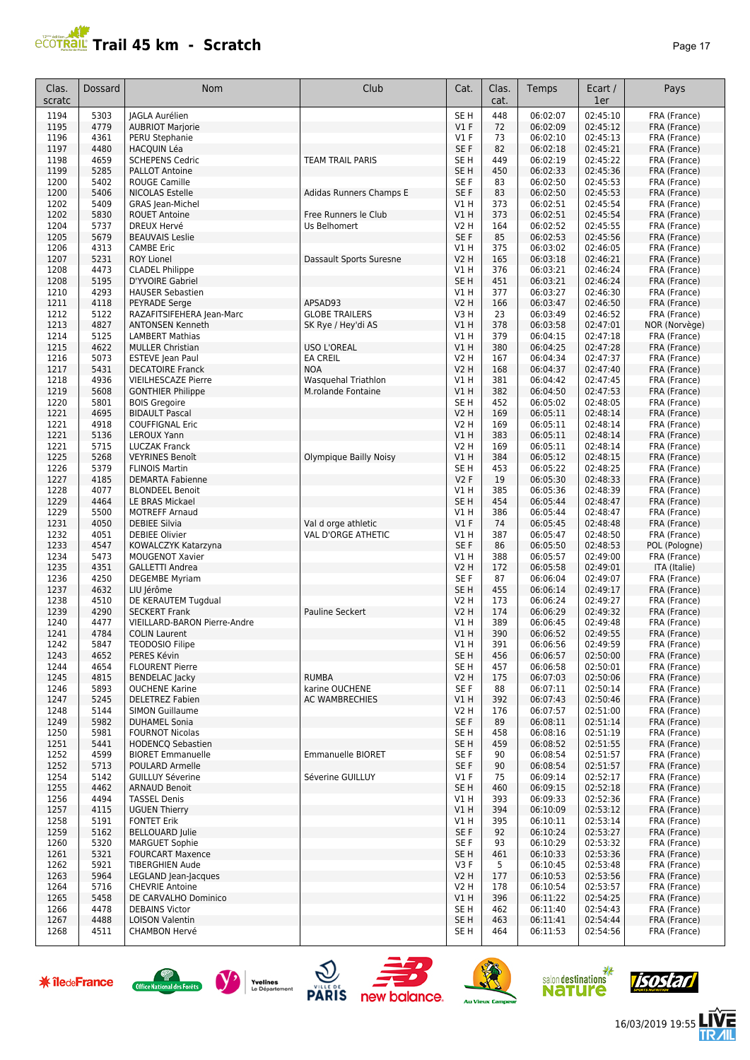# **PROTRAIL Trail 45 km - Scratch**

| c<br>н |  |
|--------|--|
|--------|--|

| Clas.<br>scratc | Dossard      | <b>Nom</b>                                             | Club                                      | Cat.                    | Clas.<br>cat. | Temps                | Ecart /<br>1er       | Pays                          |
|-----------------|--------------|--------------------------------------------------------|-------------------------------------------|-------------------------|---------------|----------------------|----------------------|-------------------------------|
| 1194            | 5303         | <b>JAGLA Aurélien</b>                                  |                                           | SE <sub>H</sub>         | 448           | 06:02:07             | 02:45:10             | FRA (France)                  |
| 1195            | 4779         | <b>AUBRIOT Marjorie</b>                                |                                           | V1F                     | 72            | 06:02:09             | 02:45:12             | FRA (France)                  |
| 1196            | 4361         | PERU Stephanie                                         |                                           | $VI$ F                  | 73            | 06:02:10             | 02:45:13             | FRA (France)                  |
| 1197<br>1198    | 4480<br>4659 | <b>HACQUIN Léa</b><br><b>SCHEPENS Cedric</b>           | <b>TEAM TRAIL PARIS</b>                   | SE F<br>SE <sub>H</sub> | 82<br>449     | 06:02:18<br>06:02:19 | 02:45:21<br>02:45:22 | FRA (France)<br>FRA (France)  |
| 1199            | 5285         | <b>PALLOT Antoine</b>                                  |                                           | SE H                    | 450           | 06:02:33             | 02:45:36             | FRA (France)                  |
| 1200            | 5402         | <b>ROUGE Camille</b>                                   |                                           | SE F                    | 83            | 06:02:50             | 02:45:53             | FRA (France)                  |
| 1200            | 5406         | <b>NICOLAS Estelle</b>                                 | Adidas Runners Champs E                   | SE F                    | 83            | 06:02:50             | 02:45:53             | FRA (France)                  |
| 1202            | 5409         | <b>GRAS</b> Jean-Michel                                |                                           | V1H                     | 373           | 06:02:51             | 02:45:54             | FRA (France)                  |
| 1202            | 5830         | <b>ROUET Antoine</b>                                   | Free Runners le Club                      | V1H                     | 373           | 06:02:51             | 02:45:54             | FRA (France)                  |
| 1204<br>1205    | 5737<br>5679 | <b>DREUX Hervé</b><br><b>BEAUVAIS Leslie</b>           | Us Belhomert                              | V2 H<br>SE F            | 164<br>85     | 06:02:52<br>06:02:53 | 02:45:55<br>02:45:56 | FRA (France)<br>FRA (France)  |
| 1206            | 4313         | <b>CAMBE Eric</b>                                      |                                           | V1H                     | 375           | 06:03:02             | 02:46:05             | FRA (France)                  |
| 1207            | 5231         | <b>ROY Lionel</b>                                      | Dassault Sports Suresne                   | <b>V2 H</b>             | 165           | 06:03:18             | 02:46:21             | FRA (France)                  |
| 1208            | 4473         | <b>CLADEL Philippe</b>                                 |                                           | V1 H                    | 376           | 06:03:21             | 02:46:24             | FRA (France)                  |
| 1208            | 5195         | <b>D'YVOIRE Gabriel</b>                                |                                           | SE <sub>H</sub>         | 451           | 06:03:21             | 02:46:24             | FRA (France)                  |
| 1210            | 4293         | <b>HAUSER Sebastien</b>                                |                                           | V1 H                    | 377<br>166    | 06:03:27             | 02:46:30             | FRA (France)                  |
| 1211<br>1212    | 4118<br>5122 | PEYRADE Serge<br>RAZAFITSIFEHERA Jean-Marc             | APSAD93<br><b>GLOBE TRAILERS</b>          | <b>V2 H</b><br>V3H      | 23            | 06:03:47<br>06:03:49 | 02:46:50<br>02:46:52 | FRA (France)<br>FRA (France)  |
| 1213            | 4827         | <b>ANTONSEN Kenneth</b>                                | SK Rye / Hey'di AS                        | <b>V1 H</b>             | 378           | 06:03:58             | 02:47:01             | NOR (Norvège)                 |
| 1214            | 5125         | <b>LAMBERT Mathias</b>                                 |                                           | V1H                     | 379           | 06:04:15             | 02:47:18             | FRA (France)                  |
| 1215            | 4622         | <b>MULLER Christian</b>                                | <b>USO L'OREAL</b>                        | V1H                     | 380           | 06:04:25             | 02:47:28             | FRA (France)                  |
| 1216            | 5073         | <b>ESTEVE Jean Paul</b>                                | <b>EA CREIL</b>                           | <b>V2 H</b>             | 167           | 06:04:34             | 02:47:37             | FRA (France)                  |
| 1217            | 5431         | <b>DECATOIRE Franck</b>                                | <b>NOA</b>                                | <b>V2 H</b>             | 168           | 06:04:37             | 02:47:40<br>02:47:45 | FRA (France)                  |
| 1218<br>1219    | 4936<br>5608 | <b>VIEILHESCAZE Pierre</b><br><b>GONTHIER Philippe</b> | Wasquehal Triathlon<br>M.rolande Fontaine | V1H<br>V1H              | 381<br>382    | 06:04:42<br>06:04:50 | 02:47:53             | FRA (France)<br>FRA (France)  |
| 1220            | 5801         | <b>BOIS Gregoire</b>                                   |                                           | SE <sub>H</sub>         | 452           | 06:05:02             | 02:48:05             | FRA (France)                  |
| 1221            | 4695         | <b>BIDAULT Pascal</b>                                  |                                           | <b>V2 H</b>             | 169           | 06:05:11             | 02:48:14             | FRA (France)                  |
| 1221            | 4918         | <b>COUFFIGNAL Eric</b>                                 |                                           | V2 H                    | 169           | 06:05:11             | 02:48:14             | FRA (France)                  |
| 1221            | 5136         | <b>LEROUX Yann</b>                                     |                                           | V1 H                    | 383           | 06:05:11             | 02:48:14             | FRA (France)                  |
| 1221            | 5715         | <b>LUCZAK Franck</b>                                   |                                           | V2 H                    | 169           | 06:05:11             | 02:48:14             | FRA (France)                  |
| 1225<br>1226    | 5268<br>5379 | <b>VEYRINES Benoît</b><br><b>FLINOIS Martin</b>        | <b>Olympique Bailly Noisy</b>             | V1 H<br>SE <sub>H</sub> | 384<br>453    | 06:05:12<br>06:05:22 | 02:48:15<br>02:48:25 | FRA (France)<br>FRA (France)  |
| 1227            | 4185         | <b>DEMARTA Fabienne</b>                                |                                           | V2F                     | 19            | 06:05:30             | 02:48:33             | FRA (France)                  |
| 1228            | 4077         | <b>BLONDEEL Benoit</b>                                 |                                           | V1 H                    | 385           | 06:05:36             | 02:48:39             | FRA (France)                  |
| 1229            | 4464         | LE BRAS Mickael                                        |                                           | SE <sub>H</sub>         | 454           | 06:05:44             | 02:48:47             | FRA (France)                  |
| 1229            | 5500         | <b>MOTREFF Arnaud</b>                                  |                                           | V1 H                    | 386           | 06:05:44             | 02:48:47             | FRA (France)                  |
| 1231            | 4050         | <b>DEBIEE Silvia</b>                                   | Val d orge athletic                       | $VI$ F                  | 74            | 06:05:45             | 02:48:48             | FRA (France)                  |
| 1232<br>1233    | 4051<br>4547 | <b>DEBIEE Olivier</b><br>KOWALCZYK Katarzyna           | VAL D'ORGE ATHETIC                        | V1 H<br>SE F            | 387<br>86     | 06:05:47<br>06:05:50 | 02:48:50<br>02:48:53 | FRA (France)<br>POL (Pologne) |
| 1234            | 5473         | <b>MOUGENOT Xavier</b>                                 |                                           | V1 H                    | 388           | 06:05:57             | 02:49:00             | FRA (France)                  |
| 1235            | 4351         | <b>GALLETTI Andrea</b>                                 |                                           | V2 H                    | 172           | 06:05:58             | 02:49:01             | ITA (Italie)                  |
| 1236            | 4250         | <b>DEGEMBE Myriam</b>                                  |                                           | SE F                    | 87            | 06:06:04             | 02:49:07             | FRA (France)                  |
| 1237            | 4632         | LIU Jérôme                                             |                                           | SE <sub>H</sub>         | 455           | 06:06:14             | 02:49:17             | FRA (France)                  |
| 1238            | 4510         | DE KERAUTEM Tugdual                                    |                                           | <b>V2 H</b>             | 173           | 06:06:24             | 02:49:27             | FRA (France)                  |
| 1239<br>1240    | 4290<br>4477 | <b>SECKERT Frank</b><br>VIEILLARD-BARON Pierre-Andre   | Pauline Seckert                           | <b>V2 H</b><br>V1 H     | 174<br>389    | 06:06:29<br>06:06:45 | 02:49:32<br>02:49:48 | FRA (France)<br>FRA (France)  |
| 1241            | 4784         | <b>COLIN Laurent</b>                                   |                                           | VIH                     | 390           | 06:06:52             | 02:49:55             | FRA (France)                  |
| 1242            | 5847         | <b>TEODOSIO Filipe</b>                                 |                                           | $VI$ H                  | 391           | 06:06:56             | 02:49:59             | FRA (France)                  |
| 1243            | 4652         | PERES Kévin                                            |                                           | SE <sub>H</sub>         | 456           | 06:06:57             | 02:50:00             | FRA (France)                  |
| 1244            | 4654         | <b>FLOURENT Pierre</b>                                 |                                           | SE <sub>H</sub>         | 457           | 06:06:58             | 02:50:01             | FRA (France)                  |
| 1245            | 4815         | <b>BENDELAC Jacky</b>                                  | <b>RUMBA</b>                              | V2 H                    | 175           | 06:07:03             | 02:50:06             | FRA (France)                  |
| 1246<br>1247    | 5893<br>5245 | <b>OUCHENE Karine</b><br><b>DELETREZ Fabien</b>        | karine OUCHENE<br>AC WAMBRECHIES          | SE F<br>V1 H            | 88<br>392     | 06:07:11<br>06:07:43 | 02:50:14<br>02:50:46 | FRA (France)<br>FRA (France)  |
| 1248            | 5144         | <b>SIMON Guillaume</b>                                 |                                           | V <sub>2</sub> H        | 176           | 06:07:57             | 02:51:00             | FRA (France)                  |
| 1249            | 5982         | <b>DUHAMEL Sonia</b>                                   |                                           | SE F                    | 89            | 06:08:11             | 02:51:14             | FRA (France)                  |
| 1250            | 5981         | <b>FOURNOT Nicolas</b>                                 |                                           | SE H                    | 458           | 06:08:16             | 02:51:19             | FRA (France)                  |
| 1251            | 5441         | <b>HODENCQ Sebastien</b>                               |                                           | SE <sub>H</sub>         | 459           | 06:08:52             | 02:51:55             | FRA (France)                  |
| 1252            | 4599         | <b>BIORET Emmanuelle</b>                               | Emmanuelle BIORET                         | SE F                    | 90            | 06:08:54             | 02:51:57             | FRA (France)                  |
| 1252<br>1254    | 5713<br>5142 | POULARD Armelle<br><b>GUILLUY Séverine</b>             | Séverine GUILLUY                          | SE F<br>V1F             | 90<br>75      | 06:08:54<br>06:09:14 | 02:51:57<br>02:52:17 | FRA (France)<br>FRA (France)  |
| 1255            | 4462         | <b>ARNAUD Benoit</b>                                   |                                           | SE <sub>H</sub>         | 460           | 06:09:15             | 02:52:18             | FRA (France)                  |
| 1256            | 4494         | <b>TASSEL Denis</b>                                    |                                           | V1 H                    | 393           | 06:09:33             | 02:52:36             | FRA (France)                  |
| 1257            | 4115         | <b>UGUEN Thierry</b>                                   |                                           | V1H                     | 394           | 06:10:09             | 02:53:12             | FRA (France)                  |
| 1258            | 5191         | <b>FONTET Erik</b>                                     |                                           | VIH                     | 395           | 06:10:11             | 02:53:14             | FRA (France)                  |
| 1259            | 5162         | <b>BELLOUARD Julie</b>                                 |                                           | SE F                    | 92            | 06:10:24             | 02:53:27             | FRA (France)                  |
| 1260<br>1261    | 5320<br>5321 | <b>MARGUET Sophie</b><br><b>FOURCART Maxence</b>       |                                           | SE F<br>SE <sub>H</sub> | 93<br>461     | 06:10:29<br>06:10:33 | 02:53:32<br>02:53:36 | FRA (France)<br>FRA (France)  |
| 1262            | 5921         | <b>TIBERGHIEN Aude</b>                                 |                                           | V3F                     | 5             | 06:10:45             | 02:53:48             | FRA (France)                  |
| 1263            | 5964         | LEGLAND Jean-Jacques                                   |                                           | <b>V2 H</b>             | 177           | 06:10:53             | 02:53:56             | FRA (France)                  |
| 1264            | 5716         | <b>CHEVRIE Antoine</b>                                 |                                           | <b>V2 H</b>             | 178           | 06:10:54             | 02:53:57             | FRA (France)                  |
| 1265            | 5458         | DE CARVALHO Dominico                                   |                                           | V1H                     | 396           | 06:11:22             | 02:54:25             | FRA (France)                  |
| 1266            | 4478         | <b>DEBAINS Victor</b>                                  |                                           | SE H                    | 462           | 06:11:40             | 02:54:43             | FRA (France)                  |
| 1267<br>1268    | 4488<br>4511 | <b>LOISON Valentin</b><br><b>CHAMBON Hervé</b>         |                                           | SE <sub>H</sub><br>SE H | 463<br>464    | 06:11:41<br>06:11:53 | 02:54:44<br>02:54:56 | FRA (France)<br>FRA (France)  |
|                 |              |                                                        |                                           |                         |               |                      |                      |                               |















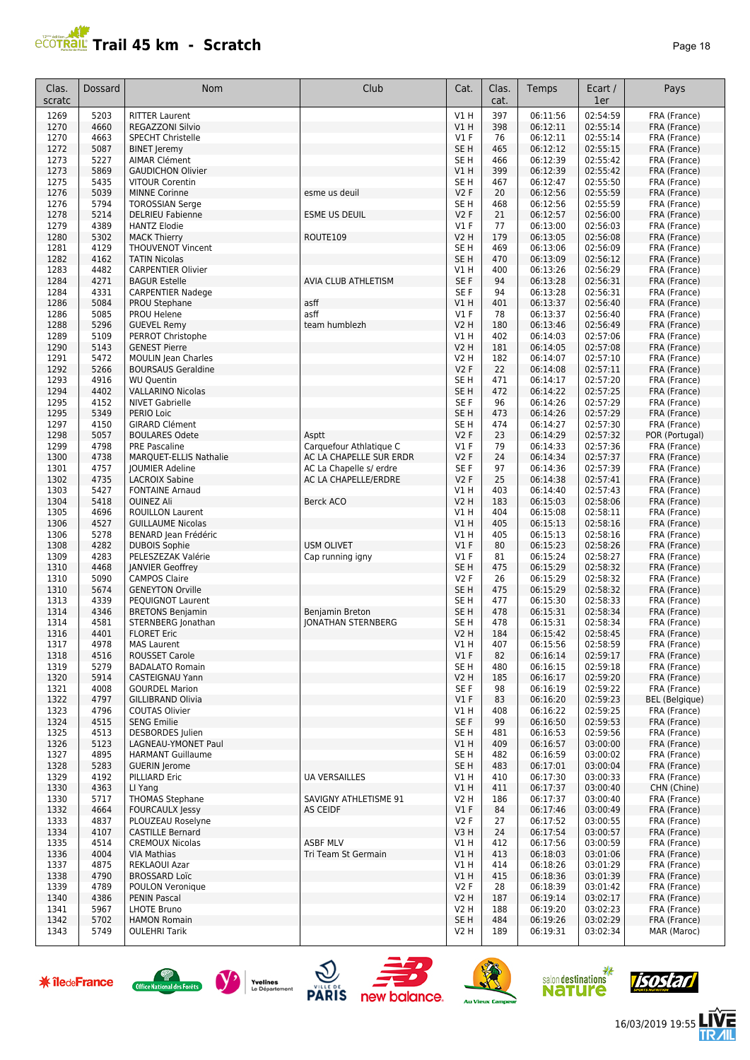# **Trail 45 km - Scratch Page 18** Page 18

| Clas.<br>scratc | Dossard      | Nom                                                   | Club                                               | Cat.                      | Clas.<br>cat. | Temps                | Ecart /<br>1er       | Pays                         |
|-----------------|--------------|-------------------------------------------------------|----------------------------------------------------|---------------------------|---------------|----------------------|----------------------|------------------------------|
| 1269            | 5203         | <b>RITTER Laurent</b>                                 |                                                    | V1 H                      | 397           | 06:11:56             | 02:54:59             | FRA (France)                 |
| 1270            | 4660         | <b>REGAZZONI Silvio</b>                               |                                                    | V1H                       | 398           | 06:12:11             | 02:55:14             | FRA (France)                 |
| 1270            | 4663         | <b>SPECHT Christelle</b>                              |                                                    | V1F                       | 76            | 06:12:11             | 02:55:14             | FRA (France)                 |
| 1272            | 5087         | <b>BINET Jeremy</b>                                   |                                                    | SE <sub>H</sub>           | 465           | 06:12:12             | 02:55:15             | FRA (France)                 |
| 1273            | 5227         | <b>AIMAR Clément</b>                                  |                                                    | SE <sub>H</sub>           | 466           | 06:12:39             | 02:55:42             | FRA (France)                 |
| 1273<br>1275    | 5869<br>5435 | <b>GAUDICHON Olivier</b>                              |                                                    | VIH<br>SE <sub>H</sub>    | 399           | 06:12:39<br>06:12:47 | 02:55:42<br>02:55:50 | FRA (France)                 |
| 1276            | 5039         | <b>VITOUR Corentin</b><br><b>MINNE Corinne</b>        | esme us deuil                                      | <b>V2F</b>                | 467<br>20     | 06:12:56             | 02:55:59             | FRA (France)<br>FRA (France) |
| 1276            | 5794         | <b>TOROSSIAN Serge</b>                                |                                                    | SE <sub>H</sub>           | 468           | 06:12:56             | 02:55:59             | FRA (France)                 |
| 1278            | 5214         | <b>DELRIEU Fabienne</b>                               | <b>ESME US DEUIL</b>                               | <b>V2F</b>                | 21            | 06:12:57             | 02:56:00             | FRA (France)                 |
| 1279            | 4389         | <b>HANTZ Elodie</b>                                   |                                                    | $VI$ F                    | 77            | 06:13:00             | 02:56:03             | FRA (France)                 |
| 1280            | 5302         | <b>MACK Thierry</b>                                   | ROUTE109                                           | V2 H                      | 179           | 06:13:05             | 02:56:08             | FRA (France)                 |
| 1281            | 4129         | <b>THOUVENOT Vincent</b>                              |                                                    | SE <sub>H</sub>           | 469           | 06:13:06             | 02:56:09             | FRA (France)                 |
| 1282            | 4162         | <b>TATIN Nicolas</b>                                  |                                                    | SE <sub>H</sub>           | 470           | 06:13:09             | 02:56:12             | FRA (France)                 |
| 1283            | 4482         | <b>CARPENTIER Olivier</b>                             |                                                    | V1H                       | 400           | 06:13:26             | 02:56:29             | FRA (France)                 |
| 1284            | 4271         | <b>BAGUR Estelle</b>                                  | AVIA CLUB ATHLETISM                                | SE F                      | 94            | 06:13:28             | 02:56:31             | FRA (France)                 |
| 1284            | 4331         | <b>CARPENTIER Nadege</b>                              |                                                    | SE <sub>F</sub>           | 94            | 06:13:28             | 02:56:31             | FRA (France)                 |
| 1286<br>1286    | 5084<br>5085 | PROU Stephane<br>PROU Helene                          | asff<br>asff                                       | VIH<br>$VI$ F             | 401<br>78     | 06:13:37<br>06:13:37 | 02:56:40<br>02:56:40 | FRA (France)<br>FRA (France) |
| 1288            | 5296         | <b>GUEVEL Remy</b>                                    | team humblezh                                      | <b>V2 H</b>               | 180           | 06:13:46             | 02:56:49             | FRA (France)                 |
| 1289            | 5109         | PERROT Christophe                                     |                                                    | V1H                       | 402           | 06:14:03             | 02:57:06             | FRA (France)                 |
| 1290            | 5143         | <b>GENEST Pierre</b>                                  |                                                    | <b>V2 H</b>               | 181           | 06:14:05             | 02:57:08             | FRA (France)                 |
| 1291            | 5472         | <b>MOULIN</b> Jean Charles                            |                                                    | V2 H                      | 182           | 06:14:07             | 02:57:10             | FRA (France)                 |
| 1292            | 5266         | <b>BOURSAUS Geraldine</b>                             |                                                    | <b>V2F</b>                | 22            | 06:14:08             | 02:57:11             | FRA (France)                 |
| 1293            | 4916         | <b>WU Quentin</b>                                     |                                                    | SE H                      | 471           | 06:14:17             | 02:57:20             | FRA (France)                 |
| 1294            | 4402         | <b>VALLARINO Nicolas</b>                              |                                                    | SE <sub>H</sub>           | 472           | 06:14:22             | 02:57:25             | FRA (France)                 |
| 1295            | 4152         | <b>NIVET Gabrielle</b>                                |                                                    | SE F                      | 96            | 06:14:26             | 02:57:29             | FRA (France)                 |
| 1295            | 5349         | PERIO Loic                                            |                                                    | SE <sub>H</sub>           | 473           | 06:14:26             | 02:57:29             | FRA (France)                 |
| 1297            | 4150         | <b>GIRARD Clément</b>                                 |                                                    | SE <sub>H</sub>           | 474           | 06:14:27             | 02:57:30             | FRA (France)                 |
| 1298<br>1299    | 5057<br>4798 | <b>BOULARES Odete</b>                                 | Asptt                                              | <b>V2F</b>                | 23<br>79      | 06:14:29             | 02:57:32<br>02:57:36 | POR (Portugal)               |
| 1300            | 4738         | <b>PRE Pascaline</b><br><b>MARQUET-ELLIS Nathalie</b> | Carquefour Athlatique C<br>AC LA CHAPELLE SUR ERDR | $VI$ F<br><b>V2F</b>      | 24            | 06:14:33<br>06:14:34 | 02:57:37             | FRA (France)<br>FRA (France) |
| 1301            | 4757         | <b>JOUMIER Adeline</b>                                | AC La Chapelle s/ erdre                            | SE <sub>F</sub>           | 97            | 06:14:36             | 02:57:39             | FRA (France)                 |
| 1302            | 4735         | <b>LACROIX Sabine</b>                                 | AC LA CHAPELLE/ERDRE                               | <b>V2F</b>                | 25            | 06:14:38             | 02:57:41             | FRA (France)                 |
| 1303            | 5427         | <b>FONTAINE Arnaud</b>                                |                                                    | V1 H                      | 403           | 06:14:40             | 02:57:43             | FRA (France)                 |
| 1304            | 5418         | <b>OUINEZ Ali</b>                                     | Berck ACO                                          | <b>V2 H</b>               | 183           | 06:15:03             | 02:58:06             | FRA (France)                 |
| 1305            | 4696         | <b>ROUILLON Laurent</b>                               |                                                    | V1 H                      | 404           | 06:15:08             | 02:58:11             | FRA (France)                 |
| 1306            | 4527         | <b>GUILLAUME Nicolas</b>                              |                                                    | VIH                       | 405           | 06:15:13             | 02:58:16             | FRA (France)                 |
| 1306            | 5278         | BENARD Jean Frédéric                                  |                                                    | V1H                       | 405           | 06:15:13             | 02:58:16             | FRA (France)                 |
| 1308            | 4282         | <b>DUBOIS Sophie</b>                                  | <b>USM OLIVET</b>                                  | V1F                       | 80            | 06:15:23             | 02:58:26             | FRA (France)                 |
| 1309<br>1310    | 4283<br>4468 | PELESZEZAK Valérie<br><b>JANVIER Geoffrey</b>         | Cap running igny                                   | $VI$ F<br>SE <sub>H</sub> | 81<br>475     | 06:15:24<br>06:15:29 | 02:58:27<br>02:58:32 | FRA (France)                 |
| 1310            | 5090         | <b>CAMPOS Claire</b>                                  |                                                    | <b>V2F</b>                | 26            | 06:15:29             | 02:58:32             | FRA (France)<br>FRA (France) |
| 1310            | 5674         | <b>GENEYTON Orville</b>                               |                                                    | SE <sub>H</sub>           | 475           | 06:15:29             | 02:58:32             | FRA (France)                 |
| 1313            | 4339         | PEQUIGNOT Laurent                                     |                                                    | SE <sub>H</sub>           | 477           | 06:15:30             | 02:58:33             | FRA (France)                 |
| 1314            | 4346         | <b>BRETONS Benjamin</b>                               | Benjamin Breton                                    | SE <sub>H</sub>           | 478           | 06:15:31             | 02:58:34             | FRA (France)                 |
| 1314            | 4581         | STERNBERG Jonathan                                    | <b>IONATHAN STERNBERG</b>                          | SE H                      | 478           | 06:15:31             | 02:58:34             | FRA (France)                 |
| 1316            | 4401         | <b>FLORET Eric</b>                                    |                                                    | V2 H                      | 184           | 06:15:42             | 02:58:45             | FRA (France)                 |
| 1317            | 4978         | <b>MAS Laurent</b>                                    |                                                    | V1 H                      | 407           | 06:15:56             | 02:58:59             | FRA (France)                 |
| 1318            | 4516         | ROUSSET Carole                                        |                                                    | V1F                       | 82            | 06:16:14             | 02:59:17             | FRA (France)                 |
| 1319            | 5279         | <b>BADALATO Romain</b>                                |                                                    | SE H                      | 480           | 06:16:15             | 02:59:18             | FRA (France)                 |
| 1320<br>1321    | 5914<br>4008 | CASTEIGNAU Yann<br><b>GOURDEL Marion</b>              |                                                    | V2 H<br>SE F              | 185<br>98     | 06:16:17<br>06:16:19 | 02:59:20<br>02:59:22 | FRA (France)<br>FRA (France) |
| 1322            | 4797         | <b>GILLIBRAND Olivia</b>                              |                                                    | $VI$ F                    | 83            | 06:16:20             | 02:59:23             | <b>BEL</b> (Belgique)        |
| 1323            | 4796         | COUTAS Olivier                                        |                                                    | V1 H                      | 408           | 06:16:22             | 02:59:25             | FRA (France)                 |
| 1324            | 4515         | <b>SENG Emilie</b>                                    |                                                    | SE F                      | 99            | 06:16:50             | 02:59:53             | FRA (France)                 |
| 1325            | 4513         | <b>DESBORDES</b> Julien                               |                                                    | SE <sub>H</sub>           | 481           | 06:16:53             | 02:59:56             | FRA (France)                 |
| 1326            | 5123         | LAGNEAU-YMONET Paul                                   |                                                    | V1 H                      | 409           | 06:16:57             | 03:00:00             | FRA (France)                 |
| 1327            | 4895         | <b>HARMANT Guillaume</b>                              |                                                    | SE H                      | 482           | 06:16:59             | 03:00:02             | FRA (France)                 |
| 1328            | 5283         | <b>GUERIN Jerome</b>                                  |                                                    | SE <sub>H</sub>           | 483           | 06:17:01             | 03:00:04             | FRA (France)                 |
| 1329            | 4192         | PILLIARD Eric                                         | <b>UA VERSAILLES</b>                               | V1 H                      | 410           | 06:17:30             | 03:00:33             | FRA (France)                 |
| 1330            | 4363         | LI Yang                                               |                                                    | VIH                       | 411           | 06:17:37             | 03:00:40             | CHN (Chine)                  |
| 1330            | 5717         | <b>THOMAS Stephane</b>                                | SAVIGNY ATHLETISME 91                              | V2 H                      | 186           | 06:17:37             | 03:00:40             | FRA (France)                 |
| 1332<br>1333    | 4664<br>4837 | <b>FOURCAULX Jessy</b><br>PLOUZEAU Roselyne           | <b>AS CEIDF</b>                                    | $VI$ F<br>V2F             | 84<br>27      | 06:17:46<br>06:17:52 | 03:00:49<br>03:00:55 | FRA (France)<br>FRA (France) |
| 1334            | 4107         | <b>CASTILLE Bernard</b>                               |                                                    | V3H                       | 24            | 06:17:54             | 03:00:57             | FRA (France)                 |
| 1335            | 4514         | <b>CREMOUX Nicolas</b>                                | <b>ASBF MLV</b>                                    | V1 H                      | 412           | 06:17:56             | 03:00:59             | FRA (France)                 |
| 1336            | 4004         | <b>VIA Mathias</b>                                    | Tri Team St Germain                                | V1H                       | 413           | 06:18:03             | 03:01:06             | FRA (France)                 |
| 1337            | 4875         | REKLAOUI Azar                                         |                                                    | V1 H                      | 414           | 06:18:26             | 03:01:29             | FRA (France)                 |
| 1338            | 4790         | <b>BROSSARD Loïc</b>                                  |                                                    | V1H                       | 415           | 06:18:36             | 03:01:39             | FRA (France)                 |
| 1339            | 4789         | POULON Veronique                                      |                                                    | V2F                       | 28            | 06:18:39             | 03:01:42             | FRA (France)                 |
| 1340            | 4386         | PENIN Pascal                                          |                                                    | <b>V2 H</b>               | 187           | 06:19:14             | 03:02:17             | FRA (France)                 |
| 1341            | 5967         | <b>LHOTE Bruno</b>                                    |                                                    | V2 H                      | 188           | 06:19:20             | 03:02:23             | FRA (France)                 |
| 1342            | 5702         | <b>HAMON Romain</b>                                   |                                                    | SE H                      | 484           | 06:19:26             | 03:02:29             | FRA (France)                 |
| 1343            | 5749         | <b>OULEHRI Tarik</b>                                  |                                                    | V2 H                      | 189           | 06:19:31             | 03:02:34             | MAR (Maroc)                  |















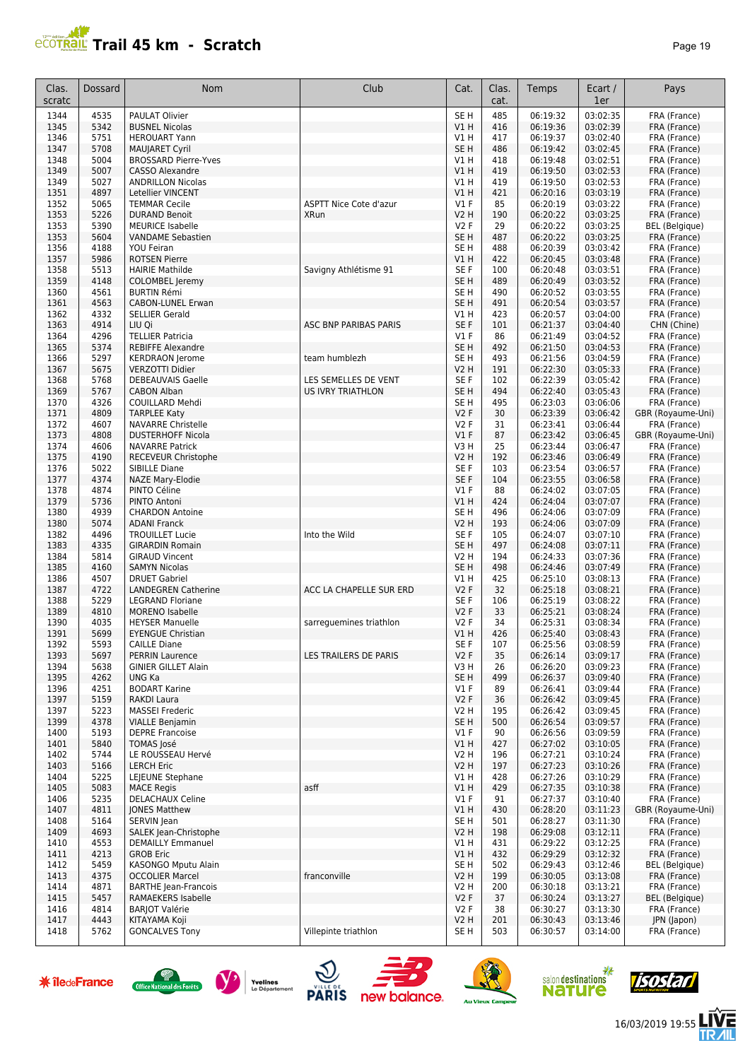# **PROTRAIL Trail 45 km - Scratch**

| aae |  |  |
|-----|--|--|
|-----|--|--|

| Clas.<br>scratc | Dossard      | <b>Nom</b>                                          | Club                          | Cat.                          | Clas.<br>cat. | Temps                | Ecart /<br>1er       | Pays                                  |
|-----------------|--------------|-----------------------------------------------------|-------------------------------|-------------------------------|---------------|----------------------|----------------------|---------------------------------------|
| 1344            | 4535         | PAULAT Olivier                                      |                               | SE <sub>H</sub>               | 485           | 06:19:32             | 03:02:35             | FRA (France)                          |
| 1345            | 5342         | <b>BUSNEL Nicolas</b>                               |                               | V1H                           | 416           | 06:19:36             | 03:02:39             | FRA (France)                          |
| 1346            | 5751         | <b>HEROUART Yann</b>                                |                               | V1H                           | 417           | 06:19:37             | 03:02:40             | FRA (France)                          |
| 1347<br>1348    | 5708<br>5004 | MAUJARET Cyril<br><b>BROSSARD Pierre-Yves</b>       |                               | SE <sub>H</sub><br>VIH        | 486<br>418    | 06:19:42<br>06:19:48 | 03:02:45<br>03:02:51 | FRA (France)<br>FRA (France)          |
| 1349            | 5007         | <b>CASSO Alexandre</b>                              |                               | VIH                           | 419           | 06:19:50             | 03:02:53             | FRA (France)                          |
| 1349            | 5027         | <b>ANDRILLON Nicolas</b>                            |                               | V1H                           | 419           | 06:19:50             | 03:02:53             | FRA (France)                          |
| 1351            | 4897         | Letellier VINCENT                                   |                               | V1H                           | 421           | 06:20:16             | 03:03:19             | FRA (France)                          |
| 1352            | 5065         | <b>TEMMAR Cecile</b>                                | <b>ASPTT Nice Cote d'azur</b> | $VI$ F                        | 85            | 06:20:19             | 03:03:22             | FRA (France)                          |
| 1353            | 5226         | <b>DURAND Benoit</b>                                | <b>XRun</b>                   | <b>V2 H</b>                   | 190           | 06:20:22             | 03:03:25             | FRA (France)                          |
| 1353<br>1353    | 5390<br>5604 | <b>MEURICE Isabelle</b><br><b>VANDAME Sebastien</b> |                               | <b>V2F</b><br>SE <sub>H</sub> | 29<br>487     | 06:20:22<br>06:20:22 | 03:03:25<br>03:03:25 | <b>BEL</b> (Belgique)<br>FRA (France) |
| 1356            | 4188         | <b>YOU Feiran</b>                                   |                               | SE <sub>H</sub>               | 488           | 06:20:39             | 03:03:42             | FRA (France)                          |
| 1357            | 5986         | <b>ROTSEN Pierre</b>                                |                               | V1H                           | 422           | 06:20:45             | 03:03:48             | FRA (France)                          |
| 1358            | 5513         | <b>HAIRIE Mathilde</b>                              | Savigny Athlétisme 91         | SE <sub>F</sub>               | 100           | 06:20:48             | 03:03:51             | FRA (France)                          |
| 1359            | 4148         | <b>COLOMBEL Jeremy</b>                              |                               | SE <sub>H</sub>               | 489           | 06:20:49             | 03:03:52             | FRA (France)                          |
| 1360            | 4561         | <b>BURTIN Rémi</b>                                  |                               | SE <sub>H</sub>               | 490           | 06:20:52             | 03:03:55             | FRA (France)                          |
| 1361            | 4563         | <b>CABON-LUNEL Erwan</b>                            |                               | SE <sub>H</sub>               | 491           | 06:20:54             | 03:03:57             | FRA (France)                          |
| 1362<br>1363    | 4332<br>4914 | <b>SELLIER Gerald</b><br>LIU Qi                     | ASC BNP PARIBAS PARIS         | V1H<br>SE F                   | 423<br>101    | 06:20:57<br>06:21:37 | 03:04:00<br>03:04:40 | FRA (France)<br>CHN (Chine)           |
| 1364            | 4296         | <b>TELLIER Patricia</b>                             |                               | $VI$ F                        | 86            | 06:21:49             | 03:04:52             | FRA (France)                          |
| 1365            | 5374         | <b>REBIFFE Alexandre</b>                            |                               | SE <sub>H</sub>               | 492           | 06:21:50             | 03:04:53             | FRA (France)                          |
| 1366            | 5297         | <b>KERDRAON</b> Jerome                              | team humblezh                 | SE <sub>H</sub>               | 493           | 06:21:56             | 03:04:59             | FRA (France)                          |
| 1367            | 5675         | <b>VERZOTTI Didier</b>                              |                               | <b>V2 H</b>                   | 191           | 06:22:30             | 03:05:33             | FRA (France)                          |
| 1368            | 5768         | <b>DEBEAUVAIS Gaelle</b>                            | LES SEMELLES DE VENT          | SE <sub>F</sub>               | 102           | 06:22:39             | 03:05:42             | FRA (France)                          |
| 1369            | 5767         | <b>CABON Alban</b>                                  | <b>US IVRY TRIATHLON</b>      | SE <sub>H</sub>               | 494           | 06:22:40             | 03:05:43             | FRA (France)                          |
| 1370<br>1371    | 4326<br>4809 | COUILLARD Mehdi                                     |                               | SE <sub>H</sub><br>V2F        | 495<br>30     | 06:23:03<br>06:23:39 | 03:06:06<br>03:06:42 | FRA (France)<br>GBR (Royaume-Uni)     |
| 1372            | 4607         | <b>TARPLEE Katy</b><br><b>NAVARRE Christelle</b>    |                               | <b>V2F</b>                    | 31            | 06:23:41             | 03:06:44             | FRA (France)                          |
| 1373            | 4808         | <b>DUSTERHOFF Nicola</b>                            |                               | $VI$ F                        | 87            | 06:23:42             | 03:06:45             | GBR (Royaume-Uni)                     |
| 1374            | 4606         | <b>NAVARRE Patrick</b>                              |                               | V3H                           | 25            | 06:23:44             | 03:06:47             | FRA (France)                          |
| 1375            | 4190         | RECEVEUR Christophe                                 |                               | V <sub>2</sub> H              | 192           | 06:23:46             | 03:06:49             | FRA (France)                          |
| 1376            | 5022         | <b>SIBILLE Diane</b>                                |                               | SE <sub>F</sub>               | 103           | 06:23:54             | 03:06:57             | FRA (France)                          |
| 1377            | 4374         | NAZE Mary-Elodie                                    |                               | SE F                          | 104           | 06:23:55             | 03:06:58             | FRA (France)                          |
| 1378            | 4874         | PINTO Céline                                        |                               | $VI$ F                        | 88            | 06:24:02             | 03:07:05             | FRA (France)                          |
| 1379<br>1380    | 5736<br>4939 | PINTO Antoni<br><b>CHARDON Antoine</b>              |                               | V1H<br>SE <sub>H</sub>        | 424<br>496    | 06:24:04<br>06:24:06 | 03:07:07<br>03:07:09 | FRA (France)                          |
| 1380            | 5074         | <b>ADANI Franck</b>                                 |                               | <b>V2 H</b>                   | 193           | 06:24:06             | 03:07:09             | FRA (France)<br>FRA (France)          |
| 1382            | 4496         | <b>TROUILLET Lucie</b>                              | Into the Wild                 | SE <sub>F</sub>               | 105           | 06:24:07             | 03:07:10             | FRA (France)                          |
| 1383            | 4335         | <b>GIRARDIN Romain</b>                              |                               | SE <sub>H</sub>               | 497           | 06:24:08             | 03:07:11             | FRA (France)                          |
| 1384            | 5814         | <b>GIRAUD Vincent</b>                               |                               | V2 H                          | 194           | 06:24:33             | 03:07:36             | FRA (France)                          |
| 1385            | 4160         | <b>SAMYN Nicolas</b>                                |                               | SE <sub>H</sub>               | 498           | 06:24:46             | 03:07:49             | FRA (France)                          |
| 1386            | 4507         | <b>DRUET Gabriel</b>                                |                               | V1H                           | 425           | 06:25:10             | 03:08:13             | FRA (France)                          |
| 1387            | 4722<br>5229 | <b>LANDEGREN Catherine</b>                          | ACC LA CHAPELLE SUR ERD       | <b>V2F</b><br>SE <sub>F</sub> | 32<br>106     | 06:25:18<br>06:25:19 | 03:08:21<br>03:08:22 | FRA (France)                          |
| 1388<br>1389    | 4810         | <b>LEGRAND Floriane</b><br><b>MORENO Isabelle</b>   |                               | <b>V2F</b>                    | 33            | 06:25:21             | 03:08:24             | FRA (France)<br>FRA (France)          |
| 1390            | 4035         | <b>HEYSER Manuelle</b>                              | sarreguemines triathlon       | <b>V2F</b>                    | 34            | 06:25:31             | 03:08:34             | FRA (France)                          |
| 1391            | 5699         | <b>EYENGUE Christian</b>                            |                               | <b>V1 H</b>                   | 426           | 06:25:40             | 03:08:43             | FRA (France)                          |
| 1392            | 5593         | <b>CAILLE Diane</b>                                 |                               | SE F                          | 107           | 06:25:56             | 03:08:59             | FRA (France)                          |
| 1393            | 5697         | <b>PERRIN Laurence</b>                              | LES TRAILERS DE PARIS         | V2F                           | 35            | 06:26:14             | 03:09:17             | FRA (France)                          |
| 1394            | 5638         | <b>GINIER GILLET Alain</b>                          |                               | V3H                           | 26            | 06:26:20             | 03:09:23             | FRA (France)                          |
| 1395            | 4262         | UNG Ka                                              |                               | SE <sub>H</sub>               | 499           | 06:26:37             | 03:09:40             | FRA (France)                          |
| 1396<br>1397    | 4251<br>5159 | <b>BODART Karine</b><br>RAKDI Laura                 |                               | $VI$ F<br>V2F                 | 89<br>36      | 06:26:41<br>06:26:42 | 03:09:44<br>03:09:45 | FRA (France)<br>FRA (France)          |
| 1397            | 5223         | <b>MASSEI Frederic</b>                              |                               | V2 H                          | 195           | 06:26:42             | 03:09:45             | FRA (France)                          |
| 1399            | 4378         | <b>VIALLE Benjamin</b>                              |                               | SE H                          | 500           | 06:26:54             | 03:09:57             | FRA (France)                          |
| 1400            | 5193         | <b>DEPRE Francoise</b>                              |                               | $VI$ F                        | 90            | 06:26:56             | 03:09:59             | FRA (France)                          |
| 1401            | 5840         | <b>TOMAS José</b>                                   |                               | VIH                           | 427           | 06:27:02             | 03:10:05             | FRA (France)                          |
| 1402            | 5744         | LE ROUSSEAU Hervé                                   |                               | V2 H                          | 196           | 06:27:21             | 03:10:24             | FRA (France)                          |
| 1403            | 5166         | <b>LERCH Eric</b>                                   |                               | <b>V2 H</b>                   | 197           | 06:27:23             | 03:10:26             | FRA (France)                          |
| 1404<br>1405    | 5225<br>5083 | LEIEUNE Stephane<br><b>MACE Regis</b>               | asff                          | V1 H<br>VIH                   | 428<br>429    | 06:27:26<br>06:27:35 | 03:10:29<br>03:10:38 | FRA (France)<br>FRA (France)          |
| 1406            | 5235         | DELACHAUX Celine                                    |                               | $VI$ F                        | 91            | 06:27:37             | 03:10:40             | FRA (France)                          |
| 1407            | 4811         | <b>JONES Matthew</b>                                |                               | VIH                           | 430           | 06:28:20             | 03:11:23             | GBR (Royaume-Uni)                     |
| 1408            | 5164         | SERVIN Jean                                         |                               | SE <sub>H</sub>               | 501           | 06:28:27             | 03:11:30             | FRA (France)                          |
| 1409            | 4693         | SALEK Jean-Christophe                               |                               | <b>V2 H</b>                   | 198           | 06:29:08             | 03:12:11             | FRA (France)                          |
| 1410            | 4553         | <b>DEMAILLY Emmanuel</b>                            |                               | V1 H                          | 431           | 06:29:22             | 03:12:25             | FRA (France)                          |
| 1411            | 4213         | <b>GROB Eric</b>                                    |                               | V1H                           | 432           | 06:29:29             | 03:12:32             | FRA (France)                          |
| 1412<br>1413    | 5459<br>4375 | KASONGO Mputu Alain<br><b>OCCOLIER Marcel</b>       | franconville                  | SE <sub>H</sub><br>V2H        | 502<br>199    | 06:29:43             | 03:12:46             | <b>BEL</b> (Belgique)<br>FRA (France) |
| 1414            | 4871         | <b>BARTHE Jean-Francois</b>                         |                               | <b>V2 H</b>                   | 200           | 06:30:05<br>06:30:18 | 03:13:08<br>03:13:21 | FRA (France)                          |
| 1415            | 5457         | RAMAEKERS Isabelle                                  |                               | V2F                           | 37            | 06:30:24             | 03:13:27             | <b>BEL</b> (Belgique)                 |
| 1416            | 4814         | <b>BARJOT Valérie</b>                               |                               | V2F                           | 38            | 06:30:27             | 03:13:30             | FRA (France)                          |
| 1417            | 4443         | KITAYAMA Koji                                       |                               | V2H                           | 201           | 06:30:43             | 03:13:46             | JPN (Japon)                           |
| 1418            | 5762         | <b>GONCALVES Tony</b>                               | Villepinte triathlon          | SE H                          | 503           | 06:30:57             | 03:14:00             | FRA (France)                          |
|                 |              |                                                     |                               |                               |               |                      |                      |                                       |















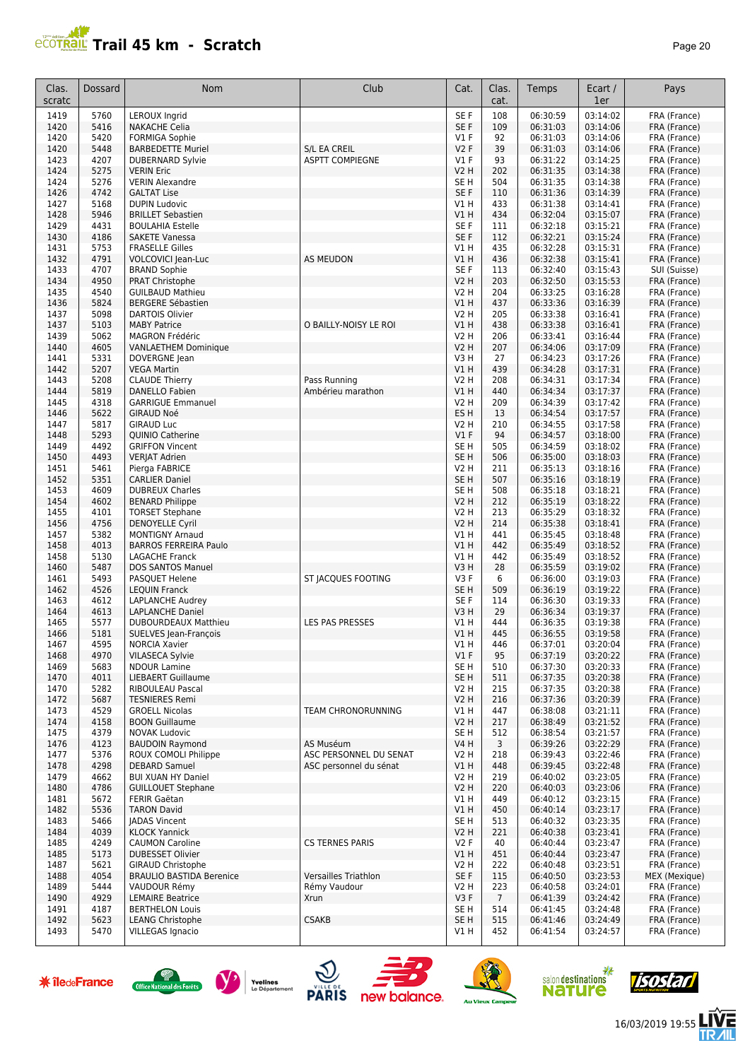

| Clas.<br>scratc | Dossard      | <b>Nom</b>                                          | Club                                   | Cat.                               | Clas.<br>cat.          | Temps                | Ecart /<br>1er       | Pays                         |
|-----------------|--------------|-----------------------------------------------------|----------------------------------------|------------------------------------|------------------------|----------------------|----------------------|------------------------------|
| 1419            | 5760         | <b>LEROUX Ingrid</b>                                |                                        | SE F                               | 108                    | 06:30:59             | 03:14:02             | FRA (France)                 |
| 1420            | 5416         | <b>NAKACHE Celia</b>                                |                                        | SE F                               | 109                    | 06:31:03             | 03:14:06             | FRA (France)                 |
| 1420            | 5420         | <b>FORMIGA Sophie</b>                               |                                        | <b>V1 F</b>                        | 92                     | 06:31:03             | 03:14:06             | FRA (France)                 |
| 1420<br>1423    | 5448<br>4207 | <b>BARBEDETTE Muriel</b><br><b>DUBERNARD Sylvie</b> | S/L EA CREIL<br><b>ASPTT COMPIEGNE</b> | <b>V2F</b><br><b>V1 F</b>          | 39<br>93               | 06:31:03<br>06:31:22 | 03:14:06<br>03:14:25 | FRA (France)<br>FRA (France) |
| 1424            | 5275         | <b>VERIN Eric</b>                                   |                                        | V <sub>2</sub> H                   | 202                    | 06:31:35             | 03:14:38             | FRA (France)                 |
| 1424            | 5276         | <b>VERIN Alexandre</b>                              |                                        | SE <sub>H</sub>                    | 504                    | 06:31:35             | 03:14:38             | FRA (France)                 |
| 1426            | 4742         | <b>GALTAT Lise</b>                                  |                                        | SE <sub>F</sub>                    | 110                    | 06:31:36             | 03:14:39             | FRA (France)                 |
| 1427            | 5168         | <b>DUPIN Ludovic</b>                                |                                        | V1 H                               | 433                    | 06:31:38             | 03:14:41             | FRA (France)                 |
| 1428            | 5946         | <b>BRILLET Sebastien</b>                            |                                        | V1H                                | 434                    | 06:32:04             | 03:15:07             | FRA (France)                 |
| 1429<br>1430    | 4431<br>4186 | <b>BOULAHIA Estelle</b><br><b>SAKETE Vanessa</b>    |                                        | SE <sub>F</sub><br>SE <sub>F</sub> | 111<br>112             | 06:32:18<br>06:32:21 | 03:15:21<br>03:15:24 | FRA (France)<br>FRA (France) |
| 1431            | 5753         | <b>FRASELLE Gilles</b>                              |                                        | V1H                                | 435                    | 06:32:28             | 03:15:31             | FRA (France)                 |
| 1432            | 4791         | VOLCOVICI Jean-Luc                                  | <b>AS MEUDON</b>                       | V1 H                               | 436                    | 06:32:38             | 03:15:41             | FRA (France)                 |
| 1433            | 4707         | <b>BRAND Sophie</b>                                 |                                        | SE F                               | 113                    | 06:32:40             | 03:15:43             | SUI (Suisse)                 |
| 1434            | 4950         | PRAT Christophe                                     |                                        | V2 H                               | 203                    | 06:32:50             | 03:15:53             | FRA (France)                 |
| 1435            | 4540         | <b>GUILBAUD Mathieu</b>                             |                                        | <b>V2 H</b>                        | 204                    | 06:33:25             | 03:16:28             | FRA (France)                 |
| 1436            | 5824         | <b>BERGERE Sébastien</b>                            |                                        | V1H                                | 437                    | 06:33:36             | 03:16:39             | FRA (France)                 |
| 1437<br>1437    | 5098<br>5103 | <b>DARTOIS Olivier</b><br><b>MABY Patrice</b>       | O BAILLY-NOISY LE ROI                  | <b>V2 H</b><br>V1H                 | 205<br>438             | 06:33:38<br>06:33:38 | 03:16:41<br>03:16:41 | FRA (France)<br>FRA (France) |
| 1439            | 5062         | <b>MAGRON Frédéric</b>                              |                                        | <b>V2 H</b>                        | 206                    | 06:33:41             | 03:16:44             | FRA (France)                 |
| 1440            | 4605         | VANLAETHEM Dominique                                |                                        | <b>V2 H</b>                        | 207                    | 06:34:06             | 03:17:09             | FRA (France)                 |
| 1441            | 5331         | DOVERGNE Jean                                       |                                        | V3H                                | 27                     | 06:34:23             | 03:17:26             | FRA (France)                 |
| 1442            | 5207         | <b>VEGA Martin</b>                                  |                                        | V1H                                | 439                    | 06:34:28             | 03:17:31             | FRA (France)                 |
| 1443            | 5208         | <b>CLAUDE Thierry</b>                               | Pass Running                           | <b>V2 H</b>                        | 208                    | 06:34:31             | 03:17:34             | FRA (France)                 |
| 1444            | 5819         | <b>DANELLO Fabien</b>                               | Ambérieu marathon                      | VIH                                | 440                    | 06:34:34             | 03:17:37             | FRA (France)                 |
| 1445            | 4318         | <b>GARRIGUE Emmanuel</b>                            |                                        | <b>V2 H</b>                        | 209                    | 06:34:39             | 03:17:42             | FRA (France)                 |
| 1446<br>1447    | 5622<br>5817 | <b>GIRAUD Noé</b><br><b>GIRAUD Luc</b>              |                                        | ES <sub>H</sub><br>V2 H            | 13<br>210              | 06:34:54<br>06:34:55 | 03:17:57<br>03:17:58 | FRA (France)<br>FRA (France) |
| 1448            | 5293         | <b>OUINIO Catherine</b>                             |                                        | $VI$ F                             | 94                     | 06:34:57             | 03:18:00             | FRA (France)                 |
| 1449            | 4492         | <b>GRIFFON Vincent</b>                              |                                        | SE <sub>H</sub>                    | 505                    | 06:34:59             | 03:18:02             | FRA (France)                 |
| 1450            | 4493         | <b>VERJAT Adrien</b>                                |                                        | SE <sub>H</sub>                    | 506                    | 06:35:00             | 03:18:03             | FRA (France)                 |
| 1451            | 5461         | Pierga FABRICE                                      |                                        | V2 H                               | 211                    | 06:35:13             | 03:18:16             | FRA (France)                 |
| 1452            | 5351         | <b>CARLIER Daniel</b>                               |                                        | SE <sub>H</sub>                    | 507                    | 06:35:16             | 03:18:19             | FRA (France)                 |
| 1453            | 4609         | <b>DUBREUX Charles</b>                              |                                        | SE <sub>H</sub>                    | 508                    | 06:35:18             | 03:18:21             | FRA (France)                 |
| 1454            | 4602         | <b>BENARD Philippe</b>                              |                                        | <b>V2 H</b>                        | 212                    | 06:35:19             | 03:18:22             | FRA (France)                 |
| 1455<br>1456    | 4101<br>4756 | <b>TORSET Stephane</b><br><b>DENOYELLE Cyril</b>    |                                        | <b>V2 H</b><br><b>V2 H</b>         | 213<br>214             | 06:35:29<br>06:35:38 | 03:18:32<br>03:18:41 | FRA (France)<br>FRA (France) |
| 1457            | 5382         | <b>MONTIGNY Arnaud</b>                              |                                        | V1 H                               | 441                    | 06:35:45             | 03:18:48             | FRA (France)                 |
| 1458            | 4013         | <b>BARROS FERREIRA Paulo</b>                        |                                        | VIH                                | 442                    | 06:35:49             | 03:18:52             | FRA (France)                 |
| 1458            | 5130         | <b>LAGACHE Franck</b>                               |                                        | V1 H                               | 442                    | 06:35:49             | 03:18:52             | FRA (France)                 |
| 1460            | 5487         | DOS SANTOS Manuel                                   |                                        | V3H                                | 28                     | 06:35:59             | 03:19:02             | FRA (France)                 |
| 1461            | 5493         | PASQUET Helene                                      | ST JACQUES FOOTING                     | V3F                                | 6                      | 06:36:00             | 03:19:03             | FRA (France)                 |
| 1462            | 4526         | <b>LEQUIN Franck</b>                                |                                        | SE <sub>H</sub>                    | 509                    | 06:36:19             | 03:19:22             | FRA (France)                 |
| 1463<br>1464    | 4612<br>4613 | LAPLANCHE Audrey<br><b>LAPLANCHE Daniel</b>         |                                        | SE <sub>F</sub><br>V3H             | 114<br>29              | 06:36:30<br>06:36:34 | 03:19:33<br>03:19:37 | FRA (France)<br>FRA (France) |
| 1465            | 5577         | <b>DUBOURDEAUX Matthieu</b>                         | LES PAS PRESSES                        | V1 H                               | 444                    | 06:36:35             | 03:19:38             | FRA (France)                 |
| 1466            | 5181         | SUELVES Jean-François                               |                                        | <b>V1 H</b>                        | 445                    | 06:36:55             | 03:19:58             | FRA (France)                 |
| 1467            | 4595         | <b>NORCIA Xavier</b>                                |                                        | V1H                                | 446                    | 06:37:01             | 03:20:04             | FRA (France)                 |
| 1468            | 4970         | <b>VILASECA Sylvie</b>                              |                                        | V1F                                | 95                     | 06:37:19             | 03:20:22             | FRA (France)                 |
| 1469            | 5683         | <b>NDOUR Lamine</b>                                 |                                        | SE H                               | 510                    | 06:37:30             | 03:20:33             | FRA (France)                 |
| 1470            | 4011         | <b>LIEBAERT Guillaume</b>                           |                                        | SE H                               | 511                    | 06:37:35             | 03:20:38             | FRA (France)                 |
| 1470<br>1472    | 5282<br>5687 | RIBOULEAU Pascal<br><b>TESNIERES Remi</b>           |                                        | V2 H<br>V2 H                       | 215<br>216             | 06:37:35<br>06:37:36 | 03:20:38<br>03:20:39 | FRA (France)<br>FRA (France) |
| 1473            | 4529         | <b>GROELL Nicolas</b>                               | TEAM CHRONORUNNING                     | V1 H                               | 447                    | 06:38:08             | 03:21:11             | FRA (France)                 |
| 1474            | 4158         | <b>BOON Guillaume</b>                               |                                        | <b>V2 H</b>                        | 217                    | 06:38:49             | 03:21:52             | FRA (France)                 |
| 1475            | 4379         | <b>NOVAK Ludovic</b>                                |                                        | SE H                               | 512                    | 06:38:54             | 03:21:57             | FRA (France)                 |
| 1476            | 4123         | <b>BAUDOIN Raymond</b>                              | AS Muséum                              | V4 H                               | 3                      | 06:39:26             | 03:22:29             | FRA (France)                 |
| 1477            | 5376         | ROUX COMOLI Philippe                                | ASC PERSONNEL DU SENAT                 | V2 H                               | 218                    | 06:39:43             | 03:22:46             | FRA (France)                 |
| 1478            | 4298         | <b>DEBARD Samuel</b>                                | ASC personnel du sénat                 | V1 H                               | 448                    | 06:39:45             | 03:22:48             | FRA (France)                 |
| 1479            | 4662         | <b>BUI XUAN HY Daniel</b>                           |                                        | V2 H                               | 219                    | 06:40:02             | 03:23:05             | FRA (France)                 |
| 1480<br>1481    | 4786<br>5672 | <b>GUILLOUET Stephane</b><br>FERIR Gaëtan           |                                        | <b>V2 H</b><br>V1H                 | 220<br>449             | 06:40:03<br>06:40:12 | 03:23:06<br>03:23:15 | FRA (France)<br>FRA (France) |
| 1482            | 5536         | <b>TARON David</b>                                  |                                        | V1H                                | 450                    | 06:40:14             | 03:23:17             | FRA (France)                 |
| 1483            | 5466         | <b>JADAS Vincent</b>                                |                                        | SE H                               | 513                    | 06:40:32             | 03:23:35             | FRA (France)                 |
| 1484            | 4039         | <b>KLOCK Yannick</b>                                |                                        | V2 H                               | 221                    | 06:40:38             | 03:23:41             | FRA (France)                 |
| 1485            | 4249         | <b>CAUMON Caroline</b>                              | <b>CS TERNES PARIS</b>                 | V2F                                | 40                     | 06:40:44             | 03:23:47             | FRA (France)                 |
| 1485            | 5173         | <b>DUBESSET Olivier</b>                             |                                        | VIH                                | 451                    | 06:40:44             | 03:23:47             | FRA (France)                 |
| 1487            | 5621         | <b>GIRAUD Christophe</b>                            |                                        | <b>V2 H</b>                        | 222                    | 06:40:48             | 03:23:51             | FRA (France)                 |
| 1488            | 4054         | <b>BRAULIO BASTIDA Berenice</b>                     | Versailles Triathlon                   | SE F                               | 115                    | 06:40:50             | 03:23:53             | MEX (Mexique)                |
| 1489<br>1490    | 5444<br>4929 | VAUDOUR Rémy<br><b>LEMAIRE Beatrice</b>             | Rémy Vaudour<br>Xrun                   | <b>V2 H</b><br>V3F                 | 223<br>$7\overline{ }$ | 06:40:58<br>06:41:39 | 03:24:01<br>03:24:42 | FRA (France)<br>FRA (France) |
| 1491            | 4187         | <b>BERTHELON Louis</b>                              |                                        | SE H                               | 514                    | 06:41:45             | 03:24:48             | FRA (France)                 |
| 1492            | 5623         | <b>LEANG Christophe</b>                             | <b>CSAKB</b>                           | SE <sub>H</sub>                    | 515                    | 06:41:46             | 03:24:49             | FRA (France)                 |
| 1493            | 5470         | <b>VILLEGAS Ignacio</b>                             |                                        | V1 H                               | 452                    | 06:41:54             | 03:24:57             | FRA (France)                 |

**米 îledeFrance** 













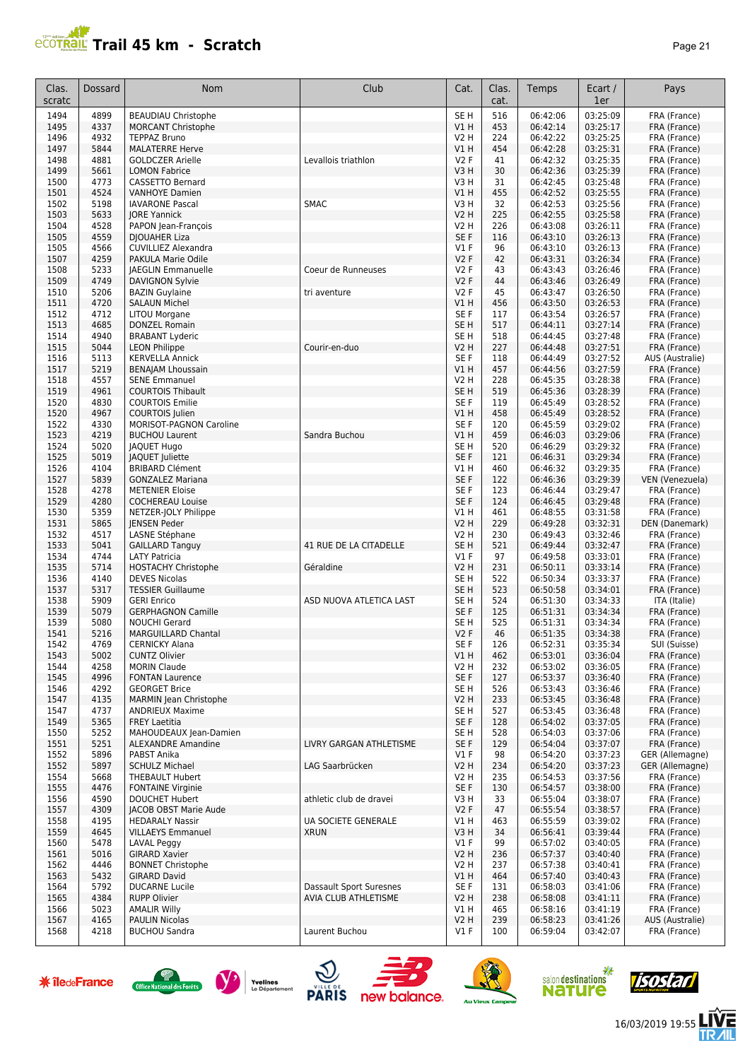

| Clas.<br>scratc | Dossard      | Nom                                                 | Club                           | Cat.                               | Clas.<br>cat. | Temps                | Ecart /<br>1er       | Pays                         |
|-----------------|--------------|-----------------------------------------------------|--------------------------------|------------------------------------|---------------|----------------------|----------------------|------------------------------|
| 1494            | 4899         | <b>BEAUDIAU Christophe</b>                          |                                | SE <sub>H</sub>                    | 516           | 06:42:06             | 03:25:09             | FRA (France)                 |
| 1495            | 4337         | <b>MORCANT Christophe</b>                           |                                | V1H                                | 453           | 06:42:14             | 03:25:17             | FRA (France)                 |
| 1496            | 4932         | <b>TEPPAZ Bruno</b>                                 |                                | <b>V2 H</b>                        | 224           | 06:42:22             | 03:25:25             | FRA (France)                 |
| 1497<br>1498    | 5844<br>4881 | <b>MALATERRE Herve</b>                              | Levallois triathlon            | V1H<br><b>V2F</b>                  | 454           | 06:42:28<br>06:42:32 | 03:25:31<br>03:25:35 | FRA (France)                 |
| 1499            | 5661         | <b>GOLDCZER Arielle</b><br><b>LOMON Fabrice</b>     |                                | V3H                                | 41<br>30      | 06:42:36             | 03:25:39             | FRA (France)<br>FRA (France) |
| 1500            | 4773         | <b>CASSETTO Bernard</b>                             |                                | V <sub>3</sub> H                   | 31            | 06:42:45             | 03:25:48             | FRA (France)                 |
| 1501            | 4524         | <b>VANHOYE Damien</b>                               |                                | VIH                                | 455           | 06:42:52             | 03:25:55             | FRA (France)                 |
| 1502            | 5198         | <b>IAVARONE Pascal</b>                              | <b>SMAC</b>                    | V3H                                | 32            | 06:42:53             | 03:25:56             | FRA (France)                 |
| 1503            | 5633         | <b>JORE Yannick</b>                                 |                                | <b>V2 H</b>                        | 225           | 06:42:55             | 03:25:58             | FRA (France)                 |
| 1504            | 4528         | PAPON Jean-François                                 |                                | <b>V2 H</b>                        | 226           | 06:43:08             | 03:26:11             | FRA (France)                 |
| 1505            | 4559         | <b>DJOUAHER Liza</b>                                |                                | SE <sub>F</sub>                    | 116           | 06:43:10             | 03:26:13             | FRA (France)                 |
| 1505            | 4566         | <b>CUVILLIEZ Alexandra</b>                          |                                | $VI$ F                             | 96            | 06:43:10             | 03:26:13             | FRA (France)                 |
| 1507            | 4259         | PAKULA Marie Odile                                  |                                | V2F                                | 42            | 06:43:31             | 03:26:34             | FRA (France)                 |
| 1508<br>1509    | 5233<br>4749 | <b>JAEGLIN Emmanuelle</b><br><b>DAVIGNON Sylvie</b> | Coeur de Runneuses             | <b>V2F</b><br>V2F                  | 43<br>44      | 06:43:43<br>06:43:46 | 03:26:46<br>03:26:49 | FRA (France)                 |
| 1510            | 5206         | <b>BAZIN Guylaine</b>                               | tri aventure                   | <b>V2F</b>                         | 45            | 06:43:47             | 03:26:50             | FRA (France)<br>FRA (France) |
| 1511            | 4720         | <b>SALAUN Michel</b>                                |                                | VIH                                | 456           | 06:43:50             | 03:26:53             | FRA (France)                 |
| 1512            | 4712         | <b>LITOU Morgane</b>                                |                                | SE <sub>F</sub>                    | 117           | 06:43:54             | 03:26:57             | FRA (France)                 |
| 1513            | 4685         | <b>DONZEL Romain</b>                                |                                | SE H                               | 517           | 06:44:11             | 03:27:14             | FRA (France)                 |
| 1514            | 4940         | <b>BRABANT Lyderic</b>                              |                                | SE <sub>H</sub>                    | 518           | 06:44:45             | 03:27:48             | FRA (France)                 |
| 1515            | 5044         | <b>LEON Philippe</b>                                | Courir-en-duo                  | <b>V2 H</b>                        | 227           | 06:44:48             | 03:27:51             | FRA (France)                 |
| 1516            | 5113         | <b>KERVELLA Annick</b>                              |                                | SE <sub>F</sub>                    | 118           | 06:44:49             | 03:27:52             | AUS (Australie)              |
| 1517            | 5219         | <b>BENAJAM Lhoussain</b>                            |                                | V1H                                | 457           | 06:44:56             | 03:27:59             | FRA (France)                 |
| 1518            | 4557         | <b>SENE Emmanuel</b>                                |                                | <b>V2 H</b>                        | 228           | 06:45:35             | 03:28:38             | FRA (France)                 |
| 1519<br>1520    | 4961<br>4830 | <b>COURTOIS Thibault</b><br><b>COURTOIS Emilie</b>  |                                | SE <sub>H</sub><br>SE <sub>F</sub> | 519<br>119    | 06:45:36<br>06:45:49 | 03:28:39<br>03:28:52 | FRA (France)<br>FRA (France) |
| 1520            | 4967         | COURTOIS Julien                                     |                                | V1H                                | 458           | 06:45:49             | 03:28:52             | FRA (France)                 |
| 1522            | 4330         | <b>MORISOT-PAGNON Caroline</b>                      |                                | SE <sub>F</sub>                    | 120           | 06:45:59             | 03:29:02             | FRA (France)                 |
| 1523            | 4219         | <b>BUCHOU Laurent</b>                               | Sandra Buchou                  | V1H                                | 459           | 06:46:03             | 03:29:06             | FRA (France)                 |
| 1524            | 5020         | <b>JAQUET Hugo</b>                                  |                                | SE <sub>H</sub>                    | 520           | 06:46:29             | 03:29:32             | FRA (France)                 |
| 1525            | 5019         | JAQUET Juliette                                     |                                | SE <sub>F</sub>                    | 121           | 06:46:31             | 03:29:34             | FRA (France)                 |
| 1526            | 4104         | <b>BRIBARD Clément</b>                              |                                | V1 H                               | 460           | 06:46:32             | 03:29:35             | FRA (France)                 |
| 1527            | 5839         | <b>GONZALEZ Mariana</b>                             |                                | SE <sub>F</sub>                    | 122           | 06:46:36             | 03:29:39             | VEN (Venezuela)              |
| 1528            | 4278         | <b>METENIER Eloise</b>                              |                                | SE <sub>F</sub>                    | 123           | 06:46:44             | 03:29:47             | FRA (France)                 |
| 1529            | 4280<br>5359 | <b>COCHEREAU Louise</b>                             |                                | SE <sub>F</sub>                    | 124           | 06:46:45<br>06:48:55 | 03:29:48             | FRA (France)<br>FRA (France) |
| 1530<br>1531    | 5865         | NETZER-JOLY Philippe<br><b>JENSEN Peder</b>         |                                | V1H<br><b>V2 H</b>                 | 461<br>229    | 06:49:28             | 03:31:58<br>03:32:31 | DEN (Danemark)               |
| 1532            | 4517         | LASNE Stéphane                                      |                                | <b>V2 H</b>                        | 230           | 06:49:43             | 03:32:46             | FRA (France)                 |
| 1533            | 5041         | <b>GAILLARD Tanguy</b>                              | 41 RUE DE LA CITADELLE         | SE <sub>H</sub>                    | 521           | 06:49:44             | 03:32:47             | FRA (France)                 |
| 1534            | 4744         | <b>LATY Patricia</b>                                |                                | $VI$ F                             | 97            | 06:49:58             | 03:33:01             | FRA (France)                 |
| 1535            | 5714         | <b>HOSTACHY Christophe</b>                          | Géraldine                      | <b>V2 H</b>                        | 231           | 06:50:11             | 03:33:14             | FRA (France)                 |
| 1536            | 4140         | <b>DEVES Nicolas</b>                                |                                | SE <sub>H</sub>                    | 522           | 06:50:34             | 03:33:37             | FRA (France)                 |
| 1537            | 5317         | <b>TESSIER Guillaume</b>                            |                                | SE <sub>H</sub>                    | 523           | 06:50:58             | 03:34:01             | FRA (France)                 |
| 1538            | 5909         | <b>GERI Enrico</b>                                  | ASD NUOVA ATLETICA LAST        | SE <sub>H</sub>                    | 524           | 06:51:30             | 03:34:33             | ITA (Italie)                 |
| 1539            | 5079<br>5080 | <b>GERPHAGNON Camille</b>                           |                                | SE <sub>F</sub><br>SE <sub>H</sub> | 125<br>525    | 06:51:31             | 03:34:34             | FRA (France)<br>FRA (France) |
| 1539<br>1541    | 5216         | <b>NOUCHI Gerard</b><br><b>MARGUILLARD Chantal</b>  |                                | <b>V2F</b>                         | 46            | 06:51:31<br>06:51:35 | 03:34:34<br>03:34:38 | FRA (France)                 |
| 1542            | 4769         | CERNICKY Alana                                      |                                | SE F                               | 126           | 06:52:31             | 03:35:34             | SUI (Suisse)                 |
| 1543            | 5002         | <b>CUNTZ Olivier</b>                                |                                | V1H                                | 462           | 06:53:01             | 03:36:04             | FRA (France)                 |
| 1544            | 4258         | <b>MORIN Claude</b>                                 |                                | V2 H                               | 232           | 06:53:02             | 03:36:05             | FRA (France)                 |
| 1545            | 4996         | <b>FONTAN Laurence</b>                              |                                | SE F                               | 127           | 06:53:37             | 03:36:40             | FRA (France)                 |
| 1546            | 4292         | <b>GEORGET Brice</b>                                |                                | SE H                               | 526           | 06:53:43             | 03:36:46             | FRA (France)                 |
| 1547            | 4135         | <b>MARMIN Jean Christophe</b>                       |                                | <b>V2 H</b>                        | 233           | 06:53:45             | 03:36:48             | FRA (France)                 |
| 1547            | 4737         | <b>ANDRIEUX Maxime</b>                              |                                | SE H                               | 527           | 06:53:45             | 03:36:48             | FRA (France)                 |
| 1549            | 5365         | <b>FREY Laetitia</b>                                |                                | SE F                               | 128           | 06:54:02             | 03:37:05             | FRA (France)                 |
| 1550<br>1551    | 5252<br>5251 | MAHOUDEAUX Jean-Damien<br><b>ALEXANDRE Amandine</b> | LIVRY GARGAN ATHLETISME        | SE H<br>SE F                       | 528<br>129    | 06:54:03<br>06:54:04 | 03:37:06<br>03:37:07 | FRA (France)<br>FRA (France) |
| 1552            | 5896         | PABST Anika                                         |                                | $VI$ F                             | 98            | 06:54:20             | 03:37:23             | GER (Allemagne)              |
| 1552            | 5897         | <b>SCHULZ Michael</b>                               | LAG Saarbrücken                | <b>V2 H</b>                        | 234           | 06:54:20             | 03:37:23             | GER (Allemagne)              |
| 1554            | 5668         | THEBAULT Hubert                                     |                                | <b>V2 H</b>                        | 235           | 06:54:53             | 03:37:56             | FRA (France)                 |
| 1555            | 4476         | <b>FONTAINE Virginie</b>                            |                                | SE F                               | 130           | 06:54:57             | 03:38:00             | FRA (France)                 |
| 1556            | 4590         | <b>DOUCHET Hubert</b>                               | athletic club de dravei        | V3H                                | 33            | 06:55:04             | 03:38:07             | FRA (France)                 |
| 1557            | 4309         | JACOB OBST Marie Aude                               |                                | V2F                                | 47            | 06:55:54             | 03:38:57             | FRA (France)                 |
| 1558            | 4195         | <b>HEDARALY Nassir</b>                              | UA SOCIETE GENERALE            | V1 H                               | 463           | 06:55:59             | 03:39:02             | FRA (France)                 |
| 1559            | 4645         | <b>VILLAEYS Emmanuel</b>                            | <b>XRUN</b>                    | V3H                                | 34            | 06:56:41             | 03:39:44             | FRA (France)                 |
| 1560<br>1561    | 5478<br>5016 | <b>LAVAL Peggy</b><br><b>GIRARD Xavier</b>          |                                | $VI$ F<br>V <sub>2</sub> H         | 99<br>236     | 06:57:02<br>06:57:37 | 03:40:05<br>03:40:40 | FRA (France)<br>FRA (France) |
| 1562            | 4446         | <b>BONNET Christophe</b>                            |                                | V2 H                               | 237           | 06:57:38             | 03:40:41             | FRA (France)                 |
| 1563            | 5432         | <b>GIRARD David</b>                                 |                                | V1H                                | 464           | 06:57:40             | 03:40:43             | FRA (France)                 |
| 1564            | 5792         | <b>DUCARNE Lucile</b>                               | <b>Dassault Sport Suresnes</b> | SE F                               | 131           | 06:58:03             | 03:41:06             | FRA (France)                 |
| 1565            | 4384         | <b>RUPP Olivier</b>                                 | AVIA CLUB ATHLETISME           | <b>V2 H</b>                        | 238           | 06:58:08             | 03:41:11             | FRA (France)                 |
| 1566            | 5023         | <b>AMALIR Willy</b>                                 |                                | V1 H                               | 465           | 06:58:16             | 03:41:19             | FRA (France)                 |
| 1567            | 4165         | <b>PAULIN Nicolas</b>                               |                                | <b>V2 H</b>                        | 239           | 06:58:23             | 03:41:26             | AUS (Australie)              |
| 1568            | 4218         | <b>BUCHOU Sandra</b>                                | Laurent Buchou                 | $VI$ F                             | 100           | 06:59:04             | 03:42:07             | FRA (France)                 |